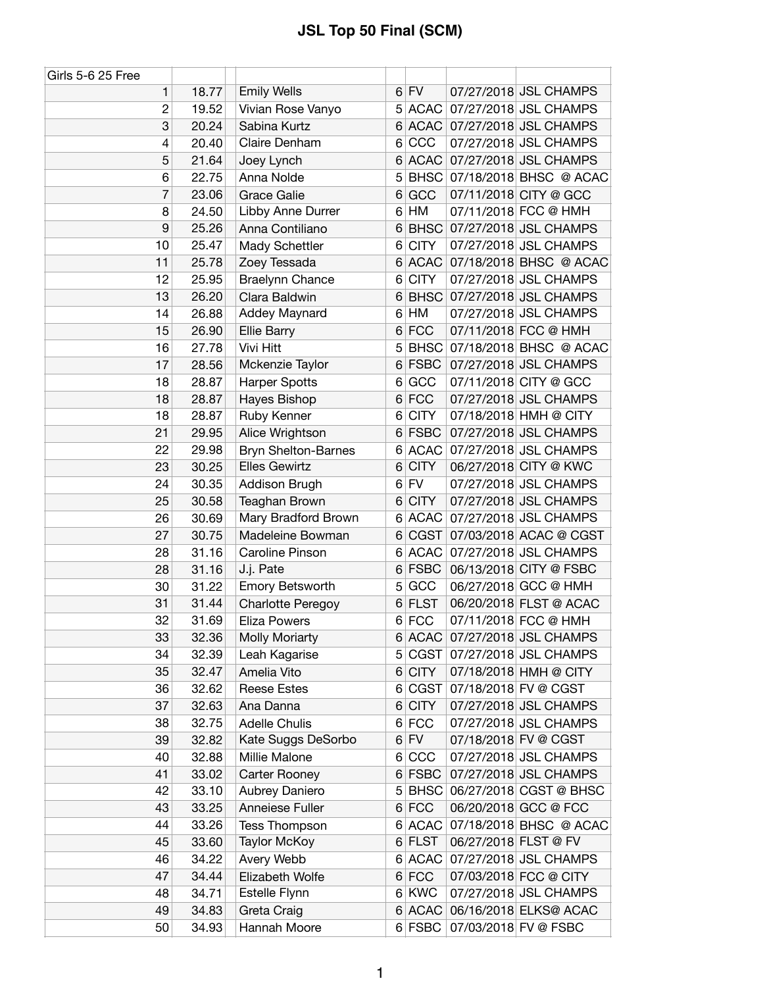| Girls 5-6 25 Free |       |                            |                |             |                               |
|-------------------|-------|----------------------------|----------------|-------------|-------------------------------|
| 1                 | 18.77 | <b>Emily Wells</b>         |                | $6$ FV      | 07/27/2018 JSL CHAMPS         |
| 2                 | 19.52 | Vivian Rose Vanyo          |                | 5 ACAC      | 07/27/2018 JSL CHAMPS         |
| 3                 | 20.24 | Sabina Kurtz               |                | 6 ACAC      | 07/27/2018 JSL CHAMPS         |
| 4                 | 20.40 | Claire Denham              | 6              | CCC         | 07/27/2018 JSL CHAMPS         |
| 5                 | 21.64 | Joey Lynch                 | 6              | <b>ACAC</b> | 07/27/2018 JSL CHAMPS         |
| 6                 | 22.75 | Anna Nolde                 | 5              |             | BHSC 07/18/2018 BHSC @ ACAC   |
| 7                 | 23.06 | <b>Grace Galie</b>         | 6              | GCC         | 07/11/2018 CITY @ GCC         |
| 8                 | 24.50 | Libby Anne Durrer          | 6              | HM          | 07/11/2018 FCC @ HMH          |
| 9                 | 25.26 | Anna Contiliano            | 6              |             | BHSC 07/27/2018 JSL CHAMPS    |
| 10                | 25.47 | Mady Schettler             | 6              | <b>CITY</b> | 07/27/2018 JSL CHAMPS         |
| 11                | 25.78 | Zoey Tessada               | 6              | <b>ACAC</b> | 07/18/2018 BHSC @ ACAC        |
| 12                | 25.95 | <b>Braelynn Chance</b>     | 6              | <b>CITY</b> | 07/27/2018 JSL CHAMPS         |
| 13                | 26.20 | Clara Baldwin              | 6              |             | BHSC 07/27/2018 JSL CHAMPS    |
| 14                | 26.88 | Addey Maynard              |                | 6 HM        | 07/27/2018 JSL CHAMPS         |
| 15                | 26.90 | <b>Ellie Barry</b>         |                | 6 FCC       | 07/11/2018 FCC @ HMH          |
| 16                | 27.78 | Vivi Hitt                  | 5              | <b>BHSC</b> | 07/18/2018 BHSC @ ACAC        |
| 17                | 28.56 | Mckenzie Taylor            | $6 \mid$       | <b>FSBC</b> | 07/27/2018 JSL CHAMPS         |
| 18                | 28.87 | <b>Harper Spotts</b>       | 6              | GCC         | 07/11/2018 CITY @ GCC         |
| 18                | 28.87 | Hayes Bishop               | 6              | <b>FCC</b>  | 07/27/2018 JSL CHAMPS         |
| 18                | 28.87 | Ruby Kenner                | 6              | <b>CITY</b> | 07/18/2018 HMH @ CITY         |
| 21                | 29.95 | Alice Wrightson            |                | 6 FSBC      | 07/27/2018 JSL CHAMPS         |
| 22                | 29.98 | <b>Bryn Shelton-Barnes</b> | 6              | <b>ACAC</b> | 07/27/2018 JSL CHAMPS         |
| 23                | 30.25 | <b>Elles Gewirtz</b>       | 6              | <b>CITY</b> | 06/27/2018 CITY @ KWC         |
| 24                | 30.35 | Addison Brugh              | 6              | <b>FV</b>   | 07/27/2018 JSL CHAMPS         |
| 25                | 30.58 | Teaghan Brown              | 6              | <b>CITY</b> | 07/27/2018 JSL CHAMPS         |
| 26                | 30.69 | Mary Bradford Brown        | 6              | <b>ACAC</b> | 07/27/2018 JSL CHAMPS         |
| 27                | 30.75 | Madeleine Bowman           | 6              | CGST        | 07/03/2018 ACAC @ CGST        |
| 28                | 31.16 | <b>Caroline Pinson</b>     |                | 6 ACAC      | 07/27/2018 JSL CHAMPS         |
| 28                | 31.16 | J.j. Pate                  |                | $6$ FSBC    | 06/13/2018 CITY @ FSBC        |
| 30                | 31.22 | Emory Betsworth            |                | 5 GCC       | 06/27/2018 GCC @ HMH          |
| 31                | 31.44 | <b>Charlotte Peregoy</b>   | 6              | <b>FLST</b> | 06/20/2018 FLST @ ACAC        |
| 32                | 31.69 | <b>Eliza Powers</b>        |                | $6$ FCC     | 07/11/2018 FCC @ HMH          |
| 33                | 32.36 | <b>Molly Moriarty</b>      | 6              |             | ACAC 07/27/2018 JSL CHAMPS    |
| 34                | 32.39 | Leah Kagarise              | 5 <sup>5</sup> | CGST        | 07/27/2018 JSL CHAMPS         |
| 35                | 32.47 | Amelia Vito                | $6 \mid$       | <b>CITY</b> | 07/18/2018 HMH @ CITY         |
| 36                | 32.62 | <b>Reese Estes</b>         | 6              | <b>CGST</b> | 07/18/2018 FV @ CGST          |
| 37                | 32.63 | Ana Danna                  | 6              | <b>CITY</b> | 07/27/2018 JSL CHAMPS         |
| 38                | 32.75 | <b>Adelle Chulis</b>       | $6 \mid$       | <b>FCC</b>  | 07/27/2018 JSL CHAMPS         |
| 39                | 32.82 | Kate Suggs DeSorbo         |                | $6$ FV      | 07/18/2018 FV @ CGST          |
| 40                | 32.88 | Millie Malone              | $6 \mid$       | CCC         | 07/27/2018 JSL CHAMPS         |
| 41                | 33.02 | Carter Rooney              |                | 6 FSBC      | 07/27/2018 JSL CHAMPS         |
| 42                | 33.10 | Aubrey Daniero             |                |             | 5 BHSC 06/27/2018 CGST @ BHSC |
| 43                | 33.25 | Anneiese Fuller            |                | $6$ FCC     | 06/20/2018 GCC @ FCC          |
| 44                | 33.26 | Tess Thompson              | 6              | <b>ACAC</b> | 07/18/2018 BHSC @ ACAC        |
| 45                | 33.60 | <b>Taylor McKoy</b>        |                | 6 FLST      | 06/27/2018 FLST @ FV          |
| 46                | 34.22 | Avery Webb                 |                | 6 ACAC      | 07/27/2018 JSL CHAMPS         |
| 47                | 34.44 | Elizabeth Wolfe            |                | $6$ FCC     | 07/03/2018 FCC @ CITY         |
| 48                | 34.71 | Estelle Flynn              |                | 6 KWC       | 07/27/2018 JSL CHAMPS         |
| 49                | 34.83 | Greta Craig                |                | $6$ ACAC    | 06/16/2018 ELKS@ ACAC         |
| 50                | 34.93 | Hannah Moore               |                | 6 FSBC      | 07/03/2018 FV @ FSBC          |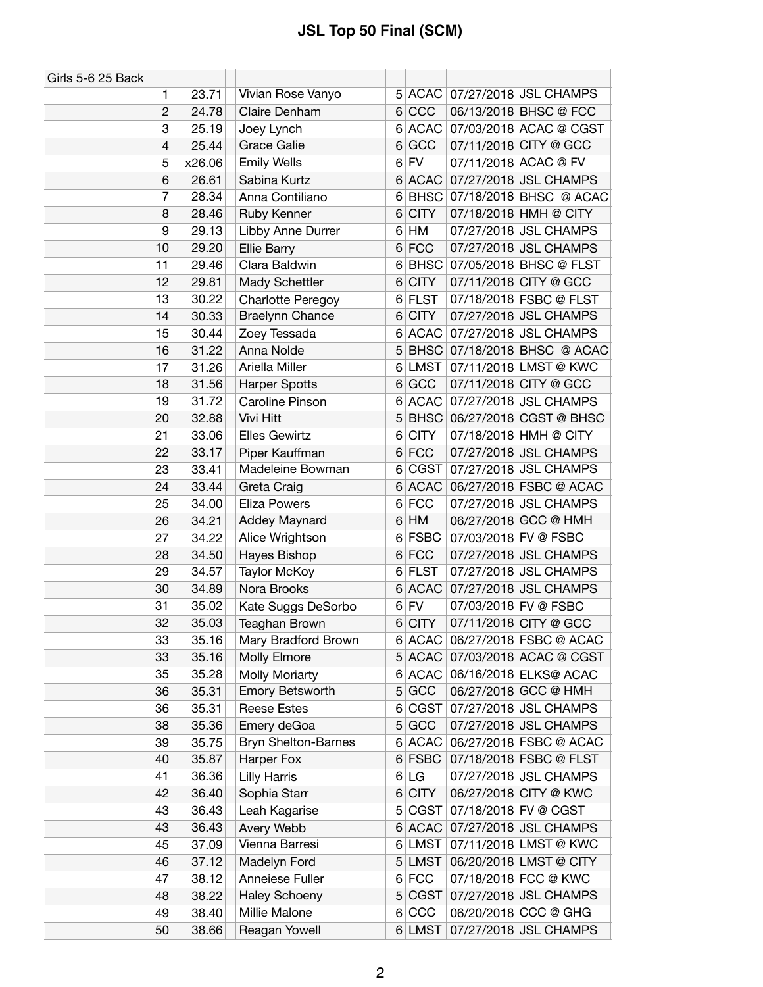| Girls 5-6 25 Back |        |                          |                |             |                               |
|-------------------|--------|--------------------------|----------------|-------------|-------------------------------|
| 1                 | 23.71  | Vivian Rose Vanyo        |                |             | 5 ACAC 07/27/2018 JSL CHAMPS  |
| $\overline{c}$    | 24.78  | Claire Denham            | 6 <sup>1</sup> | CCC         | 06/13/2018 BHSC @ FCC         |
| 3                 | 25.19  | Joey Lynch               |                |             | 6 ACAC 07/03/2018 ACAC @ CGST |
| 4                 | 25.44  | <b>Grace Galie</b>       | 6              | GCC         | 07/11/2018 CITY @ GCC         |
| 5                 | x26.06 | <b>Emily Wells</b>       |                | $6$ FV      | 07/11/2018 ACAC @ FV          |
| 6                 | 26.61  | Sabina Kurtz             | 6              | ACAC        | 07/27/2018 JSL CHAMPS         |
| 7                 | 28.34  | Anna Contiliano          | 6              |             | BHSC 07/18/2018 BHSC @ ACAC   |
| 8                 | 28.46  | Ruby Kenner              | 6              | <b>CITY</b> | 07/18/2018 HMH @ CITY         |
| 9                 | 29.13  | Libby Anne Durrer        |                | $6$ HM      | 07/27/2018 JSL CHAMPS         |
| 10                | 29.20  | Ellie Barry              | 6              | <b>FCC</b>  | 07/27/2018 JSL CHAMPS         |
| 11                | 29.46  | Clara Baldwin            | 6              |             | BHSC 07/05/2018 BHSC @ FLST   |
| 12                | 29.81  | Mady Schettler           | 6              | <b>CITY</b> | 07/11/2018 CITY @ GCC         |
| 13                | 30.22  | <b>Charlotte Peregoy</b> | 6              | <b>FLST</b> | 07/18/2018 FSBC @ FLST        |
| 14                | 30.33  | Braelynn Chance          | 6              | <b>CITY</b> | 07/27/2018 JSL CHAMPS         |
| 15                | 30.44  | Zoey Tessada             | 6              |             | ACAC 07/27/2018 JSL CHAMPS    |
| 16                | 31.22  | Anna Nolde               | 5              |             | BHSC 07/18/2018 BHSC @ ACAC   |
| 17                | 31.26  | Ariella Miller           | 6              |             | LMST 07/11/2018 LMST @ KWC    |
| 18                | 31.56  | <b>Harper Spotts</b>     | 6              | GCC         | 07/11/2018 CITY @ GCC         |
| 19                | 31.72  | <b>Caroline Pinson</b>   | 6              |             | ACAC 07/27/2018 JSL CHAMPS    |
| 20                | 32.88  | Vivi Hitt                | 5              | <b>BHSC</b> | 06/27/2018 CGST @ BHSC        |
| 21                | 33.06  | <b>Elles Gewirtz</b>     | 6              | <b>CITY</b> | 07/18/2018 HMH @ CITY         |
| 22                | 33.17  | Piper Kauffman           | 6              | <b>FCC</b>  | 07/27/2018 JSL CHAMPS         |
| 23                | 33.41  | Madeleine Bowman         | 6              |             | CGST 07/27/2018 JSL CHAMPS    |
| 24                | 33.44  | Greta Craig              | 6              |             | ACAC 06/27/2018 FSBC @ ACAC   |
| 25                | 34.00  | <b>Eliza Powers</b>      | 6              | <b>FCC</b>  | 07/27/2018 JSL CHAMPS         |
| 26                | 34.21  | Addey Maynard            | 6              | HM          | 06/27/2018 GCC @ HMH          |
| 27                | 34.22  | Alice Wrightson          | 6              | <b>FSBC</b> | 07/03/2018 FV @ FSBC          |
| 28                | 34.50  | Hayes Bishop             |                | $6$ FCC     | 07/27/2018 JSL CHAMPS         |
| 29                | 34.57  | Taylor McKoy             |                | 6 FLST      | 07/27/2018 JSL CHAMPS         |
| 30                | 34.89  | Nora Brooks              | 6              | <b>ACAC</b> | 07/27/2018 JSL CHAMPS         |
| 31                | 35.02  | Kate Suggs DeSorbo       | $6 \mid$       | <b>FV</b>   | 07/03/2018 FV @ FSBC          |
| 32                | 35.03  | Teaghan Brown            | 6 <sup>1</sup> | <b>CITY</b> | 07/11/2018 CITY @ GCC         |
| 33                | 35.16  | Mary Bradford Brown      |                |             | 6 ACAC 06/27/2018 FSBC @ ACAC |
| 33                | 35.16  | Molly Elmore             |                | 5 ACAC      | 07/03/2018 ACAC @ CGST        |
| 35                | 35.28  | <b>Molly Moriarty</b>    |                |             | 6 ACAC 06/16/2018 ELKS@ ACAC  |
| 36                | 35.31  | <b>Emory Betsworth</b>   | 5              | GCC         | 06/27/2018 GCC @ HMH          |
| 36                | 35.31  | <b>Reese Estes</b>       | 6              | CGST        | 07/27/2018 JSL CHAMPS         |
| 38                | 35.36  | Emery deGoa              | 5              | GCC         | 07/27/2018 JSL CHAMPS         |
| 39                | 35.75  | Bryn Shelton-Barnes      |                |             | 6 ACAC 06/27/2018 FSBC @ ACAC |
| 40                | 35.87  | Harper Fox               | 6 <sup>1</sup> | FSBC        | 07/18/2018 FSBC @ FLST        |
| 41                | 36.36  | <b>Lilly Harris</b>      |                | 6 LG        | 07/27/2018 JSL CHAMPS         |
| 42                | 36.40  | Sophia Starr             | 6              | <b>CITY</b> | 06/27/2018 CITY @ KWC         |
| 43                | 36.43  | Leah Kagarise            | 5              | CGST        | 07/18/2018 FV @ CGST          |
| 43                | 36.43  | Avery Webb               | 6              | ACAC        | 07/27/2018 JSL CHAMPS         |
| 45                | 37.09  | Vienna Barresi           | 6              | LMST        | 07/11/2018 LMST @ KWC         |
| 46                | 37.12  | Madelyn Ford             |                | 5 LMST      | 06/20/2018 LMST @ CITY        |
| 47                | 38.12  | Anneiese Fuller          |                | $6$ FCC     | 07/18/2018 FCC @ KWC          |
| 48                | 38.22  | <b>Haley Schoeny</b>     | 5 <sup>1</sup> | CGST        | 07/27/2018 JSL CHAMPS         |
| 49                | 38.40  | Millie Malone            | $6 \mid$       | CCC         | 06/20/2018 CCC @ GHG          |
| 50                | 38.66  | Reagan Yowell            |                | 6 LMST      | 07/27/2018 JSL CHAMPS         |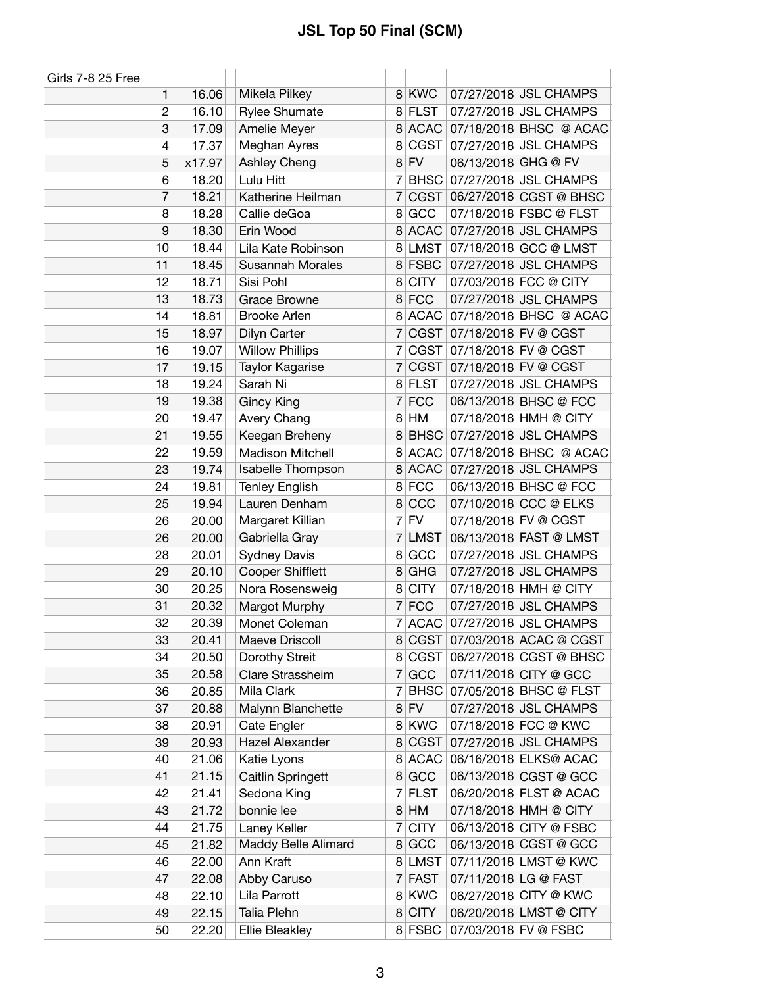| <b>Girls 7-8 25 Free</b> |        |                         |                |             |                     |                               |
|--------------------------|--------|-------------------------|----------------|-------------|---------------------|-------------------------------|
| 1                        | 16.06  | Mikela Pilkey           |                | 8 KWC       |                     | 07/27/2018 JSL CHAMPS         |
| $\overline{c}$           | 16.10  | <b>Rylee Shumate</b>    |                | 8 FLST      |                     | 07/27/2018 JSL CHAMPS         |
| 3                        | 17.09  | Amelie Meyer            |                |             |                     | 8 ACAC 07/18/2018 BHSC @ ACAC |
| 4                        | 17.37  | Meghan Ayres            | 8              | CGST        |                     | 07/27/2018 JSL CHAMPS         |
| 5                        | x17.97 | Ashley Cheng            |                | 8 FV        | 06/13/2018 GHG @ FV |                               |
| 6                        | 18.20  | Lulu Hitt               | 7              | <b>BHSC</b> |                     | 07/27/2018 JSL CHAMPS         |
| $\overline{7}$           | 18.21  | Katherine Heilman       | $\overline{7}$ |             |                     | CGST 06/27/2018 CGST @ BHSC   |
| 8                        | 18.28  | Callie deGoa            | 8              | GCC         |                     | 07/18/2018 FSBC @ FLST        |
| 9                        | 18.30  | Erin Wood               |                | 8 ACAC      |                     | 07/27/2018 JSL CHAMPS         |
| 10                       | 18.44  | Lila Kate Robinson      |                | 8 LMST      |                     | 07/18/2018 GCC @ LMST         |
| 11                       | 18.45  | <b>Susannah Morales</b> |                | 8 FSBC      |                     | 07/27/2018 JSL CHAMPS         |
| 12                       | 18.71  | Sisi Pohl               | 8              | <b>CITY</b> |                     | 07/03/2018 FCC @ CITY         |
| 13                       | 18.73  | <b>Grace Browne</b>     | 8 <sup>1</sup> | <b>FCC</b>  |                     | 07/27/2018 JSL CHAMPS         |
| 14                       | 18.81  | <b>Brooke Arlen</b>     |                |             |                     | 8 ACAC 07/18/2018 BHSC @ ACAC |
| 15                       | 18.97  | Dilyn Carter            | 7              | CGST        |                     | 07/18/2018 FV @ CGST          |
| 16                       | 19.07  | <b>Willow Phillips</b>  | 7              | CGST        |                     | 07/18/2018 FV @ CGST          |
| 17                       | 19.15  | Taylor Kagarise         | $\overline{7}$ | CGST        |                     | 07/18/2018 FV @ CGST          |
| 18                       | 19.24  | Sarah Ni                |                | 8 FLST      |                     | 07/27/2018 JSL CHAMPS         |
| 19                       | 19.38  | <b>Gincy King</b>       | 7              | <b>FCC</b>  |                     | 06/13/2018 BHSC @ FCC         |
| 20                       | 19.47  | Avery Chang             |                | 8 HM        |                     | 07/18/2018 HMH @ CITY         |
| 21                       | 19.55  | Keegan Breheny          |                |             |                     | 8 BHSC 07/27/2018 JSL CHAMPS  |
| 22                       | 19.59  | <b>Madison Mitchell</b> | 8              | <b>ACAC</b> |                     | 07/18/2018 BHSC @ ACAC        |
| 23                       | 19.74  | Isabelle Thompson       |                | 8 ACAC      |                     | 07/27/2018 JSL CHAMPS         |
| 24                       | 19.81  | <b>Tenley English</b>   |                | 8 FCC       |                     | 06/13/2018 BHSC @ FCC         |
| 25                       | 19.94  | Lauren Denham           | 8              | CCC         |                     | 07/10/2018 CCC @ ELKS         |
| 26                       | 20.00  | Margaret Killian        |                | $7$ FV      |                     | 07/18/2018 FV @ CGST          |
| 26                       | 20.00  | Gabriella Gray          | 7              | <b>LMST</b> |                     | 06/13/2018 FAST @ LMST        |
| 28                       | 20.01  | <b>Sydney Davis</b>     | 8              | GCC         |                     | 07/27/2018 JSL CHAMPS         |
| 29                       | 20.10  | <b>Cooper Shifflett</b> | 8              | GHG         |                     | 07/27/2018 JSL CHAMPS         |
| 30                       | 20.25  | Nora Rosensweig         |                | 8 CITY      |                     | 07/18/2018 HMH @ CITY         |
| 31                       | 20.32  | Margot Murphy           |                | $7$ FCC     |                     | 07/27/2018 JSL CHAMPS         |
| 32                       | 20.39  | Monet Coleman           |                | 7 ACAC      |                     | 07/27/2018 JSL CHAMPS         |
| 33                       | 20.41  | Maeve Driscoll          |                |             |                     | 8 CGST 07/03/2018 ACAC @ CGST |
| 34                       | 20.50  | Dorothy Streit          |                | 8 CGST      |                     | 06/27/2018 CGST @ BHSC        |
| 35                       | 20.58  | Clare Strassheim        |                | 7 GCC       |                     | 07/11/2018 CITY @ GCC         |
| 36                       | 20.85  | Mila Clark              | 7              | <b>BHSC</b> |                     | 07/05/2018 BHSC @ FLST        |
| 37                       | 20.88  | Malynn Blanchette       |                | $8$ FV      |                     | 07/27/2018 JSL CHAMPS         |
| 38                       | 20.91  | Cate Engler             |                | 8 KWC       |                     | 07/18/2018 FCC @ KWC          |
| 39                       | 20.93  | Hazel Alexander         |                | 8 CGST      |                     | 07/27/2018 JSL CHAMPS         |
| 40                       | 21.06  | Katie Lyons             | 8              | <b>ACAC</b> |                     | 06/16/2018 ELKS@ ACAC         |
| 41                       | 21.15  | Caitlin Springett       |                | 8 GCC       |                     | 06/13/2018 CGST @ GCC         |
| 42                       | 21.41  | Sedona King             |                | 7 FLST      |                     | 06/20/2018 FLST @ ACAC        |
| 43                       | 21.72  | bonnie lee              |                | 8 HM        |                     | 07/18/2018 HMH @ CITY         |
| 44                       | 21.75  | Laney Keller            | 7              | <b>CITY</b> |                     | 06/13/2018 CITY @ FSBC        |
| 45                       | 21.82  | Maddy Belle Alimard     | 8 <sup>1</sup> | GCC         |                     | 06/13/2018 CGST @ GCC         |
| 46                       | 22.00  | Ann Kraft               |                | 8 LMST      |                     | 07/11/2018 LMST @ KWC         |
| 47                       | 22.08  | Abby Caruso             |                | 7 FAST      |                     | 07/11/2018 LG @ FAST          |
| 48                       | 22.10  | Lila Parrott            |                | 8 KWC       |                     | 06/27/2018 CITY @ KWC         |
| 49                       | 22.15  | Talia Plehn             |                | 8 CITY      |                     | 06/20/2018 LMST @ CITY        |
| 50                       | 22.20  | <b>Ellie Bleakley</b>   |                | 8 FSBC      |                     | 07/03/2018 FV @ FSBC          |
|                          |        |                         |                |             |                     |                               |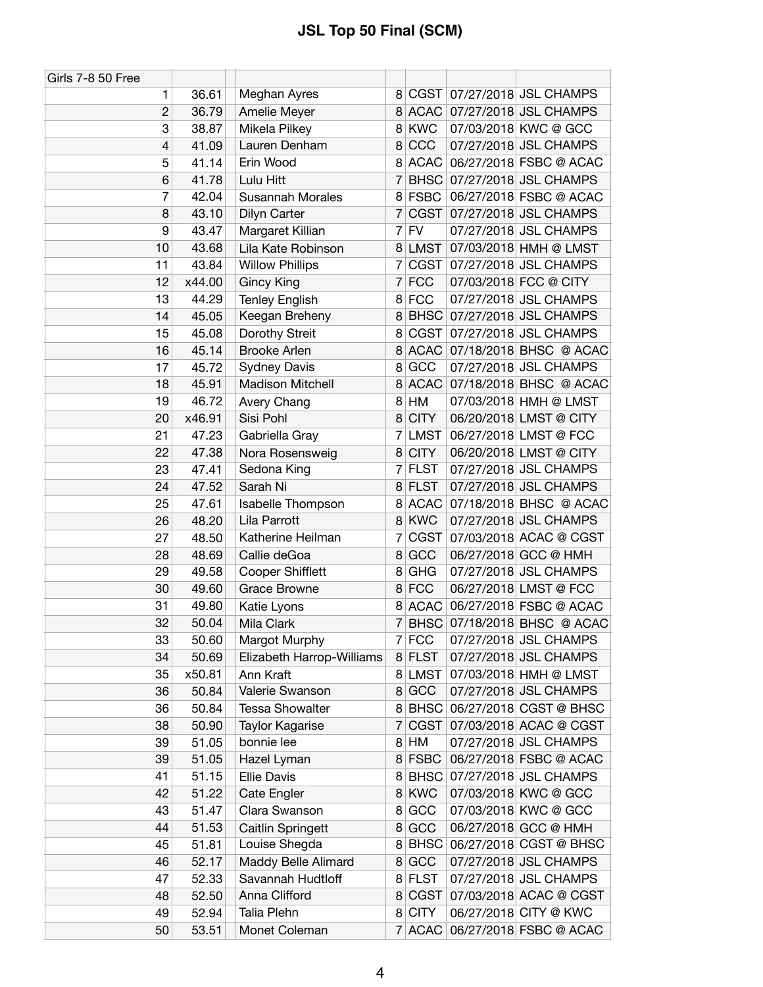| Girls 7-8 50 Free |        |                           |                |             |                                |
|-------------------|--------|---------------------------|----------------|-------------|--------------------------------|
| 1                 | 36.61  | Meghan Ayres              | 8              |             | CGST 07/27/2018 JSL CHAMPS     |
| 2                 | 36.79  | Amelie Meyer              |                |             | 8 ACAC 07/27/2018 JSL CHAMPS   |
| 3                 | 38.87  | Mikela Pilkey             | 8 <sup>1</sup> | <b>KWC</b>  | 07/03/2018 KWC @ GCC           |
| 4                 | 41.09  | Lauren Denham             | 8              | CCC         | 07/27/2018 JSL CHAMPS          |
| 5                 | 41.14  | Erin Wood                 | 8              | <b>ACAC</b> | 06/27/2018 FSBC @ ACAC         |
| 6                 | 41.78  | Lulu Hitt                 | 7              |             | BHSC 07/27/2018 JSL CHAMPS     |
| 7                 | 42.04  | <b>Susannah Morales</b>   | 8              | <b>FSBC</b> | 06/27/2018 FSBC @ ACAC         |
| 8                 | 43.10  | Dilyn Carter              | 7              |             | CGST 07/27/2018 JSL CHAMPS     |
| 9                 | 43.47  | Margaret Killian          | 7              | <b>FV</b>   | 07/27/2018 JSL CHAMPS          |
| 10                | 43.68  | Lila Kate Robinson        |                | 8 LMST      | 07/03/2018 HMH @ LMST          |
| 11                | 43.84  | <b>Willow Phillips</b>    | 7              |             | CGST   07/27/2018   JSL CHAMPS |
| 12                | x44.00 | <b>Gincy King</b>         | 7              | <b>FCC</b>  | 07/03/2018 FCC @ CITY          |
| 13                | 44.29  | <b>Tenley English</b>     | 8              | <b>FCC</b>  | 07/27/2018 JSL CHAMPS          |
| 14                | 45.05  | Keegan Breheny            | 8              |             | BHSC 07/27/2018 JSL CHAMPS     |
| 15                | 45.08  | Dorothy Streit            | 8              |             | CGST 07/27/2018 JSL CHAMPS     |
| 16                | 45.14  | <b>Brooke Arlen</b>       | 8              | <b>ACAC</b> | 07/18/2018 BHSC @ ACAC         |
| 17                | 45.72  | <b>Sydney Davis</b>       | 8              | GCC         | 07/27/2018 JSL CHAMPS          |
| 18                | 45.91  | <b>Madison Mitchell</b>   | 8              | ACAC        | 07/18/2018 BHSC @ ACAC         |
| 19                | 46.72  | Avery Chang               | 8              | HM          | 07/03/2018 HMH @ LMST          |
| 20                | x46.91 | Sisi Pohl                 | 8              | <b>CITY</b> | 06/20/2018 LMST @ CITY         |
| 21                | 47.23  | Gabriella Gray            | 7              | <b>LMST</b> | 06/27/2018 LMST @ FCC          |
| 22                | 47.38  | Nora Rosensweig           | 8              | <b>CITY</b> | 06/20/2018 LMST @ CITY         |
| 23                | 47.41  | Sedona King               |                | 7 FLST      | 07/27/2018 JSL CHAMPS          |
| 24                | 47.52  | Sarah Ni                  |                | 8 FLST      | 07/27/2018 JSL CHAMPS          |
| 25                | 47.61  | Isabelle Thompson         | 8              |             | ACAC 07/18/2018 BHSC @ ACAC    |
| 26                | 48.20  | Lila Parrott              |                | 8 KWC       | 07/27/2018 JSL CHAMPS          |
| 27                | 48.50  | Katherine Heilman         | 7              | <b>CGST</b> | 07/03/2018 ACAC @ CGST         |
| 28                | 48.69  | Callie deGoa              | 8              | GCC         | 06/27/2018 GCC @ HMH           |
| 29                | 49.58  | <b>Cooper Shifflett</b>   | 8              | <b>GHG</b>  | 07/27/2018 JSL CHAMPS          |
| 30                | 49.60  | <b>Grace Browne</b>       |                | 8 FCC       | 06/27/2018 LMST @ FCC          |
| 31                | 49.80  | Katie Lyons               | 8              |             | ACAC 06/27/2018 FSBC @ ACAC    |
| 32                | 50.04  | Mila Clark                | 7              | <b>BHSC</b> | 07/18/2018 BHSC @ ACAC         |
| 33                | 50.60  | Margot Murphy             |                | 7 FCC       | 07/27/2018 JSL CHAMPS          |
| 34                | 50.69  | Elizabeth Harrop-Williams |                | 8 FLST      | 07/27/2018 JSL CHAMPS          |
| 35                | x50.81 | Ann Kraft                 |                |             | 8 LMST 07/03/2018 HMH @ LMST   |
| 36                | 50.84  | Valerie Swanson           | 8              | GCC         | 07/27/2018 JSL CHAMPS          |
| 36                | 50.84  | <b>Tessa Showalter</b>    | 8 <sup>1</sup> | <b>BHSC</b> | 06/27/2018 CGST @ BHSC         |
| 38                | 50.90  | <b>Taylor Kagarise</b>    | 7              | CGST        | 07/03/2018 ACAC @ CGST         |
| 39                | 51.05  | bonnie lee                | 8              | HM          | 07/27/2018 JSL CHAMPS          |
| 39                | 51.05  | Hazel Lyman               | 8              | <b>FSBC</b> | 06/27/2018 FSBC @ ACAC         |
| 41                | 51.15  | <b>Ellie Davis</b>        |                |             | 8 BHSC 07/27/2018 JSL CHAMPS   |
| 42                | 51.22  | Cate Engler               |                | 8 KWC       | 07/03/2018 KWC @ GCC           |
| 43                | 51.47  | Clara Swanson             | 8              | GCC         | 07/03/2018 KWC @ GCC           |
| 44                | 51.53  | <b>Caitlin Springett</b>  | 8              | GCC         | 06/27/2018 GCC @ HMH           |
| 45                | 51.81  | Louise Shegda             | 8              | <b>BHSC</b> | 06/27/2018 CGST @ BHSC         |
| 46                | 52.17  | Maddy Belle Alimard       | 8 <sup>1</sup> | GCC         | 07/27/2018 JSL CHAMPS          |
| 47                | 52.33  | Savannah Hudtloff         | 8              | <b>FLST</b> | 07/27/2018 JSL CHAMPS          |
| 48                | 52.50  | Anna Clifford             | 8 <sup>1</sup> | CGST        | 07/03/2018 ACAC @ CGST         |
| 49                | 52.94  | Talia Plehn               | 8              | <b>CITY</b> | 06/27/2018 CITY @ KWC          |
| 50                | 53.51  | Monet Coleman             |                |             | 7 ACAC 06/27/2018 FSBC @ ACAC  |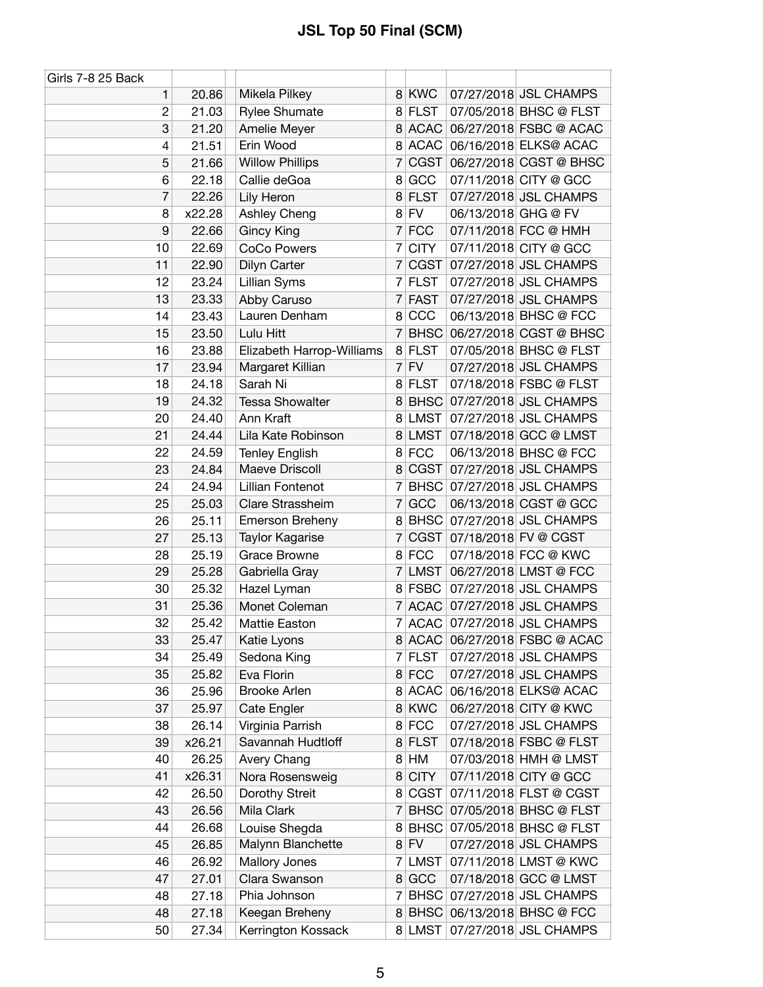| Girls 7-8 25 Back         |        |                           |                |             |                     |                               |
|---------------------------|--------|---------------------------|----------------|-------------|---------------------|-------------------------------|
| 1                         | 20.86  | Mikela Pilkey             |                | 8 KWC       |                     | 07/27/2018 JSL CHAMPS         |
| $\overline{c}$            | 21.03  | <b>Rylee Shumate</b>      |                | 8 FLST      |                     | 07/05/2018 BHSC @ FLST        |
| $\ensuremath{\mathsf{3}}$ | 21.20  | Amelie Meyer              |                | 8 ACAC      |                     | 06/27/2018 FSBC @ ACAC        |
| 4                         | 21.51  | Erin Wood                 |                | 8 ACAC      |                     | 06/16/2018 ELKS@ ACAC         |
| 5                         | 21.66  | <b>Willow Phillips</b>    | 7              | <b>CGST</b> |                     | 06/27/2018 CGST @ BHSC        |
| 6                         | 22.18  | Callie deGoa              | 8              | GCC         |                     | 07/11/2018 CITY @ GCC         |
| 7                         | 22.26  | Lily Heron                |                | 8 FLST      |                     | 07/27/2018 JSL CHAMPS         |
| 8                         | x22.28 | Ashley Cheng              |                | $8$ FV      | 06/13/2018 GHG @ FV |                               |
| 9                         | 22.66  | <b>Gincy King</b>         |                | 7 FCC       |                     | 07/11/2018 FCC @ HMH          |
| 10                        | 22.69  | <b>CoCo Powers</b>        | 7              | <b>CITY</b> |                     | 07/11/2018 CITY @ GCC         |
| 11                        | 22.90  | Dilyn Carter              | $\overline{7}$ | <b>CGST</b> |                     | 07/27/2018 JSL CHAMPS         |
| 12                        | 23.24  | Lillian Syms              |                | 7 FLST      |                     | 07/27/2018 JSL CHAMPS         |
| 13                        | 23.33  | Abby Caruso               | 7              | <b>FAST</b> |                     | 07/27/2018 JSL CHAMPS         |
| 14                        | 23.43  | Lauren Denham             |                | 8 CCC       |                     | 06/13/2018 BHSC @ FCC         |
| 15                        | 23.50  | Lulu Hitt                 | 7              | <b>BHSC</b> |                     | 06/27/2018 CGST @ BHSC        |
| 16                        | 23.88  | Elizabeth Harrop-Williams |                | 8 FLST      |                     | 07/05/2018 BHSC @ FLST        |
| 17                        | 23.94  | Margaret Killian          | $\overline{7}$ | FV          |                     | 07/27/2018 JSL CHAMPS         |
| 18                        | 24.18  | Sarah Ni                  |                | 8 FLST      |                     | 07/18/2018 FSBC @ FLST        |
| 19                        | 24.32  | <b>Tessa Showalter</b>    | 8              | <b>BHSC</b> |                     | 07/27/2018 JSL CHAMPS         |
| 20                        | 24.40  | Ann Kraft                 | 8 <sup>1</sup> | LMST        |                     | 07/27/2018 JSL CHAMPS         |
| 21                        | 24.44  | Lila Kate Robinson        |                | 8 LMST      |                     | 07/18/2018 GCC @ LMST         |
| 22                        | 24.59  | <b>Tenley English</b>     |                | 8 FCC       |                     | 06/13/2018 BHSC @ FCC         |
| 23                        | 24.84  | Maeve Driscoll            |                | 8 CGST      |                     | 07/27/2018 JSL CHAMPS         |
| 24                        | 24.94  | Lillian Fontenot          | 7              | <b>BHSC</b> |                     | 07/27/2018 JSL CHAMPS         |
| 25                        | 25.03  | Clare Strassheim          | $\overline{7}$ | GCC         |                     | 06/13/2018 CGST @ GCC         |
| 26                        | 25.11  | Emerson Breheny           | 8              | <b>BHSC</b> |                     | 07/27/2018 JSL CHAMPS         |
| 27                        | 25.13  | <b>Taylor Kagarise</b>    | 7              | CGST        |                     | 07/18/2018 FV @ CGST          |
| 28                        | 25.19  | <b>Grace Browne</b>       |                | 8 FCC       |                     | 07/18/2018 FCC @ KWC          |
| 29                        | 25.28  | Gabriella Gray            |                | 7 LMST      |                     | 06/27/2018 LMST @ FCC         |
| 30                        | 25.32  | Hazel Lyman               |                | 8 FSBC      |                     | 07/27/2018 JSL CHAMPS         |
| 31                        | 25.36  | Monet Coleman             |                |             |                     | 7 ACAC 07/27/2018 JSL CHAMPS  |
| 32                        | 25.42  | Mattie Easton             |                |             |                     | 7 ACAC 07/27/2018 JSL CHAMPS  |
| 33                        | 25.47  | Katie Lyons               |                |             |                     | 8 ACAC 06/27/2018 FSBC @ ACAC |
| 34                        | 25.49  | Sedona King               |                | 7 FLST      |                     | 07/27/2018 JSL CHAMPS         |
| 35                        | 25.82  | Eva Florin                |                | 8 FCC       |                     | 07/27/2018 JSL CHAMPS         |
| 36                        | 25.96  | <b>Brooke Arlen</b>       |                | 8 ACAC      |                     | 06/16/2018 ELKS@ ACAC         |
| 37                        | 25.97  | Cate Engler               |                | 8 KWC       |                     | 06/27/2018 CITY @ KWC         |
| 38                        | 26.14  | Virginia Parrish          |                | 8 FCC       |                     | 07/27/2018 JSL CHAMPS         |
| 39                        | x26.21 | Savannah Hudtloff         |                | 8 FLST      |                     | 07/18/2018 FSBC @ FLST        |
| 40                        | 26.25  | Avery Chang               |                | 8 HM        |                     | 07/03/2018 HMH @ LMST         |
| 41                        | x26.31 | Nora Rosensweig           | 8              | <b>CITY</b> |                     | 07/11/2018 CITY @ GCC         |
| 42                        | 26.50  | Dorothy Streit            | 8              | CGST        |                     | 07/11/2018 FLST @ CGST        |
| 43                        | 26.56  | Mila Clark                | 7              | <b>BHSC</b> |                     | 07/05/2018 BHSC @ FLST        |
| 44                        | 26.68  | Louise Shegda             | 8              | <b>BHSC</b> |                     | 07/05/2018 BHSC @ FLST        |
| 45                        | 26.85  | Malynn Blanchette         |                | $8$ FV      |                     | 07/27/2018 JSL CHAMPS         |
| 46                        | 26.92  | Mallory Jones             |                | 7 LMST      |                     | 07/11/2018 LMST @ KWC         |
| 47                        | 27.01  | Clara Swanson             | 8              | GCC         |                     | 07/18/2018 GCC @ LMST         |
| 48                        | 27.18  | Phia Johnson              |                | 7 BHSC      |                     | 07/27/2018 JSL CHAMPS         |
| 48                        | 27.18  | Keegan Breheny            |                |             |                     | 8 BHSC 06/13/2018 BHSC @ FCC  |
| 50                        | 27.34  | Kerrington Kossack        |                |             |                     | 8 LMST 07/27/2018 JSL CHAMPS  |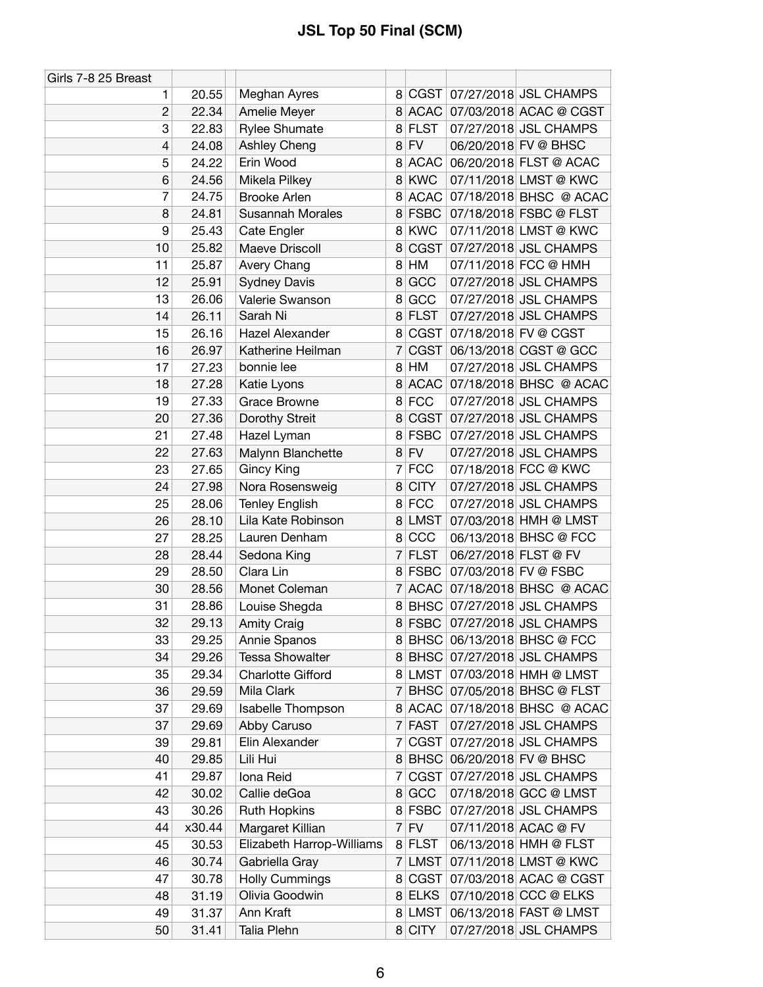| Girls 7-8 25 Breast |        |                           |                |             |                      |                               |
|---------------------|--------|---------------------------|----------------|-------------|----------------------|-------------------------------|
| 1                   | 20.55  | Meghan Ayres              |                |             |                      | 8 CGST 07/27/2018 JSL CHAMPS  |
| $\overline{c}$      | 22.34  | Amelie Meyer              |                |             |                      | 8 ACAC 07/03/2018 ACAC @ CGST |
| 3                   | 22.83  | Rylee Shumate             |                | 8 FLST      |                      | 07/27/2018 JSL CHAMPS         |
| 4                   | 24.08  | Ashley Cheng              |                | $8$ FV      |                      | 06/20/2018 FV @ BHSC          |
| 5                   | 24.22  | Erin Wood                 | 8              | <b>ACAC</b> |                      | 06/20/2018 FLST @ ACAC        |
| 6                   | 24.56  | Mikela Pilkey             | 8 <sup>1</sup> | <b>KWC</b>  |                      | 07/11/2018 LMST @ KWC         |
| 7                   | 24.75  | <b>Brooke Arlen</b>       |                | 8 ACAC      |                      | 07/18/2018 BHSC @ ACAC        |
| 8                   | 24.81  | <b>Susannah Morales</b>   |                | 8 FSBC      |                      | 07/18/2018 FSBC @ FLST        |
| 9                   | 25.43  | Cate Engler               |                | 8 KWC       |                      | 07/11/2018 LMST @ KWC         |
| 10                  | 25.82  | Maeve Driscoll            | 8              | CGST        |                      | 07/27/2018 JSL CHAMPS         |
| 11                  | 25.87  | Avery Chang               | 8              | HM          |                      | 07/11/2018 FCC @ HMH          |
| 12                  | 25.91  | <b>Sydney Davis</b>       | 8              | GCC         |                      | 07/27/2018 JSL CHAMPS         |
| 13                  | 26.06  | Valerie Swanson           | 8              | GCC         |                      | 07/27/2018 JSL CHAMPS         |
| 14                  | 26.11  | Sarah Ni                  |                | 8 FLST      |                      | 07/27/2018 JSL CHAMPS         |
| 15                  | 26.16  | Hazel Alexander           |                | 8 CGST      |                      | 07/18/2018 FV @ CGST          |
| 16                  | 26.97  | Katherine Heilman         | 7              | CGST        |                      | 06/13/2018 CGST @ GCC         |
| 17                  | 27.23  | bonnie lee                |                | 8 HM        |                      | 07/27/2018 JSL CHAMPS         |
| 18                  | 27.28  | Katie Lyons               | 8              | <b>ACAC</b> |                      | 07/18/2018 BHSC @ ACAC        |
| 19                  | 27.33  | <b>Grace Browne</b>       |                | 8 FCC       |                      | 07/27/2018 JSL CHAMPS         |
| 20                  | 27.36  | Dorothy Streit            | 8              | CGST        |                      | 07/27/2018 JSL CHAMPS         |
| 21                  | 27.48  | Hazel Lyman               |                | 8 FSBC      |                      | 07/27/2018 JSL CHAMPS         |
| 22                  | 27.63  | Malynn Blanchette         |                | $8$ FV      |                      | 07/27/2018 JSL CHAMPS         |
| 23                  | 27.65  | <b>Gincy King</b>         |                | 7 FCC       |                      | 07/18/2018 FCC @ KWC          |
| 24                  | 27.98  | Nora Rosensweig           | 8              | <b>CITY</b> |                      | 07/27/2018 JSL CHAMPS         |
| 25                  | 28.06  | <b>Tenley English</b>     |                | 8 FCC       |                      | 07/27/2018 JSL CHAMPS         |
| 26                  | 28.10  | Lila Kate Robinson        |                | 8 LMST      |                      | 07/03/2018 HMH @ LMST         |
| 27                  | 28.25  | Lauren Denham             |                | 8 CCC       |                      | 06/13/2018 BHSC @ FCC         |
| 28                  | 28.44  | Sedona King               |                | 7 FLST      | 06/27/2018 FLST @ FV |                               |
| 29                  | 28.50  | Clara Lin                 |                | 8 FSBC      |                      | 07/03/2018 FV @ FSBC          |
| 30                  | 28.56  | Monet Coleman             |                | 7 ACAC      |                      | 07/18/2018 BHSC @ ACAC        |
| 31                  | 28.86  | Louise Shegda             |                |             |                      | 8 BHSC 07/27/2018 JSL CHAMPS  |
| 32                  | 29.13  | <b>Amity Craig</b>        |                | 8 FSBC      |                      | 07/27/2018 JSL CHAMPS         |
| 33                  | 29.25  | Annie Spanos              |                |             |                      | 8 BHSC 06/13/2018 BHSC @ FCC  |
| 34                  | 29.26  | <b>Tessa Showalter</b>    |                |             |                      | 8 BHSC 07/27/2018 JSL CHAMPS  |
| 35                  | 29.34  | <b>Charlotte Gifford</b>  |                | 8 LMST      |                      | 07/03/2018 HMH @ LMST         |
| 36                  | 29.59  | Mila Clark                | 7              | <b>BHSC</b> |                      | 07/05/2018 BHSC @ FLST        |
| 37                  | 29.69  | Isabelle Thompson         |                | 8 ACAC      |                      | 07/18/2018 BHSC @ ACAC        |
| 37                  | 29.69  | Abby Caruso               | 7              | <b>FAST</b> |                      | 07/27/2018 JSL CHAMPS         |
| 39                  | 29.81  | Elin Alexander            | $\overline{7}$ | CGST        |                      | 07/27/2018 JSL CHAMPS         |
| 40                  | 29.85  | Lili Hui                  |                | 8 BHSC      |                      | 06/20/2018 FV @ BHSC          |
| 41                  | 29.87  | Iona Reid                 | 7              | <b>CGST</b> |                      | 07/27/2018 JSL CHAMPS         |
| 42                  | 30.02  | Callie deGoa              |                | 8 GCC       |                      | 07/18/2018 GCC @ LMST         |
| 43                  | 30.26  | <b>Ruth Hopkins</b>       |                | 8 FSBC      |                      | 07/27/2018 JSL CHAMPS         |
| 44                  | x30.44 | Margaret Killian          |                | $7$ FV      |                      | 07/11/2018 ACAC @ FV          |
| 45                  | 30.53  | Elizabeth Harrop-Williams |                | 8 FLST      |                      | 06/13/2018 HMH @ FLST         |
| 46                  | 30.74  | Gabriella Gray            |                | 7 LMST      |                      | 07/11/2018 LMST @ KWC         |
| 47                  | 30.78  | <b>Holly Cummings</b>     |                | 8 CGST      |                      | 07/03/2018 ACAC @ CGST        |
| 48                  | 31.19  | Olivia Goodwin            |                | 8 ELKS      |                      | 07/10/2018 CCC @ ELKS         |
| 49                  | 31.37  | Ann Kraft                 |                | 8 LMST      |                      | 06/13/2018 FAST @ LMST        |
| 50                  | 31.41  | Talia Plehn               |                | 8 CITY      |                      | 07/27/2018 JSL CHAMPS         |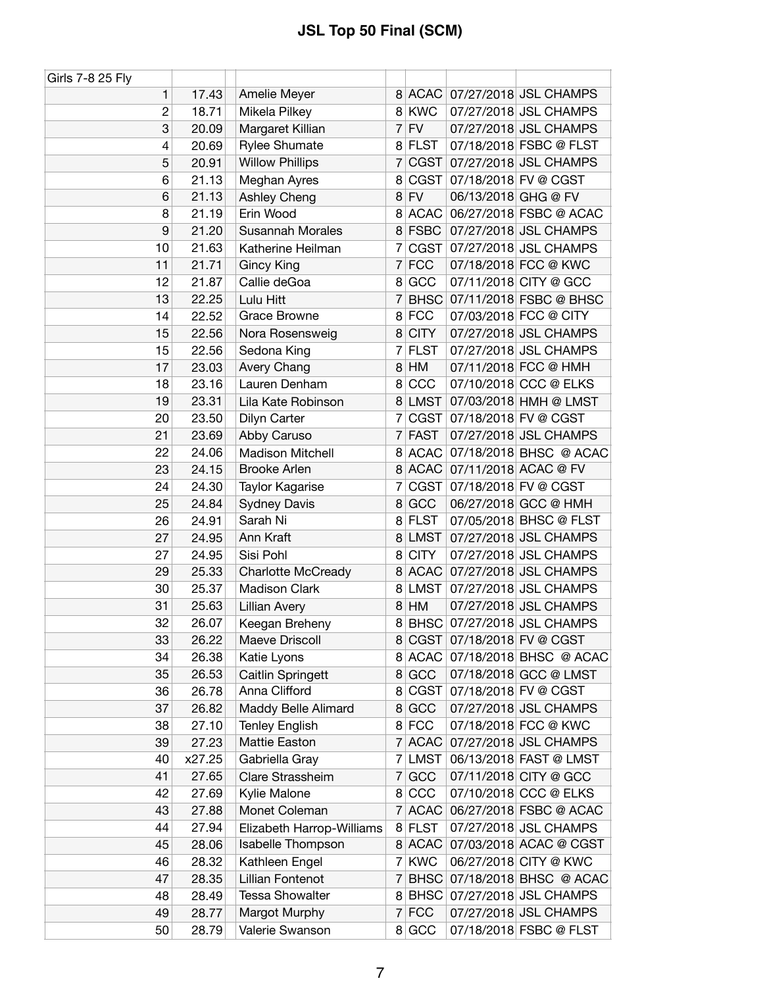| Girls 7-8 25 Fly |        |                           |                |             |                     |                              |
|------------------|--------|---------------------------|----------------|-------------|---------------------|------------------------------|
| 1                | 17.43  | Amelie Meyer              |                |             |                     | 8 ACAC 07/27/2018 JSL CHAMPS |
| $\overline{c}$   | 18.71  | Mikela Pilkey             |                | 8 KWC       |                     | 07/27/2018 JSL CHAMPS        |
| 3                | 20.09  | Margaret Killian          |                | $7$ FV      |                     | 07/27/2018 JSL CHAMPS        |
| 4                | 20.69  | <b>Rylee Shumate</b>      |                | 8 FLST      |                     | 07/18/2018 FSBC @ FLST       |
| 5                | 20.91  | <b>Willow Phillips</b>    | 7              | CGST        |                     | 07/27/2018 JSL CHAMPS        |
| 6                | 21.13  | Meghan Ayres              | 8              | CGST        |                     | 07/18/2018 FV @ CGST         |
| 6                | 21.13  | Ashley Cheng              |                | $8$ FV      | 06/13/2018 GHG @ FV |                              |
| 8                | 21.19  | Erin Wood                 |                | 8 ACAC      |                     | 06/27/2018 FSBC @ ACAC       |
| 9                | 21.20  | <b>Susannah Morales</b>   |                | 8 FSBC      |                     | 07/27/2018 JSL CHAMPS        |
| 10               | 21.63  | Katherine Heilman         |                |             |                     | 7 CGST 07/27/2018 JSL CHAMPS |
| 11               | 21.71  | <b>Gincy King</b>         | $\overline{7}$ | <b>FCC</b>  |                     | 07/18/2018 FCC @ KWC         |
| 12               | 21.87  | Callie deGoa              |                | 8 GCC       |                     | 07/11/2018 CITY @ GCC        |
| 13               | 22.25  | Lulu Hitt                 | $\overline{7}$ |             |                     | BHSC 07/11/2018 FSBC @ BHSC  |
| 14               | 22.52  | Grace Browne              |                | 8 FCC       |                     | 07/03/2018 FCC @ CITY        |
| 15               | 22.56  | Nora Rosensweig           |                | 8 CITY      |                     | 07/27/2018 JSL CHAMPS        |
| 15               | 22.56  | Sedona King               | 7              | <b>FLST</b> |                     | 07/27/2018 JSL CHAMPS        |
| 17               | 23.03  | Avery Chang               |                | 8 HM        |                     | 07/11/2018 FCC @ HMH         |
| 18               | 23.16  | Lauren Denham             | 8              | CCC         |                     | 07/10/2018 CCC @ ELKS        |
| 19               | 23.31  | Lila Kate Robinson        |                | 8 LMST      |                     | 07/03/2018 HMH @ LMST        |
| 20               | 23.50  | Dilyn Carter              | 7              | CGST        |                     | 07/18/2018 FV @ CGST         |
| 21               | 23.69  | Abby Caruso               |                | 7 FAST      |                     | 07/27/2018 JSL CHAMPS        |
| 22               | 24.06  | <b>Madison Mitchell</b>   |                | 8 ACAC      |                     | 07/18/2018 BHSC @ ACAC       |
| 23               | 24.15  | <b>Brooke Arlen</b>       |                | 8 ACAC      |                     | 07/11/2018 ACAC @ FV         |
| 24               | 24.30  | Taylor Kagarise           | 7              | CGST        |                     | 07/18/2018 FV @ CGST         |
| 25               | 24.84  | <b>Sydney Davis</b>       | 8              | GCC         |                     | 06/27/2018 GCC @ HMH         |
| 26               | 24.91  | Sarah Ni                  |                | 8 FLST      |                     | 07/05/2018 BHSC @ FLST       |
| 27               | 24.95  | Ann Kraft                 | 8              | <b>LMST</b> |                     | 07/27/2018 JSL CHAMPS        |
| 27               | 24.95  | Sisi Pohl                 | 8              | <b>CITY</b> |                     | 07/27/2018 JSL CHAMPS        |
| 29               | 25.33  | <b>Charlotte McCready</b> | 8              | ACAC        |                     | 07/27/2018 JSL CHAMPS        |
| 30               | 25.37  | <b>Madison Clark</b>      |                | 8 LMST      |                     | 07/27/2018 JSL CHAMPS        |
| 31               | 25.63  | Lillian Avery             | 8              | HM          |                     | 07/27/2018 JSL CHAMPS        |
| 32               | 26.07  | Keegan Breheny            |                |             |                     | 8 BHSC 07/27/2018 JSL CHAMPS |
| 33               | 26.22  | Maeve Driscoll            |                | 8 CGST      |                     | 07/18/2018 FV @ CGST         |
| 34               | 26.38  | Katie Lyons               |                | 8 ACAC      |                     | 07/18/2018 BHSC @ ACAC       |
| 35               | 26.53  | <b>Caitlin Springett</b>  |                | 8 GCC       |                     | 07/18/2018 GCC @ LMST        |
| 36               | 26.78  | Anna Clifford             | 8              | CGST        |                     | 07/18/2018 FV @ CGST         |
| 37               | 26.82  | Maddy Belle Alimard       | 8 <sup>1</sup> | GCC         |                     | 07/27/2018 JSL CHAMPS        |
| 38               | 27.10  | <b>Tenley English</b>     |                | 8 FCC       |                     | 07/18/2018 FCC @ KWC         |
| 39               | 27.23  | Mattie Easton             |                | 7 ACAC      |                     | 07/27/2018 JSL CHAMPS        |
| 40               | x27.25 | Gabriella Gray            |                | 7 LMST      |                     | 06/13/2018 FAST @ LMST       |
| 41               | 27.65  | Clare Strassheim          |                | 7 GCC       |                     | 07/11/2018 CITY @ GCC        |
| 42               | 27.69  | Kylie Malone              |                | 8 CCC       |                     | 07/10/2018 CCC @ ELKS        |
| 43               | 27.88  | Monet Coleman             | $\overline{7}$ | <b>ACAC</b> |                     | 06/27/2018 FSBC @ ACAC       |
| 44               | 27.94  | Elizabeth Harrop-Williams |                | 8 FLST      |                     | 07/27/2018 JSL CHAMPS        |
| 45               | 28.06  | Isabelle Thompson         |                | 8 ACAC      |                     | 07/03/2018 ACAC @ CGST       |
| 46               | 28.32  | Kathleen Engel            |                | 7 KWC       |                     | 06/27/2018 CITY @ KWC        |
| 47               | 28.35  | Lillian Fontenot          | 7              | <b>BHSC</b> |                     | 07/18/2018 BHSC @ ACAC       |
| 48               | 28.49  | <b>Tessa Showalter</b>    |                | 8 BHSC      |                     | 07/27/2018 JSL CHAMPS        |
| 49               | 28.77  | Margot Murphy             |                | 7 FCC       |                     | 07/27/2018 JSL CHAMPS        |
| 50               | 28.79  | Valerie Swanson           |                | 8 GCC       |                     | 07/18/2018 FSBC @ FLST       |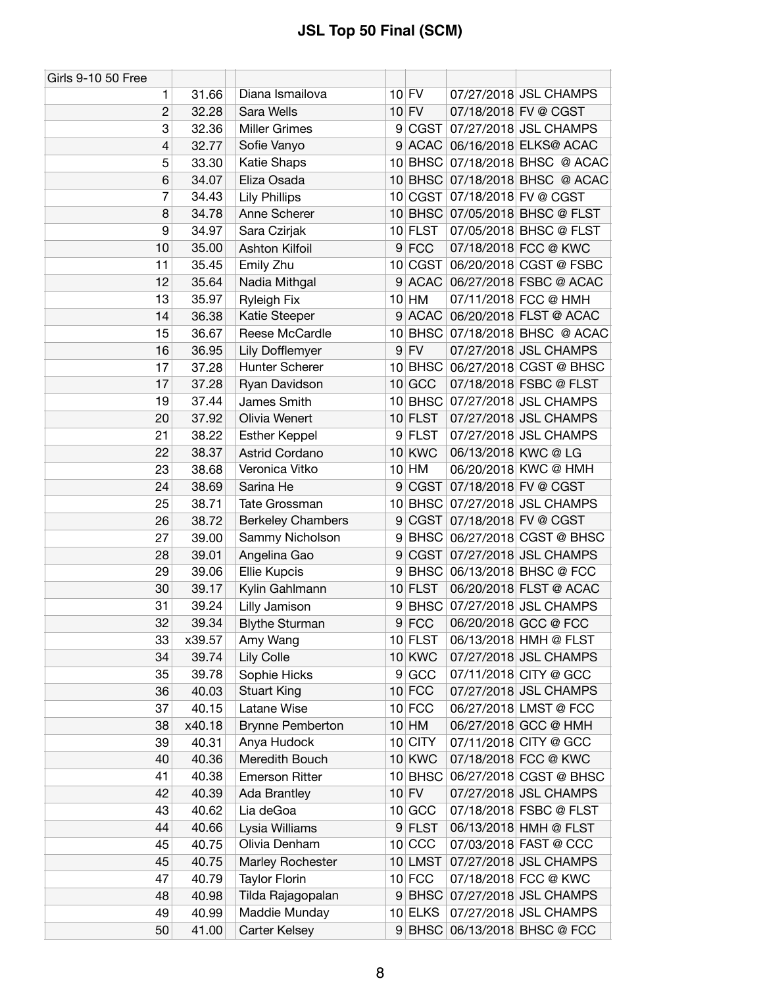| Girls 9-10 50 Free |        |                          |   |               |                           |                                |
|--------------------|--------|--------------------------|---|---------------|---------------------------|--------------------------------|
| 1                  | 31.66  | Diana Ismailova          |   | $10$ FV       |                           | 07/27/2018 JSL CHAMPS          |
| $\overline{c}$     | 32.28  | Sara Wells               |   | $10$ FV       |                           | 07/18/2018 FV @ CGST           |
| 3                  | 32.36  | <b>Miller Grimes</b>     |   |               |                           | 9 CGST 07/27/2018 JSL CHAMPS   |
| 4                  | 32.77  | Sofie Vanyo              |   |               |                           | 9 ACAC 06/16/2018 ELKS@ ACAC   |
| 5                  | 33.30  | Katie Shaps              |   |               |                           | 10 BHSC 07/18/2018 BHSC @ ACAC |
| 6                  | 34.07  | Eliza Osada              |   |               |                           | 10 BHSC 07/18/2018 BHSC @ ACAC |
| 7                  | 34.43  | <b>Lily Phillips</b>     |   |               |                           | 10 CGST 07/18/2018 FV @ CGST   |
| 8                  | 34.78  | Anne Scherer             |   |               |                           | 10 BHSC 07/05/2018 BHSC @ FLST |
| 9                  | 34.97  | Sara Czirjak             |   | 10 FLST       |                           | 07/05/2018 BHSC @ FLST         |
| 10                 | 35.00  | Ashton Kilfoil           |   | $9$ FCC       |                           | 07/18/2018 FCC @ KWC           |
| 11                 | 35.45  | Emily Zhu                |   | 10 CGST       |                           | 06/20/2018 CGST @ FSBC         |
| 12                 | 35.64  | Nadia Mithgal            |   | 9 ACAC        |                           | 06/27/2018 FSBC @ ACAC         |
| 13                 | 35.97  | <b>Ryleigh Fix</b>       |   | $10$ HM       |                           | 07/11/2018 FCC @ HMH           |
| 14                 | 36.38  | Katie Steeper            |   |               |                           | 9 ACAC 06/20/2018 FLST @ ACAC  |
| 15                 | 36.67  | Reese McCardle           |   |               |                           | 10 BHSC 07/18/2018 BHSC @ ACAC |
| 16                 | 36.95  | Lily Dofflemyer          |   | $9$ FV        |                           | 07/27/2018 JSL CHAMPS          |
| 17                 | 37.28  | Hunter Scherer           |   |               |                           | 10 BHSC 06/27/2018 CGST @ BHSC |
| 17                 | 37.28  | Ryan Davidson            |   | $10$ GCC      |                           | 07/18/2018 FSBC @ FLST         |
| 19                 | 37.44  | James Smith              |   |               |                           | 10 BHSC 07/27/2018 JSL CHAMPS  |
| 20                 | 37.92  | Olivia Wenert            |   | $10$ FLST     |                           | 07/27/2018 JSL CHAMPS          |
| 21                 | 38.22  | <b>Esther Keppel</b>     |   | 9 FLST        |                           | 07/27/2018 JSL CHAMPS          |
| 22                 | 38.37  | Astrid Cordano           |   | <b>10 KWC</b> | 06/13/2018 KWC @ LG       |                                |
| 23                 | 38.68  | Veronica Vitko           |   | $10$ HM       |                           | 06/20/2018 KWC @ HMH           |
| 24                 | 38.69  | Sarina He                | 9 |               |                           | CGST 07/18/2018 FV @ CGST      |
| 25                 | 38.71  | Tate Grossman            |   |               |                           | 10 BHSC 07/27/2018 JSL CHAMPS  |
| 26                 | 38.72  | <b>Berkeley Chambers</b> | 9 |               | CGST 07/18/2018 FV @ CGST |                                |
| 27                 | 39.00  | Sammy Nicholson          | 9 |               |                           | BHSC 06/27/2018 CGST @ BHSC    |
| 28                 | 39.01  | Angelina Gao             | 9 |               |                           | CGST 07/27/2018 JSL CHAMPS     |
| 29                 | 39.06  | <b>Ellie Kupcis</b>      | 9 |               |                           | BHSC 06/13/2018 BHSC @ FCC     |
| 30                 | 39.17  | Kylin Gahlmann           |   | $10$ FLST     |                           | 06/20/2018 FLST @ ACAC         |
| 31                 | 39.24  | Lilly Jamison            | 9 |               |                           | BHSC 07/27/2018 JSL CHAMPS     |
| 32                 | 39.34  | <b>Blythe Sturman</b>    |   | $9$ FCC       |                           | 06/20/2018 GCC @ FCC           |
| 33                 | x39.57 | Amy Wang                 |   | $10$ FLST     |                           | 06/13/2018 HMH @ FLST          |
| 34                 | 39.74  | Lily Colle               |   | <b>10 KWC</b> |                           | 07/27/2018 JSL CHAMPS          |
| 35                 | 39.78  | Sophie Hicks             |   | 9 GCC         |                           | 07/11/2018 CITY @ GCC          |
| 36                 | 40.03  | <b>Stuart King</b>       |   | $10$ FCC      |                           | 07/27/2018 JSL CHAMPS          |
| 37                 | 40.15  | Latane Wise              |   | $10$ FCC      |                           | 06/27/2018 LMST @ FCC          |
| 38                 | x40.18 | <b>Brynne Pemberton</b>  |   | $10$ HM       |                           | 06/27/2018 GCC @ HMH           |
| 39                 | 40.31  | Anya Hudock              |   | 10 CITY       |                           | 07/11/2018 CITY @ GCC          |
| 40                 | 40.36  | Meredith Bouch           |   | <b>10 KWC</b> |                           | 07/18/2018 FCC @ KWC           |
| 41                 | 40.38  | <b>Emerson Ritter</b>    |   | 10 BHSC       |                           | 06/27/2018 CGST @ BHSC         |
| 42                 | 40.39  | Ada Brantley             |   | $10$ FV       |                           | 07/27/2018 JSL CHAMPS          |
| 43                 | 40.62  | Lia deGoa                |   | 10 GCC        |                           | 07/18/2018 FSBC @ FLST         |
| 44                 | 40.66  | Lysia Williams           |   | 9 FLST        |                           | 06/13/2018 HMH @ FLST          |
| 45                 | 40.75  | Olivia Denham            |   | $10$ CCC      |                           | 07/03/2018 FAST @ CCC          |
| 45                 | 40.75  | Marley Rochester         |   | 10 LMST       |                           | 07/27/2018 JSL CHAMPS          |
| 47                 | 40.79  | <b>Taylor Florin</b>     |   | $10$ FCC      |                           | 07/18/2018 FCC @ KWC           |
| 48                 | 40.98  | Tilda Rajagopalan        |   |               |                           | 9 BHSC 07/27/2018 JSL CHAMPS   |
| 49                 | 40.99  | Maddie Munday            |   | 10 ELKS       |                           | 07/27/2018 JSL CHAMPS          |
| 50                 | 41.00  | <b>Carter Kelsey</b>     |   |               |                           | 9 BHSC 06/13/2018 BHSC @ FCC   |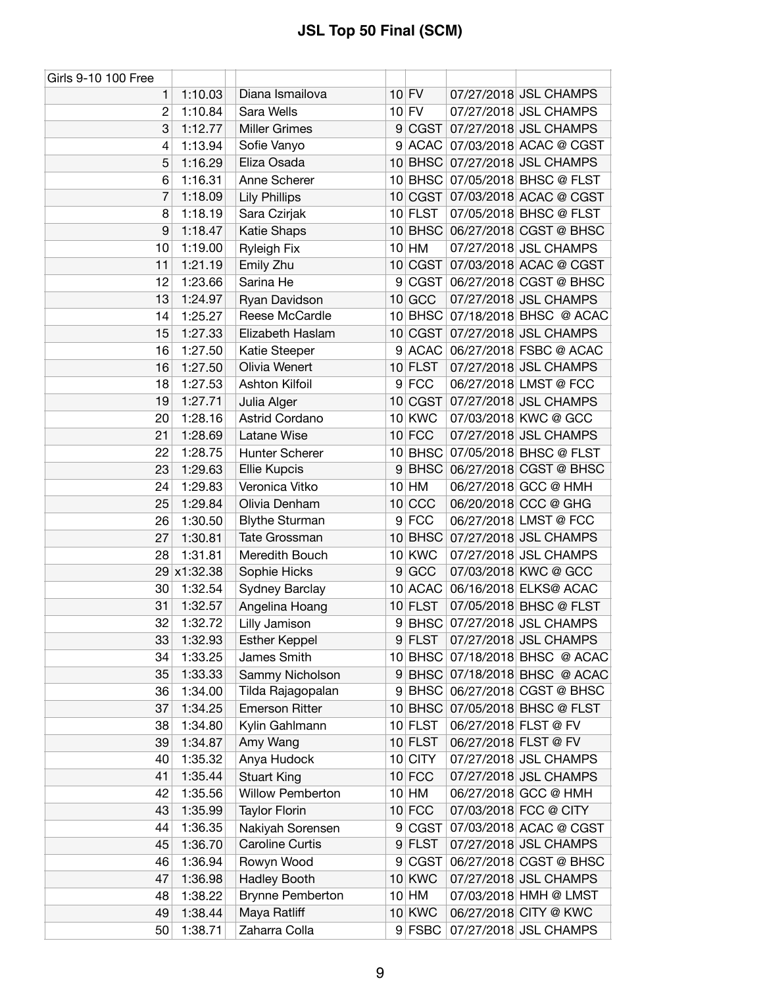| Girls 9-10 100 Free |                    |                                                |                 |                        |                      |                                                |
|---------------------|--------------------|------------------------------------------------|-----------------|------------------------|----------------------|------------------------------------------------|
| 1                   | 1:10.03            | Diana Ismailova                                |                 | $10$ FV                |                      | 07/27/2018 JSL CHAMPS                          |
| $\overline{2}$      | 1:10.84            | Sara Wells                                     |                 | $10$ FV                |                      | 07/27/2018 JSL CHAMPS                          |
| 3                   | 1:12.77            | <b>Miller Grimes</b>                           | 9               | CGST                   |                      | 07/27/2018 JSL CHAMPS                          |
| 4                   | 1:13.94            | Sofie Vanyo                                    |                 |                        |                      | 9 ACAC 07/03/2018 ACAC @ CGST                  |
| 5                   | 1:16.29            | Eliza Osada                                    |                 |                        |                      | 10 BHSC 07/27/2018 JSL CHAMPS                  |
| 6                   | 1:16.31            | Anne Scherer                                   |                 |                        |                      | 10 BHSC 07/05/2018 BHSC @ FLST                 |
| 7                   | 1:18.09            | <b>Lily Phillips</b>                           |                 |                        |                      | 10 CGST 07/03/2018 ACAC @ CGST                 |
| 8                   | 1:18.19            | Sara Czirjak                                   |                 | $10$ FLST              |                      | 07/05/2018 BHSC @ FLST                         |
| 9                   | 1:18.47            | Katie Shaps                                    |                 |                        |                      | 10 BHSC 06/27/2018 CGST @ BHSC                 |
| 10                  | 1:19.00            | <b>Ryleigh Fix</b>                             |                 | $10$ HM                |                      | 07/27/2018 JSL CHAMPS                          |
| 11                  | 1:21.19            | Emily Zhu                                      |                 |                        |                      | 10 CGST 07/03/2018 ACAC @ CGST                 |
| 12                  | 1:23.66            | Sarina He                                      | 9               | CGST                   |                      | 06/27/2018 CGST @ BHSC                         |
| 13                  | 1:24.97            | Ryan Davidson                                  |                 | $10$ GCC               |                      | 07/27/2018 JSL CHAMPS                          |
| 14                  | 1:25.27            | Reese McCardle                                 |                 |                        |                      | 10 BHSC 07/18/2018 BHSC @ ACAC                 |
| 15                  | 1:27.33            | Elizabeth Haslam                               |                 | 10 CGST                |                      | 07/27/2018 JSL CHAMPS                          |
| 16                  | 1:27.50            | Katie Steeper                                  | 9               |                        |                      | ACAC 06/27/2018 FSBC @ ACAC                    |
| 16                  | 1:27.50            | Olivia Wenert                                  |                 | $10$ FLST              |                      | 07/27/2018 JSL CHAMPS                          |
| 18                  | 1:27.53            | <b>Ashton Kilfoil</b>                          |                 | 9 FCC                  |                      | 06/27/2018 LMST @ FCC                          |
| 19                  | 1:27.71            | Julia Alger                                    |                 | 10 CGST                |                      | 07/27/2018 JSL CHAMPS                          |
| 20                  | 1:28.16            | Astrid Cordano                                 |                 | 10 KWC                 |                      | 07/03/2018 KWC @ GCC                           |
| 21                  | 1:28.69            | Latane Wise                                    |                 | $10$ FCC               |                      | 07/27/2018 JSL CHAMPS                          |
| 22                  | 1:28.75            | Hunter Scherer                                 |                 |                        |                      | 10 BHSC 07/05/2018 BHSC @ FLST                 |
| 23                  | 1:29.63            | <b>Ellie Kupcis</b>                            | 9 <sup>°</sup>  |                        |                      | BHSC 06/27/2018 CGST @ BHSC                    |
| 24                  | 1:29.83            | Veronica Vitko                                 |                 | $10$ HM                |                      | 06/27/2018 GCC @ HMH                           |
| 25                  | 1:29.84            | Olivia Denham                                  | 10 <sup>1</sup> | CCC                    |                      | 06/20/2018 CCC @ GHG                           |
| 26                  | 1:30.50            | <b>Blythe Sturman</b>                          |                 | $9$ FCC                |                      | 06/27/2018 LMST @ FCC                          |
| 27                  | 1:30.81            | Tate Grossman                                  |                 |                        |                      | 10 BHSC 07/27/2018 JSL CHAMPS                  |
| 28                  | 1:31.81            | Meredith Bouch                                 |                 | <b>10 KWC</b>          |                      | 07/27/2018 JSL CHAMPS                          |
|                     | 29 x1:32.38        | Sophie Hicks                                   |                 | 9 GCC                  |                      | 07/03/2018 KWC @ GCC                           |
| 30                  | 1:32.54            | Sydney Barclay                                 |                 | 10 ACAC                |                      | 06/16/2018 ELKS@ ACAC                          |
| 31                  | 1:32.57            | Angelina Hoang                                 |                 | $10$ FLST              |                      | 07/05/2018 BHSC @ FLST                         |
| 32                  | 1:32.72            | Lilly Jamison                                  | 9               |                        |                      | BHSC 07/27/2018 JSL CHAMPS                     |
| 33                  | 1:32.93            | <b>Esther Keppel</b>                           |                 | 9 FLST                 |                      | 07/27/2018 JSL CHAMPS                          |
| 34                  | 1:33.25            | James Smith                                    |                 |                        |                      | 10 BHSC 07/18/2018 BHSC @ ACAC                 |
| 35                  | 1:33.33            | Sammy Nicholson                                |                 |                        |                      | 9 BHSC 07/18/2018 BHSC @ ACAC                  |
| 36                  | 1:34.00            | Tilda Rajagopalan                              |                 |                        |                      | 9 BHSC 06/27/2018 CGST @ BHSC                  |
| 37                  | 1:34.25            | <b>Emerson Ritter</b>                          |                 | $10$ BHSC              |                      | 07/05/2018 BHSC @ FLST                         |
| 38                  | 1:34.80            | Kylin Gahlmann                                 |                 | $10$ FLST              | 06/27/2018 FLST @ FV |                                                |
| 39                  | 1:34.87            | Amy Wang                                       |                 | 10 FLST                | 06/27/2018 FLST @ FV |                                                |
| 40                  | 1:35.32            | Anya Hudock                                    |                 | 10 CITY                |                      | 07/27/2018 JSL CHAMPS                          |
| 41                  | 1:35.44            | <b>Stuart King</b>                             |                 | $10$ FCC               |                      | 07/27/2018 JSL CHAMPS                          |
| 42                  |                    | <b>Willow Pemberton</b>                        |                 | $10$ HM                |                      | 06/27/2018 GCC @ HMH                           |
| 43                  | 1:35.56<br>1:35.99 | <b>Taylor Florin</b>                           |                 | $10$ FCC               |                      | 07/03/2018 FCC @ CITY                          |
| 44                  | 1:36.35            |                                                |                 |                        |                      | 07/03/2018 ACAC @ CGST                         |
|                     | 1:36.70            | Nakiyah Sorensen<br>Caroline Curtis            | 9               | <b>CGST</b><br>9 FLST  |                      | 07/27/2018 JSL CHAMPS                          |
| 45                  |                    |                                                |                 | 9 CGST                 |                      |                                                |
| 46                  | 1:36.94            | Rowyn Wood                                     |                 |                        |                      | 06/27/2018 CGST @ BHSC                         |
| 47<br>48            | 1:36.98<br>1:38.22 | <b>Hadley Booth</b><br><b>Brynne Pemberton</b> |                 | <b>10 KWC</b><br>10 HM |                      | 07/27/2018 JSL CHAMPS<br>07/03/2018 HMH @ LMST |
|                     |                    |                                                |                 | 10 KWC                 |                      | 06/27/2018 CITY @ KWC                          |
| 49                  | 1:38.44            | Maya Ratliff                                   |                 |                        |                      |                                                |
| 50                  | 1:38.71            | Zaharra Colla                                  |                 | 9 FSBC                 |                      | 07/27/2018 JSL CHAMPS                          |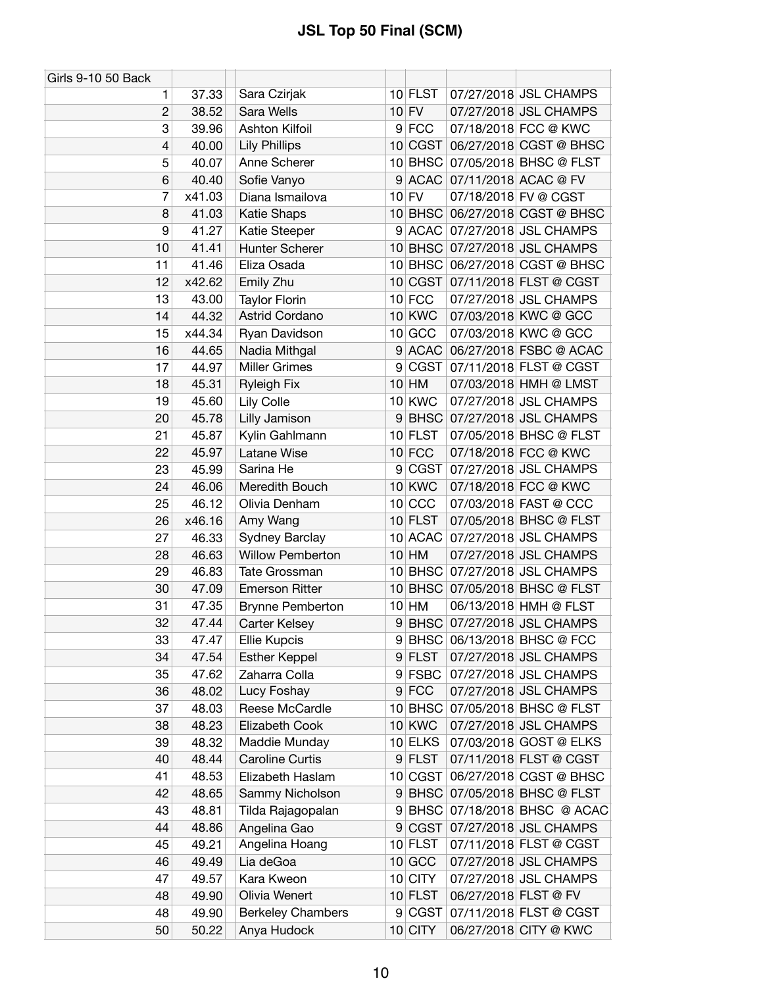| Girls 9-10 50 Back |        |                          |   |               |                                |
|--------------------|--------|--------------------------|---|---------------|--------------------------------|
| 1                  | 37.33  | Sara Czirjak             |   | 10 FLST       | 07/27/2018 JSL CHAMPS          |
| $\overline{c}$     | 38.52  | Sara Wells               |   | $10$ FV       | 07/27/2018 JSL CHAMPS          |
| 3                  | 39.96  | Ashton Kilfoil           |   | 9 FCC         | 07/18/2018 FCC @ KWC           |
| 4                  | 40.00  | <b>Lily Phillips</b>     |   | 10 CGST       | 06/27/2018 CGST @ BHSC         |
| 5                  | 40.07  | Anne Scherer             |   | $10$ BHSC     | 07/05/2018 BHSC @ FLST         |
| 6                  | 40.40  | Sofie Vanyo              | 9 |               | ACAC 07/11/2018 ACAC @ FV      |
| 7                  | x41.03 | Diana Ismailova          |   | $10$ FV       | 07/18/2018 FV @ CGST           |
| 8                  | 41.03  | <b>Katie Shaps</b>       |   | $10$ BHSC     | 06/27/2018 CGST @ BHSC         |
| 9                  | 41.27  | Katie Steeper            |   | $9$ ACAC      | 07/27/2018 JSL CHAMPS          |
| 10                 | 41.41  | Hunter Scherer           |   |               | 10 BHSC 07/27/2018 JSL CHAMPS  |
| 11                 | 41.46  | Eliza Osada              |   |               | 10 BHSC 06/27/2018 CGST @ BHSC |
| 12                 | x42.62 | Emily Zhu                |   | 10 CGST       | 07/11/2018 FLST @ CGST         |
| 13                 | 43.00  | <b>Taylor Florin</b>     |   | $10$ FCC      | 07/27/2018 JSL CHAMPS          |
| 14                 | 44.32  | Astrid Cordano           |   | 10 KWC        | 07/03/2018 KWC @ GCC           |
| 15                 | x44.34 | Ryan Davidson            |   | 10 GCC        | 07/03/2018 KWC @ GCC           |
| 16                 | 44.65  | Nadia Mithgal            |   | 9 ACAC        | 06/27/2018 FSBC @ ACAC         |
| 17                 | 44.97  | <b>Miller Grimes</b>     |   | 9 CGST        | 07/11/2018 FLST @ CGST         |
| 18                 | 45.31  | <b>Ryleigh Fix</b>       |   | $10$ HM       | 07/03/2018 HMH @ LMST          |
| 19                 | 45.60  | Lily Colle               |   | <b>10 KWC</b> | 07/27/2018 JSL CHAMPS          |
| 20                 | 45.78  | Lilly Jamison            |   | $9$ BHSC      | 07/27/2018 JSL CHAMPS          |
| 21                 | 45.87  | Kylin Gahlmann           |   | 10 FLST       | 07/05/2018 BHSC @ FLST         |
| 22                 | 45.97  | Latane Wise              |   | $10$ FCC      | 07/18/2018 FCC @ KWC           |
| 23                 | 45.99  | Sarina He                |   | 9 CGST        | 07/27/2018 JSL CHAMPS          |
| 24                 | 46.06  | Meredith Bouch           |   | <b>10 KWC</b> | 07/18/2018 FCC @ KWC           |
| 25                 | 46.12  | Olivia Denham            |   | $10$ CCC      | 07/03/2018 FAST @ CCC          |
| 26                 | x46.16 | Amy Wang                 |   | $10$ FLST     | 07/05/2018 BHSC @ FLST         |
| 27                 | 46.33  | <b>Sydney Barclay</b>    |   | 10 ACAC       | 07/27/2018 JSL CHAMPS          |
| 28                 |        | Willow Pemberton         |   | $10$ HM       | 07/27/2018 JSL CHAMPS          |
| 29                 | 46.63  | Tate Grossman            |   |               | 10 BHSC 07/27/2018 JSL CHAMPS  |
|                    | 46.83  | <b>Emerson Ritter</b>    |   | $10$ BHSC     | 07/05/2018 BHSC @ FLST         |
| 30                 | 47.09  |                          |   |               |                                |
| 31                 | 47.35  | <b>Brynne Pemberton</b>  |   | 10 HM         | 06/13/2018 HMH @ FLST          |
| 32                 | 47.44  | Carter Kelsey            |   | $9$ BHSC      | 07/27/2018 JSL CHAMPS          |
| 33                 | 47.47  | <b>Ellie Kupcis</b>      |   |               | 9 BHSC 06/13/2018 BHSC @ FCC   |
| 34                 | 47.54  | <b>Esther Keppel</b>     |   | 9 FLST        | 07/27/2018 JSL CHAMPS          |
| 35                 | 47.62  | Zaharra Colla            |   | $9$ FSBC      | 07/27/2018 JSL CHAMPS          |
| 36                 | 48.02  | Lucy Foshay              |   | $9$ FCC       | 07/27/2018 JSL CHAMPS          |
| 37                 | 48.03  | Reese McCardle           |   | 10 BHSC       | 07/05/2018 BHSC @ FLST         |
| 38                 | 48.23  | Elizabeth Cook           |   | <b>10 KWC</b> | 07/27/2018 JSL CHAMPS          |
| 39                 | 48.32  | Maddie Munday            |   | 10 ELKS       | 07/03/2018 GOST @ ELKS         |
| 40                 | 48.44  | <b>Caroline Curtis</b>   |   | 9 FLST        | 07/11/2018 FLST @ CGST         |
| 41                 | 48.53  | Elizabeth Haslam         |   | 10 CGST       | 06/27/2018 CGST @ BHSC         |
| 42                 | 48.65  | Sammy Nicholson          |   |               | 9 BHSC 07/05/2018 BHSC @ FLST  |
| 43                 | 48.81  | Tilda Rajagopalan        | 9 | <b>BHSC</b>   | 07/18/2018 BHSC @ ACAC         |
| 44                 | 48.86  | Angelina Gao             | 9 | <b>CGST</b>   | 07/27/2018 JSL CHAMPS          |
| 45                 | 49.21  | Angelina Hoang           |   | $10$ FLST     | 07/11/2018 FLST @ CGST         |
| 46                 | 49.49  | Lia deGoa                |   | $10$ GCC      | 07/27/2018 JSL CHAMPS          |
| 47                 | 49.57  | Kara Kweon               |   | 10 CITY       | 07/27/2018 JSL CHAMPS          |
| 48                 | 49.90  | Olivia Wenert            |   | $10$ FLST     | 06/27/2018 FLST @ FV           |
| 48                 | 49.90  | <b>Berkeley Chambers</b> |   | 9 CGST        | 07/11/2018 FLST @ CGST         |
| 50                 | 50.22  | Anya Hudock              |   | $10$ CITY     | 06/27/2018 CITY @ KWC          |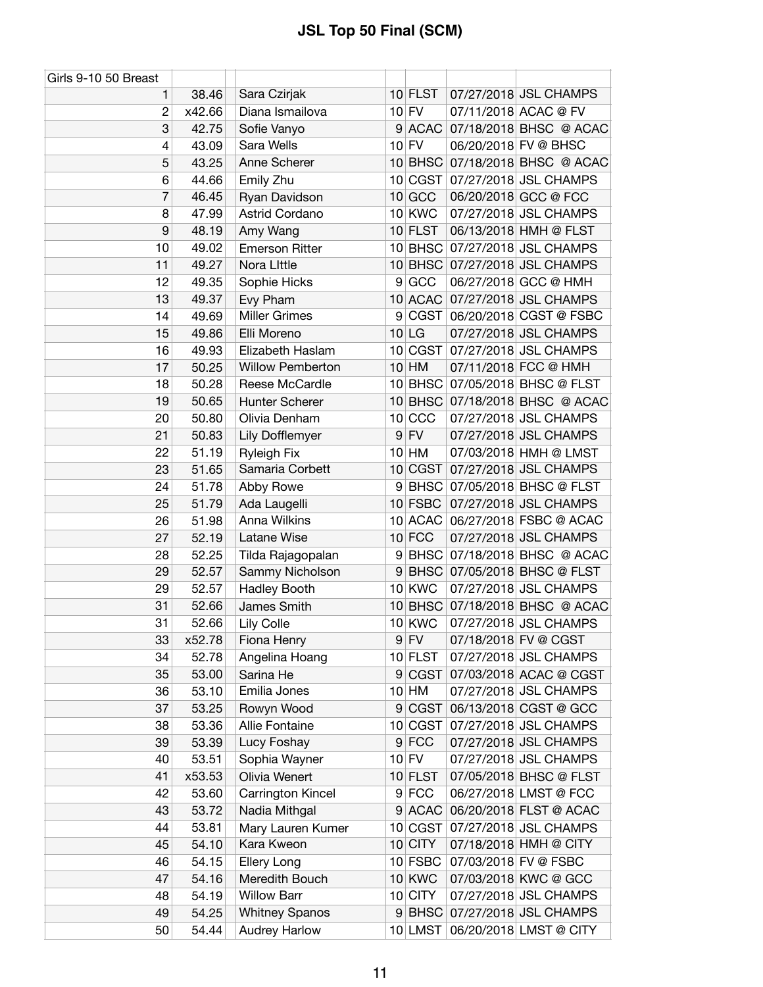| Girls 9-10 50 Breast |        |                         |                |               |                                |
|----------------------|--------|-------------------------|----------------|---------------|--------------------------------|
| 1                    | 38.46  | Sara Czirjak            |                | $10$ FLST     | 07/27/2018 JSL CHAMPS          |
| $\overline{c}$       | x42.66 | Diana Ismailova         |                | $10$ FV       | 07/11/2018 ACAC @ FV           |
| 3                    | 42.75  | Sofie Vanyo             |                | $9$ ACAC      | 07/18/2018 BHSC @ ACAC         |
| 4                    | 43.09  | Sara Wells              |                | $10$ FV       | 06/20/2018 FV @ BHSC           |
| 5                    | 43.25  | Anne Scherer            |                | $10$ BHSC     | 07/18/2018 BHSC @ ACAC         |
| 6                    | 44.66  | Emily Zhu               |                | 10 CGST       | 07/27/2018 JSL CHAMPS          |
| 7                    | 46.45  | Ryan Davidson           |                | $10$ GCC      | 06/20/2018 GCC @ FCC           |
| 8                    | 47.99  | Astrid Cordano          |                | <b>10 KWC</b> | 07/27/2018 JSL CHAMPS          |
| 9                    | 48.19  | Amy Wang                |                | $10$ FLST     | 06/13/2018 HMH @ FLST          |
| 10                   | 49.02  | <b>Emerson Ritter</b>   |                |               | 10 BHSC 07/27/2018 JSL CHAMPS  |
| 11                   | 49.27  | Nora Little             |                |               | 10 BHSC 07/27/2018 JSL CHAMPS  |
| 12                   | 49.35  | Sophie Hicks            | 9 <sup>°</sup> | GCC           | 06/27/2018 GCC @ HMH           |
| 13                   | 49.37  | Evy Pham                |                |               | 10 ACAC 07/27/2018 JSL CHAMPS  |
| 14                   | 49.69  | <b>Miller Grimes</b>    |                |               | 9 CGST 06/20/2018 CGST @ FSBC  |
| 15                   | 49.86  | Elli Moreno             |                | $10$ LG       | 07/27/2018 JSL CHAMPS          |
| 16                   | 49.93  | Elizabeth Haslam        |                | 10 CGST       | 07/27/2018 JSL CHAMPS          |
| 17                   | 50.25  | <b>Willow Pemberton</b> |                | 10 HM         | 07/11/2018 FCC @ HMH           |
| 18                   | 50.28  | Reese McCardle          |                |               | 10 BHSC 07/05/2018 BHSC @ FLST |
| 19                   | 50.65  | Hunter Scherer          |                |               | 10 BHSC 07/18/2018 BHSC @ ACAC |
| 20                   | 50.80  | Olivia Denham           |                | $10$ CCC      | 07/27/2018 JSL CHAMPS          |
| 21                   | 50.83  | Lily Dofflemyer         |                | $9$ FV        | 07/27/2018 JSL CHAMPS          |
| 22                   | 51.19  | <b>Ryleigh Fix</b>      |                | $10$ HM       | 07/03/2018 HMH @ LMST          |
| 23                   | 51.65  | Samaria Corbett         |                | 10 CGST       | 07/27/2018 JSL CHAMPS          |
| 24                   | 51.78  | Abby Rowe               |                |               | 9 BHSC 07/05/2018 BHSC @ FLST  |
| 25                   | 51.79  | Ada Laugelli            |                | $10$ FSBC     | 07/27/2018 JSL CHAMPS          |
| 26                   | 51.98  | Anna Wilkins            |                | 10 ACAC       | 06/27/2018 FSBC @ ACAC         |
| 27                   | 52.19  | Latane Wise             |                | $10$ FCC      | 07/27/2018 JSL CHAMPS          |
| 28                   | 52.25  | Tilda Rajagopalan       |                |               | 9 BHSC 07/18/2018 BHSC @ ACAC  |
| 29                   | 52.57  | Sammy Nicholson         | 9              |               | BHSC 07/05/2018 BHSC @ FLST    |
| 29                   | 52.57  | <b>Hadley Booth</b>     |                | 10 KWC        | 07/27/2018 JSL CHAMPS          |
| 31                   | 52.66  | James Smith             |                |               | 10 BHSC 07/18/2018 BHSC @ ACAC |
| 31                   | 52.66  | Lily Colle              |                | <b>10 KWC</b> | 07/27/2018 JSL CHAMPS          |
| 33                   | x52.78 | Fiona Henry             |                | 9 FV          | 07/18/2018 FV @ CGST           |
| 34                   | 52.78  | Angelina Hoang          |                | 10 FLST       | 07/27/2018 JSL CHAMPS          |
| 35                   | 53.00  | Sarina He               | 9 <sup>°</sup> | CGST          | 07/03/2018 ACAC @ CGST         |
| 36                   | 53.10  | Emilia Jones            |                | $10$ HM       | 07/27/2018 JSL CHAMPS          |
| 37                   | 53.25  | Rowyn Wood              | 9              | <b>CGST</b>   | 06/13/2018 CGST @ GCC          |
| 38                   | 53.36  | Allie Fontaine          |                | 10 CGST       | 07/27/2018 JSL CHAMPS          |
| 39                   | 53.39  | Lucy Foshay             |                | $9$ FCC       | 07/27/2018 JSL CHAMPS          |
| 40                   | 53.51  | Sophia Wayner           |                | $10$ FV       | 07/27/2018 JSL CHAMPS          |
| 41                   | x53.53 | Olivia Wenert           |                | $10$ FLST     | 07/05/2018 BHSC @ FLST         |
| 42                   | 53.60  | Carrington Kincel       |                | $9$ FCC       | 06/27/2018 LMST @ FCC          |
| 43                   | 53.72  | Nadia Mithgal           |                | $9$ ACAC      | 06/20/2018 FLST @ ACAC         |
| 44                   | 53.81  | Mary Lauren Kumer       |                | 10 CGST       | 07/27/2018 JSL CHAMPS          |
| 45                   | 54.10  | Kara Kweon              |                | $10$ CITY     | 07/18/2018 HMH @ CITY          |
| 46                   | 54.15  | Ellery Long             |                | 10 FSBC       | 07/03/2018 FV @ FSBC           |
| 47                   | 54.16  | Meredith Bouch          |                | 10 KWC        | 07/03/2018 KWC @ GCC           |
| 48                   | 54.19  | <b>Willow Barr</b>      |                | 10 CITY       | 07/27/2018 JSL CHAMPS          |
| 49                   | 54.25  | <b>Whitney Spanos</b>   |                |               | 9 BHSC 07/27/2018 JSL CHAMPS   |
| 50                   | 54.44  | <b>Audrey Harlow</b>    |                | 10 LMST       | 06/20/2018 LMST @ CITY         |
|                      |        |                         |                |               |                                |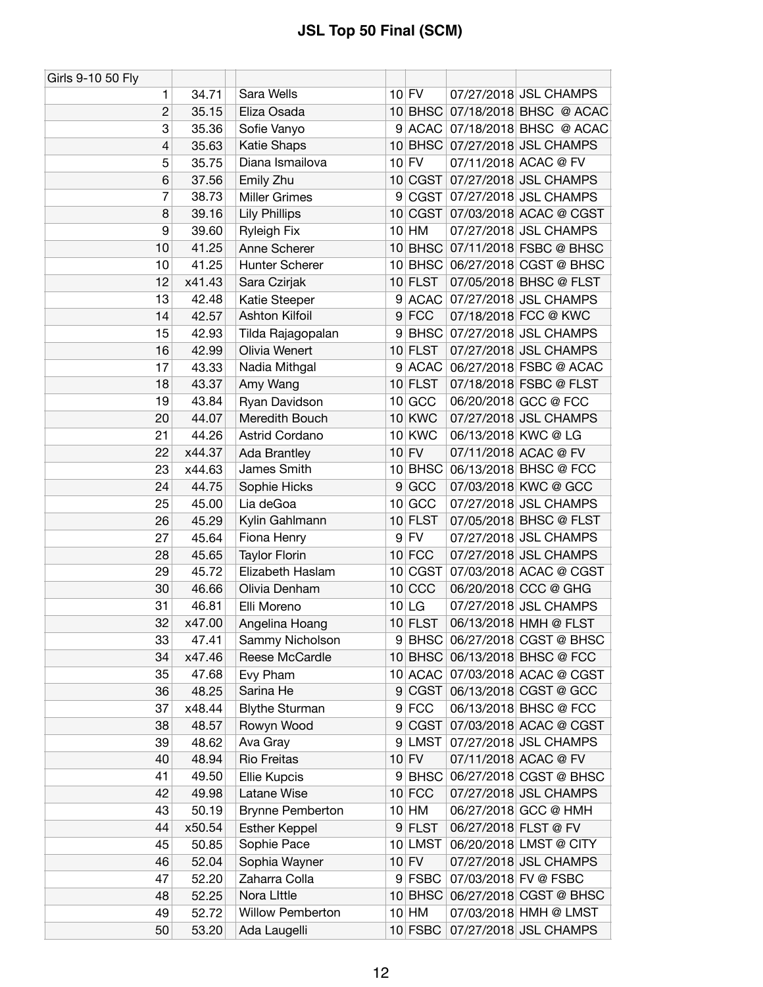| Girls 9-10 50 Fly |        |                         |                |               |                                |
|-------------------|--------|-------------------------|----------------|---------------|--------------------------------|
| 1                 | 34.71  | Sara Wells              |                | $10$ FV       | 07/27/2018 JSL CHAMPS          |
| $\overline{c}$    | 35.15  | Eliza Osada             |                |               | 10 BHSC 07/18/2018 BHSC @ ACAC |
| 3                 | 35.36  | Sofie Vanyo             |                |               | 9 ACAC 07/18/2018 BHSC @ ACAC  |
| 4                 | 35.63  | Katie Shaps             |                |               | 10 BHSC 07/27/2018 JSL CHAMPS  |
| 5                 | 35.75  | Diana Ismailova         |                | $10$ FV       | 07/11/2018 ACAC @ FV           |
| 6                 | 37.56  | Emily Zhu               |                |               | 10 CGST 07/27/2018 JSL CHAMPS  |
| 7                 | 38.73  | <b>Miller Grimes</b>    | 9              |               | CGST 07/27/2018 JSL CHAMPS     |
| 8                 | 39.16  | <b>Lily Phillips</b>    |                |               | 10 CGST 07/03/2018 ACAC @ CGST |
| 9                 | 39.60  | <b>Ryleigh Fix</b>      |                | 10 HM         | 07/27/2018 JSL CHAMPS          |
| 10                | 41.25  | Anne Scherer            |                |               | 10 BHSC 07/11/2018 FSBC @ BHSC |
| 10                | 41.25  | Hunter Scherer          |                | $10$ BHSC     | 06/27/2018 CGST @ BHSC         |
| 12                | x41.43 | Sara Czirjak            |                | $10$ FLST     | 07/05/2018 BHSC @ FLST         |
| 13                | 42.48  | Katie Steeper           | 9              |               | ACAC 07/27/2018 JSL CHAMPS     |
| 14                | 42.57  | <b>Ashton Kilfoil</b>   |                | $9$ FCC       | 07/18/2018 FCC @ KWC           |
| 15                | 42.93  | Tilda Rajagopalan       | 9              | <b>BHSC</b>   | 07/27/2018 JSL CHAMPS          |
| 16                | 42.99  | Olivia Wenert           |                | $10$ FLST     | 07/27/2018 JSL CHAMPS          |
| 17                | 43.33  | Nadia Mithgal           |                |               | 9 ACAC 06/27/2018 FSBC @ ACAC  |
| 18                | 43.37  | Amy Wang                |                | $10$ FLST     | 07/18/2018 FSBC @ FLST         |
| 19                | 43.84  | Ryan Davidson           |                | $10$ GCC      | 06/20/2018 GCC @ FCC           |
| 20                | 44.07  | Meredith Bouch          |                | <b>10 KWC</b> | 07/27/2018 JSL CHAMPS          |
| 21                | 44.26  | Astrid Cordano          |                | <b>10 KWC</b> | 06/13/2018 KWC @ LG            |
| 22                | x44.37 | Ada Brantley            |                | $10$ FV       | 07/11/2018 ACAC @ FV           |
| 23                | x44.63 | James Smith             |                | $10$ BHSC     | 06/13/2018 BHSC @ FCC          |
| 24                | 44.75  | Sophie Hicks            |                | 9 GCC         | 07/03/2018 KWC @ GCC           |
| 25                | 45.00  | Lia deGoa               |                | $10$ GCC      | 07/27/2018 JSL CHAMPS          |
| 26                | 45.29  | Kylin Gahlmann          |                | 10 FLST       | 07/05/2018 BHSC @ FLST         |
| 27                | 45.64  | Fiona Henry             | 9              | <b>FV</b>     | 07/27/2018 JSL CHAMPS          |
| 28                | 45.65  | <b>Taylor Florin</b>    |                | $10$ FCC      | 07/27/2018 JSL CHAMPS          |
| 29                | 45.72  | Elizabeth Haslam        |                | 10 CGST       | 07/03/2018 ACAC @ CGST         |
| 30                | 46.66  | Olivia Denham           |                | $10$ CCC      | 06/20/2018 CCC @ GHG           |
| 31                | 46.81  | Elli Moreno             |                | $10$ LG       | 07/27/2018 JSL CHAMPS          |
| 32                | x47.00 | Angelina Hoang          |                | $10$ FLST     | 06/13/2018 HMH @ FLST          |
| 33                | 47.41  | Sammy Nicholson         |                |               | 9 BHSC 06/27/2018 CGST @ BHSC  |
| 34                | x47.46 | Reese McCardle          |                |               | 10 BHSC 06/13/2018 BHSC @ FCC  |
| 35                | 47.68  | Evy Pham                |                |               | 10 ACAC 07/03/2018 ACAC @ CGST |
| 36                | 48.25  | Sarina He               | 9              | CGST          | 06/13/2018 CGST @ GCC          |
| 37                | x48.44 | <b>Blythe Sturman</b>   |                | $9$ FCC       | 06/13/2018 BHSC @ FCC          |
| 38                | 48.57  | Rowyn Wood              | 9 <sup>°</sup> | CGST          | 07/03/2018 ACAC @ CGST         |
| 39                | 48.62  | Ava Gray                | $\overline{9}$ | <b>LMST</b>   | 07/27/2018 JSL CHAMPS          |
| 40                | 48.94  | Rio Freitas             |                | $10$ FV       | 07/11/2018 ACAC @ FV           |
| 41                | 49.50  | Ellie Kupcis            |                | 9 BHSC        | 06/27/2018 CGST @ BHSC         |
| 42                | 49.98  | Latane Wise             |                | $10$ FCC      | 07/27/2018 JSL CHAMPS          |
| 43                | 50.19  | <b>Brynne Pemberton</b> |                | $10$ HM       | 06/27/2018 GCC @ HMH           |
| 44                | x50.54 | <b>Esther Keppel</b>    |                | 9 FLST        | 06/27/2018 FLST @ FV           |
| 45                | 50.85  | Sophie Pace             |                | 10 LMST       | 06/20/2018 LMST @ CITY         |
| 46                | 52.04  | Sophia Wayner           |                | $10$ FV       | 07/27/2018 JSL CHAMPS          |
| 47                | 52.20  | Zaharra Colla           |                | 9 FSBC        | 07/03/2018 FV @ FSBC           |
| 48                | 52.25  | Nora Little             |                | $10$ BHSC     | 06/27/2018 CGST @ BHSC         |
| 49                | 52.72  | <b>Willow Pemberton</b> |                | $10$ HM       | 07/03/2018 HMH @ LMST          |
| 50                | 53.20  | Ada Laugelli            |                |               | 10 FSBC 07/27/2018 JSL CHAMPS  |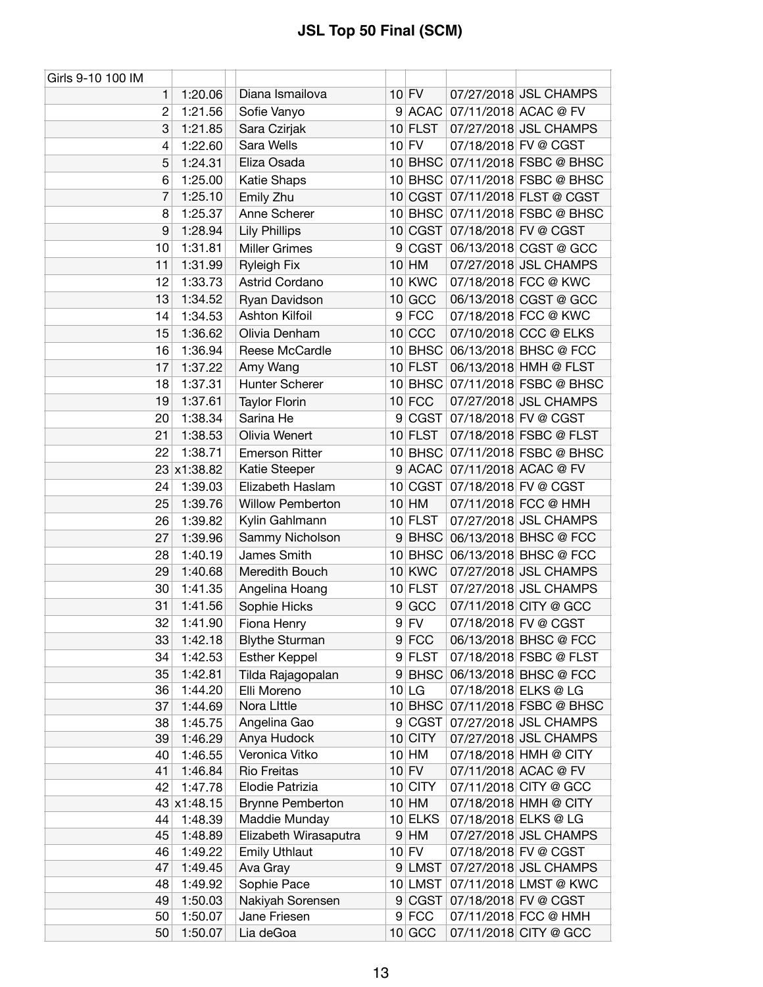| Girls 9-10 100 IM |                    |                            |   |               |                                                        |
|-------------------|--------------------|----------------------------|---|---------------|--------------------------------------------------------|
| 1                 | 1:20.06            | Diana Ismailova            |   | $10$ FV       | 07/27/2018 JSL CHAMPS                                  |
| $\overline{2}$    | 1:21.56            | Sofie Vanyo                |   |               | 9 ACAC 07/11/2018 ACAC @ FV                            |
| 3                 | 1:21.85            | Sara Czirjak               |   | 10 FLST       | 07/27/2018 JSL CHAMPS                                  |
| $\overline{4}$    | 1:22.60            | Sara Wells                 |   | $10$ FV       | 07/18/2018 FV @ CGST                                   |
| 5                 | 1:24.31            | Eliza Osada                |   |               | 10 BHSC 07/11/2018 FSBC @ BHSC                         |
| 6                 | 1:25.00            | Katie Shaps                |   |               | 10 BHSC 07/11/2018 FSBC @ BHSC                         |
| 7                 | 1:25.10            | Emily Zhu                  |   |               | 10 CGST 07/11/2018 FLST @ CGST                         |
| 8                 | 1:25.37            | Anne Scherer               |   |               | 10 BHSC 07/11/2018 FSBC @ BHSC                         |
| 9                 | 1:28.94            | <b>Lily Phillips</b>       |   |               | 10 CGST 07/18/2018 FV @ CGST                           |
| 10                | 1:31.81            | <b>Miller Grimes</b>       | 9 |               | CGST 06/13/2018 CGST @ GCC                             |
| 11                | 1:31.99            | <b>Ryleigh Fix</b>         |   | $10$ HM       | 07/27/2018 JSL CHAMPS                                  |
| 12                | 1:33.73            | Astrid Cordano             |   | <b>10 KWC</b> | 07/18/2018 FCC @ KWC                                   |
| 13                | 1:34.52            | Ryan Davidson              |   | $10$ GCC      | 06/13/2018 CGST @ GCC                                  |
| 14                | 1:34.53            | Ashton Kilfoil             |   | $9$ FCC       | 07/18/2018 FCC @ KWC                                   |
| 15                | 1:36.62            | Olivia Denham              |   | $10$ CCC      | 07/10/2018 CCC @ ELKS                                  |
| 16                | 1:36.94            | Reese McCardle             |   |               | 10 BHSC 06/13/2018 BHSC @ FCC                          |
| 17                | 1:37.22            | Amy Wang                   |   | $10$ FLST     | 06/13/2018 HMH @ FLST                                  |
| 18                | 1:37.31            | Hunter Scherer             |   |               | 10 BHSC 07/11/2018 FSBC @ BHSC                         |
| 19                | 1:37.61            | <b>Taylor Florin</b>       |   | $10$ FCC      | 07/27/2018 JSL CHAMPS                                  |
| 20                | 1:38.34            | Sarina He                  | 9 | CGST          | 07/18/2018 FV @ CGST                                   |
| 21                | 1:38.53            | Olivia Wenert              |   | $10$ FLST     | 07/18/2018 FSBC @ FLST                                 |
| 22                | 1:38.71            | <b>Emerson Ritter</b>      |   |               | 10 BHSC 07/11/2018 FSBC @ BHSC                         |
|                   | 23 x1:38.82        | Katie Steeper              |   |               | 9 ACAC 07/11/2018 ACAC @ FV                            |
| 24                | 1:39.03            | Elizabeth Haslam           |   | 10 CGST       | 07/18/2018 FV @ CGST                                   |
| 25                | 1:39.76            | <b>Willow Pemberton</b>    |   | $10$ HM       | 07/11/2018 FCC @ HMH                                   |
| 26                | 1:39.82            | Kylin Gahlmann             |   | $10$ FLST     | 07/27/2018 JSL CHAMPS                                  |
| 27                | 1:39.96            | Sammy Nicholson            | 9 | <b>BHSC</b>   | 06/13/2018 BHSC @ FCC                                  |
| 28                | 1:40.19            | James Smith                |   |               | 10 BHSC 06/13/2018 BHSC @ FCC                          |
| 29                |                    | Meredith Bouch             |   | 10 KWC        | 07/27/2018 JSL CHAMPS                                  |
|                   | 1:40.68            | Angelina Hoang             |   | $10$ FLST     | 07/27/2018 JSL CHAMPS                                  |
| 30<br>31          | 1:41.35<br>1:41.56 |                            |   | GCC           | 07/11/2018 CITY @ GCC                                  |
| 32                | 1:41.90            | Sophie Hicks               | 9 |               |                                                        |
|                   |                    | Fiona Henry                |   | $9$ FV        | 07/18/2018 FV @ CGST                                   |
| 33                | 1:42.18            | <b>Blythe Sturman</b>      |   | $9$ FCC       | 06/13/2018 BHSC @ FCC                                  |
| 34                | 1:42.53            | <b>Esther Keppel</b>       |   | 9 FLST        | 07/18/2018 FSBC @ FLST                                 |
| 35                | 1:42.81            | Tilda Rajagopalan          |   |               | 9 BHSC 06/13/2018 BHSC @ FCC                           |
| 36<br>37          | 1:44.20<br>1:44.69 | Elli Moreno<br>Nora Little |   | $10$ LG       | 07/18/2018 ELKS @ LG<br>10 BHSC 07/11/2018 FSBC @ BHSC |
| 38                | 1:45.75            | Angelina Gao               |   | 9 CGST        | 07/27/2018 JSL CHAMPS                                  |
| 39                | 1:46.29            | Anya Hudock                |   | $10$ CITY     | 07/27/2018 JSL CHAMPS                                  |
| 40                | 1:46.55            | Veronica Vitko             |   | $10$ HM       | 07/18/2018 HMH @ CITY                                  |
| 41                | 1:46.84            | <b>Rio Freitas</b>         |   | $10$ FV       | 07/11/2018 ACAC @ FV                                   |
| 42                | 1:47.78            | Elodie Patrizia            |   | 10 CITY       | 07/11/2018 CITY @ GCC                                  |
|                   | 43 x1:48.15        | <b>Brynne Pemberton</b>    |   | $10$ HM       | 07/18/2018 HMH @ CITY                                  |
| 44                | 1:48.39            | Maddie Munday              |   | $10$ ELKS     | 07/18/2018 ELKS @ LG                                   |
| 45                | 1:48.89            | Elizabeth Wirasaputra      |   | $9$ HM        | 07/27/2018 JSL CHAMPS                                  |
| 46                | 1:49.22            | <b>Emily Uthlaut</b>       |   | $10$ FV       | 07/18/2018 FV @ CGST                                   |
| 47                | 1:49.45            | Ava Gray                   |   | $9$  LMST     | 07/27/2018 JSL CHAMPS                                  |
| 48                | 1:49.92            | Sophie Pace                |   | $10$ LMST     | 07/11/2018 LMST @ KWC                                  |
| 49                | 1:50.03            | Nakiyah Sorensen           |   |               | 9 CGST 07/18/2018 FV @ CGST                            |
| 50                | 1:50.07            | Jane Friesen               |   | $9$ FCC       | 07/11/2018 FCC @ HMH                                   |
| 50                | 1:50.07            | Lia deGoa                  |   | $10$ GCC      | 07/11/2018 CITY @ GCC                                  |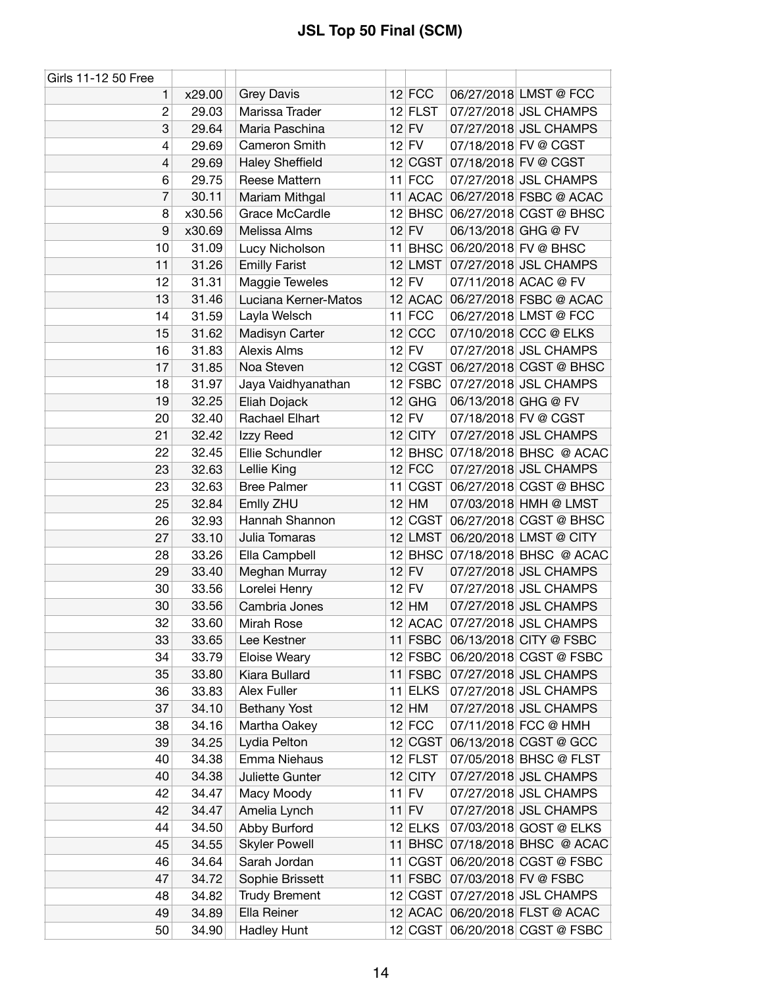| Girls 11-12 50 Free      |        |                        |           |                     |                                |
|--------------------------|--------|------------------------|-----------|---------------------|--------------------------------|
| 1                        | x29.00 | <b>Grey Davis</b>      | $12$ FCC  |                     | 06/27/2018 LMST @ FCC          |
| $\overline{c}$           | 29.03  | Marissa Trader         | 12 FLST   |                     | 07/27/2018 JSL CHAMPS          |
| 3                        | 29.64  | Maria Paschina         | $12$ FV   |                     | 07/27/2018 JSL CHAMPS          |
| 4                        | 29.69  | Cameron Smith          | $12$ FV   |                     | 07/18/2018 FV @ CGST           |
| $\overline{\mathcal{L}}$ | 29.69  | <b>Haley Sheffield</b> | 12 CGST   |                     | 07/18/2018 FV @ CGST           |
| 6                        | 29.75  | Reese Mattern          | $11$ FCC  |                     | 07/27/2018 JSL CHAMPS          |
| 7                        | 30.11  | Mariam Mithgal         |           |                     | 11 ACAC 06/27/2018 FSBC @ ACAC |
| 8                        | x30.56 | Grace McCardle         |           |                     | 12 BHSC 06/27/2018 CGST @ BHSC |
| 9                        | x30.69 | Melissa Alms           | $12$ FV   | 06/13/2018 GHG @ FV |                                |
| 10                       | 31.09  | Lucy Nicholson         |           |                     | 11 BHSC 06/20/2018 FV @ BHSC   |
| 11                       | 31.26  | <b>Emilly Farist</b>   | $12$ LMST |                     | 07/27/2018 JSL CHAMPS          |
| 12                       | 31.31  | Maggie Teweles         | $12$ FV   |                     | 07/11/2018 ACAC @ FV           |
| 13                       | 31.46  | Luciana Kerner-Matos   |           |                     | 12 ACAC 06/27/2018 FSBC @ ACAC |
| 14                       | 31.59  | Layla Welsch           | $11$ FCC  |                     | 06/27/2018 LMST @ FCC          |
| 15                       | 31.62  | Madisyn Carter         | $12$ CCC  |                     | 07/10/2018 CCC @ ELKS          |
| 16                       | 31.83  | Alexis Alms            | $12$ FV   |                     | 07/27/2018 JSL CHAMPS          |
| 17                       | 31.85  | Noa Steven             | 12 CGST   |                     | 06/27/2018 CGST @ BHSC         |
| 18                       | 31.97  | Jaya Vaidhyanathan     | 12 FSBC   |                     | 07/27/2018 JSL CHAMPS          |
| 19                       | 32.25  | Eliah Dojack           | $12$ GHG  | 06/13/2018 GHG @ FV |                                |
| 20                       | 32.40  | Rachael Elhart         | $12$ FV   |                     | 07/18/2018 FV @ CGST           |
| 21                       | 32.42  | Izzy Reed              | $12$ CITY |                     | 07/27/2018 JSL CHAMPS          |
| 22                       | 32.45  | Ellie Schundler        |           |                     | 12 BHSC 07/18/2018 BHSC @ ACAC |
| 23                       | 32.63  | Lellie King            | $12$ FCC  |                     | 07/27/2018 JSL CHAMPS          |
| 23                       | 32.63  | <b>Bree Palmer</b>     | 11 CGST   |                     | 06/27/2018 CGST @ BHSC         |
| 25                       | 32.84  | Emlly ZHU              | $12$ HM   |                     | 07/03/2018 HMH @ LMST          |
| 26                       | 32.93  | Hannah Shannon         | 12 CGST   |                     | 06/27/2018 CGST @ BHSC         |
| 27                       | 33.10  | Julia Tomaras          | 12 LMST   |                     | 06/20/2018 LMST @ CITY         |
| 28                       | 33.26  | Ella Campbell          |           |                     | 12 BHSC 07/18/2018 BHSC @ ACAC |
| 29                       | 33.40  | Meghan Murray          | $12$ FV   |                     | 07/27/2018 JSL CHAMPS          |
| 30                       | 33.56  | Lorelei Henry          | $12$ FV   |                     | 07/27/2018 JSL CHAMPS          |
| 30                       | 33.56  | Cambria Jones          | $12$ HM   |                     | 07/27/2018 JSL CHAMPS          |
| 32                       | 33.60  | Mirah Rose             |           |                     | 12 ACAC 07/27/2018 JSL CHAMPS  |
| 33                       | 33.65  | Lee Kestner            | $11$ FSBC |                     | 06/13/2018 CITY @ FSBC         |
| 34                       | 33.79  | Eloise Weary           | $12$ FSBC |                     | 06/20/2018 CGST @ FSBC         |
| 35                       | 33.80  | Kiara Bullard          | $11$ FSBC |                     | 07/27/2018 JSL CHAMPS          |
| 36                       | 33.83  | Alex Fuller            | 11 ELKS   |                     | 07/27/2018 JSL CHAMPS          |
| 37                       | 34.10  | <b>Bethany Yost</b>    | $12$ HM   |                     | 07/27/2018 JSL CHAMPS          |
| 38                       | 34.16  | Martha Oakey           | $12$ FCC  |                     | 07/11/2018 FCC @ HMH           |
| 39                       | 34.25  | Lydia Pelton           | 12 CGST   |                     | 06/13/2018 CGST @ GCC          |
| 40                       | 34.38  | Emma Niehaus           | $12$ FLST |                     | 07/05/2018 BHSC @ FLST         |
| 40                       | 34.38  | Juliette Gunter        | $12$ CITY |                     | 07/27/2018 JSL CHAMPS          |
| 42                       | 34.47  | Macy Moody             | $11$ FV   |                     | 07/27/2018 JSL CHAMPS          |
| 42                       | 34.47  | Amelia Lynch           | $11$ FV   |                     | 07/27/2018 JSL CHAMPS          |
| 44                       | 34.50  | Abby Burford           | $12$ ELKS |                     | 07/03/2018 GOST @ ELKS         |
| 45                       | 34.55  | <b>Skyler Powell</b>   | $11$ BHSC |                     | 07/18/2018 BHSC @ ACAC         |
| 46                       | 34.64  | Sarah Jordan           | 11 CGST   |                     | 06/20/2018 CGST @ FSBC         |
| 47                       | 34.72  | Sophie Brissett        | $11$ FSBC |                     | 07/03/2018 FV @ FSBC           |
| 48                       | 34.82  | <b>Trudy Brement</b>   | 12 CGST   |                     | 07/27/2018 JSL CHAMPS          |
| 49                       | 34.89  | Ella Reiner            |           |                     | 12 ACAC 06/20/2018 FLST @ ACAC |
| 50                       | 34.90  | Hadley Hunt            | 12 CGST   |                     | 06/20/2018 CGST @ FSBC         |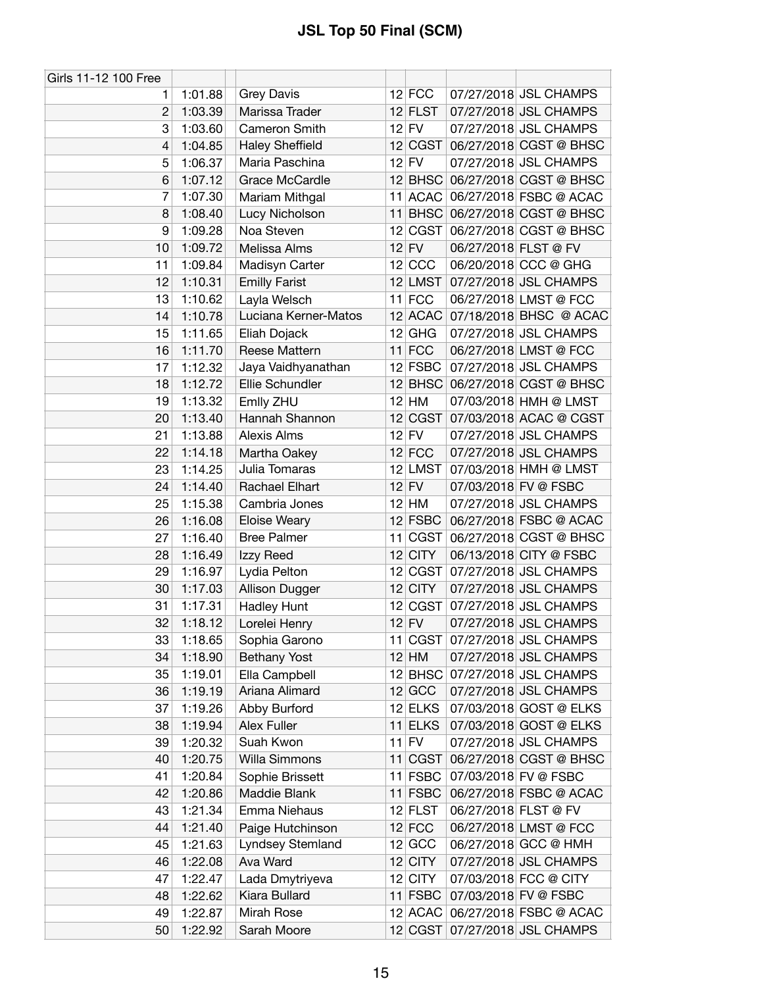| Girls 11-12 100 Free |         |                        |    |             |                      |                                |
|----------------------|---------|------------------------|----|-------------|----------------------|--------------------------------|
| 1.                   | 1:01.88 | <b>Grey Davis</b>      |    | $12$ FCC    |                      | 07/27/2018 JSL CHAMPS          |
| $\overline{2}$       | 1:03.39 | Marissa Trader         |    | $12$ FLST   |                      | 07/27/2018 JSL CHAMPS          |
| 3                    | 1:03.60 | Cameron Smith          |    | $12$ FV     |                      | 07/27/2018 JSL CHAMPS          |
| 4                    | 1:04.85 | <b>Haley Sheffield</b> |    | 12 CGST     |                      | 06/27/2018 CGST @ BHSC         |
| 5                    | 1:06.37 | Maria Paschina         |    | $12$ FV     |                      | 07/27/2018 JSL CHAMPS          |
| 6                    | 1:07.12 | Grace McCardle         |    |             |                      | 12 BHSC 06/27/2018 CGST @ BHSC |
| 7                    | 1:07.30 | Mariam Mithgal         |    |             |                      | 11 ACAC 06/27/2018 FSBC @ ACAC |
| 8                    | 1:08.40 | Lucy Nicholson         |    |             |                      | 11 BHSC 06/27/2018 CGST @ BHSC |
| 9                    | 1:09.28 | Noa Steven             |    | 12 CGST     |                      | 06/27/2018 CGST @ BHSC         |
| 10                   | 1:09.72 | Melissa Alms           |    | $12$ FV     | 06/27/2018 FLST @ FV |                                |
| 11                   | 1:09.84 | Madisyn Carter         |    | $12$ CCC    |                      | 06/20/2018 CCC @ GHG           |
| 12                   | 1:10.31 | <b>Emilly Farist</b>   |    | 12 LMST     |                      | 07/27/2018 JSL CHAMPS          |
| 13                   | 1:10.62 | Layla Welsch           |    | $11$ FCC    |                      | 06/27/2018 LMST @ FCC          |
| 14                   | 1:10.78 | Luciana Kerner-Matos   |    |             |                      | 12 ACAC 07/18/2018 BHSC @ ACAC |
| 15                   | 1:11.65 | Eliah Dojack           |    | $12$ GHG    |                      | 07/27/2018 JSL CHAMPS          |
| 16                   | 1:11.70 | Reese Mattern          |    | $11$ FCC    |                      | 06/27/2018 LMST @ FCC          |
| 17                   | 1:12.32 | Jaya Vaidhyanathan     |    |             |                      | 12 FSBC 07/27/2018 JSL CHAMPS  |
| 18                   | 1:12.72 | Ellie Schundler        |    |             |                      | 12 BHSC 06/27/2018 CGST @ BHSC |
| 19                   | 1:13.32 | Emlly ZHU              |    | $12$ HM     |                      | 07/03/2018 HMH @ LMST          |
| 20                   | 1:13.40 | Hannah Shannon         |    | 12 CGST     |                      | 07/03/2018 ACAC @ CGST         |
| 21                   | 1:13.88 | Alexis Alms            |    | $12$ FV     |                      | 07/27/2018 JSL CHAMPS          |
| 22                   | 1:14.18 | Martha Oakey           |    | $12$ FCC    |                      | 07/27/2018 JSL CHAMPS          |
| 23                   | 1:14.25 | Julia Tomaras          |    | 12 LMST     |                      | 07/03/2018 HMH @ LMST          |
| 24                   | 1:14.40 | Rachael Elhart         |    | $12$ FV     |                      | 07/03/2018 FV @ FSBC           |
| 25                   | 1:15.38 | Cambria Jones          |    | $12$ HM     |                      | 07/27/2018 JSL CHAMPS          |
| 26                   | 1:16.08 | <b>Eloise Weary</b>    |    | $12$ FSBC   |                      | 06/27/2018 FSBC @ ACAC         |
| 27                   | 1:16.40 | <b>Bree Palmer</b>     | 11 | <b>CGST</b> |                      | 06/27/2018 CGST @ BHSC         |
| 28                   | 1:16.49 | Izzy Reed              |    | $12$ CITY   |                      | 06/13/2018 CITY @ FSBC         |
| 29                   | 1:16.97 | Lydia Pelton           |    | 12 CGST     |                      | 07/27/2018 JSL CHAMPS          |
| 30                   | 1:17.03 | Allison Dugger         |    | $12$ CITY   |                      | 07/27/2018 JSL CHAMPS          |
| 31                   | 1:17.31 | Hadley Hunt            |    | 12 CGST     |                      | 07/27/2018 JSL CHAMPS          |
| 32                   | 1:18.12 | Lorelei Henry          |    | $12$ FV     |                      | 07/27/2018 JSL CHAMPS          |
| 33                   | 1:18.65 | Sophia Garono          |    |             |                      | 11 CGST 07/27/2018 JSL CHAMPS  |
| 34                   | 1:18.90 | <b>Bethany Yost</b>    |    | $12$ HM     |                      | 07/27/2018 JSL CHAMPS          |
| 35                   | 1:19.01 | Ella Campbell          |    |             |                      | 12 BHSC 07/27/2018 JSL CHAMPS  |
| 36                   | 1:19.19 | Ariana Alimard         |    | $12$ GCC    |                      | 07/27/2018 JSL CHAMPS          |
| 37                   | 1:19.26 | Abby Burford           |    | 12 ELKS     |                      | 07/03/2018 GOST @ ELKS         |
| 38                   | 1:19.94 | <b>Alex Fuller</b>     |    | $11$ ELKS   |                      | 07/03/2018 GOST @ ELKS         |
| 39                   | 1:20.32 | Suah Kwon              |    | $11$ FV     |                      | 07/27/2018 JSL CHAMPS          |
| 40                   | 1:20.75 | Willa Simmons          |    | 11 CGST     |                      | 06/27/2018 CGST @ BHSC         |
| 41                   | 1:20.84 | Sophie Brissett        |    | $11$ FSBC   |                      | 07/03/2018 FV @ FSBC           |
| 42                   | 1:20.86 | Maddie Blank           |    | $11$ FSBC   |                      | 06/27/2018 FSBC @ ACAC         |
| 43                   | 1:21.34 | Emma Niehaus           |    | $12$ FLST   | 06/27/2018 FLST @ FV |                                |
| 44                   | 1:21.40 | Paige Hutchinson       |    | $12$ FCC    |                      | 06/27/2018 LMST @ FCC          |
| 45                   | 1:21.63 | Lyndsey Stemland       |    | $12$ GCC    |                      | 06/27/2018 GCC @ HMH           |
| 46                   | 1:22.08 | Ava Ward               |    | $12$ CITY   |                      | 07/27/2018 JSL CHAMPS          |
| 47                   | 1:22.47 | Lada Dmytriyeva        |    | $12$ CITY   |                      | 07/03/2018 FCC @ CITY          |
| 48                   | 1:22.62 | Kiara Bullard          |    | 11 FSBC     |                      | 07/03/2018 FV @ FSBC           |
| 49                   | 1:22.87 | Mirah Rose             |    |             |                      | 12 ACAC 06/27/2018 FSBC @ ACAC |
| 50                   | 1:22.92 | Sarah Moore            |    |             |                      | 12 CGST 07/27/2018 JSL CHAMPS  |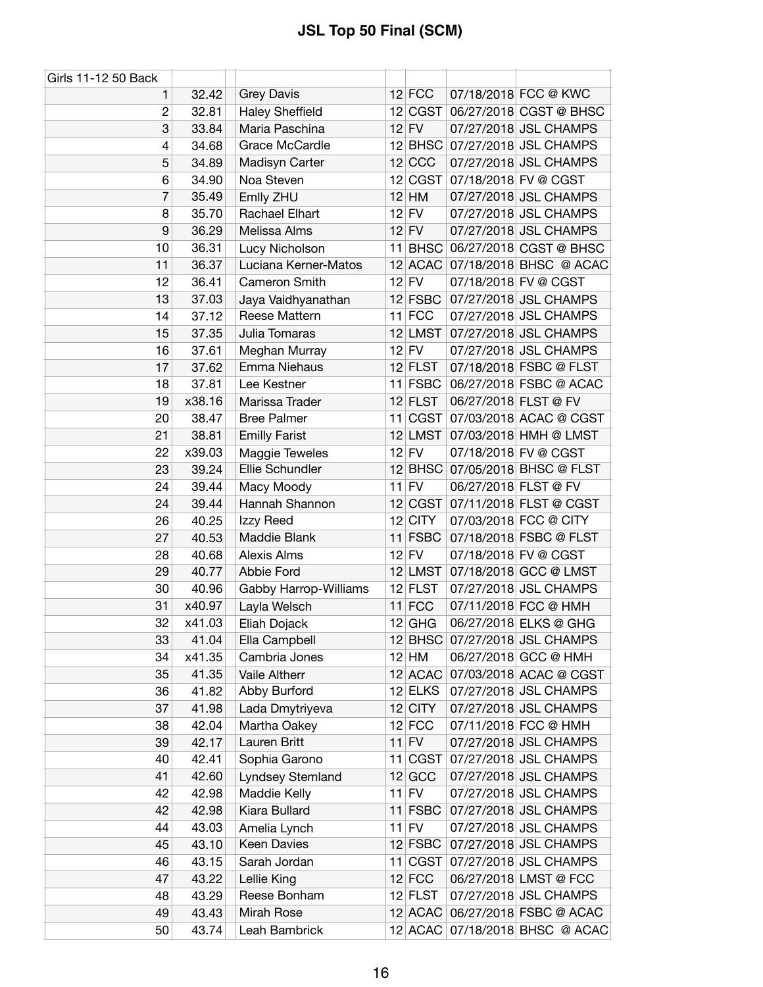| Girls 11-12 50 Back |        |                        |           |                      |                                |
|---------------------|--------|------------------------|-----------|----------------------|--------------------------------|
| 1.                  | 32.42  | <b>Grey Davis</b>      | $12$ FCC  |                      | 07/18/2018 FCC @ KWC           |
| $\overline{c}$      | 32.81  | <b>Haley Sheffield</b> | 12 CGST   |                      | 06/27/2018 CGST @ BHSC         |
| 3                   | 33.84  | Maria Paschina         | $12$ FV   |                      | 07/27/2018 JSL CHAMPS          |
| 4                   | 34.68  | Grace McCardle         | $12$ BHSC |                      | 07/27/2018 JSL CHAMPS          |
| 5                   | 34.89  | Madisyn Carter         | $12$ CCC  |                      | 07/27/2018 JSL CHAMPS          |
| 6                   | 34.90  | Noa Steven             | 12 CGST   |                      | 07/18/2018 FV @ CGST           |
| 7                   | 35.49  | Emlly ZHU              | $12$ HM   |                      | 07/27/2018 JSL CHAMPS          |
| 8                   | 35.70  | Rachael Elhart         | $12$ FV   |                      | 07/27/2018 JSL CHAMPS          |
| 9                   | 36.29  | Melissa Alms           | $12$ FV   |                      | 07/27/2018 JSL CHAMPS          |
| 10                  | 36.31  | Lucy Nicholson         |           |                      | 11 BHSC 06/27/2018 CGST @ BHSC |
| 11                  | 36.37  | Luciana Kerner-Matos   | $12$ ACAC |                      | 07/18/2018 BHSC @ ACAC         |
| 12                  | 36.41  | Cameron Smith          | $12$ FV   |                      | 07/18/2018 FV @ CGST           |
| 13                  | 37.03  | Jaya Vaidhyanathan     | $12$ FSBC |                      | 07/27/2018 JSL CHAMPS          |
| 14                  | 37.12  | Reese Mattern          | $11$ FCC  |                      | 07/27/2018 JSL CHAMPS          |
| 15                  | 37.35  | Julia Tomaras          | 12 LMST   |                      | 07/27/2018 JSL CHAMPS          |
| 16                  | 37.61  | Meghan Murray          | $12$ FV   |                      | 07/27/2018 JSL CHAMPS          |
| 17                  | 37.62  | Emma Niehaus           | 12 FLST   |                      | 07/18/2018 FSBC @ FLST         |
| 18                  | 37.81  | Lee Kestner            | 11 FSBC   |                      | 06/27/2018 FSBC @ ACAC         |
| 19                  | x38.16 | Marissa Trader         | $12$ FLST | 06/27/2018 FLST @ FV |                                |
| 20                  | 38.47  | <b>Bree Palmer</b>     | 11 CGST   |                      | 07/03/2018 ACAC @ CGST         |
| 21                  | 38.81  | <b>Emilly Farist</b>   | $12$ LMST |                      | 07/03/2018 HMH @ LMST          |
| 22                  | x39.03 | Maggie Teweles         | $12$ FV   |                      | 07/18/2018 FV @ CGST           |
| 23                  | 39.24  | Ellie Schundler        | $12$ BHSC |                      | 07/05/2018 BHSC @ FLST         |
| 24                  | 39.44  | Macy Moody             | $11$ FV   | 06/27/2018 FLST @ FV |                                |
| 24                  | 39.44  | Hannah Shannon         | 12 CGST   |                      | 07/11/2018 FLST @ CGST         |
| 26                  | 40.25  | Izzy Reed              | $12$ CITY |                      | 07/03/2018 FCC @ CITY          |
| 27                  | 40.53  | Maddie Blank           | $11$ FSBC |                      | 07/18/2018 FSBC @ FLST         |
| 28                  | 40.68  | <b>Alexis Alms</b>     | $12$ FV   |                      | 07/18/2018 FV @ CGST           |
| 29                  | 40.77  | Abbie Ford             | 12 LMST   |                      | 07/18/2018 GCC @ LMST          |
| 30                  | 40.96  | Gabby Harrop-Williams  | $12$ FLST |                      | 07/27/2018 JSL CHAMPS          |
| 31                  | x40.97 | Layla Welsch           | $11$ FCC  |                      | 07/11/2018 FCC @ HMH           |
| 32                  | x41.03 | Eliah Dojack           | $12$ GHG  |                      | 06/27/2018 ELKS @ GHG          |
| 33                  | 41.04  | Ella Campbell          |           |                      | 12 BHSC 07/27/2018 JSL CHAMPS  |
| 34                  | x41.35 | Cambria Jones          | $12$ HM   |                      | 06/27/2018 GCC @ HMH           |
| 35                  | 41.35  | Vaile Altherr          | $12$ ACAC |                      | 07/03/2018 ACAC @ CGST         |
| 36                  | 41.82  | Abby Burford           | $12$ ELKS |                      | 07/27/2018 JSL CHAMPS          |
| 37                  | 41.98  | Lada Dmytriyeva        | $12$ CITY |                      | 07/27/2018 JSL CHAMPS          |
| 38                  | 42.04  | Martha Oakey           | $12$ FCC  |                      | 07/11/2018 FCC @ HMH           |
| 39                  | 42.17  | Lauren Britt           | $11$ FV   |                      | 07/27/2018 JSL CHAMPS          |
| 40                  | 42.41  | Sophia Garono          | 11 CGST   |                      | 07/27/2018 JSL CHAMPS          |
| 41                  | 42.60  | Lyndsey Stemland       | $12$ GCC  |                      | 07/27/2018 JSL CHAMPS          |
| 42                  | 42.98  | Maddie Kelly           | $11$ FV   |                      | 07/27/2018 JSL CHAMPS          |
| 42                  | 42.98  | Kiara Bullard          | $11$ FSBC |                      | 07/27/2018 JSL CHAMPS          |
| 44                  | 43.03  | Amelia Lynch           | $11$ FV   |                      | 07/27/2018 JSL CHAMPS          |
| 45                  | 43.10  | Keen Davies            | $12$ FSBC |                      | 07/27/2018 JSL CHAMPS          |
| 46                  | 43.15  | Sarah Jordan           | 11 CGST   |                      | 07/27/2018 JSL CHAMPS          |
| 47                  | 43.22  | Lellie King            | $12$ FCC  |                      | 06/27/2018 LMST @ FCC          |
| 48                  | 43.29  | Reese Bonham           | $12$ FLST |                      | 07/27/2018 JSL CHAMPS          |
| 49                  | 43.43  | Mirah Rose             | $12$ ACAC |                      | 06/27/2018 FSBC @ ACAC         |
| 50                  | 43.74  | Leah Bambrick          | 12 ACAC   |                      | 07/18/2018 BHSC @ ACAC         |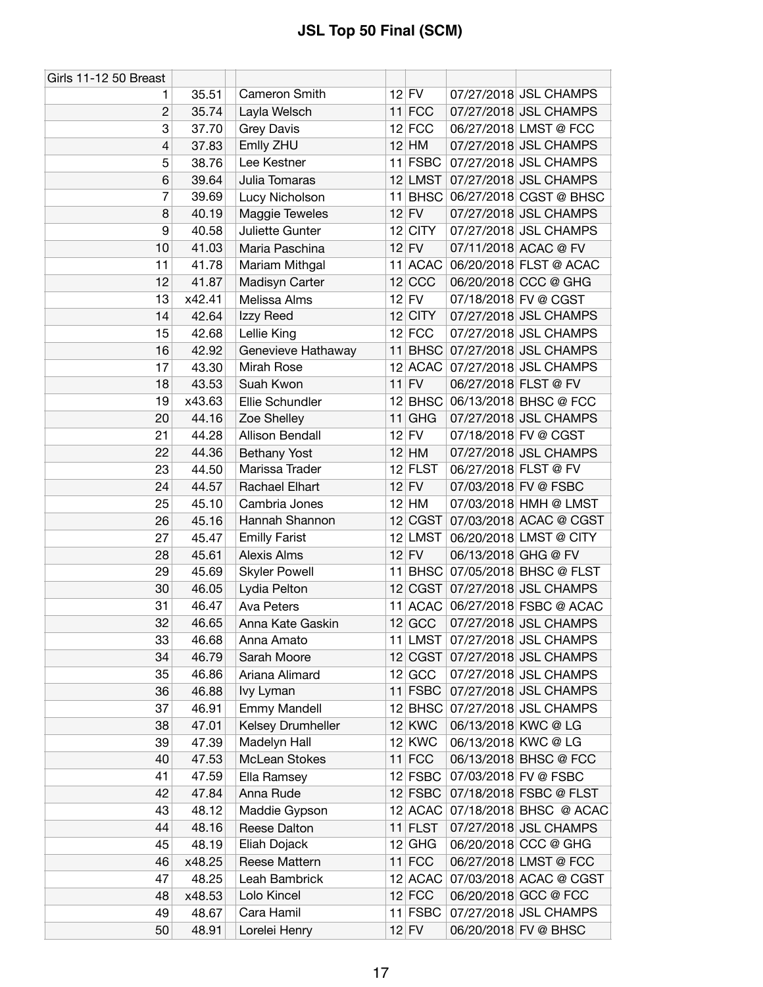| Girls 11-12 50 Breast |        |                        |           |                      |                                |
|-----------------------|--------|------------------------|-----------|----------------------|--------------------------------|
| 1                     | 35.51  | Cameron Smith          | $12$ FV   |                      | 07/27/2018 JSL CHAMPS          |
| $\overline{c}$        | 35.74  | Layla Welsch           | $11$ FCC  |                      | 07/27/2018 JSL CHAMPS          |
| 3                     | 37.70  | <b>Grey Davis</b>      | $12$ FCC  |                      | 06/27/2018 LMST @ FCC          |
| 4                     | 37.83  | Emlly ZHU              | $12$ HM   |                      | 07/27/2018 JSL CHAMPS          |
| 5                     | 38.76  | Lee Kestner            | 11 FSBC   |                      | 07/27/2018 JSL CHAMPS          |
| 6                     | 39.64  | Julia Tomaras          | $12$ LMST |                      | 07/27/2018 JSL CHAMPS          |
| 7                     | 39.69  | Lucy Nicholson         | 11 BHSC   |                      | 06/27/2018 CGST @ BHSC         |
| 8                     | 40.19  | Maggie Teweles         | $12$ FV   |                      | 07/27/2018 JSL CHAMPS          |
| 9                     | 40.58  | Juliette Gunter        | $12$ CITY |                      | 07/27/2018 JSL CHAMPS          |
| 10                    | 41.03  | Maria Paschina         | $12$ FV   |                      | 07/11/2018 ACAC @ FV           |
| 11                    | 41.78  | Mariam Mithgal         | 11 ACAC   |                      | 06/20/2018 FLST @ ACAC         |
| 12                    | 41.87  | Madisyn Carter         | $12$ CCC  |                      | 06/20/2018 CCC @ GHG           |
| 13                    | x42.41 | Melissa Alms           | $12$ FV   |                      | 07/18/2018 FV @ CGST           |
| 14                    | 42.64  | Izzy Reed              | $12$ CITY |                      | 07/27/2018 JSL CHAMPS          |
| 15                    | 42.68  | Lellie King            | $12$ FCC  |                      | 07/27/2018 JSL CHAMPS          |
| 16                    | 42.92  | Genevieve Hathaway     |           |                      | 11 BHSC 07/27/2018 JSL CHAMPS  |
| 17                    | 43.30  | Mirah Rose             |           |                      | 12 ACAC 07/27/2018 JSL CHAMPS  |
| 18                    | 43.53  | Suah Kwon              | $11$ FV   | 06/27/2018 FLST @ FV |                                |
| 19                    | x43.63 | Ellie Schundler        | 12 BHSC   |                      | 06/13/2018 BHSC @ FCC          |
| 20                    | 44.16  | Zoe Shelley            | $11$ GHG  |                      | 07/27/2018 JSL CHAMPS          |
| 21                    | 44.28  | <b>Allison Bendall</b> | $12$ FV   |                      | 07/18/2018 FV @ CGST           |
| 22                    | 44.36  | Bethany Yost           | $12$ HM   |                      | 07/27/2018 JSL CHAMPS          |
| 23                    | 44.50  | Marissa Trader         | $12$ FLST | 06/27/2018 FLST @ FV |                                |
| 24                    | 44.57  | Rachael Elhart         | $12$ FV   |                      | 07/03/2018 FV @ FSBC           |
| 25                    | 45.10  | Cambria Jones          | $12$ HM   |                      | 07/03/2018 HMH @ LMST          |
| 26                    | 45.16  | Hannah Shannon         | 12 CGST   |                      | 07/03/2018 ACAC @ CGST         |
| 27                    | 45.47  | <b>Emilly Farist</b>   | 12 LMST   |                      | 06/20/2018 LMST @ CITY         |
| 28                    | 45.61  | <b>Alexis Alms</b>     | $12$ FV   | 06/13/2018 GHG @ FV  |                                |
| 29                    | 45.69  | <b>Skyler Powell</b>   | $11$ BHSC |                      | 07/05/2018 BHSC @ FLST         |
| 30                    | 46.05  | Lydia Pelton           | 12 CGST   |                      | 07/27/2018 JSL CHAMPS          |
| 31                    | 46.47  | Ava Peters             |           |                      | 11 ACAC 06/27/2018 FSBC @ ACAC |
| 32                    | 46.65  | Anna Kate Gaskin       | $12$ GCC  |                      | 07/27/2018 JSL CHAMPS          |
| 33                    | 46.68  | Anna Amato             | $11$ LMST |                      | 07/27/2018 JSL CHAMPS          |
| 34                    | 46.79  | Sarah Moore            | 12 CGST   |                      | 07/27/2018 JSL CHAMPS          |
| 35                    | 46.86  | Ariana Alimard         | 12 GCC    |                      | 07/27/2018 JSL CHAMPS          |
| 36                    | 46.88  | lvy Lyman              | $11$ FSBC |                      | 07/27/2018 JSL CHAMPS          |
| 37                    | 46.91  | <b>Emmy Mandell</b>    | $12$ BHSC |                      | 07/27/2018 JSL CHAMPS          |
| 38                    | 47.01  | Kelsey Drumheller      | $12$ KWC  |                      | 06/13/2018 KWC @ LG            |
| 39                    | 47.39  | Madelyn Hall           | $12$ KWC  |                      | 06/13/2018 KWC @ LG            |
| 40                    | 47.53  | McLean Stokes          | $11$ FCC  |                      | 06/13/2018 BHSC @ FCC          |
| 41                    | 47.59  | Ella Ramsey            | $12$ FSBC |                      | 07/03/2018 FV @ FSBC           |
| 42                    | 47.84  | Anna Rude              | $12$ FSBC |                      | 07/18/2018 FSBC @ FLST         |
| 43                    | 48.12  | Maddie Gypson          | 12 ACAC   |                      | 07/18/2018 BHSC @ ACAC         |
| 44                    | 48.16  | Reese Dalton           | $11$ FLST |                      | 07/27/2018 JSL CHAMPS          |
| 45                    | 48.19  | Eliah Dojack           | $12$ GHG  |                      | 06/20/2018 CCC @ GHG           |
| 46                    | x48.25 | Reese Mattern          | $11$ FCC  |                      | 06/27/2018 LMST @ FCC          |
| 47                    | 48.25  | Leah Bambrick          | 12 ACAC   |                      | 07/03/2018 ACAC @ CGST         |
| 48                    | x48.53 | Lolo Kincel            | $12$ FCC  |                      | 06/20/2018 GCC @ FCC           |
| 49                    | 48.67  | Cara Hamil             | $11$ FSBC |                      | 07/27/2018 JSL CHAMPS          |
| 50                    | 48.91  | Lorelei Henry          | $12$ FV   |                      | 06/20/2018 FV @ BHSC           |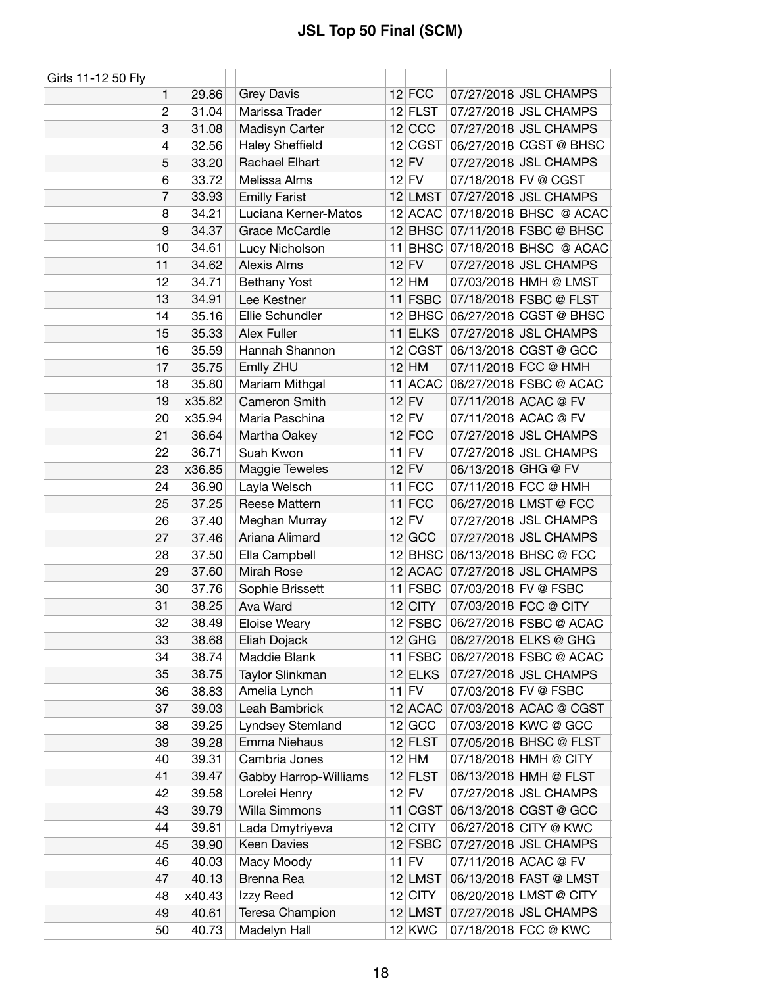| Girls 11-12 50 Fly |        |                        |           |                     |                                |
|--------------------|--------|------------------------|-----------|---------------------|--------------------------------|
| 1                  | 29.86  | <b>Grey Davis</b>      | $12$ FCC  |                     | 07/27/2018 JSL CHAMPS          |
| $\overline{c}$     | 31.04  | Marissa Trader         | 12 FLST   |                     | 07/27/2018 JSL CHAMPS          |
| 3                  | 31.08  | Madisyn Carter         | $12$ CCC  |                     | 07/27/2018 JSL CHAMPS          |
| 4                  | 32.56  | <b>Haley Sheffield</b> | 12 CGST   |                     | 06/27/2018 CGST @ BHSC         |
| 5                  | 33.20  | Rachael Elhart         | $12$ FV   |                     | 07/27/2018 JSL CHAMPS          |
| 6                  | 33.72  | Melissa Alms           | $12$ FV   |                     | 07/18/2018 FV @ CGST           |
| 7                  | 33.93  | <b>Emilly Farist</b>   | $12$ LMST |                     | 07/27/2018 JSL CHAMPS          |
| 8                  | 34.21  | Luciana Kerner-Matos   |           |                     | 12 ACAC 07/18/2018 BHSC @ ACAC |
| 9                  | 34.37  | <b>Grace McCardle</b>  |           |                     | 12 BHSC 07/11/2018 FSBC @ BHSC |
| 10                 | 34.61  | Lucy Nicholson         |           |                     | 11 BHSC 07/18/2018 BHSC @ ACAC |
| 11                 | 34.62  | <b>Alexis Alms</b>     | $12$ FV   |                     | 07/27/2018 JSL CHAMPS          |
| 12                 | 34.71  | <b>Bethany Yost</b>    | $12$ HM   |                     | 07/03/2018 HMH @ LMST          |
| 13                 | 34.91  | Lee Kestner            | $11$ FSBC |                     | 07/18/2018 FSBC @ FLST         |
| 14                 | 35.16  | Ellie Schundler        |           |                     | 12 BHSC 06/27/2018 CGST @ BHSC |
| 15                 | 35.33  | Alex Fuller            | $11$ ELKS |                     | 07/27/2018 JSL CHAMPS          |
| 16                 | 35.59  | Hannah Shannon         | 12 CGST   |                     | 06/13/2018 CGST @ GCC          |
| 17                 | 35.75  | Emlly ZHU              | $12$ HM   |                     | 07/11/2018 FCC @ HMH           |
| 18                 | 35.80  | Mariam Mithgal         | 11 ACAC   |                     | 06/27/2018 FSBC @ ACAC         |
| 19                 | x35.82 | Cameron Smith          | $12$ FV   |                     | 07/11/2018 ACAC @ FV           |
| 20                 | x35.94 | Maria Paschina         | $12$ FV   |                     | 07/11/2018 ACAC @ FV           |
| 21                 | 36.64  | Martha Oakey           | $12$ FCC  |                     | 07/27/2018 JSL CHAMPS          |
| 22                 | 36.71  | Suah Kwon              | $11$ FV   |                     | 07/27/2018 JSL CHAMPS          |
| 23                 | x36.85 | Maggie Teweles         | $12$ FV   | 06/13/2018 GHG @ FV |                                |
| 24                 | 36.90  | Layla Welsch           | $11$ FCC  |                     | 07/11/2018 FCC @ HMH           |
| 25                 | 37.25  | Reese Mattern          | $11$ FCC  |                     | 06/27/2018 LMST @ FCC          |
| 26                 | 37.40  | Meghan Murray          | $12$ FV   |                     | 07/27/2018 JSL CHAMPS          |
| 27                 | 37.46  | Ariana Alimard         | $12$ GCC  |                     | 07/27/2018 JSL CHAMPS          |
| 28                 | 37.50  | Ella Campbell          |           |                     | 12 BHSC 06/13/2018 BHSC @ FCC  |
| 29                 | 37.60  | Mirah Rose             | $12$ ACAC |                     | 07/27/2018 JSL CHAMPS          |
| 30                 | 37.76  | Sophie Brissett        | 11 FSBC   |                     | 07/03/2018 FV @ FSBC           |
| 31                 | 38.25  | Ava Ward               | $12$ CITY |                     | 07/03/2018 FCC @ CITY          |
| 32                 | 38.49  | <b>Eloise Weary</b>    | $12$ FSBC |                     | 06/27/2018 FSBC @ ACAC         |
| 33                 | 38.68  | Eliah Dojack           | $12$ GHG  |                     | 06/27/2018 ELKS @ GHG          |
| 34                 | 38.74  | Maddie Blank           | $11$ FSBC |                     | 06/27/2018 FSBC @ ACAC         |
| 35                 | 38.75  | Taylor Slinkman        | $12$ ELKS |                     | 07/27/2018 JSL CHAMPS          |
| 36                 | 38.83  | Amelia Lynch           | $11$ FV   |                     | 07/03/2018 FV @ FSBC           |
| 37                 | 39.03  | Leah Bambrick          | 12 ACAC   |                     | 07/03/2018 ACAC @ CGST         |
| 38                 | 39.25  | Lyndsey Stemland       | $12$ GCC  |                     | 07/03/2018 KWC @ GCC           |
| 39                 | 39.28  | Emma Niehaus           | $12$ FLST |                     | 07/05/2018 BHSC @ FLST         |
| 40                 | 39.31  | Cambria Jones          | $12$ HM   |                     | 07/18/2018 HMH @ CITY          |
| 41                 | 39.47  | Gabby Harrop-Williams  | $12$ FLST |                     | 06/13/2018 HMH @ FLST          |
| 42                 | 39.58  | Lorelei Henry          | $12$ FV   |                     | 07/27/2018 JSL CHAMPS          |
| 43                 | 39.79  | Willa Simmons          | 11 CGST   |                     | 06/13/2018 CGST @ GCC          |
| 44                 | 39.81  | Lada Dmytriyeva        | 12 CITY   |                     | 06/27/2018 CITY @ KWC          |
| 45                 | 39.90  | Keen Davies            | $12$ FSBC |                     | 07/27/2018 JSL CHAMPS          |
| 46                 | 40.03  | Macy Moody             | $11$ FV   |                     | 07/11/2018 ACAC @ FV           |
| 47                 | 40.13  | Brenna Rea             | 12 LMST   |                     | 06/13/2018 FAST @ LMST         |
| 48                 | x40.43 | Izzy Reed              | $12$ CITY |                     | 06/20/2018 LMST @ CITY         |
| 49                 | 40.61  | Teresa Champion        | 12 LMST   |                     | 07/27/2018 JSL CHAMPS          |
| 50                 | 40.73  | Madelyn Hall           | $12$ KWC  |                     | 07/18/2018 FCC @ KWC           |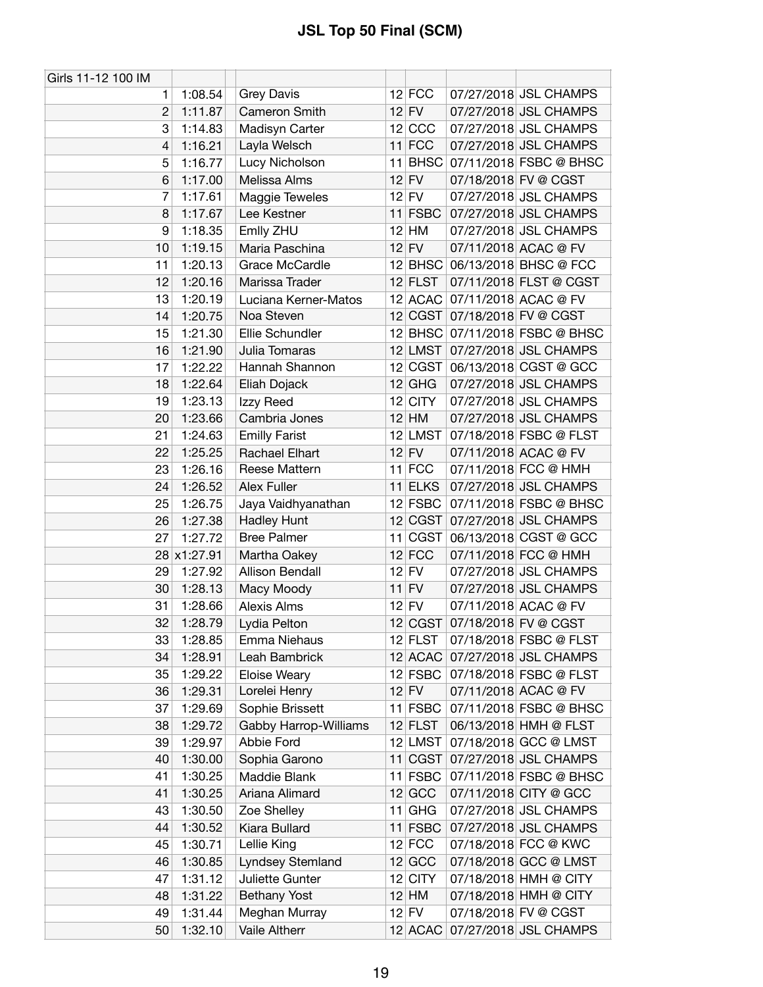| Girls 11-12 100 IM |             |                        |    |             |                                |
|--------------------|-------------|------------------------|----|-------------|--------------------------------|
| 1                  | 1:08.54     | <b>Grey Davis</b>      |    | $12$ FCC    | 07/27/2018 JSL CHAMPS          |
| $\overline{2}$     | 1:11.87     | Cameron Smith          |    | $12$ FV     | 07/27/2018 JSL CHAMPS          |
| 3                  | 1:14.83     | Madisyn Carter         |    | $12$ CCC    | 07/27/2018 JSL CHAMPS          |
| 4                  | 1:16.21     | Layla Welsch           |    | $11$ FCC    | 07/27/2018 JSL CHAMPS          |
| 5                  | 1:16.77     | Lucy Nicholson         |    | $11$ BHSC   | 07/11/2018 FSBC @ BHSC         |
| 6                  | 1:17.00     | Melissa Alms           |    | $12$ FV     | 07/18/2018 FV @ CGST           |
| 7                  | 1:17.61     | Maggie Teweles         |    | $12$ FV     | 07/27/2018 JSL CHAMPS          |
| 8                  | 1:17.67     | Lee Kestner            |    | 11 FSBC     | 07/27/2018 JSL CHAMPS          |
| 9                  | 1:18.35     | Emlly ZHU              |    | $12$ HM     | 07/27/2018 JSL CHAMPS          |
| 10                 | 1:19.15     | Maria Paschina         |    | $12$ FV     | 07/11/2018 ACAC @ FV           |
| 11                 | 1:20.13     | Grace McCardle         |    |             | 12 BHSC 06/13/2018 BHSC @ FCC  |
| 12                 | 1:20.16     | Marissa Trader         |    | $12$ FLST   | 07/11/2018 FLST @ CGST         |
| 13                 | 1:20.19     | Luciana Kerner-Matos   |    |             | 12 ACAC 07/11/2018 ACAC @ FV   |
| 14                 | 1:20.75     | Noa Steven             |    |             | 12 CGST 07/18/2018 FV @ CGST   |
| 15                 | 1:21.30     | Ellie Schundler        |    |             | 12 BHSC 07/11/2018 FSBC @ BHSC |
| 16                 | 1:21.90     | Julia Tomaras          |    | $12$ LMST   | 07/27/2018 JSL CHAMPS          |
| 17                 | 1:22.22     | Hannah Shannon         |    |             | 12 CGST 06/13/2018 CGST @ GCC  |
| 18                 | 1:22.64     | Eliah Dojack           |    | $12$ GHG    | 07/27/2018 JSL CHAMPS          |
| 19                 | 1:23.13     | Izzy Reed              |    | 12 CITY     | 07/27/2018 JSL CHAMPS          |
| 20                 | 1:23.66     | Cambria Jones          |    | $12$ HM     | 07/27/2018 JSL CHAMPS          |
| 21                 | 1:24.63     | <b>Emilly Farist</b>   |    |             | 12 LMST 07/18/2018 FSBC @ FLST |
| 22                 | 1:25.25     | Rachael Elhart         |    | $12$ FV     | 07/11/2018 ACAC @ FV           |
| 23                 | 1:26.16     | Reese Mattern          |    | $11$ FCC    | 07/11/2018 FCC @ HMH           |
| 24                 | 1:26.52     | Alex Fuller            |    | $11$ ELKS   | 07/27/2018 JSL CHAMPS          |
| 25                 | 1:26.75     | Jaya Vaidhyanathan     |    | $12$ FSBC   | 07/11/2018 FSBC @ BHSC         |
| 26                 | 1:27.38     | <b>Hadley Hunt</b>     |    | 12 CGST     | 07/27/2018 JSL CHAMPS          |
| 27                 | 1:27.72     | <b>Bree Palmer</b>     | 11 | <b>CGST</b> | 06/13/2018 CGST @ GCC          |
|                    | 28 x1:27.91 | Martha Oakey           |    | $12$ FCC    | 07/11/2018 FCC @ HMH           |
| 29                 | 1:27.92     | <b>Allison Bendall</b> |    | $12$ FV     | 07/27/2018 JSL CHAMPS          |
| 30                 | 1:28.13     | Macy Moody             |    | $11$ FV     | 07/27/2018 JSL CHAMPS          |
| 31                 | 1:28.66     | <b>Alexis Alms</b>     |    | $12$ FV     | 07/11/2018 ACAC @ FV           |
| 32                 | 1:28.79     | Lydia Pelton           |    | 12 CGST     | 07/18/2018 FV @ CGST           |
| 33                 | 1:28.85     | Emma Niehaus           |    | $12$ FLST   | 07/18/2018 FSBC @ FLST         |
| 34                 | 1:28.91     | Leah Bambrick          |    | $12$ ACAC   | 07/27/2018 JSL CHAMPS          |
| 35                 | 1:29.22     | Eloise Weary           |    |             | 12 FSBC 07/18/2018 FSBC @ FLST |
| 36                 | 1:29.31     | Lorelei Henry          |    | $12$ FV     | 07/11/2018 ACAC @ FV           |
| 37                 | 1:29.69     | Sophie Brissett        |    | $11$ FSBC   | 07/11/2018 FSBC @ BHSC         |
| 38                 | 1:29.72     | Gabby Harrop-Williams  |    | $12$ FLST   | 06/13/2018 HMH @ FLST          |
| 39                 | 1:29.97     | Abbie Ford             |    | $12$ LMST   | 07/18/2018 GCC @ LMST          |
| 40                 | 1:30.00     | Sophia Garono          |    | 11 CGST     | 07/27/2018 JSL CHAMPS          |
| 41                 | 1:30.25     | Maddie Blank           |    | 11 FSBC     | 07/11/2018 FSBC @ BHSC         |
| 41                 | 1:30.25     | Ariana Alimard         |    | 12 GCC      | 07/11/2018 CITY @ GCC          |
| 43                 | 1:30.50     | Zoe Shelley            |    | $11$ GHG    | 07/27/2018 JSL CHAMPS          |
| 44                 | 1:30.52     | Kiara Bullard          |    | 11 FSBC     | 07/27/2018 JSL CHAMPS          |
| 45                 | 1:30.71     | Lellie King            |    | $12$ FCC    | 07/18/2018 FCC @ KWC           |
| 46                 | 1:30.85     | Lyndsey Stemland       |    | $12$ GCC    | 07/18/2018 GCC @ LMST          |
| 47                 | 1:31.12     | Juliette Gunter        |    | $12$ CITY   | 07/18/2018 HMH @ CITY          |
| 48                 | 1:31.22     | <b>Bethany Yost</b>    |    | $12$ HM     | 07/18/2018 HMH @ CITY          |
| 49                 | 1:31.44     | Meghan Murray          |    | $12$ FV     | 07/18/2018 FV @ CGST           |
| 50                 | 1:32.10     | Vaile Altherr          |    | $12$ ACAC   | 07/27/2018 JSL CHAMPS          |
|                    |             |                        |    |             |                                |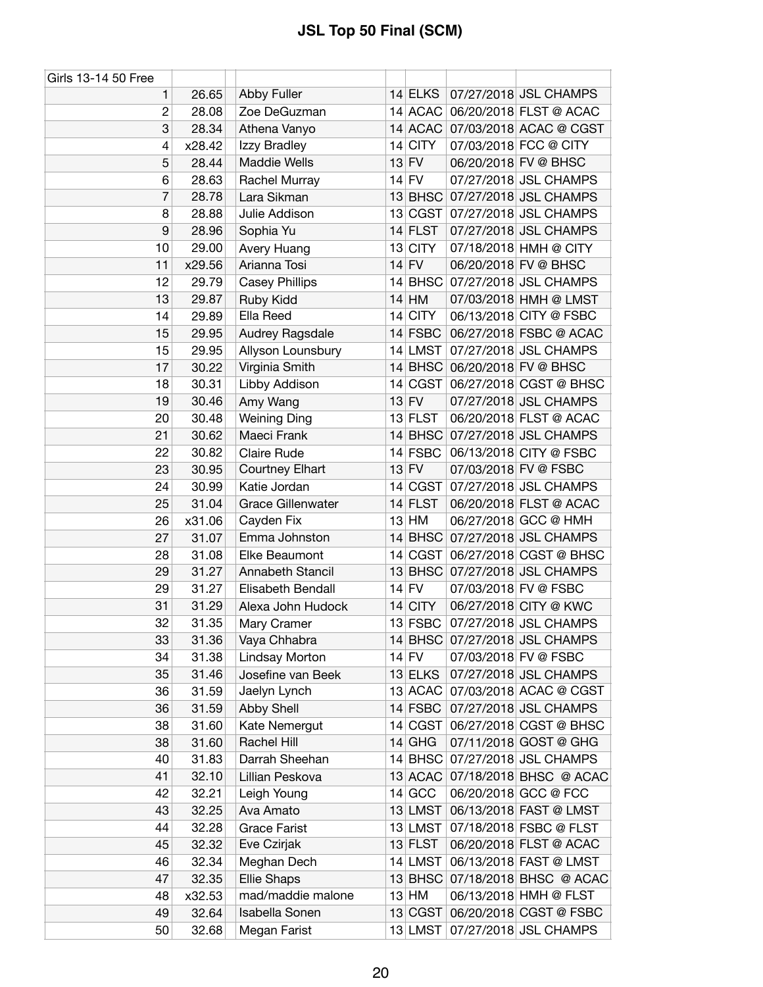| Girls 13-14 50 Free |        |                                     |                      |                                |
|---------------------|--------|-------------------------------------|----------------------|--------------------------------|
| 1.                  | 26.65  | Abby Fuller                         | 14 ELKS              | 07/27/2018 JSL CHAMPS          |
| $\overline{c}$      | 28.08  | Zoe DeGuzman                        | 14 ACAC              | 06/20/2018 FLST @ ACAC         |
| 3                   | 28.34  | Athena Vanyo                        |                      | 14 ACAC 07/03/2018 ACAC @ CGST |
| 4                   | x28.42 | Izzy Bradley                        | $14$ CITY            | 07/03/2018 FCC @ CITY          |
| 5                   | 28.44  | <b>Maddie Wells</b>                 | $13$ FV              | 06/20/2018 FV @ BHSC           |
| 6                   | 28.63  | Rachel Murray                       | $14$ FV              | 07/27/2018 JSL CHAMPS          |
| 7                   | 28.78  | Lara Sikman                         | $13$ BHSC            | 07/27/2018 JSL CHAMPS          |
| 8                   | 28.88  | Julie Addison                       | 13 CGST              | 07/27/2018 JSL CHAMPS          |
| 9                   | 28.96  | Sophia Yu                           | $14$ FLST            | 07/27/2018 JSL CHAMPS          |
| 10                  | 29.00  | Avery Huang                         | 13 CITY              | 07/18/2018 HMH @ CITY          |
| 11                  | x29.56 | Arianna Tosi                        | $14$ FV              | 06/20/2018 FV @ BHSC           |
| 12                  | 29.79  | <b>Casey Phillips</b>               | 14 BHSC              | 07/27/2018 JSL CHAMPS          |
| 13                  | 29.87  | Ruby Kidd                           | $14$ HM              | 07/03/2018 HMH @ LMST          |
| 14                  | 29.89  | Ella Reed                           | $14$ CITY            | 06/13/2018 CITY @ FSBC         |
| 15                  | 29.95  | Audrey Ragsdale                     | 14 FSBC              | 06/27/2018 FSBC @ ACAC         |
| 15                  | 29.95  | Allyson Lounsbury                   | $14$ LMST            | 07/27/2018 JSL CHAMPS          |
| 17                  | 30.22  | Virginia Smith                      |                      | 14 BHSC 06/20/2018 FV @ BHSC   |
| 18                  | 30.31  | Libby Addison                       | 14 CGST              | 06/27/2018 CGST @ BHSC         |
| 19                  | 30.46  | Amy Wang                            | $13$ FV              | 07/27/2018 JSL CHAMPS          |
| 20                  | 30.48  | <b>Weining Ding</b>                 | 13 FLST              | 06/20/2018 FLST @ ACAC         |
| 21                  | 30.62  | Maeci Frank                         |                      | 14 BHSC 07/27/2018 JSL CHAMPS  |
| 22                  | 30.82  | Claire Rude                         | 14 FSBC              | 06/13/2018 CITY @ FSBC         |
| 23                  | 30.95  | <b>Courtney Elhart</b>              | $13$ FV              | 07/03/2018 FV @ FSBC           |
| 24                  | 30.99  | Katie Jordan                        | 14 CGST              | 07/27/2018 JSL CHAMPS          |
| 25                  | 31.04  | <b>Grace Gillenwater</b>            | $14$ FLST            | 06/20/2018 FLST @ ACAC         |
| 26                  | x31.06 | Cayden Fix                          | $13$ HM              | 06/27/2018 GCC @ HMH           |
| 27                  | 31.07  | Emma Johnston                       |                      | 14 BHSC 07/27/2018 JSL CHAMPS  |
| 28                  | 31.08  | Elke Beaumont                       |                      | 14 CGST 06/27/2018 CGST @ BHSC |
| 29                  | 31.27  | Annabeth Stancil                    | $13$ BHSC            | 07/27/2018 JSL CHAMPS          |
| 29                  | 31.27  | Elisabeth Bendall                   | $14$ FV              | 07/03/2018 FV @ FSBC           |
| 31                  | 31.29  | Alexa John Hudock                   | $14$ CITY            | 06/27/2018 CITY @ KWC          |
| 32                  | 31.35  |                                     | 13 FSBC              | 07/27/2018 JSL CHAMPS          |
| 33                  | 31.36  | Mary Cramer                         |                      | 14 BHSC 07/27/2018 JSL CHAMPS  |
| 34                  | 31.38  | Vaya Chhabra<br>Lindsay Morton      | $14$ FV              | 07/03/2018 FV @ FSBC           |
| 35                  | 31.46  | Josefine van Beek                   |                      | 07/27/2018 JSL CHAMPS          |
|                     |        |                                     | $13$ ELKS<br>13 ACAC | 07/03/2018 ACAC @ CGST         |
| 36                  | 31.59  | Jaelyn Lynch                        | 14 FSBC              | 07/27/2018 JSL CHAMPS          |
| 36                  | 31.59  | <b>Abby Shell</b>                   | 14 CGST              | 06/27/2018 CGST @ BHSC         |
| 38                  | 31.60  | Kate Nemergut<br><b>Rachel Hill</b> |                      |                                |
| 38                  | 31.60  |                                     | $14$ GHG             | 07/11/2018 GOST @ GHG          |
| 40                  | 31.83  | Darrah Sheehan                      | $14$ BHSC            | 07/27/2018 JSL CHAMPS          |
| 41                  | 32.10  | Lillian Peskova                     | $13$ ACAC            | 07/18/2018 BHSC @ ACAC         |
| 42                  | 32.21  | Leigh Young                         | $14$ GCC             | 06/20/2018 GCC @ FCC           |
| 43                  | 32.25  | Ava Amato                           | 13 LMST              | 06/13/2018 FAST @ LMST         |
| 44                  | 32.28  | <b>Grace Farist</b>                 | 13 LMST              | 07/18/2018 FSBC @ FLST         |
| 45                  | 32.32  | Eve Czirjak                         | $13$ FLST            | 06/20/2018 FLST @ ACAC         |
| 46                  | 32.34  | Meghan Dech                         | 14 LMST              | 06/13/2018 FAST @ LMST         |
| 47                  | 32.35  | <b>Ellie Shaps</b>                  | $13$ BHSC            | 07/18/2018 BHSC @ ACAC         |
| 48                  | x32.53 | mad/maddie malone                   | $13$ HM              | 06/13/2018 HMH @ FLST          |
| 49                  | 32.64  | Isabella Sonen                      | 13 CGST              | 06/20/2018 CGST @ FSBC         |
| 50                  | 32.68  | Megan Farist                        |                      | 13 LMST 07/27/2018 JSL CHAMPS  |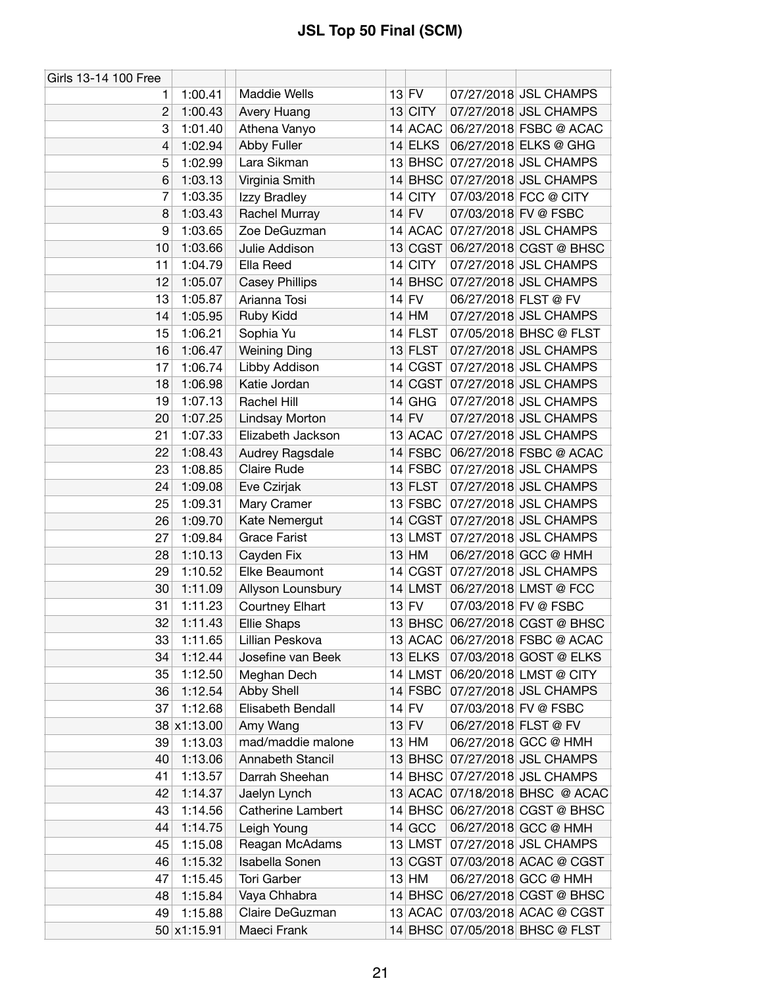| Girls 13-14 100 Free |             |                                |    |             |                      |                                                |
|----------------------|-------------|--------------------------------|----|-------------|----------------------|------------------------------------------------|
| 1.                   | 1:00.41     | Maddie Wells                   |    | $13$ FV     |                      | 07/27/2018 JSL CHAMPS                          |
| $\overline{2}$       | 1:00.43     | Avery Huang                    |    | $13$ CITY   |                      | 07/27/2018 JSL CHAMPS                          |
| 3                    | 1:01.40     | Athena Vanyo                   |    |             |                      | 14 ACAC 06/27/2018 FSBC @ ACAC                 |
| 4                    | 1:02.94     | Abby Fuller                    |    | $14$ ELKS   |                      | 06/27/2018 ELKS @ GHG                          |
| 5                    | 1:02.99     | Lara Sikman                    |    | 13 BHSC     |                      | 07/27/2018 JSL CHAMPS                          |
| 6                    | 1:03.13     | Virginia Smith                 |    |             |                      | 14 BHSC 07/27/2018 JSL CHAMPS                  |
| 7                    | 1:03.35     | Izzy Bradley                   | 14 | <b>CITY</b> |                      | 07/03/2018 FCC @ CITY                          |
| 8                    | 1:03.43     | Rachel Murray                  |    | $14$ FV     |                      | 07/03/2018 FV @ FSBC                           |
| 9                    | 1:03.65     | Zoe DeGuzman                   |    | 14 ACAC     |                      | 07/27/2018 JSL CHAMPS                          |
| 10                   | 1:03.66     | Julie Addison                  |    | 13 CGST     |                      | 06/27/2018 CGST @ BHSC                         |
| 11                   | 1:04.79     | Ella Reed                      |    | 14 CITY     |                      | 07/27/2018 JSL CHAMPS                          |
| 12                   | 1:05.07     | <b>Casey Phillips</b>          |    | 14 BHSC     |                      | 07/27/2018 JSL CHAMPS                          |
| 13                   | 1:05.87     | Arianna Tosi                   |    | $14$ FV     | 06/27/2018 FLST @ FV |                                                |
| 14                   | 1:05.95     | Ruby Kidd                      |    | $14$ HM     |                      | 07/27/2018 JSL CHAMPS                          |
| 15                   | 1:06.21     | Sophia Yu                      |    | $14$ FLST   |                      | 07/05/2018 BHSC @ FLST                         |
| 16                   | 1:06.47     | <b>Weining Ding</b>            |    | $13$ FLST   |                      | 07/27/2018 JSL CHAMPS                          |
| 17                   | 1:06.74     | Libby Addison                  |    |             |                      | 14 CGST 07/27/2018 JSL CHAMPS                  |
| 18                   | 1:06.98     | Katie Jordan                   |    | 14 CGST     |                      | 07/27/2018 JSL CHAMPS                          |
| 19                   | 1:07.13     | Rachel Hill                    |    | $14$ GHG    |                      | 07/27/2018 JSL CHAMPS                          |
| 20                   | 1:07.25     | Lindsay Morton                 |    | $14$ FV     |                      | 07/27/2018 JSL CHAMPS                          |
| 21                   | 1:07.33     | Elizabeth Jackson              |    |             |                      | 13 ACAC 07/27/2018 JSL CHAMPS                  |
| 22                   | 1:08.43     |                                |    | 14 FSBC     |                      | 06/27/2018 FSBC @ ACAC                         |
| 23                   | 1:08.85     | Audrey Ragsdale<br>Claire Rude |    | $14$ FSBC   |                      | 07/27/2018 JSL CHAMPS                          |
|                      |             |                                |    |             |                      |                                                |
| 24                   | 1:09.08     | Eve Czirjak                    |    | 13 FLST     |                      | 07/27/2018 JSL CHAMPS                          |
| 25                   | 1:09.31     | Mary Cramer                    |    | 13 FSBC     |                      | 07/27/2018 JSL CHAMPS<br>07/27/2018 JSL CHAMPS |
| 26<br>27             | 1:09.70     | Kate Nemergut                  |    | 14 CGST     |                      |                                                |
|                      | 1:09.84     | <b>Grace Farist</b>            |    | 13 LMST     |                      | 07/27/2018 JSL CHAMPS                          |
| 28                   | 1:10.13     | Cayden Fix<br>Elke Beaumont    |    | $13$ HM     |                      | 06/27/2018 GCC @ HMH                           |
| 29                   | 1:10.52     |                                |    |             |                      | 14 CGST 07/27/2018 JSL CHAMPS                  |
| 30                   | 1:11.09     | Allyson Lounsbury              |    | 14 LMST     |                      | 06/27/2018 LMST @ FCC                          |
| 31                   | 1:11.23     | <b>Courtney Elhart</b>         |    | $13$ FV     |                      | 07/03/2018 FV @ FSBC                           |
| 32                   | 1:11.43     | <b>Ellie Shaps</b>             |    |             |                      | 13 BHSC 06/27/2018 CGST @ BHSC                 |
| 33                   | 1:11.65     | Lillian Peskova                |    |             |                      | 13 ACAC 06/27/2018 FSBC @ ACAC                 |
| 34                   | 1:12.44     | Josefine van Beek              |    | $13$ ELKS   |                      | 07/03/2018 GOST @ ELKS                         |
| 35                   | 1:12.50     | Meghan Dech                    |    | $14$ LMST   |                      | 06/20/2018 LMST @ CITY                         |
| 36                   | 1:12.54     | Abby Shell                     |    | $14$ FSBC   |                      | 07/27/2018 JSL CHAMPS                          |
| 37                   | 1:12.68     | Elisabeth Bendall              |    | $14$ FV     |                      | 07/03/2018 FV @ FSBC                           |
|                      | 38 x1:13.00 | Amy Wang                       |    | $13$ FV     |                      | 06/27/2018 FLST @ FV                           |
| 39                   | 1:13.03     | mad/maddie malone              |    | $13$ HM     |                      | 06/27/2018 GCC @ HMH                           |
| 40                   | 1:13.06     | Annabeth Stancil               |    | $13$ BHSC   |                      | 07/27/2018 JSL CHAMPS                          |
| 41                   | 1:13.57     | Darrah Sheehan                 |    |             |                      | 14 BHSC 07/27/2018 JSL CHAMPS                  |
| 42                   | 1:14.37     | Jaelyn Lynch                   |    |             |                      | 13 ACAC 07/18/2018 BHSC @ ACAC                 |
| 43                   | 1:14.56     | <b>Catherine Lambert</b>       |    |             |                      | 14 BHSC 06/27/2018 CGST @ BHSC                 |
| 44                   | 1:14.75     | Leigh Young                    |    | 14 GCC      |                      | 06/27/2018 GCC @ HMH                           |
| 45                   | 1:15.08     | Reagan McAdams                 |    |             |                      | 13 LMST 07/27/2018 JSL CHAMPS                  |
| 46                   | 1:15.32     | Isabella Sonen                 |    |             |                      | 13 CGST 07/03/2018 ACAC @ CGST                 |
| 47                   | 1:15.45     | <b>Tori Garber</b>             |    | $13$ HM     |                      | 06/27/2018 GCC @ HMH                           |
| 48                   | 1:15.84     | Vaya Chhabra                   |    | $14$ BHSC   |                      | 06/27/2018 CGST @ BHSC                         |
| 49                   | 1:15.88     | Claire DeGuzman                |    |             |                      | 13 ACAC 07/03/2018 ACAC @ CGST                 |
|                      | 50 x1:15.91 | Maeci Frank                    |    |             |                      | 14 BHSC 07/05/2018 BHSC @ FLST                 |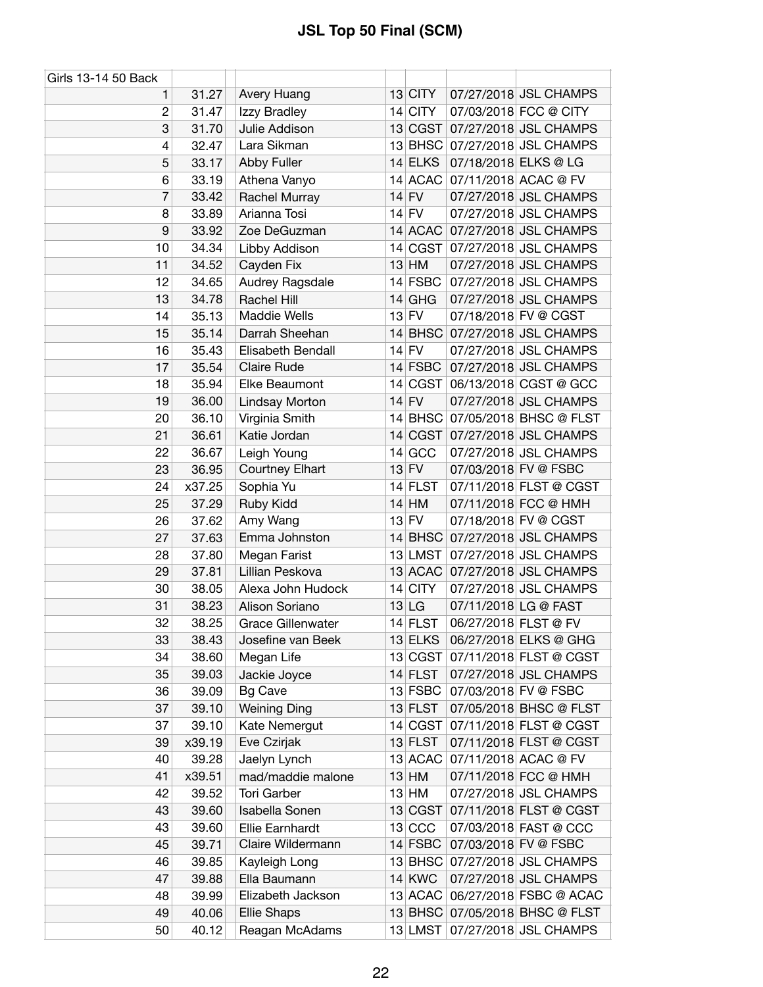| Girls 13-14 50 Back |        |                          |    |            |                      |                                |
|---------------------|--------|--------------------------|----|------------|----------------------|--------------------------------|
| 1                   | 31.27  | Avery Huang              |    | 13 CITY    |                      | 07/27/2018 JSL CHAMPS          |
| $\overline{c}$      | 31.47  | Izzy Bradley             |    | 14 CITY    |                      | 07/03/2018 FCC @ CITY          |
| 3                   | 31.70  | Julie Addison            |    | 13 CGST    |                      | 07/27/2018 JSL CHAMPS          |
| 4                   | 32.47  | Lara Sikman              |    |            |                      | 13 BHSC 07/27/2018 JSL CHAMPS  |
| 5                   | 33.17  | Abby Fuller              |    | 14 ELKS    |                      | 07/18/2018 ELKS @ LG           |
| 6                   | 33.19  | Athena Vanyo             |    |            |                      | 14 ACAC 07/11/2018 ACAC @ FV   |
| 7                   | 33.42  | Rachel Murray            |    | $14$ FV    |                      | 07/27/2018 JSL CHAMPS          |
| 8                   | 33.89  | Arianna Tosi             |    | $14$ FV    |                      | 07/27/2018 JSL CHAMPS          |
| 9                   | 33.92  | Zoe DeGuzman             |    | 14 ACAC    |                      | 07/27/2018 JSL CHAMPS          |
| 10                  | 34.34  | Libby Addison            |    |            |                      | 14 CGST 07/27/2018 JSL CHAMPS  |
| 11                  | 34.52  | Cayden Fix               |    | $13$ HM    |                      | 07/27/2018 JSL CHAMPS          |
| 12                  | 34.65  | Audrey Ragsdale          |    | 14 FSBC    |                      | 07/27/2018 JSL CHAMPS          |
| 13                  | 34.78  | Rachel Hill              | 14 | <b>GHG</b> |                      | 07/27/2018 JSL CHAMPS          |
| 14                  | 35.13  | <b>Maddie Wells</b>      |    | $13$ FV    |                      | 07/18/2018 FV @ CGST           |
| 15                  | 35.14  | Darrah Sheehan           |    | $14$ BHSC  |                      | 07/27/2018 JSL CHAMPS          |
| 16                  | 35.43  | Elisabeth Bendall        |    | $14$ FV    |                      | 07/27/2018 JSL CHAMPS          |
| 17                  | 35.54  | Claire Rude              |    | $14$ FSBC  |                      | 07/27/2018 JSL CHAMPS          |
| 18                  | 35.94  | Elke Beaumont            |    | 14 CGST    |                      | 06/13/2018 CGST @ GCC          |
| 19                  | 36.00  | <b>Lindsay Morton</b>    |    | $14$ FV    |                      | 07/27/2018 JSL CHAMPS          |
| 20                  | 36.10  | Virginia Smith           |    | $14$ BHSC  |                      | 07/05/2018 BHSC @ FLST         |
| 21                  | 36.61  | Katie Jordan             |    | 14 CGST    |                      | 07/27/2018 JSL CHAMPS          |
| 22                  | 36.67  | Leigh Young              |    | $14$ GCC   |                      | 07/27/2018 JSL CHAMPS          |
| 23                  | 36.95  | <b>Courtney Elhart</b>   |    | $13$ FV    |                      | 07/03/2018 FV @ FSBC           |
| 24                  | x37.25 | Sophia Yu                |    | 14 FLST    |                      | 07/11/2018 FLST @ CGST         |
| 25                  | 37.29  | Ruby Kidd                | 14 | HM         |                      | 07/11/2018 FCC @ HMH           |
| 26                  | 37.62  | Amy Wang                 |    | $13$ FV    |                      | 07/18/2018 FV @ CGST           |
| 27                  | 37.63  | Emma Johnston            |    | $14$ BHSC  |                      | 07/27/2018 JSL CHAMPS          |
| 28                  | 37.80  | Megan Farist             |    | $13$ LMST  |                      | 07/27/2018 JSL CHAMPS          |
| 29                  | 37.81  | Lillian Peskova          |    | $13$ ACAC  |                      | 07/27/2018 JSL CHAMPS          |
| 30                  | 38.05  | Alexa John Hudock        |    | $14$ CITY  |                      | 07/27/2018 JSL CHAMPS          |
| 31                  | 38.23  | Alison Soriano           |    | $13$ LG    |                      | 07/11/2018 LG @ FAST           |
| 32                  | 38.25  | <b>Grace Gillenwater</b> |    | 14 FLST    | 06/27/2018 FLST @ FV |                                |
| 33                  | 38.43  | Josefine van Beek        |    | $13$ ELKS  |                      | 06/27/2018 ELKS @ GHG          |
| 34                  | 38.60  | Megan Life               |    | 13 CGST    |                      | 07/11/2018 FLST @ CGST         |
| 35                  | 39.03  | Jackie Joyce             |    | 14 FLST    |                      | 07/27/2018 JSL CHAMPS          |
| 36                  | 39.09  | <b>Bg Cave</b>           |    | 13 FSBC    |                      | 07/03/2018 FV @ FSBC           |
| 37                  | 39.10  | <b>Weining Ding</b>      |    | $13$ FLST  |                      | 07/05/2018 BHSC @ FLST         |
| 37                  | 39.10  | Kate Nemergut            |    | 14 CGST    |                      | 07/11/2018 FLST @ CGST         |
| 39                  | x39.19 | Eve Czirjak              |    | $13$ FLST  |                      | 07/11/2018 FLST @ CGST         |
| 40                  | 39.28  | Jaelyn Lynch             |    | 13 ACAC    |                      | 07/11/2018 ACAC @ FV           |
| 41                  | x39.51 | mad/maddie malone        |    | $13$ HM    |                      | 07/11/2018 FCC @ HMH           |
| 42                  | 39.52  | <b>Tori Garber</b>       |    | $13$ HM    |                      | 07/27/2018 JSL CHAMPS          |
| 43                  | 39.60  | Isabella Sonen           |    | 13 CGST    |                      | 07/11/2018 FLST @ CGST         |
| 43                  | 39.60  | Ellie Earnhardt          |    | $13$ CCC   |                      | 07/03/2018 FAST @ CCC          |
| 45                  | 39.71  | Claire Wildermann        |    | $14$ FSBC  |                      | 07/03/2018 FV @ FSBC           |
| 46                  | 39.85  | Kayleigh Long            |    | $13$ BHSC  |                      | 07/27/2018 JSL CHAMPS          |
| 47                  | 39.88  | Ella Baumann             |    | $14$ KWC   |                      | 07/27/2018 JSL CHAMPS          |
| 48                  | 39.99  | Elizabeth Jackson        |    | $13$ ACAC  |                      | 06/27/2018 FSBC @ ACAC         |
| 49                  | 40.06  | <b>Ellie Shaps</b>       |    |            |                      | 13 BHSC 07/05/2018 BHSC @ FLST |
| 50                  | 40.12  | Reagan McAdams           |    | 13 LMST    |                      | 07/27/2018 JSL CHAMPS          |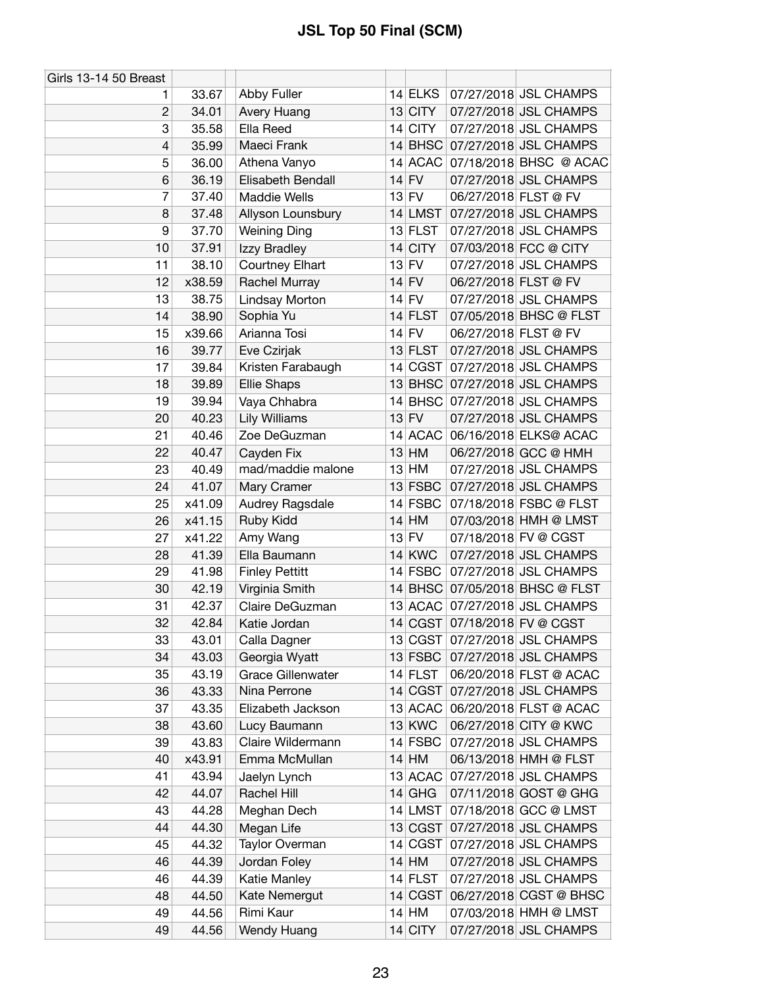| <b>Girls 13-14 50 Breast</b> |        |                          |    |               |                      |                                |
|------------------------------|--------|--------------------------|----|---------------|----------------------|--------------------------------|
| 1                            | 33.67  | Abby Fuller              |    | 14 ELKS       |                      | 07/27/2018 JSL CHAMPS          |
| 2                            | 34.01  | Avery Huang              |    | 13 CITY       |                      | 07/27/2018 JSL CHAMPS          |
| 3                            | 35.58  | Ella Reed                |    | 14 CITY       |                      | 07/27/2018 JSL CHAMPS          |
| 4                            | 35.99  | Maeci Frank              |    |               |                      | 14 BHSC 07/27/2018 JSL CHAMPS  |
| 5                            | 36.00  | Athena Vanyo             |    |               |                      | 14 ACAC 07/18/2018 BHSC @ ACAC |
| 6                            | 36.19  | Elisabeth Bendall        |    | $14$ FV       |                      | 07/27/2018 JSL CHAMPS          |
| 7                            | 37.40  | <b>Maddie Wells</b>      |    | $13$ FV       | 06/27/2018 FLST @ FV |                                |
| 8                            | 37.48  | Allyson Lounsbury        |    | $14$ LMST     |                      | 07/27/2018 JSL CHAMPS          |
| 9                            | 37.70  | <b>Weining Ding</b>      |    | 13 FLST       |                      | 07/27/2018 JSL CHAMPS          |
| 10                           | 37.91  | Izzy Bradley             |    | 14 CITY       |                      | 07/03/2018 FCC @ CITY          |
| 11                           | 38.10  | Courtney Elhart          |    | $13$ FV       |                      | 07/27/2018 JSL CHAMPS          |
| 12                           | x38.59 | Rachel Murray            |    | $14$ FV       | 06/27/2018 FLST @ FV |                                |
| 13                           | 38.75  | Lindsay Morton           |    | $14$ FV       |                      | 07/27/2018 JSL CHAMPS          |
| 14                           | 38.90  | Sophia Yu                |    | $14$ FLST     |                      | 07/05/2018 BHSC @ FLST         |
| 15                           | x39.66 | Arianna Tosi             |    | $14$ FV       | 06/27/2018 FLST @ FV |                                |
| 16                           | 39.77  | Eve Czirjak              |    | $13$ FLST     |                      | 07/27/2018 JSL CHAMPS          |
| 17                           | 39.84  | Kristen Farabaugh        |    |               |                      | 14 CGST 07/27/2018 JSL CHAMPS  |
| 18                           | 39.89  | <b>Ellie Shaps</b>       |    |               |                      | 13 BHSC 07/27/2018 JSL CHAMPS  |
| 19                           | 39.94  | Vaya Chhabra             |    |               |                      | 14 BHSC 07/27/2018 JSL CHAMPS  |
| 20                           | 40.23  | <b>Lily Williams</b>     |    | $13$ FV       |                      | 07/27/2018 JSL CHAMPS          |
| 21                           | 40.46  | Zoe DeGuzman             |    |               |                      | 14 ACAC 06/16/2018 ELKS@ ACAC  |
| 22                           | 40.47  | Cayden Fix               |    | $13$ HM       |                      | 06/27/2018 GCC @ HMH           |
| 23                           | 40.49  | mad/maddie malone        |    | $13$ HM       |                      | 07/27/2018 JSL CHAMPS          |
| 24                           | 41.07  | Mary Cramer              |    | $13$ FSBC     |                      | 07/27/2018 JSL CHAMPS          |
| 25                           | x41.09 | Audrey Ragsdale          |    | 14 FSBC       |                      | 07/18/2018 FSBC @ FLST         |
| 26                           | x41.15 | Ruby Kidd                |    | $14$ HM       |                      | 07/03/2018 HMH @ LMST          |
| 27                           | x41.22 | Amy Wang                 |    | $13$ FV       |                      | 07/18/2018 FV @ CGST           |
| 28                           | 41.39  | Ella Baumann             |    | <b>14 KWC</b> |                      | 07/27/2018 JSL CHAMPS          |
| 29                           | 41.98  | <b>Finley Pettitt</b>    |    | $14$ FSBC     |                      | 07/27/2018 JSL CHAMPS          |
| 30                           | 42.19  | Virginia Smith           |    |               |                      | 14 BHSC 07/05/2018 BHSC @ FLST |
| 31                           | 42.37  | Claire DeGuzman          |    |               |                      | 13 ACAC 07/27/2018 JSL CHAMPS  |
| 32                           | 42.84  | Katie Jordan             |    |               |                      | 14 CGST 07/18/2018 FV @ CGST   |
| 33                           | 43.01  | Calla Dagner             |    |               |                      | 13 CGST 07/27/2018 JSL CHAMPS  |
| 34                           | 43.03  | Georgia Wyatt            |    | $13$ FSBC     |                      | 07/27/2018 JSL CHAMPS          |
| 35                           | 43.19  | <b>Grace Gillenwater</b> |    | 14 FLST       |                      | 06/20/2018 FLST @ ACAC         |
| 36                           | 43.33  | Nina Perrone             |    | 14 CGST       |                      | 07/27/2018 JSL CHAMPS          |
| 37                           | 43.35  | Elizabeth Jackson        |    | 13 ACAC       |                      | 06/20/2018 FLST @ ACAC         |
| 38                           | 43.60  | Lucy Baumann             |    | $13$ KWC      |                      | 06/27/2018 CITY @ KWC          |
| 39                           | 43.83  | Claire Wildermann        |    | $14$ FSBC     |                      | 07/27/2018 JSL CHAMPS          |
| 40                           | x43.91 | Emma McMullan            |    | $14$ HM       |                      | 06/13/2018 HMH @ FLST          |
| 41                           | 43.94  | Jaelyn Lynch             |    | 13 ACAC       |                      | 07/27/2018 JSL CHAMPS          |
| 42                           | 44.07  | Rachel Hill              |    | $14$ GHG      |                      | 07/11/2018 GOST @ GHG          |
| 43                           | 44.28  | Meghan Dech              |    | 14 LMST       |                      | 07/18/2018 GCC @ LMST          |
| 44                           | 44.30  | Megan Life               |    | 13 CGST       |                      | 07/27/2018 JSL CHAMPS          |
| 45                           | 44.32  | Taylor Overman           | 14 | CGST          |                      | 07/27/2018 JSL CHAMPS          |
| 46                           | 44.39  | Jordan Foley             |    | $14$ HM       |                      | 07/27/2018 JSL CHAMPS          |
| 46                           | 44.39  | Katie Manley             |    | $14$ FLST     |                      | 07/27/2018 JSL CHAMPS          |
| 48                           | 44.50  | Kate Nemergut            |    | 14 CGST       |                      | 06/27/2018 CGST @ BHSC         |
| 49                           | 44.56  | Rimi Kaur                |    | $14$ HM       |                      | 07/03/2018 HMH @ LMST          |
| 49                           | 44.56  | Wendy Huang              |    | 14 CITY       |                      | 07/27/2018 JSL CHAMPS          |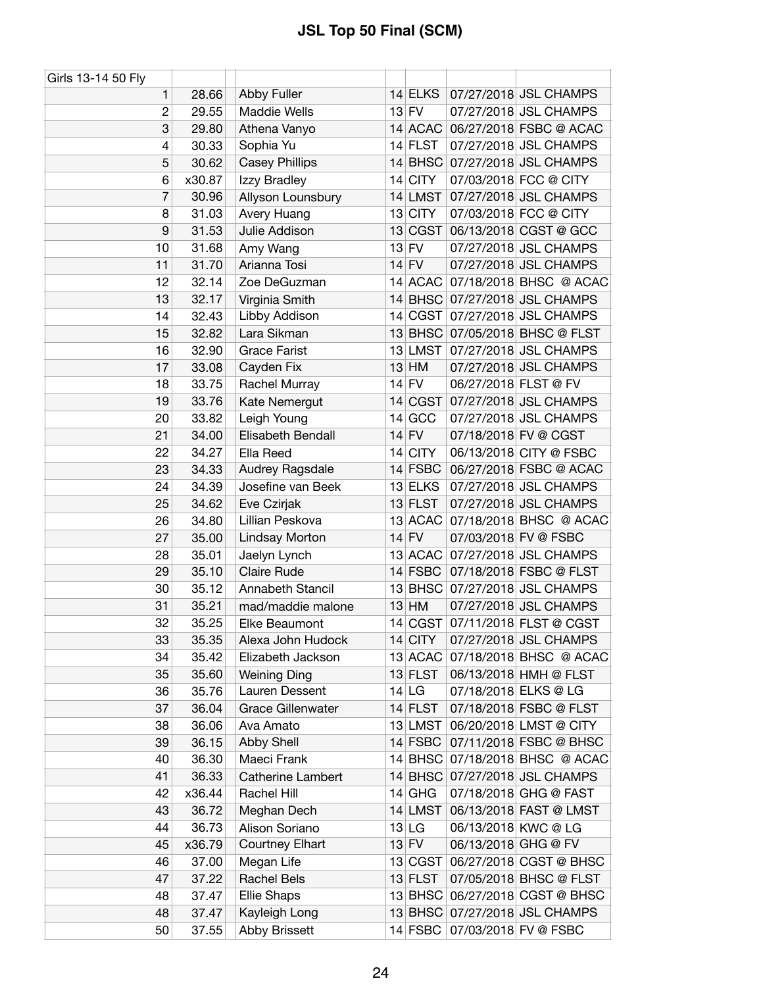| Girls 13-14 50 Fly |        |                          |           |                      |                                |
|--------------------|--------|--------------------------|-----------|----------------------|--------------------------------|
| 1                  | 28.66  | <b>Abby Fuller</b>       | $14$ ELKS |                      | 07/27/2018 JSL CHAMPS          |
| $\overline{c}$     | 29.55  | <b>Maddie Wells</b>      | $13$ FV   |                      | 07/27/2018 JSL CHAMPS          |
| 3                  | 29.80  | Athena Vanyo             | 14 ACAC   |                      | 06/27/2018 FSBC @ ACAC         |
| 4                  | 30.33  | Sophia Yu                | $14$ FLST |                      | 07/27/2018 JSL CHAMPS          |
| 5                  | 30.62  | <b>Casey Phillips</b>    | $14$ BHSC |                      | 07/27/2018 JSL CHAMPS          |
| 6                  | x30.87 | Izzy Bradley             | $14$ CITY |                      | 07/03/2018 FCC @ CITY          |
| 7                  | 30.96  | Allyson Lounsbury        | 14 LMST   |                      | 07/27/2018 JSL CHAMPS          |
| 8                  | 31.03  | Avery Huang              | 13 CITY   |                      | 07/03/2018 FCC @ CITY          |
| 9                  | 31.53  | Julie Addison            | 13 CGST   |                      | 06/13/2018 CGST @ GCC          |
| 10                 | 31.68  | Amy Wang                 | $13$ FV   |                      | 07/27/2018 JSL CHAMPS          |
| 11                 | 31.70  | Arianna Tosi             | $14$ FV   |                      | 07/27/2018 JSL CHAMPS          |
| 12                 | 32.14  | Zoe DeGuzman             | 14 ACAC   |                      | 07/18/2018 BHSC @ ACAC         |
| 13                 | 32.17  | Virginia Smith           |           |                      | 14 BHSC 07/27/2018 JSL CHAMPS  |
| 14                 | 32.43  | Libby Addison            | 14 CGST   |                      | 07/27/2018 JSL CHAMPS          |
| 15                 | 32.82  | Lara Sikman              |           |                      | 13 BHSC 07/05/2018 BHSC @ FLST |
| 16                 | 32.90  | <b>Grace Farist</b>      | 13 LMST   |                      | 07/27/2018 JSL CHAMPS          |
| 17                 | 33.08  | Cayden Fix               | $13$ HM   |                      | 07/27/2018 JSL CHAMPS          |
| 18                 | 33.75  | Rachel Murray            | 14 FV     | 06/27/2018 FLST @ FV |                                |
| 19                 | 33.76  | Kate Nemergut            | 14 CGST   |                      | 07/27/2018 JSL CHAMPS          |
| 20                 | 33.82  | Leigh Young              | $14$ GCC  |                      | 07/27/2018 JSL CHAMPS          |
| 21                 | 34.00  | Elisabeth Bendall        | $14$ FV   |                      | 07/18/2018 FV @ CGST           |
| 22                 | 34.27  | Ella Reed                | 14 CITY   |                      | 06/13/2018 CITY @ FSBC         |
| 23                 | 34.33  | Audrey Ragsdale          | $14$ FSBC |                      | 06/27/2018 FSBC @ ACAC         |
| 24                 | 34.39  | Josefine van Beek        | 13 ELKS   |                      | 07/27/2018 JSL CHAMPS          |
| 25                 | 34.62  | Eve Czirjak              | $13$ FLST |                      | 07/27/2018 JSL CHAMPS          |
| 26                 | 34.80  | Lillian Peskova          | 13 ACAC   |                      | 07/18/2018 BHSC @ ACAC         |
| 27                 | 35.00  | Lindsay Morton           | $14$ FV   |                      | 07/03/2018 FV @ FSBC           |
| 28                 | 35.01  | Jaelyn Lynch             | 13 ACAC   |                      | 07/27/2018 JSL CHAMPS          |
| 29                 | 35.10  | <b>Claire Rude</b>       | $14$ FSBC |                      | 07/18/2018 FSBC @ FLST         |
| 30                 | 35.12  | Annabeth Stancil         | $13$ BHSC |                      | 07/27/2018 JSL CHAMPS          |
| 31                 |        |                          |           |                      |                                |
|                    | 35.21  | mad/maddie malone        | $13$ HM   |                      | 07/27/2018 JSL CHAMPS          |
| 32                 | 35.25  | Elke Beaumont            | 14 CGST   |                      | 07/11/2018 FLST @ CGST         |
| 33                 | 35.35  | Alexa John Hudock        | $14$ CITY |                      | 07/27/2018 JSL CHAMPS          |
| 34                 | 35.42  | Elizabeth Jackson        | 13 ACAC   |                      | 07/18/2018 BHSC @ ACAC         |
| 35                 | 35.60  | <b>Weining Ding</b>      | 13 FLST   |                      | 06/13/2018 HMH @ FLST          |
| 36                 | 35.76  | Lauren Dessent           | $14$ LG   |                      | 07/18/2018 ELKS @ LG           |
| 37                 | 36.04  | <b>Grace Gillenwater</b> | $14$ FLST |                      | 07/18/2018 FSBC @ FLST         |
| 38                 | 36.06  | Ava Amato                | 13 LMST   |                      | 06/20/2018 LMST @ CITY         |
| 39                 | 36.15  | Abby Shell               | $14$ FSBC |                      | 07/11/2018 FSBC @ BHSC         |
| 40                 | 36.30  | Maeci Frank              | $14$ BHSC |                      | 07/18/2018 BHSC @ ACAC         |
| 41                 | 36.33  | Catherine Lambert        | $14$ BHSC |                      | 07/27/2018 JSL CHAMPS          |
| 42                 | x36.44 | Rachel Hill              | $14$ GHG  |                      | 07/18/2018 GHG @ FAST          |
| 43                 | 36.72  | Meghan Dech              | 14 LMST   |                      | 06/13/2018 FAST @ LMST         |
| 44                 | 36.73  | Alison Soriano           | 13 LG     |                      | 06/13/2018 KWC @ LG            |
| 45                 | x36.79 | <b>Courtney Elhart</b>   | $13$ FV   | 06/13/2018 GHG @ FV  |                                |
| 46                 | 37.00  | Megan Life               | 13 CGST   |                      | 06/27/2018 CGST @ BHSC         |
| 47                 | 37.22  | <b>Rachel Bels</b>       | $13$ FLST |                      | 07/05/2018 BHSC @ FLST         |
| 48                 | 37.47  | Ellie Shaps              | $13$ BHSC |                      | 06/27/2018 CGST @ BHSC         |
| 48                 | 37.47  | Kayleigh Long            |           |                      | 13 BHSC 07/27/2018 JSL CHAMPS  |
| 50                 | 37.55  | <b>Abby Brissett</b>     | $14$ FSBC |                      | 07/03/2018 FV @ FSBC           |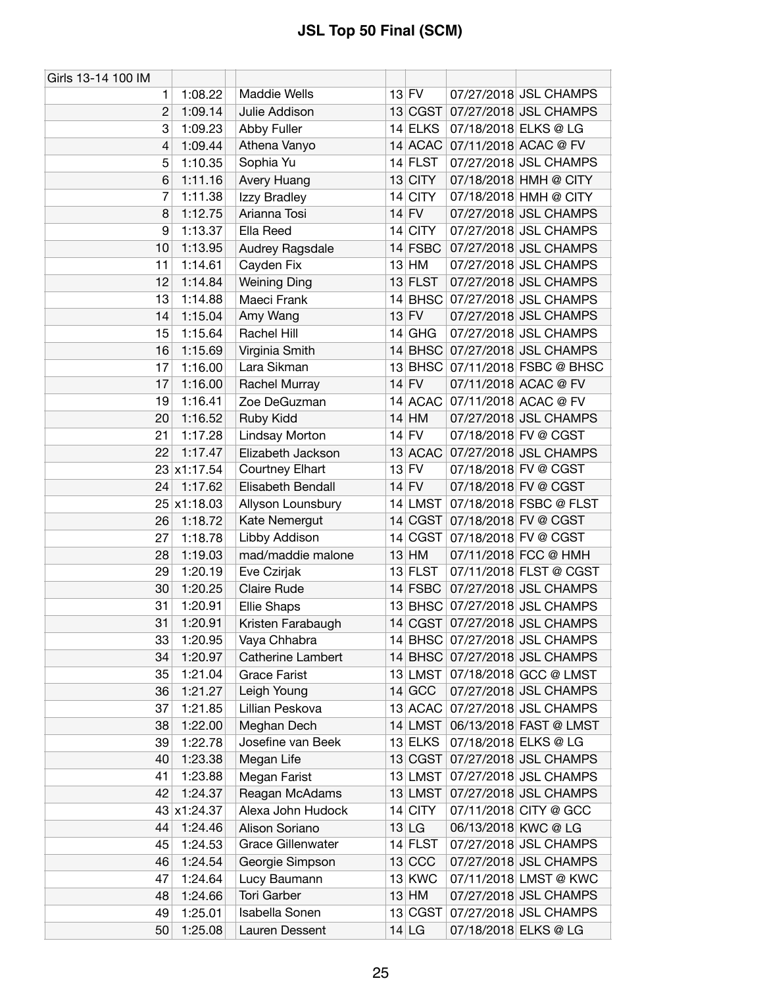| Girls 13-14 100 IM |             |                          |    |             |                                |
|--------------------|-------------|--------------------------|----|-------------|--------------------------------|
| 1                  | 1:08.22     | <b>Maddie Wells</b>      |    | $13$ FV     | 07/27/2018 JSL CHAMPS          |
| $\overline{2}$     | 1:09.14     | Julie Addison            |    |             | 13 CGST 07/27/2018 JSL CHAMPS  |
| 3                  | 1:09.23     | <b>Abby Fuller</b>       |    | 14 ELKS     | 07/18/2018 ELKS @ LG           |
| 4                  | 1:09.44     | Athena Vanyo             |    |             | 14 ACAC 07/11/2018 ACAC @ FV   |
| 5                  | 1:10.35     | Sophia Yu                |    | $14$ FLST   | 07/27/2018 JSL CHAMPS          |
| 6                  | 1:11.16     | Avery Huang              |    | 13 CITY     | 07/18/2018 HMH @ CITY          |
| 7                  | 1:11.38     | Izzy Bradley             | 14 | <b>CITY</b> | 07/18/2018 HMH @ CITY          |
| 8                  | 1:12.75     | Arianna Tosi             |    | $14$ FV     | 07/27/2018 JSL CHAMPS          |
| 9                  | 1:13.37     | Ella Reed                |    | 14 CITY     | 07/27/2018 JSL CHAMPS          |
| 10                 | 1:13.95     | Audrey Ragsdale          |    | $14$ FSBC   | 07/27/2018 JSL CHAMPS          |
| 11                 | 1:14.61     | Cayden Fix               |    | $13$ HM     | 07/27/2018 JSL CHAMPS          |
| 12                 | 1:14.84     | <b>Weining Ding</b>      |    | $13$ FLST   | 07/27/2018 JSL CHAMPS          |
| 13                 | 1:14.88     | Maeci Frank              | 14 |             | BHSC 07/27/2018 JSL CHAMPS     |
| 14                 | 1:15.04     | Amy Wang                 |    | $13$ FV     | 07/27/2018 JSL CHAMPS          |
| 15                 | 1:15.64     | Rachel Hill              |    | $14$ GHG    | 07/27/2018 JSL CHAMPS          |
| 16                 | 1:15.69     | Virginia Smith           |    |             | 14 BHSC 07/27/2018 JSL CHAMPS  |
| 17                 | 1:16.00     | Lara Sikman              |    |             | 13 BHSC 07/11/2018 FSBC @ BHSC |
| 17                 | 1:16.00     | Rachel Murray            |    | $14$ FV     | 07/11/2018 ACAC @ FV           |
| 19                 | 1:16.41     | Zoe DeGuzman             |    | 14 ACAC     | 07/11/2018 ACAC @ FV           |
| 20                 | 1:16.52     | Ruby Kidd                |    | $14$ HM     | 07/27/2018 JSL CHAMPS          |
| 21                 | 1:17.28     | Lindsay Morton           |    | $14$ FV     | 07/18/2018 FV @ CGST           |
| 22                 | 1:17.47     | Elizabeth Jackson        |    |             | 13 ACAC 07/27/2018 JSL CHAMPS  |
|                    | 23 x1:17.54 | Courtney Elhart          |    | $13$ FV     | 07/18/2018 FV @ CGST           |
| 24                 | 1:17.62     | Elisabeth Bendall        |    | $14$ FV     | 07/18/2018 FV @ CGST           |
|                    | 25 x1:18.03 | Allyson Lounsbury        |    | 14 LMST     | 07/18/2018 FSBC @ FLST         |
| 26                 | 1:18.72     | Kate Nemergut            |    | 14 CGST     | 07/18/2018 FV @ CGST           |
| 27                 | 1:18.78     | Libby Addison            | 14 | CGST        | 07/18/2018 FV @ CGST           |
| 28                 | 1:19.03     | mad/maddie malone        |    | $13$ HM     | 07/11/2018 FCC @ HMH           |
| 29                 | 1:20.19     | Eve Czirjak              |    | 13 FLST     | 07/11/2018 FLST @ CGST         |
| 30                 | 1:20.25     | <b>Claire Rude</b>       |    | $14$ FSBC   | 07/27/2018 JSL CHAMPS          |
| 31                 | 1:20.91     | <b>Ellie Shaps</b>       |    |             | 13 BHSC 07/27/2018 JSL CHAMPS  |
| 31                 | 1:20.91     | Kristen Farabaugh        |    |             | 14 CGST 07/27/2018 JSL CHAMPS  |
| 33                 | 1:20.95     | Vaya Chhabra             |    |             | 14 BHSC 07/27/2018 JSL CHAMPS  |
| 34                 | 1:20.97     | Catherine Lambert        |    |             | 14 BHSC 07/27/2018 JSL CHAMPS  |
| 35                 | 1:21.04     | <b>Grace Farist</b>      |    |             | 13 LMST 07/18/2018 GCC @ LMST  |
| 36                 | 1:21.27     | Leigh Young              |    | 14 GCC      | 07/27/2018 JSL CHAMPS          |
| 37                 | 1:21.85     | Lillian Peskova          |    | 13 ACAC     | 07/27/2018 JSL CHAMPS          |
| 38                 | 1:22.00     | Meghan Dech              |    | $14$ LMST   | 06/13/2018 FAST @ LMST         |
| 39                 | 1:22.78     | Josefine van Beek        |    | $13$ ELKS   | 07/18/2018 ELKS @ LG           |
| 40                 | 1:23.38     | Megan Life               |    | 13 CGST     | 07/27/2018 JSL CHAMPS          |
| 41                 | 1:23.88     | Megan Farist             |    | $13$ LMST   | 07/27/2018 JSL CHAMPS          |
| 42                 | 1:24.37     | Reagan McAdams           |    | $13$ LMST   | 07/27/2018 JSL CHAMPS          |
|                    | 43 x1:24.37 | Alexa John Hudock        |    | $14$ CITY   | 07/11/2018 CITY @ GCC          |
| 44                 | 1:24.46     | Alison Soriano           |    | $13$ LG     | 06/13/2018 KWC @ LG            |
| 45                 | 1:24.53     | <b>Grace Gillenwater</b> |    | $14$ FLST   | 07/27/2018 JSL CHAMPS          |
| 46                 | 1:24.54     | Georgie Simpson          |    | 13 CCC      | 07/27/2018 JSL CHAMPS          |
| 47                 | 1:24.64     | Lucy Baumann             |    | 13 KWC      | 07/11/2018 LMST @ KWC          |
| 48                 | 1:24.66     | Tori Garber              |    | $13$ HM     | 07/27/2018 JSL CHAMPS          |
| 49                 | 1:25.01     | Isabella Sonen           |    |             | 13 CGST 07/27/2018 JSL CHAMPS  |
| 50                 | 1:25.08     | Lauren Dessent           |    | $14$ LG     | 07/18/2018 ELKS @ LG           |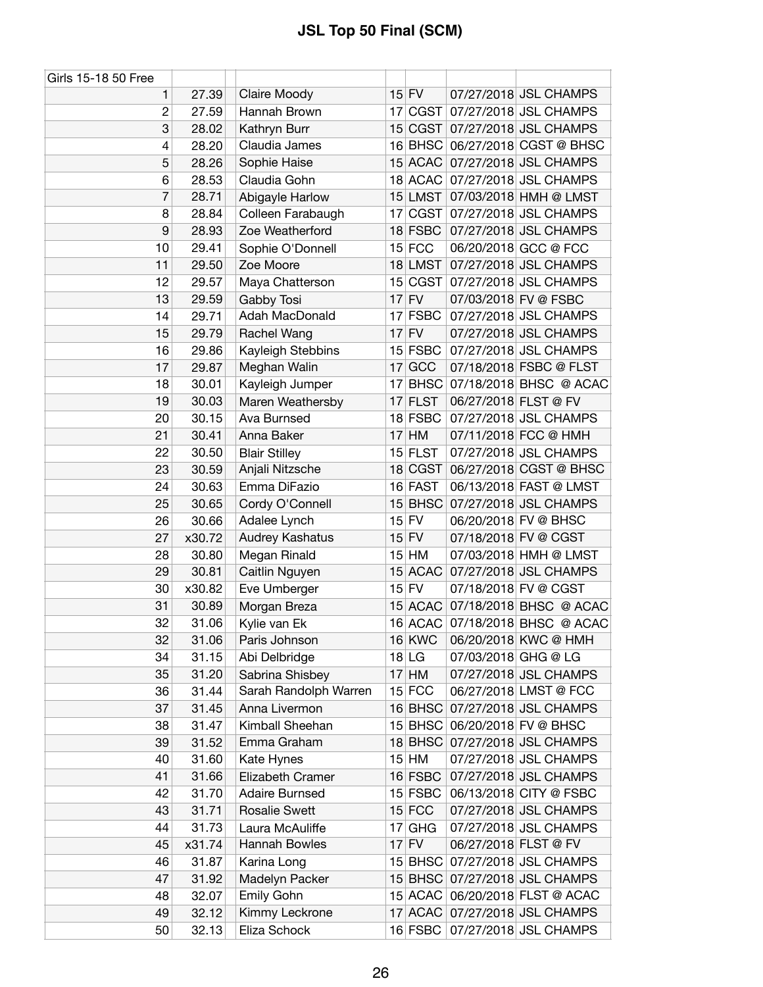| Girls 15-18 50 Free |        |                       |    |               |                      |                                |
|---------------------|--------|-----------------------|----|---------------|----------------------|--------------------------------|
| 1                   | 27.39  | Claire Moody          |    | $15$ FV       |                      | 07/27/2018 JSL CHAMPS          |
| $\overline{c}$      | 27.59  | Hannah Brown          |    |               |                      | 17 CGST 07/27/2018 JSL CHAMPS  |
| 3                   | 28.02  | Kathryn Burr          |    |               |                      | 15 CGST 07/27/2018 JSL CHAMPS  |
| 4                   | 28.20  | Claudia James         |    |               |                      | 16 BHSC 06/27/2018 CGST @ BHSC |
| 5                   | 28.26  | Sophie Haise          |    | 15 ACAC       |                      | 07/27/2018 JSL CHAMPS          |
| 6                   | 28.53  | Claudia Gohn          |    |               |                      | 18 ACAC 07/27/2018 JSL CHAMPS  |
| 7                   | 28.71  | Abigayle Harlow       |    |               |                      | 15 LMST 07/03/2018 HMH @ LMST  |
| 8                   | 28.84  | Colleen Farabaugh     |    |               |                      | 17 CGST 07/27/2018 JSL CHAMPS  |
| 9                   | 28.93  | Zoe Weatherford       |    | $18$ FSBC     |                      | 07/27/2018 JSL CHAMPS          |
| 10                  | 29.41  | Sophie O'Donnell      |    | $15$ FCC      |                      | 06/20/2018 GCC @ FCC           |
| 11                  | 29.50  | Zoe Moore             |    | 18 LMST       |                      | 07/27/2018 JSL CHAMPS          |
| 12                  | 29.57  | Maya Chatterson       |    | 15 CGST       |                      | 07/27/2018 JSL CHAMPS          |
| 13                  | 29.59  | Gabby Tosi            |    | $17$ FV       |                      | 07/03/2018 FV @ FSBC           |
| 14                  | 29.71  | Adah MacDonald        |    | 17 FSBC       |                      | 07/27/2018 JSL CHAMPS          |
| 15                  | 29.79  | Rachel Wang           |    | $17$ FV       |                      | 07/27/2018 JSL CHAMPS          |
| 16                  | 29.86  | Kayleigh Stebbins     |    | $15$ FSBC     |                      | 07/27/2018 JSL CHAMPS          |
| 17                  | 29.87  | Meghan Walin          |    | $17$ GCC      |                      | 07/18/2018 FSBC @ FLST         |
| 18                  | 30.01  | Kayleigh Jumper       | 17 |               |                      | BHSC 07/18/2018 BHSC @ ACAC    |
| 19                  | 30.03  | Maren Weathersby      |    | $17$ FLST     | 06/27/2018 FLST @ FV |                                |
| 20                  | 30.15  | Ava Burnsed           |    | 18 FSBC       |                      | 07/27/2018 JSL CHAMPS          |
| 21                  | 30.41  | Anna Baker            | 17 | HM            |                      | 07/11/2018 FCC @ HMH           |
| 22                  | 30.50  | <b>Blair Stilley</b>  |    | $15$ FLST     |                      | 07/27/2018 JSL CHAMPS          |
| 23                  | 30.59  | Anjali Nitzsche       |    | 18 CGST       |                      | 06/27/2018 CGST @ BHSC         |
| 24                  | 30.63  | Emma DiFazio          |    | 16 FAST       |                      | 06/13/2018 FAST @ LMST         |
| 25                  | 30.65  | Cordy O'Connell       | 15 |               |                      | BHSC 07/27/2018 JSL CHAMPS     |
| 26                  | 30.66  | Adalee Lynch          |    | $15$ FV       |                      | 06/20/2018 FV @ BHSC           |
| 27                  | x30.72 | Audrey Kashatus       |    | $15$ FV       |                      | 07/18/2018 FV @ CGST           |
| 28                  | 30.80  | Megan Rinald          |    | $15$ HM       |                      | 07/03/2018 HMH @ LMST          |
| 29                  | 30.81  | Caitlin Nguyen        |    |               |                      | 15 ACAC 07/27/2018 JSL CHAMPS  |
| 30                  | x30.82 | Eve Umberger          |    | $15$ FV       |                      | 07/18/2018 FV @ CGST           |
| 31                  | 30.89  | Morgan Breza          |    |               |                      | 15 ACAC 07/18/2018 BHSC @ ACAC |
| 32                  | 31.06  | Kylie van Ek          |    |               |                      | 16 ACAC 07/18/2018 BHSC @ ACAC |
| 32                  | 31.06  | Paris Johnson         |    | <b>16 KWC</b> |                      | 06/20/2018 KWC @ HMH           |
| 34                  | 31.15  | Abi Delbridge         |    | $18$ LG       | 07/03/2018 GHG @ LG  |                                |
| 35                  | 31.20  | Sabrina Shisbey       |    | $17$ HM       |                      | 07/27/2018 JSL CHAMPS          |
| 36                  | 31.44  | Sarah Randolph Warren |    | $15$ FCC      |                      | 06/27/2018 LMST @ FCC          |
| 37                  | 31.45  | Anna Livermon         |    | 16 BHSC       |                      | 07/27/2018 JSL CHAMPS          |
| 38                  | 31.47  | Kimball Sheehan       |    |               |                      | 15 BHSC 06/20/2018 FV @ BHSC   |
| 39                  | 31.52  | Emma Graham           |    |               |                      | 18 BHSC 07/27/2018 JSL CHAMPS  |
| 40                  | 31.60  | Kate Hynes            |    | $15$ HM       |                      | 07/27/2018 JSL CHAMPS          |
| 41                  | 31.66  | Elizabeth Cramer      |    | $16$ FSBC     |                      | 07/27/2018 JSL CHAMPS          |
| 42                  | 31.70  | <b>Adaire Burnsed</b> |    |               |                      | 15 FSBC 06/13/2018 CITY @ FSBC |
| 43                  | 31.71  | <b>Rosalie Swett</b>  |    | $15$ FCC      |                      | 07/27/2018 JSL CHAMPS          |
| 44                  | 31.73  | Laura McAuliffe       | 17 | GHG           |                      | 07/27/2018 JSL CHAMPS          |
| 45                  | x31.74 | Hannah Bowles         |    | $17$ FV       | 06/27/2018 FLST @ FV |                                |
| 46                  | 31.87  | Karina Long           |    |               |                      | 15 BHSC 07/27/2018 JSL CHAMPS  |
| 47                  | 31.92  | Madelyn Packer        |    |               |                      | 15 BHSC 07/27/2018 JSL CHAMPS  |
| 48                  | 32.07  | Emily Gohn            |    |               |                      | 15 ACAC 06/20/2018 FLST @ ACAC |
| 49                  | 32.12  | Kimmy Leckrone        |    |               |                      | 17 ACAC 07/27/2018 JSL CHAMPS  |
| 50                  | 32.13  | Eliza Schock          |    |               |                      | 16 FSBC 07/27/2018 JSL CHAMPS  |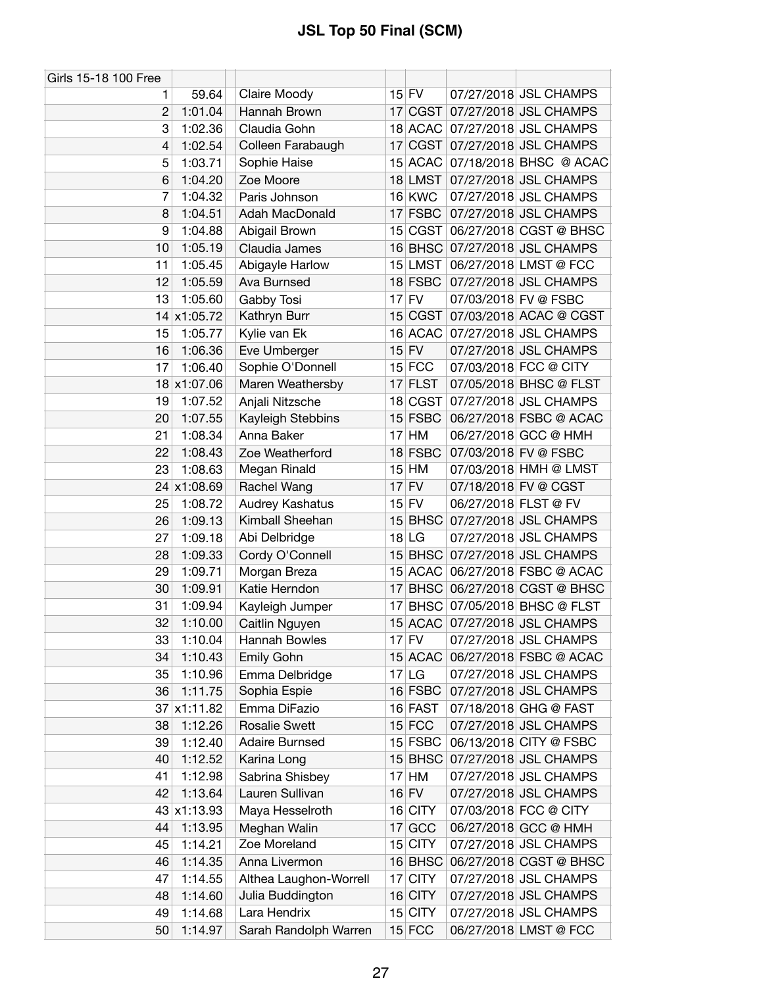| Girls 15-18 100 Free |             |                        |    |               |                      |                                |
|----------------------|-------------|------------------------|----|---------------|----------------------|--------------------------------|
| 1.                   | 59.64       | Claire Moody           |    | $15$ FV       |                      | 07/27/2018 JSL CHAMPS          |
| $\overline{2}$       | 1:01.04     | Hannah Brown           |    |               |                      | 17 CGST 07/27/2018 JSL CHAMPS  |
| 3                    | 1:02.36     | Claudia Gohn           |    |               |                      | 18 ACAC 07/27/2018 JSL CHAMPS  |
| 4                    | 1:02.54     | Colleen Farabaugh      | 17 |               |                      | CGST 07/27/2018 JSL CHAMPS     |
| 5                    | 1:03.71     | Sophie Haise           |    | 15 ACAC       |                      | 07/18/2018 BHSC @ ACAC         |
| 6                    | 1:04.20     | Zoe Moore              |    | $18$ LMST     |                      | 07/27/2018 JSL CHAMPS          |
| 7                    | 1:04.32     | Paris Johnson          |    | <b>16 KWC</b> |                      | 07/27/2018 JSL CHAMPS          |
| 8                    | 1:04.51     | Adah MacDonald         |    | 17 FSBC       |                      | 07/27/2018 JSL CHAMPS          |
| 9                    | 1:04.88     | Abigail Brown          |    | 15 CGST       |                      | 06/27/2018 CGST @ BHSC         |
| 10                   | 1:05.19     | Claudia James          |    |               |                      | 16 BHSC 07/27/2018 JSL CHAMPS  |
| 11                   | 1:05.45     | Abigayle Harlow        |    | $15$ LMST     |                      | 06/27/2018 LMST @ FCC          |
| 12                   | 1:05.59     | Ava Burnsed            |    | 18 FSBC       |                      | 07/27/2018 JSL CHAMPS          |
| 13                   | 1:05.60     | Gabby Tosi             |    | $17$ FV       |                      | 07/03/2018 FV @ FSBC           |
|                      | 14 x1:05.72 | Kathryn Burr           |    |               |                      | 15 CGST 07/03/2018 ACAC @ CGST |
| 15                   | 1:05.77     | Kylie van Ek           |    | 16 ACAC       |                      | 07/27/2018 JSL CHAMPS          |
| 16                   | 1:06.36     | Eve Umberger           |    | $15$ FV       |                      | 07/27/2018 JSL CHAMPS          |
| 17                   | 1:06.40     | Sophie O'Donnell       |    | $15$ FCC      |                      | 07/03/2018 FCC @ CITY          |
|                      | 18 x1:07.06 | Maren Weathersby       |    | $17$ FLST     |                      | 07/05/2018 BHSC @ FLST         |
| 19                   | 1:07.52     | Anjali Nitzsche        |    | 18 CGST       |                      | 07/27/2018 JSL CHAMPS          |
| 20                   | 1:07.55     | Kayleigh Stebbins      |    | $15$ FSBC     |                      | 06/27/2018 FSBC @ ACAC         |
| 21                   | 1:08.34     | Anna Baker             |    | 17 HM         |                      | 06/27/2018 GCC @ HMH           |
| 22                   | 1:08.43     | Zoe Weatherford        |    | 18 FSBC       |                      | 07/03/2018 FV @ FSBC           |
| 23                   | 1:08.63     | Megan Rinald           |    | 15 HM         |                      | 07/03/2018 HMH @ LMST          |
|                      | 24 x1:08.69 | Rachel Wang            |    | $17$ FV       |                      | 07/18/2018 FV @ CGST           |
| 25                   | 1:08.72     | Audrey Kashatus        |    | $15$ FV       | 06/27/2018 FLST @ FV |                                |
| 26                   | 1:09.13     | Kimball Sheehan        |    |               |                      | 15 BHSC 07/27/2018 JSL CHAMPS  |
| 27                   | 1:09.18     | Abi Delbridge          |    | $18$ LG       |                      | 07/27/2018 JSL CHAMPS          |
| 28                   | 1:09.33     | Cordy O'Connell        |    |               |                      | 15 BHSC 07/27/2018 JSL CHAMPS  |
| 29                   | 1:09.71     | Morgan Breza           |    |               |                      | 15 ACAC 06/27/2018 FSBC @ ACAC |
| 30                   | 1:09.91     | Katie Herndon          | 17 |               |                      | BHSC 06/27/2018 CGST @ BHSC    |
| 31                   | 1:09.94     | Kayleigh Jumper        |    |               |                      | 17 BHSC 07/05/2018 BHSC @ FLST |
| 32                   | 1:10.00     | Caitlin Nguyen         |    |               |                      | 15 ACAC 07/27/2018 JSL CHAMPS  |
| 33                   | 1:10.04     | Hannah Bowles          |    | $17$ FV       |                      | 07/27/2018 JSL CHAMPS          |
| 34                   | 1:10.43     | Emily Gohn             |    | 15 ACAC       |                      | 06/27/2018 FSBC @ ACAC         |
| 35                   | 1:10.96     | Emma Delbridge         |    | $17$ LG       |                      | 07/27/2018 JSL CHAMPS          |
| 36                   | 1:11.75     | Sophia Espie           |    | 16 FSBC       |                      | 07/27/2018 JSL CHAMPS          |
| 37                   | x1:11.82    | Emma DiFazio           |    | 16 FAST       |                      | 07/18/2018 GHG @ FAST          |
| 38                   | 1:12.26     | <b>Rosalie Swett</b>   |    | $15$ FCC      |                      | 07/27/2018 JSL CHAMPS          |
| 39                   | 1:12.40     | <b>Adaire Burnsed</b>  |    | $15$ FSBC     |                      | 06/13/2018 CITY @ FSBC         |
| 40                   | 1:12.52     | Karina Long            |    |               |                      | 15 BHSC 07/27/2018 JSL CHAMPS  |
| 41                   | 1:12.98     | Sabrina Shisbey        |    | $17$ HM       |                      | 07/27/2018 JSL CHAMPS          |
| 42                   | 1:13.64     | Lauren Sullivan        |    | $16$ FV       |                      | 07/27/2018 JSL CHAMPS          |
|                      | 43 x1:13.93 | Maya Hesselroth        |    | 16 CITY       |                      | 07/03/2018 FCC @ CITY          |
| 44                   | 1:13.95     | Meghan Walin           |    | 17 GCC        |                      | 06/27/2018 GCC @ HMH           |
| 45                   | 1:14.21     | Zoe Moreland           |    | 15 CITY       |                      | 07/27/2018 JSL CHAMPS          |
| 46                   | 1:14.35     | Anna Livermon          |    | $16$ BHSC     |                      | 06/27/2018 CGST @ BHSC         |
| 47                   | 1:14.55     | Althea Laughon-Worrell |    | 17 CITY       |                      | 07/27/2018 JSL CHAMPS          |
| 48                   | 1:14.60     | Julia Buddington       |    | 16 CITY       |                      | 07/27/2018 JSL CHAMPS          |
| 49                   | 1:14.68     | Lara Hendrix           |    | 15 CITY       |                      | 07/27/2018 JSL CHAMPS          |
| 50                   | 1:14.97     | Sarah Randolph Warren  |    | $15$ FCC      |                      | 06/27/2018 LMST @ FCC          |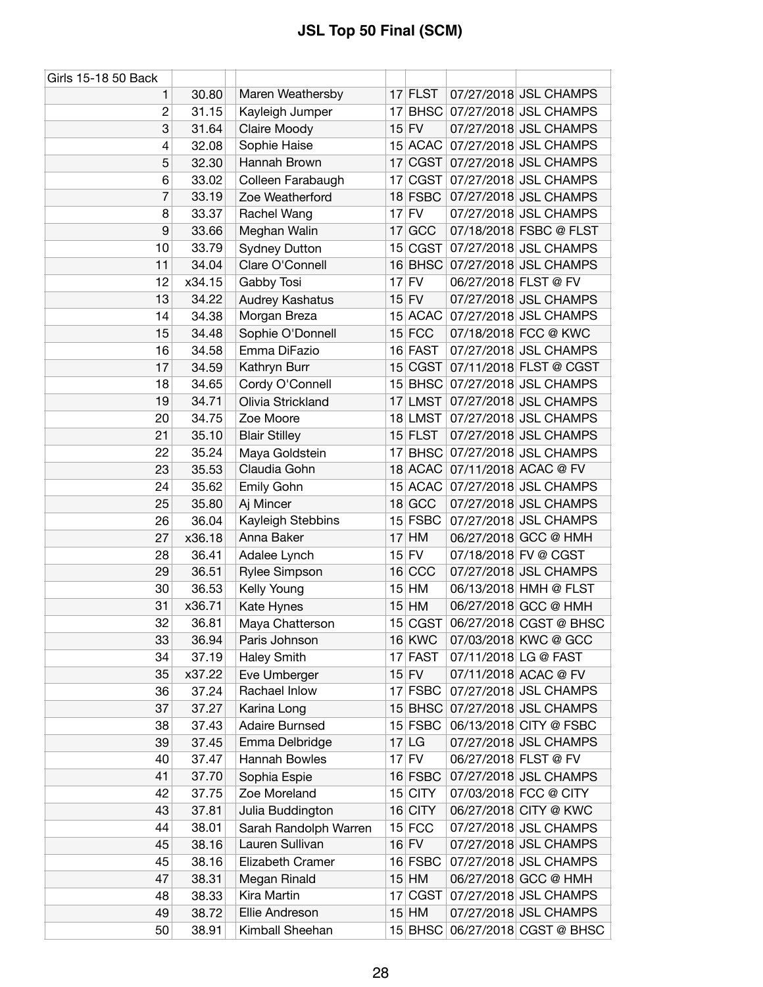| Girls 15-18 50 Back |        |                       |                 |               |                      |                                |
|---------------------|--------|-----------------------|-----------------|---------------|----------------------|--------------------------------|
| 1                   | 30.80  | Maren Weathersby      |                 | $17$ FLST     |                      | 07/27/2018 JSL CHAMPS          |
| 2                   | 31.15  | Kayleigh Jumper       | 17              | <b>BHSC</b>   |                      | 07/27/2018 JSL CHAMPS          |
| 3                   | 31.64  | Claire Moody          |                 | $15$ FV       |                      | 07/27/2018 JSL CHAMPS          |
| 4                   | 32.08  | Sophie Haise          |                 | 15 ACAC       |                      | 07/27/2018 JSL CHAMPS          |
| 5                   | 32.30  | Hannah Brown          |                 | 17 CGST       |                      | 07/27/2018 JSL CHAMPS          |
| 6                   | 33.02  | Colleen Farabaugh     | 17              | CGST          |                      | 07/27/2018 JSL CHAMPS          |
| 7                   | 33.19  | Zoe Weatherford       |                 | 18 FSBC       |                      | 07/27/2018 JSL CHAMPS          |
| 8                   | 33.37  | Rachel Wang           |                 | $17$ FV       |                      | 07/27/2018 JSL CHAMPS          |
| 9                   | 33.66  | Meghan Walin          | 17              | GCC           |                      | 07/18/2018 FSBC @ FLST         |
| 10                  | 33.79  | <b>Sydney Dutton</b>  |                 |               |                      | 15 CGST 07/27/2018 JSL CHAMPS  |
| 11                  | 34.04  | Clare O'Connell       |                 | $16$ BHSC     |                      | 07/27/2018 JSL CHAMPS          |
| 12                  | x34.15 | Gabby Tosi            |                 | $17$ FV       | 06/27/2018 FLST @ FV |                                |
| 13                  | 34.22  | Audrey Kashatus       | 15              | <b>FV</b>     |                      | 07/27/2018 JSL CHAMPS          |
| 14                  | 34.38  | Morgan Breza          |                 | 15 ACAC       |                      | 07/27/2018 JSL CHAMPS          |
| 15                  | 34.48  | Sophie O'Donnell      |                 | $15$ FCC      |                      | 07/18/2018 FCC @ KWC           |
| 16                  | 34.58  | Emma DiFazio          |                 | 16 FAST       |                      | 07/27/2018 JSL CHAMPS          |
| 17                  | 34.59  | Kathryn Burr          |                 | 15 CGST       |                      | 07/11/2018 FLST @ CGST         |
| 18                  | 34.65  | Cordy O'Connell       |                 | 15 BHSC       |                      | 07/27/2018 JSL CHAMPS          |
| 19                  | 34.71  | Olivia Strickland     | 17              | <b>LMST</b>   |                      | 07/27/2018 JSL CHAMPS          |
| 20                  | 34.75  | Zoe Moore             |                 | 18 LMST       |                      | 07/27/2018 JSL CHAMPS          |
| 21                  | 35.10  | <b>Blair Stilley</b>  |                 | $15$ FLST     |                      | 07/27/2018 JSL CHAMPS          |
| 22                  | 35.24  | Maya Goldstein        | 17 <sup>1</sup> | <b>BHSC</b>   |                      | 07/27/2018 JSL CHAMPS          |
| 23                  | 35.53  | Claudia Gohn          |                 | 18 ACAC       |                      | 07/11/2018 ACAC @ FV           |
| 24                  | 35.62  | Emily Gohn            |                 |               |                      | 15 ACAC 07/27/2018 JSL CHAMPS  |
| 25                  | 35.80  | Aj Mincer             |                 | $18$ GCC      |                      | 07/27/2018 JSL CHAMPS          |
| 26                  | 36.04  | Kayleigh Stebbins     |                 | $15$ FSBC     |                      | 07/27/2018 JSL CHAMPS          |
| 27                  | x36.18 | Anna Baker            | 17              | HM            |                      | 06/27/2018 GCC @ HMH           |
| 28                  | 36.41  | Adalee Lynch          |                 | $15$ FV       |                      | 07/18/2018 FV @ CGST           |
| 29                  | 36.51  | Rylee Simpson         |                 | 16 CCC        |                      | 07/27/2018 JSL CHAMPS          |
| 30                  | 36.53  | Kelly Young           |                 | 15 HM         |                      | 06/13/2018 HMH @ FLST          |
| 31                  | x36.71 | Kate Hynes            | 15              | HM            |                      | 06/27/2018 GCC @ HMH           |
| 32                  | 36.81  | Maya Chatterson       |                 | 15 CGST       |                      | 06/27/2018 CGST @ BHSC         |
| 33                  | 36.94  | Paris Johnson         |                 | <b>16 KWC</b> |                      | 07/03/2018 KWC @ GCC           |
| 34                  | 37.19  | <b>Haley Smith</b>    |                 | 17 FAST       |                      | 07/11/2018 LG @ FAST           |
| 35                  | x37.22 | Eve Umberger          |                 | $15$ FV       |                      | 07/11/2018 ACAC @ FV           |
| 36                  | 37.24  | Rachael Inlow         |                 | $17$ FSBC     |                      | 07/27/2018 JSL CHAMPS          |
| 37                  | 37.27  | Karina Long           |                 | $15$ BHSC     |                      | 07/27/2018 JSL CHAMPS          |
| 38                  | 37.43  | <b>Adaire Burnsed</b> |                 | 15 FSBC       |                      | 06/13/2018 CITY @ FSBC         |
| 39                  | 37.45  | Emma Delbridge        |                 | $17$ LG       |                      | 07/27/2018 JSL CHAMPS          |
| 40                  | 37.47  | Hannah Bowles         |                 | $17$ FV       | 06/27/2018 FLST @ FV |                                |
| 41                  | 37.70  | Sophia Espie          |                 | 16 FSBC       |                      | 07/27/2018 JSL CHAMPS          |
| 42                  | 37.75  | Zoe Moreland          |                 | 15 CITY       |                      | 07/03/2018 FCC @ CITY          |
| 43                  | 37.81  | Julia Buddington      |                 | $16$ CITY     |                      | 06/27/2018 CITY @ KWC          |
| 44                  | 38.01  | Sarah Randolph Warren |                 | $15$ FCC      |                      | 07/27/2018 JSL CHAMPS          |
| 45                  | 38.16  | Lauren Sullivan       |                 | $16$ FV       |                      | 07/27/2018 JSL CHAMPS          |
| 45                  | 38.16  | Elizabeth Cramer      |                 | 16 FSBC       |                      | 07/27/2018 JSL CHAMPS          |
| 47                  | 38.31  | Megan Rinald          |                 | $15$ HM       |                      | 06/27/2018 GCC @ HMH           |
| 48                  | 38.33  | Kira Martin           |                 | 17 CGST       |                      | 07/27/2018 JSL CHAMPS          |
| 49                  | 38.72  | Ellie Andreson        |                 | $15$ HM       |                      | 07/27/2018 JSL CHAMPS          |
| 50                  | 38.91  | Kimball Sheehan       |                 |               |                      | 15 BHSC 06/27/2018 CGST @ BHSC |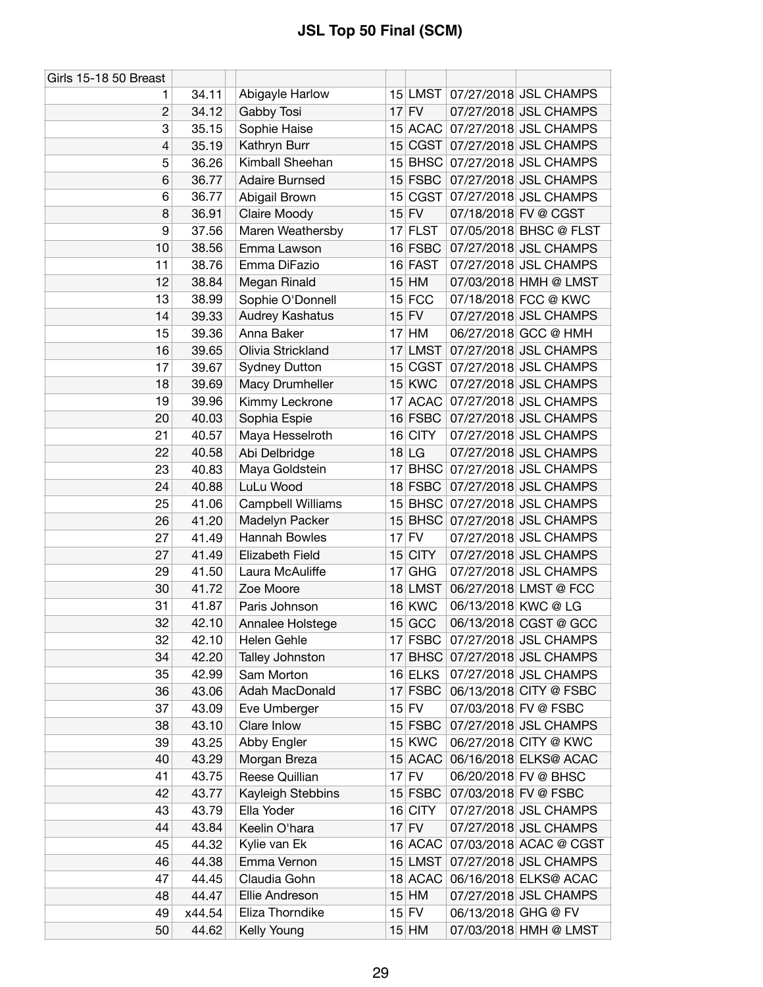| Girls 15-18 50 Breast    |        |                       |    |               |                     |                               |
|--------------------------|--------|-----------------------|----|---------------|---------------------|-------------------------------|
| 1                        | 34.11  | Abigayle Harlow       |    |               |                     | 15 LMST 07/27/2018 JSL CHAMPS |
| $\overline{c}$           | 34.12  | Gabby Tosi            |    | $17$ FV       |                     | 07/27/2018 JSL CHAMPS         |
| 3                        | 35.15  | Sophie Haise          |    | 15 ACAC       |                     | 07/27/2018 JSL CHAMPS         |
| $\overline{\mathcal{L}}$ | 35.19  | Kathryn Burr          |    | 15 CGST       |                     | 07/27/2018 JSL CHAMPS         |
| 5                        | 36.26  | Kimball Sheehan       |    | $15$ BHSC     |                     | 07/27/2018 JSL CHAMPS         |
| 6                        | 36.77  | <b>Adaire Burnsed</b> |    | $15$ FSBC     |                     | 07/27/2018 JSL CHAMPS         |
| 6                        | 36.77  | Abigail Brown         |    | 15 CGST       |                     | 07/27/2018 JSL CHAMPS         |
| 8                        | 36.91  | Claire Moody          |    | $15$ FV       |                     | 07/18/2018 FV @ CGST          |
| 9                        | 37.56  | Maren Weathersby      |    | 17 FLST       |                     | 07/05/2018 BHSC @ FLST        |
| 10                       | 38.56  | Emma Lawson           |    | $16$ FSBC     |                     | 07/27/2018 JSL CHAMPS         |
| 11                       | 38.76  | Emma DiFazio          |    | 16 FAST       |                     | 07/27/2018 JSL CHAMPS         |
| 12                       | 38.84  | Megan Rinald          |    | $15$ HM       |                     | 07/03/2018 HMH @ LMST         |
| 13                       | 38.99  | Sophie O'Donnell      |    | $15$ FCC      |                     | 07/18/2018 FCC @ KWC          |
| 14                       | 39.33  | Audrey Kashatus       |    | $15$ FV       |                     | 07/27/2018 JSL CHAMPS         |
| 15                       | 39.36  | Anna Baker            |    | $17$ HM       |                     | 06/27/2018 GCC @ HMH          |
| 16                       | 39.65  | Olivia Strickland     |    | 17 LMST       |                     | 07/27/2018 JSL CHAMPS         |
|                          |        |                       |    | 15 CGST       |                     |                               |
| 17                       | 39.67  | <b>Sydney Dutton</b>  |    |               |                     | 07/27/2018 JSL CHAMPS         |
| 18                       | 39.69  | Macy Drumheller       |    | <b>15 KWC</b> |                     | 07/27/2018 JSL CHAMPS         |
| 19                       | 39.96  | Kimmy Leckrone        | 17 | <b>ACAC</b>   |                     | 07/27/2018 JSL CHAMPS         |
| 20                       | 40.03  | Sophia Espie          |    | $16$ FSBC     |                     | 07/27/2018 JSL CHAMPS         |
| 21                       | 40.57  | Maya Hesselroth       |    | 16 CITY       |                     | 07/27/2018 JSL CHAMPS         |
| 22                       | 40.58  | Abi Delbridge         |    | $18$ LG       |                     | 07/27/2018 JSL CHAMPS         |
| 23                       | 40.83  | Maya Goldstein        |    | $17$ BHSC     |                     | 07/27/2018 JSL CHAMPS         |
| 24                       | 40.88  | LuLu Wood             |    | $18$ FSBC     |                     | 07/27/2018 JSL CHAMPS         |
| 25                       | 41.06  | Campbell Williams     |    |               |                     | 15 BHSC 07/27/2018 JSL CHAMPS |
| 26                       | 41.20  | Madelyn Packer        |    | $15$ BHSC     |                     | 07/27/2018 JSL CHAMPS         |
| 27                       | 41.49  | Hannah Bowles         |    | $17$ FV       |                     | 07/27/2018 JSL CHAMPS         |
| 27                       | 41.49  | Elizabeth Field       |    | 15 CITY       |                     | 07/27/2018 JSL CHAMPS         |
| 29                       | 41.50  | Laura McAuliffe       |    | $17$ GHG      |                     | 07/27/2018 JSL CHAMPS         |
| 30                       | 41.72  | Zoe Moore             |    | 18 LMST       |                     | 06/27/2018 LMST @ FCC         |
| 31                       | 41.87  | Paris Johnson         |    | <b>16 KWC</b> | 06/13/2018 KWC @ LG |                               |
| 32                       | 42.10  | Annalee Holstege      |    | $15$ GCC      |                     | 06/13/2018 CGST @ GCC         |
| 32                       | 42.10  | Helen Gehle           |    | $17$ FSBC     |                     | 07/27/2018 JSL CHAMPS         |
| 34                       | 42.20  | Talley Johnston       |    |               |                     | 17 BHSC 07/27/2018 JSL CHAMPS |
| 35                       | 42.99  | Sam Morton            |    | 16 ELKS       |                     | 07/27/2018 JSL CHAMPS         |
| 36                       | 43.06  | Adah MacDonald        |    | $17$ FSBC     |                     | 06/13/2018 CITY @ FSBC        |
| 37                       | 43.09  | Eve Umberger          |    | $15$ FV       |                     | 07/03/2018 FV @ FSBC          |
| 38                       | 43.10  | Clare Inlow           |    | $15$ FSBC     |                     | 07/27/2018 JSL CHAMPS         |
| 39                       | 43.25  | Abby Engler           |    | 15 KWC        |                     | 06/27/2018 CITY @ KWC         |
| 40                       | 43.29  | Morgan Breza          |    | 15 ACAC       |                     | 06/16/2018 ELKS@ ACAC         |
| 41                       | 43.75  | Reese Quillian        |    | $17$ FV       |                     | 06/20/2018 FV @ BHSC          |
| 42                       | 43.77  | Kayleigh Stebbins     |    | $15$ FSBC     |                     | 07/03/2018 FV @ FSBC          |
| 43                       | 43.79  | Ella Yoder            |    | $16$ CITY     |                     | 07/27/2018 JSL CHAMPS         |
| 44                       | 43.84  | Keelin O'hara         |    | $17$ FV       |                     | 07/27/2018 JSL CHAMPS         |
| 45                       | 44.32  | Kylie van Ek          |    | $16$ ACAC     |                     | 07/03/2018 ACAC @ CGST        |
| 46                       | 44.38  | Emma Vernon           |    | 15 LMST       |                     | 07/27/2018 JSL CHAMPS         |
| 47                       | 44.45  | Claudia Gohn          |    | 18 ACAC       |                     | 06/16/2018 ELKS@ ACAC         |
| 48                       | 44.47  | Ellie Andreson        |    | $15$ HM       |                     | 07/27/2018 JSL CHAMPS         |
| 49                       | x44.54 | Eliza Thorndike       |    | $15$ FV       | 06/13/2018 GHG @ FV |                               |
| 50                       | 44.62  | Kelly Young           |    | $15$ HM       |                     | 07/03/2018 HMH @ LMST         |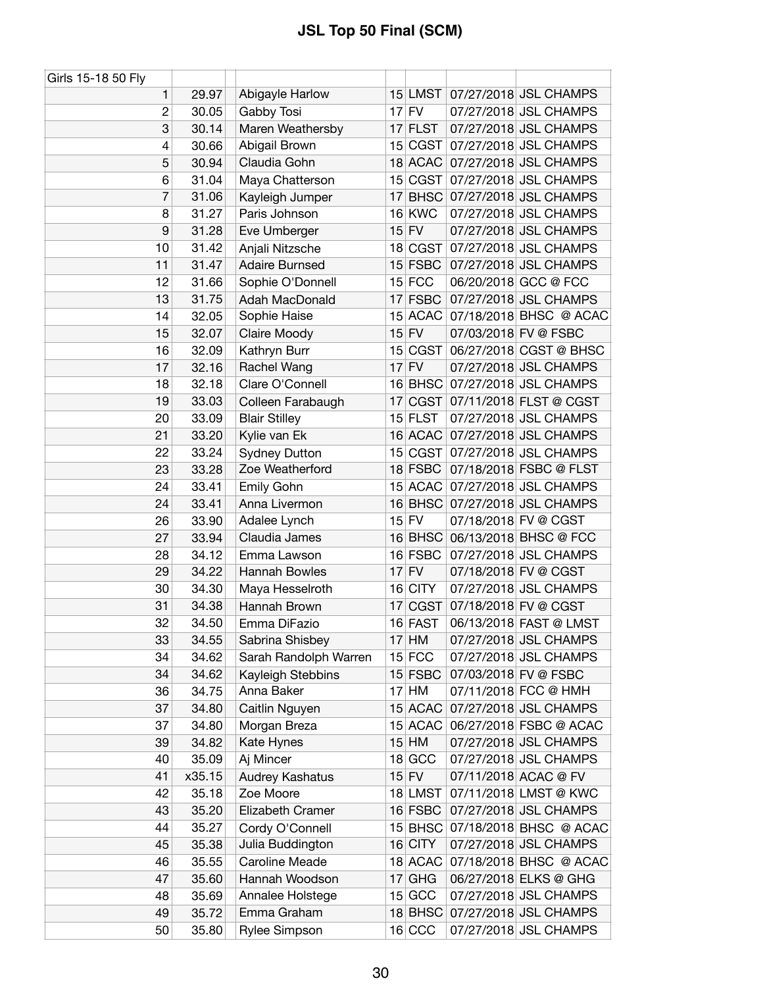| Girls 15-18 50 Fly       |        |                       |    |               |                               |
|--------------------------|--------|-----------------------|----|---------------|-------------------------------|
| 1                        | 29.97  | Abigayle Harlow       |    | $15$ LMST     | 07/27/2018 JSL CHAMPS         |
| 2                        | 30.05  | Gabby Tosi            | 17 | <b>FV</b>     | 07/27/2018 JSL CHAMPS         |
| 3                        | 30.14  | Maren Weathersby      | 17 | <b>FLST</b>   | 07/27/2018 JSL CHAMPS         |
| $\overline{\mathcal{L}}$ | 30.66  | Abigail Brown         | 15 | <b>CGST</b>   | 07/27/2018 JSL CHAMPS         |
| 5                        | 30.94  | Claudia Gohn          |    | 18 ACAC       | 07/27/2018 JSL CHAMPS         |
| 6                        | 31.04  | Maya Chatterson       |    | 15 CGST       | 07/27/2018 JSL CHAMPS         |
| 7                        | 31.06  | Kayleigh Jumper       | 17 | <b>BHSC</b>   | 07/27/2018 JSL CHAMPS         |
| 8                        | 31.27  | Paris Johnson         |    | <b>16 KWC</b> | 07/27/2018 JSL CHAMPS         |
| 9                        | 31.28  | Eve Umberger          |    | $15$ FV       | 07/27/2018 JSL CHAMPS         |
| 10                       | 31.42  | Anjali Nitzsche       |    | 18 CGST       | 07/27/2018 JSL CHAMPS         |
| 11                       | 31.47  | <b>Adaire Burnsed</b> |    | $15$ FSBC     | 07/27/2018 JSL CHAMPS         |
| 12                       | 31.66  | Sophie O'Donnell      |    | $15$ FCC      | 06/20/2018 GCC @ FCC          |
| 13                       | 31.75  | Adah MacDonald        | 17 | <b>FSBC</b>   | 07/27/2018 JSL CHAMPS         |
| 14                       | 32.05  | Sophie Haise          |    | 15 ACAC       | 07/18/2018 BHSC @ ACAC        |
| 15                       | 32.07  | Claire Moody          |    | $15$ FV       | 07/03/2018 FV @ FSBC          |
| 16                       | 32.09  | Kathryn Burr          |    | 15 CGST       | 06/27/2018 CGST @ BHSC        |
| 17                       | 32.16  | Rachel Wang           |    | $17$ FV       | 07/27/2018 JSL CHAMPS         |
| 18                       | 32.18  | Clare O'Connell       |    | 16 BHSC       | 07/27/2018 JSL CHAMPS         |
| 19                       | 33.03  | Colleen Farabaugh     | 17 | <b>CGST</b>   | 07/11/2018 FLST @ CGST        |
| 20                       | 33.09  | <b>Blair Stilley</b>  |    | 15 FLST       | 07/27/2018 JSL CHAMPS         |
| 21                       | 33.20  | Kylie van Ek          |    | 16 ACAC       | 07/27/2018 JSL CHAMPS         |
| 22                       | 33.24  | <b>Sydney Dutton</b>  |    | 15 CGST       | 07/27/2018 JSL CHAMPS         |
| 23                       | 33.28  | Zoe Weatherford       |    | 18 FSBC       | 07/18/2018 FSBC @ FLST        |
| 24                       | 33.41  | Emily Gohn            |    |               | 15 ACAC 07/27/2018 JSL CHAMPS |
| 24                       | 33.41  | Anna Livermon         | 16 | <b>BHSC</b>   | 07/27/2018 JSL CHAMPS         |
| 26                       | 33.90  | Adalee Lynch          |    | $15$ FV       | 07/18/2018 FV @ CGST          |
| 27                       | 33.94  | Claudia James         | 16 | <b>BHSC</b>   | 06/13/2018 BHSC @ FCC         |
| 28                       | 34.12  | Emma Lawson           |    | 16 FSBC       | 07/27/2018 JSL CHAMPS         |
| 29                       | 34.22  | Hannah Bowles         |    | $17$ FV       | 07/18/2018 FV @ CGST          |
| 30                       | 34.30  | Maya Hesselroth       |    | $16$ CITY     | 07/27/2018 JSL CHAMPS         |
| 31                       | 34.38  | Hannah Brown          | 17 | CGST          | 07/18/2018 FV @ CGST          |
| 32                       | 34.50  | Emma DiFazio          |    | 16 FAST       | 06/13/2018 FAST @ LMST        |
| 33                       | 34.55  | Sabrina Shisbey       |    | $17$ HM       | 07/27/2018 JSL CHAMPS         |
| 34                       | 34.62  | Sarah Randolph Warren |    | $15$ FCC      | 07/27/2018 JSL CHAMPS         |
| 34                       | 34.62  | Kayleigh Stebbins     |    | 15 FSBC       | 07/03/2018 FV @ FSBC          |
| 36                       | 34.75  | Anna Baker            |    | $17$ HM       | 07/11/2018 FCC @ HMH          |
| 37                       | 34.80  | Caitlin Nguyen        |    | 15 ACAC       | 07/27/2018 JSL CHAMPS         |
| 37                       | 34.80  | Morgan Breza          |    | 15 ACAC       | 06/27/2018 FSBC @ ACAC        |
| 39                       | 34.82  | Kate Hynes            |    | $15$ HM       | 07/27/2018 JSL CHAMPS         |
| 40                       | 35.09  | Aj Mincer             |    | 18 GCC        | 07/27/2018 JSL CHAMPS         |
| 41                       | x35.15 | Audrey Kashatus       |    | $15$ FV       | 07/11/2018 ACAC @ FV          |
| 42                       | 35.18  | Zoe Moore             |    | 18 LMST       | 07/11/2018 LMST @ KWC         |
| 43                       | 35.20  | Elizabeth Cramer      |    | $16$ FSBC     | 07/27/2018 JSL CHAMPS         |
| 44                       | 35.27  | Cordy O'Connell       | 15 | <b>BHSC</b>   | 07/18/2018 BHSC @ ACAC        |
| 45                       | 35.38  | Julia Buddington      | 16 | <b>CITY</b>   | 07/27/2018 JSL CHAMPS         |
| 46                       | 35.55  | Caroline Meade        |    | 18 ACAC       | 07/18/2018 BHSC @ ACAC        |
| 47                       | 35.60  | Hannah Woodson        |    | $17$ GHG      | 06/27/2018 ELKS @ GHG         |
| 48                       | 35.69  | Annalee Holstege      |    | $15$ GCC      | 07/27/2018 JSL CHAMPS         |
| 49                       | 35.72  | Emma Graham           |    | $18$ BHSC     | 07/27/2018 JSL CHAMPS         |
| 50                       | 35.80  | Rylee Simpson         |    | $16$ CCC      | 07/27/2018 JSL CHAMPS         |
|                          |        |                       |    |               |                               |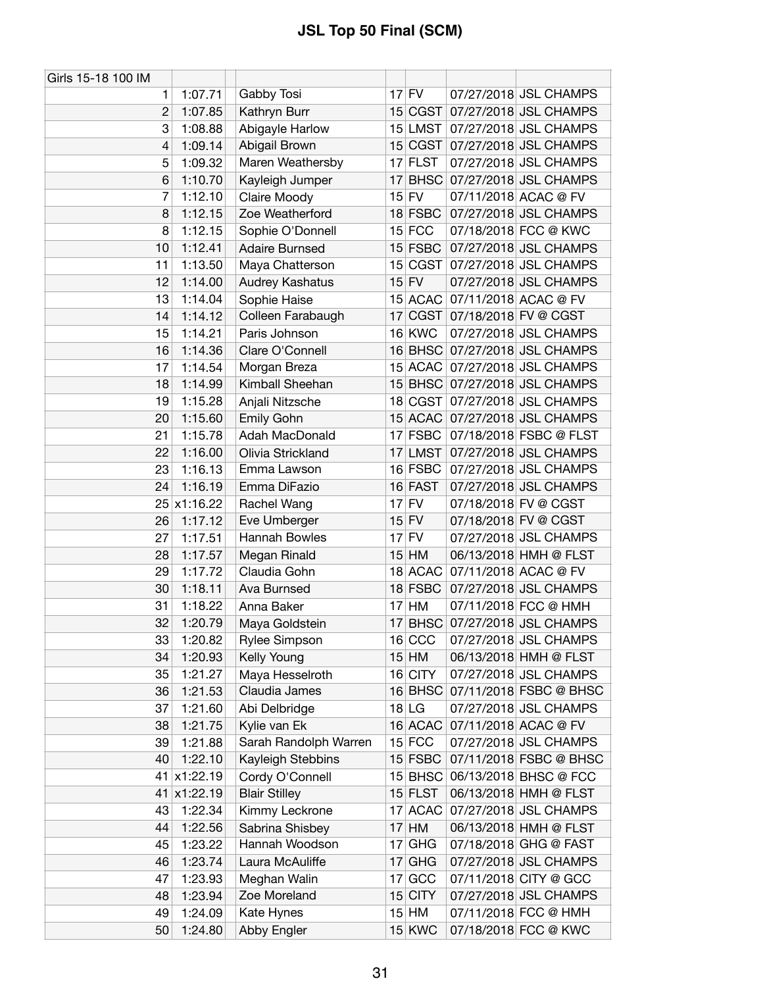| Girls 15-18 100 IM |             |                       |                 |            |                                |
|--------------------|-------------|-----------------------|-----------------|------------|--------------------------------|
| 1                  | 1:07.71     | Gabby Tosi            |                 | $17$ FV    | 07/27/2018 JSL CHAMPS          |
| $\overline{2}$     | 1:07.85     | Kathryn Burr          |                 | 15 CGST    | 07/27/2018 JSL CHAMPS          |
| 3                  | 1:08.88     | Abigayle Harlow       |                 |            | 15 LMST 07/27/2018 JSL CHAMPS  |
| 4                  | 1:09.14     | Abigail Brown         |                 |            | 15 CGST 07/27/2018 JSL CHAMPS  |
| 5                  | 1:09.32     | Maren Weathersby      |                 | $17$ FLST  | 07/27/2018 JSL CHAMPS          |
| 6                  | 1:10.70     | Kayleigh Jumper       | 17              |            | BHSC 07/27/2018 JSL CHAMPS     |
| 7                  | 1:12.10     | Claire Moody          |                 | $15$ FV    | 07/11/2018 ACAC @ FV           |
| 8                  | 1:12.15     | Zoe Weatherford       |                 | 18 FSBC    | 07/27/2018 JSL CHAMPS          |
| 8                  | 1:12.15     | Sophie O'Donnell      |                 | $15$ FCC   | 07/18/2018 FCC @ KWC           |
| 10                 | 1:12.41     | <b>Adaire Burnsed</b> |                 |            | 15 FSBC 07/27/2018 JSL CHAMPS  |
| 11                 | 1:13.50     | Maya Chatterson       |                 |            | 15 CGST 07/27/2018 JSL CHAMPS  |
| 12                 | 1:14.00     | Audrey Kashatus       |                 | $15$ FV    | 07/27/2018 JSL CHAMPS          |
| 13                 | 1:14.04     | Sophie Haise          |                 |            | 15 ACAC 07/11/2018 ACAC @ FV   |
| 14                 | 1:14.12     | Colleen Farabaugh     |                 |            | 17 CGST 07/18/2018 FV @ CGST   |
| 15                 | 1:14.21     | Paris Johnson         |                 | 16 KWC     | 07/27/2018 JSL CHAMPS          |
| 16                 | 1:14.36     | Clare O'Connell       |                 |            | 16 BHSC 07/27/2018 JSL CHAMPS  |
| 17                 | 1:14.54     | Morgan Breza          |                 |            | 15 ACAC 07/27/2018 JSL CHAMPS  |
| 18                 | 1:14.99     | Kimball Sheehan       |                 |            | 15 BHSC 07/27/2018 JSL CHAMPS  |
| 19                 | 1:15.28     | Anjali Nitzsche       |                 |            | 18 CGST 07/27/2018 JSL CHAMPS  |
| 20                 | 1:15.60     | Emily Gohn            |                 |            | 15 ACAC 07/27/2018 JSL CHAMPS  |
| 21                 | 1:15.78     | Adah MacDonald        |                 |            | 17 FSBC 07/18/2018 FSBC @ FLST |
| 22                 | 1:16.00     | Olivia Strickland     |                 |            | 17 LMST 07/27/2018 JSL CHAMPS  |
| 23                 | 1:16.13     | Emma Lawson           |                 | $16$ FSBC  | 07/27/2018 JSL CHAMPS          |
| 24                 | 1:16.19     | Emma DiFazio          |                 | 16 FAST    | 07/27/2018 JSL CHAMPS          |
|                    | 25 x1:16.22 | Rachel Wang           |                 | $17$ FV    | 07/18/2018 FV @ CGST           |
| 26                 | 1:17.12     | Eve Umberger          |                 | $15$ FV    | 07/18/2018 FV @ CGST           |
| 27                 | 1:17.51     | Hannah Bowles         |                 | $17$ FV    | 07/27/2018 JSL CHAMPS          |
| 28                 | 1:17.57     | Megan Rinald          |                 | $15$ HM    | 06/13/2018 HMH @ FLST          |
| 29                 | 1:17.72     | Claudia Gohn          |                 |            | 18 ACAC 07/11/2018 ACAC @ FV   |
| 30                 | 1:18.11     | Ava Burnsed           |                 | 18 FSBC    | 07/27/2018 JSL CHAMPS          |
| 31                 | 1:18.22     | Anna Baker            | 17              | HM         | 07/11/2018 FCC @ HMH           |
| 32                 | 1:20.79     | Maya Goldstein        | 17 <sup>1</sup> |            | BHSC 07/27/2018 JSL CHAMPS     |
| 33                 | 1:20.82     | <b>Rylee Simpson</b>  |                 | 16 CCC     | 07/27/2018 JSL CHAMPS          |
| 34                 | 1:20.93     | Kelly Young           |                 | $15$ HM    | 06/13/2018 HMH @ FLST          |
| 35                 | 1:21.27     | Maya Hesselroth       |                 | 16 CITY    | 07/27/2018 JSL CHAMPS          |
| 36                 | 1:21.53     | Claudia James         |                 | $16$ BHSC  | 07/11/2018 FSBC @ BHSC         |
| 37                 | 1:21.60     | Abi Delbridge         |                 | $18$ LG    | 07/27/2018 JSL CHAMPS          |
| 38                 | 1:21.75     | Kylie van Ek          |                 |            | 16 ACAC 07/11/2018 ACAC @ FV   |
| 39                 | 1:21.88     | Sarah Randolph Warren |                 | $15$ FCC   | 07/27/2018 JSL CHAMPS          |
| 40                 | 1:22.10     | Kayleigh Stebbins     |                 | $15$ FSBC  | 07/11/2018 FSBC @ BHSC         |
| 41                 | x1:22.19    | Cordy O'Connell       |                 | $15$ BHSC  | 06/13/2018 BHSC @ FCC          |
| 41                 | x1:22.19    | <b>Blair Stilley</b>  |                 | 15 FLST    | 06/13/2018 HMH @ FLST          |
| 43                 | 1:22.34     | Kimmy Leckrone        |                 |            | 17 ACAC 07/27/2018 JSL CHAMPS  |
| 44                 | 1:22.56     | Sabrina Shisbey       |                 | $17$ HM    | 06/13/2018 HMH @ FLST          |
| 45                 | 1:23.22     | Hannah Woodson        | 17              | <b>GHG</b> | 07/18/2018 GHG @ FAST          |
| 46                 | 1:23.74     | Laura McAuliffe       |                 | $17$ GHG   | 07/27/2018 JSL CHAMPS          |
| 47                 | 1:23.93     | Meghan Walin          | 17              | GCC        | 07/11/2018 CITY @ GCC          |
| 48                 | 1:23.94     | Zoe Moreland          |                 | $15$ CITY  | 07/27/2018 JSL CHAMPS          |
| 49                 | 1:24.09     | Kate Hynes            |                 | $15$ HM    | 07/11/2018 FCC @ HMH           |
| 50                 |             |                       |                 |            | 07/18/2018 FCC @ KWC           |
|                    | 1:24.80     | Abby Engler           |                 | $15$ KWC   |                                |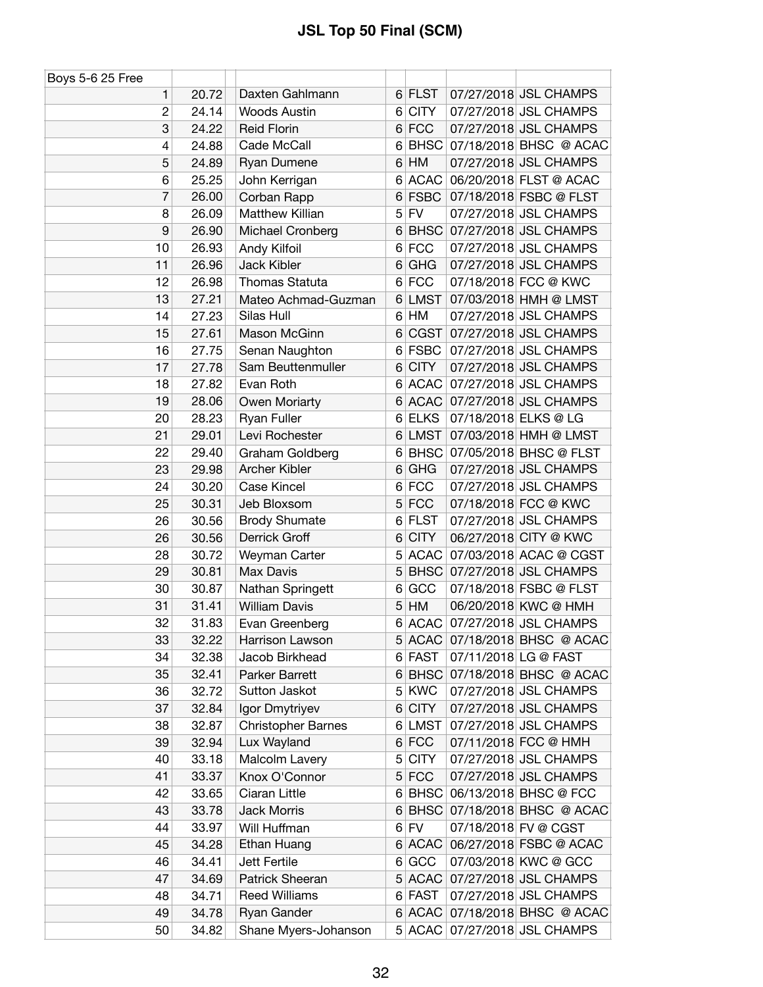| Boys 5-6 25 Free |       |                           |                |             |                               |
|------------------|-------|---------------------------|----------------|-------------|-------------------------------|
| 1                | 20.72 | Daxten Gahlmann           |                | $6$ FLST    | 07/27/2018 JSL CHAMPS         |
| $\overline{c}$   | 24.14 | <b>Woods Austin</b>       |                | 6 CITY      | 07/27/2018 JSL CHAMPS         |
| 3                | 24.22 | <b>Reid Florin</b>        |                | $6$ FCC     | 07/27/2018 JSL CHAMPS         |
| 4                | 24.88 | Cade McCall               | 6              |             | BHSC 07/18/2018 BHSC @ ACAC   |
| 5                | 24.89 | Ryan Dumene               |                | $6$ HM      | 07/27/2018 JSL CHAMPS         |
| 6                | 25.25 | John Kerrigan             | 6              | ACAC        | 06/20/2018 FLST @ ACAC        |
| 7                | 26.00 | Corban Rapp               | $6 \mid$       | <b>FSBC</b> | 07/18/2018 FSBC @ FLST        |
| 8                | 26.09 | Matthew Killian           |                | $5$ FV      | 07/27/2018 JSL CHAMPS         |
| 9                | 26.90 | Michael Cronberg          | 6              | <b>BHSC</b> | 07/27/2018 JSL CHAMPS         |
| 10               | 26.93 | Andy Kilfoil              |                | 6 FCC       | 07/27/2018 JSL CHAMPS         |
| 11               | 26.96 | Jack Kibler               | 6              | <b>GHG</b>  | 07/27/2018 JSL CHAMPS         |
| 12               | 26.98 | Thomas Statuta            |                | 6 FCC       | 07/18/2018 FCC @ KWC          |
| 13               | 27.21 | Mateo Achmad-Guzman       | 6              | <b>LMST</b> | 07/03/2018 HMH @ LMST         |
| 14               | 27.23 | Silas Hull                |                | $6$ HM      | 07/27/2018 JSL CHAMPS         |
| 15               | 27.61 | Mason McGinn              | 6              | CGST        | 07/27/2018 JSL CHAMPS         |
| 16               | 27.75 | Senan Naughton            |                | 6 FSBC      | 07/27/2018 JSL CHAMPS         |
| 17               | 27.78 | Sam Beuttenmuller         | 6 <sup>1</sup> | <b>CITY</b> | 07/27/2018 JSL CHAMPS         |
| 18               | 27.82 | Evan Roth                 |                | 6 ACAC      | 07/27/2018 JSL CHAMPS         |
| 19               | 28.06 | Owen Moriarty             | 6              | <b>ACAC</b> | 07/27/2018 JSL CHAMPS         |
| 20               | 28.23 | Ryan Fuller               | 6              | <b>ELKS</b> | 07/18/2018 ELKS @ LG          |
| 21               | 29.01 | Levi Rochester            |                | 6 LMST      | 07/03/2018 HMH @ LMST         |
| 22               | 29.40 | Graham Goldberg           | 6              |             | BHSC 07/05/2018 BHSC @ FLST   |
| 23               | 29.98 | Archer Kibler             | 6              | GHG         | 07/27/2018 JSL CHAMPS         |
| 24               | 30.20 | <b>Case Kincel</b>        |                | 6 FCC       | 07/27/2018 JSL CHAMPS         |
| 25               | 30.31 | Jeb Bloxsom               |                | $5$ FCC     | 07/18/2018 FCC @ KWC          |
| 26               | 30.56 | <b>Brody Shumate</b>      |                | 6 FLST      | 07/27/2018 JSL CHAMPS         |
| 26               | 30.56 | Derrick Groff             | 6              | <b>CITY</b> | 06/27/2018 CITY @ KWC         |
| 28               | 30.72 | Weyman Carter             |                | 5 ACAC      | 07/03/2018 ACAC @ CGST        |
| 29               | 30.81 | Max Davis                 | 5              |             | BHSC 07/27/2018 JSL CHAMPS    |
| 30               | 30.87 | Nathan Springett          | 6              | GCC         | 07/18/2018 FSBC @ FLST        |
| 31               | 31.41 | <b>William Davis</b>      | 5              | HM          | 06/20/2018 KWC @ HMH          |
| 32               | 31.83 | Evan Greenberg            |                | 6 ACAC      | 07/27/2018 JSL CHAMPS         |
| 33               | 32.22 | Harrison Lawson           |                |             | 5 ACAC 07/18/2018 BHSC @ ACAC |
| 34               | 32.38 | Jacob Birkhead            |                | 6 FAST      | 07/11/2018 LG @ FAST          |
| 35               | 32.41 | Parker Barrett            |                |             | 6 BHSC 07/18/2018 BHSC @ ACAC |
| 36               | 32.72 | Sutton Jaskot             |                | 5 KWC       | 07/27/2018 JSL CHAMPS         |
| 37               | 32.84 | Igor Dmytriyev            | 6              | <b>CITY</b> | 07/27/2018 JSL CHAMPS         |
| 38               | 32.87 | <b>Christopher Barnes</b> | 6              | <b>LMST</b> | 07/27/2018 JSL CHAMPS         |
| 39               | 32.94 | Lux Wayland               |                | $6$ FCC     | 07/11/2018 FCC @ HMH          |
| 40               | 33.18 | Malcolm Lavery            |                | 5 CITY      | 07/27/2018 JSL CHAMPS         |
| 41               | 33.37 | Knox O'Connor             |                | $5$ FCC     | 07/27/2018 JSL CHAMPS         |
| 42               | 33.65 | Ciaran Little             |                |             | 6 BHSC 06/13/2018 BHSC @ FCC  |
| 43               | 33.78 | Jack Morris               | 6              | <b>BHSC</b> | 07/18/2018 BHSC @ ACAC        |
| 44               | 33.97 | Will Huffman              |                | $6$ FV      | 07/18/2018 FV @ CGST          |
| 45               | 34.28 | Ethan Huang               |                | 6 ACAC      | 06/27/2018 FSBC @ ACAC        |
| 46               | 34.41 | Jett Fertile              | $6 \mid$       | GCC         | 07/03/2018 KWC @ GCC          |
| 47               | 34.69 | Patrick Sheeran           |                | $5$ ACAC    | 07/27/2018 JSL CHAMPS         |
| 48               | 34.71 | <b>Reed Williams</b>      |                | 6 FAST      | 07/27/2018 JSL CHAMPS         |
| 49               | 34.78 | Ryan Gander               |                |             | 6 ACAC 07/18/2018 BHSC @ ACAC |
| 50               | 34.82 | Shane Myers-Johanson      |                |             | 5 ACAC 07/27/2018 JSL CHAMPS  |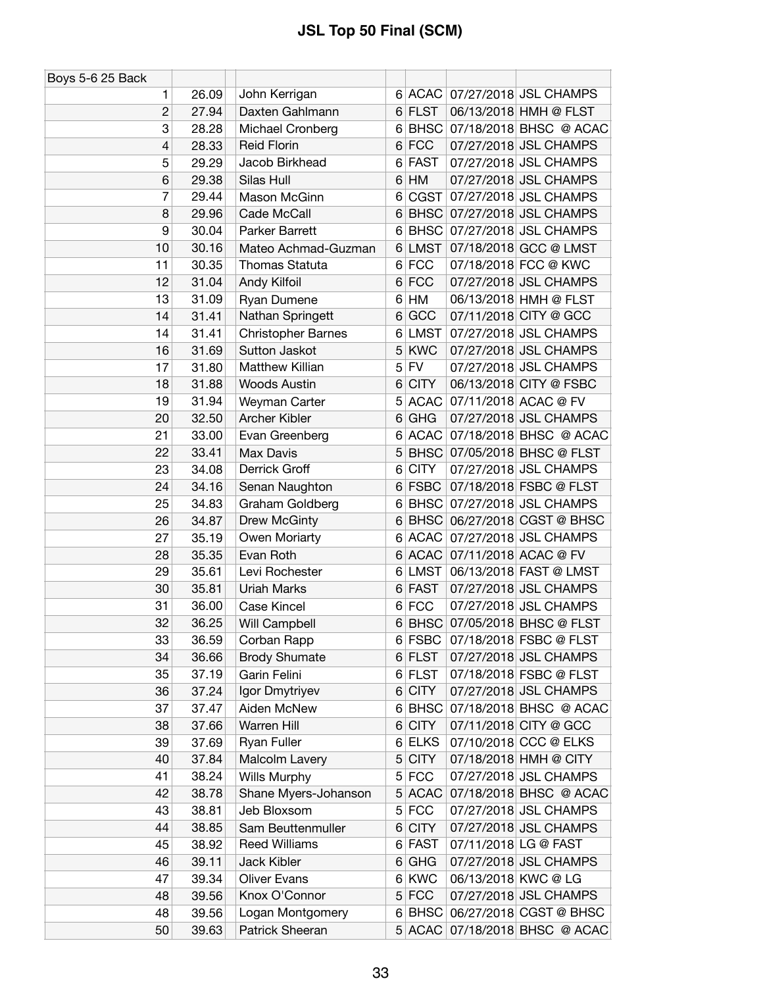| Boys 5-6 25 Back |       |                           |   |             |                               |
|------------------|-------|---------------------------|---|-------------|-------------------------------|
| 1                | 26.09 | John Kerrigan             |   |             | 6 ACAC 07/27/2018 JSL CHAMPS  |
| $\overline{c}$   | 27.94 | Daxten Gahlmann           |   | 6 FLST      | 06/13/2018 HMH @ FLST         |
| 3                | 28.28 | Michael Cronberg          |   |             | 6 BHSC 07/18/2018 BHSC @ ACAC |
| 4                | 28.33 | <b>Reid Florin</b>        |   | $6$ FCC     | 07/27/2018 JSL CHAMPS         |
| 5                | 29.29 | Jacob Birkhead            |   | 6 FAST      | 07/27/2018 JSL CHAMPS         |
| 6                | 29.38 | Silas Hull                | 6 | HM          | 07/27/2018 JSL CHAMPS         |
| 7                | 29.44 | Mason McGinn              | 6 | CGST        | 07/27/2018 JSL CHAMPS         |
| 8                | 29.96 | Cade McCall               |   |             | 6 BHSC 07/27/2018 JSL CHAMPS  |
| 9                | 30.04 | Parker Barrett            |   | 6 BHSC      | 07/27/2018 JSL CHAMPS         |
| 10               | 30.16 | Mateo Achmad-Guzman       |   | 6 LMST      | 07/18/2018 GCC @ LMST         |
| 11               | 30.35 | Thomas Statuta            |   | 6 FCC       | 07/18/2018 FCC @ KWC          |
| 12               | 31.04 | Andy Kilfoil              |   | $6$ FCC     | 07/27/2018 JSL CHAMPS         |
| 13               | 31.09 | Ryan Dumene               | 6 | HM          | 06/13/2018 HMH @ FLST         |
| 14               | 31.41 | Nathan Springett          | 6 | GCC         | 07/11/2018 CITY @ GCC         |
| 14               | 31.41 | <b>Christopher Barnes</b> | 6 | <b>LMST</b> | 07/27/2018 JSL CHAMPS         |
| 16               | 31.69 | Sutton Jaskot             |   | 5 KWC       | 07/27/2018 JSL CHAMPS         |
| 17               | 31.80 | Matthew Killian           |   | $5$ FV      | 07/27/2018 JSL CHAMPS         |
| 18               | 31.88 | <b>Woods Austin</b>       | 6 | <b>CITY</b> | 06/13/2018 CITY @ FSBC        |
| 19               | 31.94 | Weyman Carter             | 5 | <b>ACAC</b> | 07/11/2018 ACAC @ FV          |
| 20               | 32.50 | Archer Kibler             | 6 | <b>GHG</b>  | 07/27/2018 JSL CHAMPS         |
| 21               | 33.00 | Evan Greenberg            |   |             | 6 ACAC 07/18/2018 BHSC @ ACAC |
| 22               | 33.41 | Max Davis                 |   |             | 5 BHSC 07/05/2018 BHSC @ FLST |
| 23               | 34.08 | Derrick Groff             | 6 | <b>CITY</b> | 07/27/2018 JSL CHAMPS         |
| 24               | 34.16 | Senan Naughton            |   | $6$ FSBC    | 07/18/2018 FSBC @ FLST        |
| 25               | 34.83 | Graham Goldberg           |   |             | 6 BHSC 07/27/2018 JSL CHAMPS  |
| 26               | 34.87 | Drew McGinty              | 6 | <b>BHSC</b> | 06/27/2018 CGST @ BHSC        |
| 27               | 35.19 | Owen Moriarty             | 6 | <b>ACAC</b> | 07/27/2018 JSL CHAMPS         |
| 28               | 35.35 | Evan Roth                 |   | 6 ACAC      | 07/11/2018 ACAC @ FV          |
| 29               | 35.61 | Levi Rochester            |   | 6 LMST      | 06/13/2018 FAST @ LMST        |
| 30               | 35.81 | <b>Uriah Marks</b>        |   | 6 FAST      | 07/27/2018 JSL CHAMPS         |
| 31               | 36.00 | Case Kincel               |   | 6 FCC       | 07/27/2018 JSL CHAMPS         |
| 32               | 36.25 | Will Campbell             |   |             | 6 BHSC 07/05/2018 BHSC @ FLST |
| 33               | 36.59 | Corban Rapp               |   | 6 FSBC      | 07/18/2018 FSBC @ FLST        |
| 34               | 36.66 | <b>Brody Shumate</b>      |   | 6 FLST      | 07/27/2018 JSL CHAMPS         |
| 35               | 37.19 | Garin Felini              |   | 6 FLST      | 07/18/2018 FSBC @ FLST        |
| 36               | 37.24 | Igor Dmytriyev            | 6 | <b>CITY</b> | 07/27/2018 JSL CHAMPS         |
| 37               | 37.47 | Aiden McNew               |   | 6 BHSC      | 07/18/2018 BHSC @ ACAC        |
| 38               | 37.66 | Warren Hill               | 6 | <b>CITY</b> | 07/11/2018 CITY @ GCC         |
| 39               | 37.69 | Ryan Fuller               |   | 6 ELKS      | 07/10/2018 CCC @ ELKS         |
| 40               | 37.84 | Malcolm Lavery            |   | $5$ CITY    | 07/18/2018 HMH @ CITY         |
| 41               | 38.24 | <b>Wills Murphy</b>       |   | 5 FCC       | 07/27/2018 JSL CHAMPS         |
| 42               | 38.78 | Shane Myers-Johanson      |   | $5$ ACAC    | 07/18/2018 BHSC @ ACAC        |
| 43               | 38.81 | Jeb Bloxsom               |   | 5 FCC       | 07/27/2018 JSL CHAMPS         |
| 44               | 38.85 | Sam Beuttenmuller         | 6 | <b>CITY</b> | 07/27/2018 JSL CHAMPS         |
| 45               | 38.92 | <b>Reed Williams</b>      |   | 6 FAST      | 07/11/2018 LG @ FAST          |
| 46               | 39.11 | Jack Kibler               |   | $6$ GHG     | 07/27/2018 JSL CHAMPS         |
| 47               | 39.34 | <b>Oliver Evans</b>       |   | 6 KWC       | 06/13/2018 KWC @ LG           |
| 48               | 39.56 | Knox O'Connor             |   | 5 FCC       | 07/27/2018 JSL CHAMPS         |
| 48               | 39.56 | Logan Montgomery          |   | 6 BHSC      | 06/27/2018 CGST @ BHSC        |
| 50               | 39.63 | Patrick Sheeran           |   | $5$ ACAC    | 07/18/2018 BHSC @ ACAC        |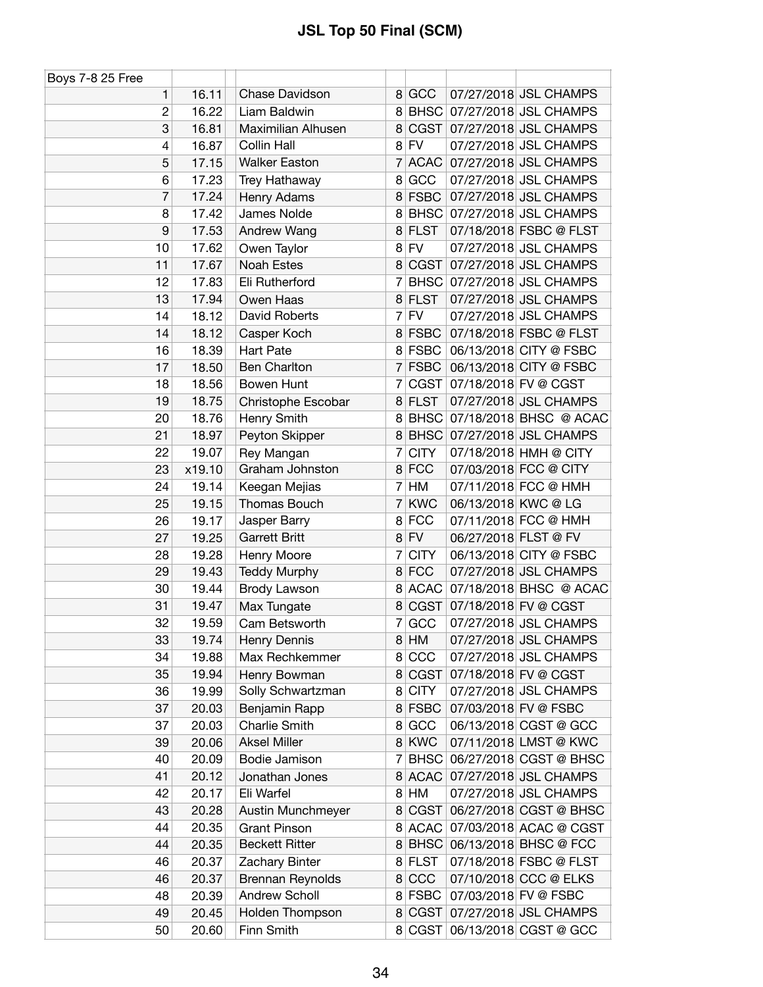| Boys 7-8 25 Free |        |                         |                |             |                      |                              |
|------------------|--------|-------------------------|----------------|-------------|----------------------|------------------------------|
| 1                | 16.11  | Chase Davidson          | 8              | GCC         |                      | 07/27/2018 JSL CHAMPS        |
| $\overline{c}$   | 16.22  | Liam Baldwin            | 8              |             |                      | BHSC 07/27/2018 JSL CHAMPS   |
| 3                | 16.81  | Maximilian Alhusen      | 8              |             |                      | CGST 07/27/2018 JSL CHAMPS   |
| 4                | 16.87  | <b>Collin Hall</b>      |                | $8$ FV      |                      | 07/27/2018 JSL CHAMPS        |
| 5                | 17.15  | <b>Walker Easton</b>    | 7              | <b>ACAC</b> |                      | 07/27/2018 JSL CHAMPS        |
| 6                | 17.23  | Trey Hathaway           | 8              | GCC         |                      | 07/27/2018 JSL CHAMPS        |
| 7                | 17.24  | Henry Adams             | 8              | <b>FSBC</b> |                      | 07/27/2018 JSL CHAMPS        |
| 8                | 17.42  | James Nolde             | 8              |             |                      | BHSC 07/27/2018 JSL CHAMPS   |
| 9                | 17.53  | Andrew Wang             | 8              | <b>FLST</b> |                      | 07/18/2018 FSBC @ FLST       |
| 10               | 17.62  | Owen Taylor             | 8              | <b>FV</b>   |                      | 07/27/2018 JSL CHAMPS        |
| 11               | 17.67  | Noah Estes              | 8              | CGST        |                      | 07/27/2018 JSL CHAMPS        |
| 12               | 17.83  | Eli Rutherford          | 7              | <b>BHSC</b> |                      | 07/27/2018 JSL CHAMPS        |
| 13               | 17.94  | Owen Haas               | 8              | <b>FLST</b> |                      | 07/27/2018 JSL CHAMPS        |
| 14               | 18.12  | David Roberts           | 7              | <b>FV</b>   |                      | 07/27/2018 JSL CHAMPS        |
| 14               | 18.12  | Casper Koch             |                | 8 FSBC      |                      | 07/18/2018 FSBC @ FLST       |
| 16               | 18.39  | <b>Hart Pate</b>        |                | 8 FSBC      |                      | 06/13/2018 CITY @ FSBC       |
| 17               | 18.50  | <b>Ben Charlton</b>     | $\overline{7}$ | FSBC        |                      | 06/13/2018 CITY @ FSBC       |
| 18               | 18.56  | Bowen Hunt              | 7              |             |                      | CGST 07/18/2018 FV @ CGST    |
| 19               | 18.75  | Christophe Escobar      | 8              | <b>FLST</b> |                      | 07/27/2018 JSL CHAMPS        |
| 20               | 18.76  | Henry Smith             | 8              |             |                      | BHSC 07/18/2018 BHSC @ ACAC  |
| 21               | 18.97  | Peyton Skipper          | 8              |             |                      | BHSC 07/27/2018 JSL CHAMPS   |
| 22               | 19.07  | Rey Mangan              | 7              | <b>CITY</b> |                      | 07/18/2018 HMH @ CITY        |
| 23               | x19.10 | Graham Johnston         |                | 8 FCC       |                      | 07/03/2018 FCC @ CITY        |
| 24               | 19.14  | Keegan Mejias           | 7              | HM          |                      | 07/11/2018 FCC @ HMH         |
| 25               | 19.15  | Thomas Bouch            | 7              | <b>KWC</b>  | 06/13/2018 KWC @ LG  |                              |
| 26               | 19.17  | Jasper Barry            | 8              | <b>FCC</b>  |                      | 07/11/2018 FCC @ HMH         |
| 27               | 19.25  | <b>Garrett Britt</b>    | 8              | <b>FV</b>   | 06/27/2018 FLST @ FV |                              |
| 28               | 19.28  | Henry Moore             | 7              | <b>CITY</b> |                      | 06/13/2018 CITY @ FSBC       |
| 29               | 19.43  | <b>Teddy Murphy</b>     |                | 8 FCC       |                      | 07/27/2018 JSL CHAMPS        |
| 30               | 19.44  | Brody Lawson            |                | 8 ACAC      |                      | 07/18/2018 BHSC @ ACAC       |
| 31               | 19.47  | Max Tungate             | 8              |             |                      | CGST 07/18/2018 FV @ CGST    |
| 32               | 19.59  | Cam Betsworth           |                | 7 GCC       |                      | 07/27/2018 JSL CHAMPS        |
| 33               | 19.74  | Henry Dennis            | 8 <sup>2</sup> | HM          |                      | 07/27/2018 JSL CHAMPS        |
| 34               | 19.88  | Max Rechkemmer          | 8              | CCC         |                      | 07/27/2018 JSL CHAMPS        |
| 35               | 19.94  | Henry Bowman            | 8              | CGST        |                      | 07/18/2018 FV @ CGST         |
| 36               | 19.99  | Solly Schwartzman       | 8              | <b>CITY</b> |                      | 07/27/2018 JSL CHAMPS        |
| 37               | 20.03  | Benjamin Rapp           | 8 <sup>1</sup> | <b>FSBC</b> |                      | 07/03/2018 FV @ FSBC         |
| 37               | 20.03  | Charlie Smith           | 8              | GCC         |                      | 06/13/2018 CGST @ GCC        |
| 39               | 20.06  | <b>Aksel Miller</b>     | 8 <sup>1</sup> | KWC         |                      | 07/11/2018 LMST @ KWC        |
| 40               | 20.09  | Bodie Jamison           | 7              | <b>BHSC</b> |                      | 06/27/2018 CGST @ BHSC       |
| 41               | 20.12  | Jonathan Jones          | 8              | <b>ACAC</b> |                      | 07/27/2018 JSL CHAMPS        |
| 42               | 20.17  | Eli Warfel              | 8              | HM          |                      | 07/27/2018 JSL CHAMPS        |
| 43               | 20.28  | Austin Munchmeyer       | 8              | CGST        |                      | 06/27/2018 CGST @ BHSC       |
| 44               | 20.35  | <b>Grant Pinson</b>     | 8              | <b>ACAC</b> |                      | 07/03/2018 ACAC @ CGST       |
| 44               | 20.35  | <b>Beckett Ritter</b>   | 8              |             |                      | BHSC 06/13/2018 BHSC @ FCC   |
| 46               | 20.37  | Zachary Binter          |                | 8 FLST      |                      | 07/18/2018 FSBC @ FLST       |
| 46               | 20.37  | <b>Brennan Reynolds</b> | 8              | CCC         |                      | 07/10/2018 CCC @ ELKS        |
| 48               | 20.39  | Andrew Scholl           |                | 8 FSBC      |                      | 07/03/2018 FV @ FSBC         |
| 49               | 20.45  | Holden Thompson         | 8 <sup>1</sup> |             |                      | CGST 07/27/2018 JSL CHAMPS   |
| 50               | 20.60  | Finn Smith              |                |             |                      | 8 CGST 06/13/2018 CGST @ GCC |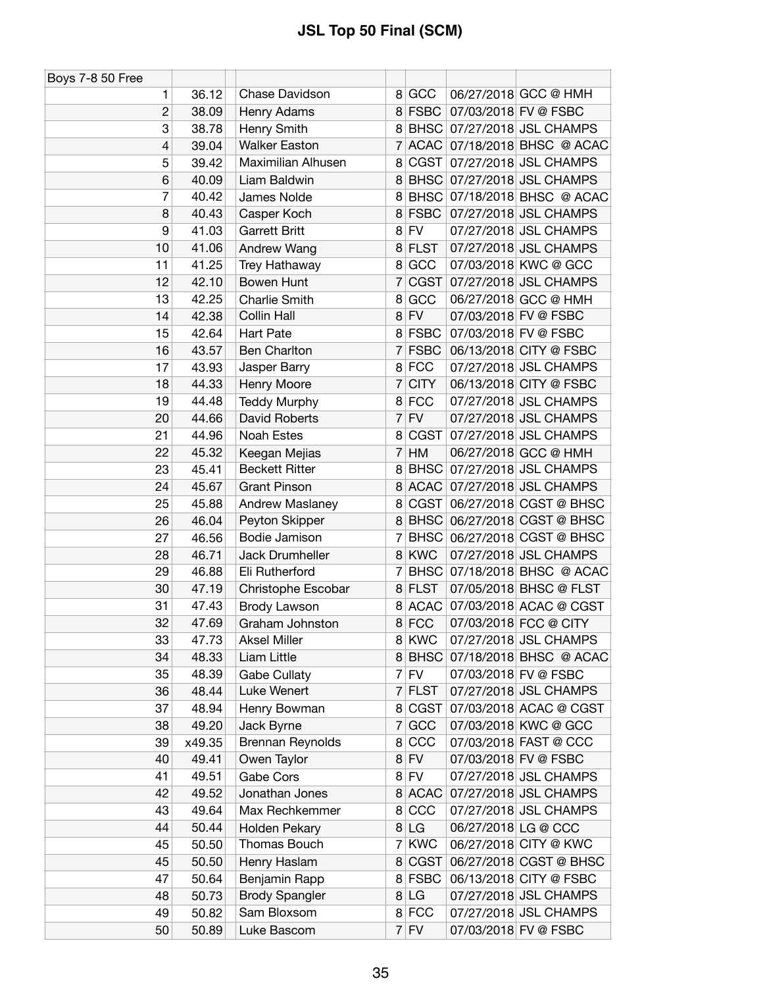| <b>Boys 7-8 50 Free</b>  |        |                       |                |             |                      |                             |
|--------------------------|--------|-----------------------|----------------|-------------|----------------------|-----------------------------|
| 1                        | 36.12  | Chase Davidson        | 8              | GCC         |                      | 06/27/2018 GCC @ HMH        |
| $\overline{c}$           | 38.09  | Henry Adams           |                | 8 FSBC      | 07/03/2018 FV @ FSBC |                             |
| 3                        | 38.78  | Henry Smith           | 8              |             |                      | BHSC 07/27/2018 JSL CHAMPS  |
| $\overline{\mathcal{L}}$ | 39.04  | <b>Walker Easton</b>  | $\overline{7}$ |             |                      | ACAC 07/18/2018 BHSC @ ACAC |
| 5                        | 39.42  | Maximilian Alhusen    | 8              | <b>CGST</b> |                      | 07/27/2018 JSL CHAMPS       |
| 6                        | 40.09  | Liam Baldwin          | 8 <sup>1</sup> |             |                      | BHSC 07/27/2018 JSL CHAMPS  |
| 7                        | 40.42  | James Nolde           | 8              |             |                      | BHSC 07/18/2018 BHSC @ ACAC |
| 8                        | 40.43  | Casper Koch           |                | 8 FSBC      |                      | 07/27/2018 JSL CHAMPS       |
| 9                        | 41.03  | <b>Garrett Britt</b>  | 8              | <b>FV</b>   |                      | 07/27/2018 JSL CHAMPS       |
| 10                       | 41.06  | Andrew Wang           | 8 <sup>1</sup> | <b>FLST</b> |                      | 07/27/2018 JSL CHAMPS       |
| 11                       | 41.25  | Trey Hathaway         | 8              | GCC         |                      | 07/03/2018 KWC @ GCC        |
| 12                       | 42.10  | Bowen Hunt            | 7              | <b>CGST</b> |                      | 07/27/2018 JSL CHAMPS       |
| 13                       | 42.25  | <b>Charlie Smith</b>  | 8              | GCC         |                      | 06/27/2018 GCC @ HMH        |
| 14                       | 42.38  | Collin Hall           | 8 <sup>1</sup> | <b>FV</b>   |                      | 07/03/2018 FV @ FSBC        |
| 15                       | 42.64  | Hart Pate             |                | 8 FSBC      |                      | 07/03/2018 FV @ FSBC        |
| 16                       | 43.57  | <b>Ben Charlton</b>   | 7              | <b>FSBC</b> |                      | 06/13/2018 CITY @ FSBC      |
| 17                       | 43.93  | Jasper Barry          |                | 8 FCC       |                      | 07/27/2018 JSL CHAMPS       |
| 18                       | 44.33  | Henry Moore           | 7              | <b>CITY</b> |                      | 06/13/2018 CITY @ FSBC      |
| 19                       | 44.48  | <b>Teddy Murphy</b>   |                | 8 FCC       |                      | 07/27/2018 JSL CHAMPS       |
| 20                       | 44.66  | David Roberts         | $\overline{7}$ | <b>FV</b>   |                      | 07/27/2018 JSL CHAMPS       |
| 21                       | 44.96  | Noah Estes            | 8              | CGST        |                      | 07/27/2018 JSL CHAMPS       |
| 22                       | 45.32  | Keegan Mejias         | $\overline{7}$ | HM          |                      | 06/27/2018 GCC @ HMH        |
| 23                       | 45.41  | <b>Beckett Ritter</b> | 8 <sup>1</sup> |             |                      | BHSC 07/27/2018 JSL CHAMPS  |
| 24                       | 45.67  | <b>Grant Pinson</b>   | 8              |             |                      | ACAC 07/27/2018 JSL CHAMPS  |
| 25                       | 45.88  | Andrew Maslaney       | 8              | CGST        |                      | 06/27/2018 CGST @ BHSC      |
| 26                       | 46.04  | Peyton Skipper        | 8 <sup>1</sup> | <b>BHSC</b> |                      | 06/27/2018 CGST @ BHSC      |
| 27                       | 46.56  | Bodie Jamison         | 7              |             |                      | BHSC 06/27/2018 CGST @ BHSC |
| 28                       | 46.71  | Jack Drumheller       |                | 8 KWC       |                      | 07/27/2018 JSL CHAMPS       |
| 29                       | 46.88  | Eli Rutherford        | 7              |             |                      | BHSC 07/18/2018 BHSC @ ACAC |
| 30                       | 47.19  | Christophe Escobar    |                | 8 FLST      |                      | 07/05/2018 BHSC @ FLST      |
| 31                       | 47.43  | <b>Brody Lawson</b>   | 8 <sup>1</sup> | <b>ACAC</b> |                      | 07/03/2018 ACAC @ CGST      |
| 32                       | 47.69  | Graham Johnston       |                | 8 FCC       |                      | 07/03/2018 FCC @ CITY       |
| 33                       | 47.73  | <b>Aksel Miller</b>   |                | 8 KWC       |                      | 07/27/2018 JSL CHAMPS       |
| 34                       | 48.33  | Liam Little           | 8              |             |                      | BHSC 07/18/2018 BHSC @ ACAC |
| 35                       | 48.39  | <b>Gabe Cullaty</b>   | $7\vert$       | <b>FV</b>   |                      | 07/03/2018 FV @ FSBC        |
| 36                       | 48.44  | Luke Wenert           | $\overline{7}$ | <b>FLST</b> |                      | 07/27/2018 JSL CHAMPS       |
| 37                       | 48.94  | Henry Bowman          | 8              | <b>CGST</b> |                      | 07/03/2018 ACAC @ CGST      |
| 38                       | 49.20  | Jack Byrne            | $7\vert$       | GCC         |                      | 07/03/2018 KWC @ GCC        |
| 39                       | x49.35 | Brennan Reynolds      | 8              | CCC         |                      | 07/03/2018 FAST @ CCC       |
| 40                       | 49.41  | Owen Taylor           |                | $8$ FV      |                      | 07/03/2018 FV @ FSBC        |
| 41                       | 49.51  | <b>Gabe Cors</b>      |                | $8$ FV      |                      | 07/27/2018 JSL CHAMPS       |
| 42                       | 49.52  | Jonathan Jones        |                | 8 ACAC      |                      | 07/27/2018 JSL CHAMPS       |
| 43                       | 49.64  | Max Rechkemmer        | 8              | CCC         |                      | 07/27/2018 JSL CHAMPS       |
| 44                       | 50.44  | Holden Pekary         |                | 8 LG        | 06/27/2018 LG @ CCC  |                             |
| 45                       | 50.50  | Thomas Bouch          | 7              | <b>KWC</b>  |                      | 06/27/2018 CITY @ KWC       |
| 45                       | 50.50  | Henry Haslam          | 8              | CGST        |                      | 06/27/2018 CGST @ BHSC      |
| 47                       | 50.64  | Benjamin Rapp         |                | 8 FSBC      |                      | 06/13/2018 CITY @ FSBC      |
| 48                       | 50.73  | <b>Brody Spangler</b> |                | 8 LG        |                      | 07/27/2018 JSL CHAMPS       |
| 49                       | 50.82  | Sam Bloxsom           |                | 8 FCC       |                      | 07/27/2018 JSL CHAMPS       |
| 50                       | 50.89  | Luke Bascom           |                | $7$ FV      |                      | 07/03/2018 FV @ FSBC        |
|                          |        |                       |                |             |                      |                             |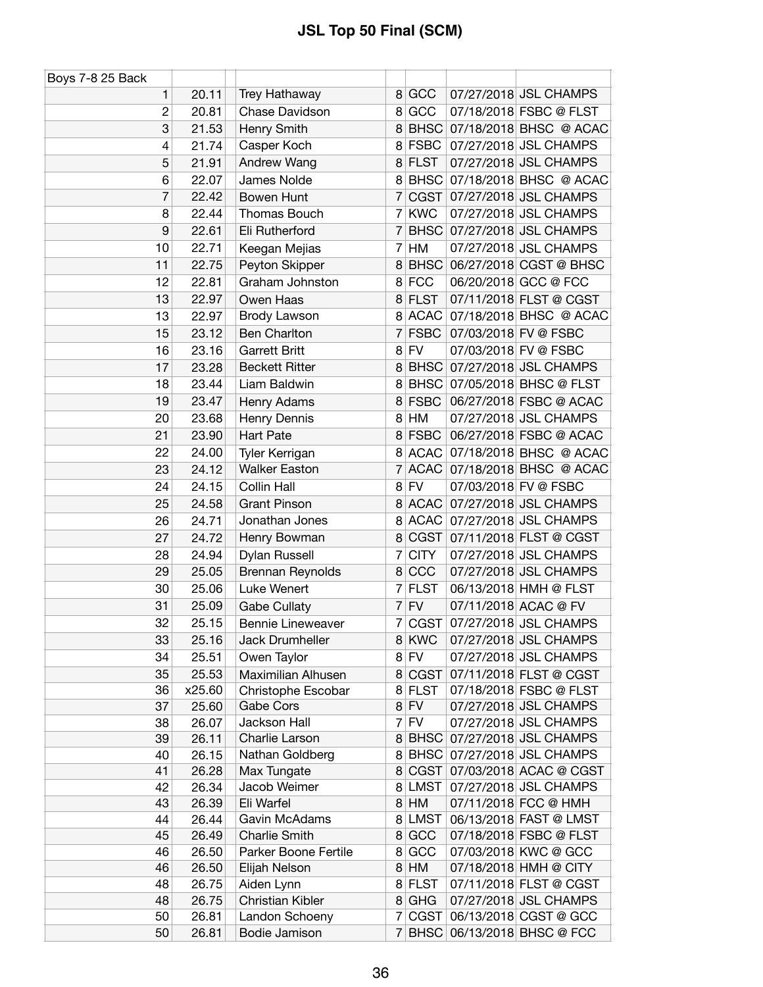| Boys 7-8 25 Back |                |                             |                |                       |                                                 |
|------------------|----------------|-----------------------------|----------------|-----------------------|-------------------------------------------------|
| 1                | 20.11          | Trey Hathaway               |                | 8 GCC                 | 07/27/2018 JSL CHAMPS                           |
| $\overline{c}$   | 20.81          | Chase Davidson              |                | 8 GCC                 | 07/18/2018 FSBC @ FLST                          |
| 3                | 21.53          | Henry Smith                 |                | 8 BHSC                | 07/18/2018 BHSC @ ACAC                          |
| 4                | 21.74          | Casper Koch                 |                | 8 FSBC                | 07/27/2018 JSL CHAMPS                           |
| 5                | 21.91          | Andrew Wang                 |                | 8 FLST                | 07/27/2018 JSL CHAMPS                           |
| 6                | 22.07          | James Nolde                 | 8              | <b>BHSC</b>           | 07/18/2018 BHSC @ ACAC                          |
| 7                | 22.42          | <b>Bowen Hunt</b>           | 7              | CGST                  | 07/27/2018 JSL CHAMPS                           |
| 8                | 22.44          | Thomas Bouch                |                | 7 KWC                 | 07/27/2018 JSL CHAMPS                           |
| 9                | 22.61          | Eli Rutherford              | 7              | <b>BHSC</b>           | 07/27/2018 JSL CHAMPS                           |
| 10               | 22.71          | Keegan Mejias               |                | 7 HM                  | 07/27/2018 JSL CHAMPS                           |
| 11               | 22.75          | Peyton Skipper              | 8              | <b>BHSC</b>           | 06/27/2018 CGST @ BHSC                          |
| 12               | 22.81          | Graham Johnston             |                | 8 FCC                 | 06/20/2018 GCC @ FCC                            |
| 13               | 22.97          | Owen Haas                   | 8              | <b>FLST</b>           | 07/11/2018 FLST @ CGST                          |
| 13               | 22.97          | <b>Brody Lawson</b>         |                | 8 ACAC                | 07/18/2018 BHSC @ ACAC                          |
| 15               | 23.12          | <b>Ben Charlton</b>         | 7              | <b>FSBC</b>           | 07/03/2018 FV @ FSBC                            |
| 16               | 23.16          | <b>Garrett Britt</b>        |                | $8$ FV                | 07/03/2018 FV @ FSBC                            |
| 17               | 23.28          | <b>Beckett Ritter</b>       | 8 <sup>1</sup> |                       | BHSC 07/27/2018 JSL CHAMPS                      |
| 18               | 23.44          | Liam Baldwin                | 8              |                       | BHSC 07/05/2018 BHSC @ FLST                     |
| 19               | 23.47          | Henry Adams                 |                | 8 FSBC                | 06/27/2018 FSBC @ ACAC                          |
| 20               | 23.68          | Henry Dennis                |                | 8 HM                  | 07/27/2018 JSL CHAMPS                           |
| 21               | 23.90          | <b>Hart Pate</b>            |                | 8 FSBC                | 06/27/2018 FSBC @ ACAC                          |
| 22               | 24.00          | Tyler Kerrigan              |                |                       | 8 ACAC 07/18/2018 BHSC @ ACAC                   |
| 23               | 24.12          | <b>Walker Easton</b>        | 7              | <b>ACAC</b>           | 07/18/2018 BHSC @ ACAC                          |
|                  |                |                             |                | $8$ FV                |                                                 |
| 24               | 24.15          | Collin Hall                 |                |                       | 07/03/2018 FV @ FSBC                            |
| 25               | 24.58          | <b>Grant Pinson</b>         |                | 8 ACAC                | 07/27/2018 JSL CHAMPS                           |
| 26               | 24.71          | Jonathan Jones              | 8              | <b>ACAC</b>           | 07/27/2018 JSL CHAMPS                           |
| 27               | 24.72          | Henry Bowman                | 8              | <b>CGST</b>           | 07/11/2018 FLST @ CGST                          |
| 28               | 24.94          | Dylan Russell               | $\overline{7}$ | <b>CITY</b>           | 07/27/2018 JSL CHAMPS                           |
| 29               | 25.05          | Brennan Reynolds            | 8              | CCC                   | 07/27/2018 JSL CHAMPS                           |
| 30               | 25.06          | Luke Wenert                 |                | 7 FLST                | 06/13/2018 HMH @ FLST                           |
| 31               | 25.09          | <b>Gabe Cullaty</b>         |                | $7$ FV                | 07/11/2018 ACAC @ FV                            |
| 32               | 25.15          | <b>Bennie Lineweaver</b>    |                | 7 CGST                | 07/27/2018 JSL CHAMPS                           |
| 33               | 25.16          | Jack Drumheller             |                | 8 KWC                 | 07/27/2018 JSL CHAMPS                           |
| 34               | 25.51          | Owen Taylor                 |                | $8$ FV                | 07/27/2018 JSL CHAMPS                           |
| 35               | 25.53          | Maximilian Alhusen          |                | 8 CGST                | 07/11/2018 FLST @ CGST                          |
| 36               | x25.60         | Christophe Escobar          |                | 8 FLST                | 07/18/2018 FSBC @ FLST                          |
| 37               | 25.60          | Gabe Cors                   |                | $8$ FV                | 07/27/2018 JSL CHAMPS                           |
| 38               | 26.07          | Jackson Hall                |                | $7$ FV                | 07/27/2018 JSL CHAMPS                           |
| 39               | 26.11          | Charlie Larson              |                | 8 BHSC                | 07/27/2018 JSL CHAMPS                           |
| 40               | 26.15          | Nathan Goldberg             | 8              | <b>BHSC</b><br>8 CGST | 07/27/2018 JSL CHAMPS                           |
| 41               | 26.28          | Max Tungate<br>Jacob Weimer |                | 8 LMST                | 07/03/2018 ACAC @ CGST<br>07/27/2018 JSL CHAMPS |
| 42               | 26.34          | Eli Warfel                  |                | 8 HM                  | 07/11/2018 FCC @ HMH                            |
| 43<br>44         | 26.39<br>26.44 | Gavin McAdams               |                | 8 LMST                | 06/13/2018 FAST @ LMST                          |
| 45               | 26.49          | <b>Charlie Smith</b>        |                | 8 GCC                 | 07/18/2018 FSBC @ FLST                          |
| 46               | 26.50          | Parker Boone Fertile        |                | 8 GCC                 | 07/03/2018 KWC @ GCC                            |
| 46               | 26.50          | Elijah Nelson               |                | 8 HM                  | 07/18/2018 HMH @ CITY                           |
| 48               | 26.75          | Aiden Lynn                  |                | 8 FLST                | 07/11/2018 FLST @ CGST                          |
| 48               | 26.75          | Christian Kibler            | 8 <sup>1</sup> | GHG                   | 07/27/2018 JSL CHAMPS                           |
| 50               | 26.81          | Landon Schoeny              |                | 7 CGST                | 06/13/2018 CGST @ GCC                           |
| 50               | 26.81          | Bodie Jamison               |                | 7 BHSC                | 06/13/2018 BHSC @ FCC                           |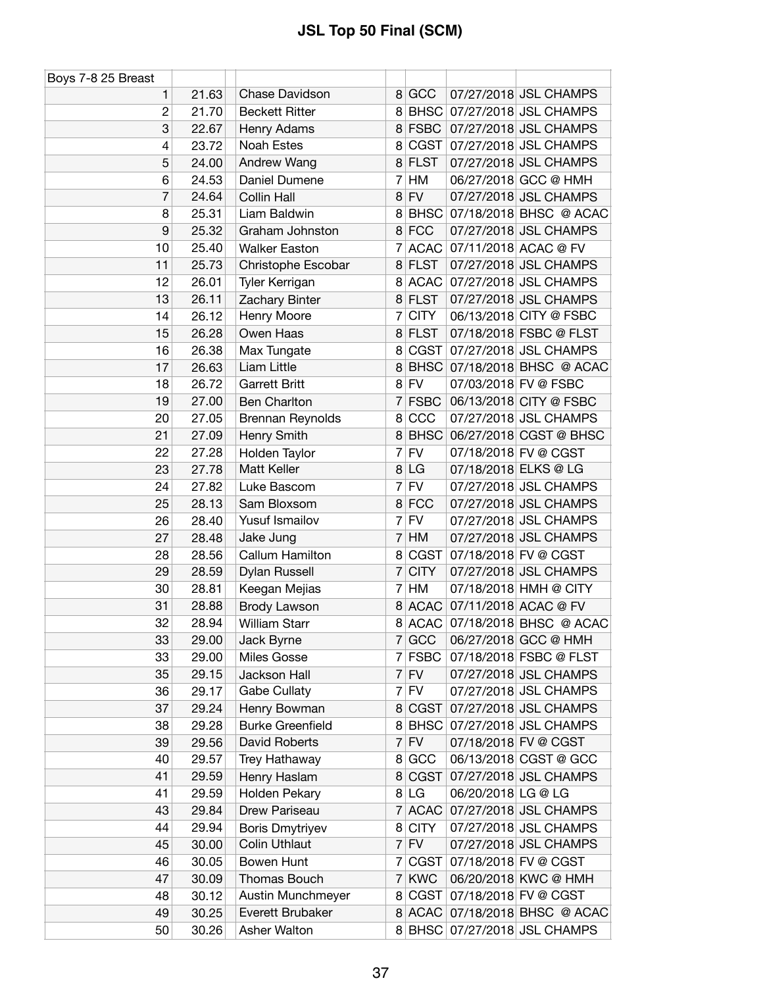| Boys 7-8 25 Breast |       |                         |                |             |                    |                               |
|--------------------|-------|-------------------------|----------------|-------------|--------------------|-------------------------------|
| 1                  | 21.63 | Chase Davidson          |                | 8 GCC       |                    | 07/27/2018 JSL CHAMPS         |
| $\overline{c}$     | 21.70 | <b>Beckett Ritter</b>   |                |             |                    | 8 BHSC 07/27/2018 JSL CHAMPS  |
| 3                  | 22.67 | Henry Adams             |                | 8 FSBC      |                    | 07/27/2018 JSL CHAMPS         |
| 4                  | 23.72 | <b>Noah Estes</b>       | 8              | CGST        |                    | 07/27/2018 JSL CHAMPS         |
| 5                  | 24.00 | Andrew Wang             |                | 8 FLST      |                    | 07/27/2018 JSL CHAMPS         |
| 6                  | 24.53 | Daniel Dumene           | 7              | HM          |                    | 06/27/2018 GCC @ HMH          |
| 7                  | 24.64 | Collin Hall             | 8              | <b>FV</b>   |                    | 07/27/2018 JSL CHAMPS         |
| 8                  | 25.31 | Liam Baldwin            |                |             |                    | 8 BHSC 07/18/2018 BHSC @ ACAC |
| 9                  | 25.32 | Graham Johnston         |                | 8 FCC       |                    | 07/27/2018 JSL CHAMPS         |
| 10                 | 25.40 | <b>Walker Easton</b>    |                |             |                    | 7 ACAC 07/11/2018 ACAC @ FV   |
| 11                 | 25.73 | Christophe Escobar      |                | 8 FLST      |                    | 07/27/2018 JSL CHAMPS         |
| 12                 | 26.01 | Tyler Kerrigan          |                | 8 ACAC      |                    | 07/27/2018 JSL CHAMPS         |
| 13                 | 26.11 | Zachary Binter          | 8              | <b>FLST</b> |                    | 07/27/2018 JSL CHAMPS         |
| 14                 | 26.12 | Henry Moore             | 7              | <b>CITY</b> |                    | 06/13/2018 CITY @ FSBC        |
| 15                 | 26.28 | Owen Haas               |                | 8 FLST      |                    | 07/18/2018 FSBC @ FLST        |
| 16                 | 26.38 | Max Tungate             | 8              | CGST        |                    | 07/27/2018 JSL CHAMPS         |
| 17                 | 26.63 | Liam Little             |                |             |                    | 8 BHSC 07/18/2018 BHSC @ ACAC |
| 18                 | 26.72 | <b>Garrett Britt</b>    |                | $8$ FV      |                    | 07/03/2018 FV @ FSBC          |
| 19                 | 27.00 | <b>Ben Charlton</b>     |                | 7 FSBC      |                    | 06/13/2018 CITY @ FSBC        |
| 20                 | 27.05 | Brennan Reynolds        | 8              | CCC         |                    | 07/27/2018 JSL CHAMPS         |
| 21                 | 27.09 | Henry Smith             |                | 8 BHSC      |                    | 06/27/2018 CGST @ BHSC        |
| 22                 | 27.28 | Holden Taylor           | $\overline{7}$ | FV          |                    | 07/18/2018 FV @ CGST          |
| 23                 | 27.78 | Matt Keller             | 8 <sup>1</sup> | LG          |                    | 07/18/2018 ELKS @ LG          |
| 24                 | 27.82 | Luke Bascom             |                | $7$ FV      |                    | 07/27/2018 JSL CHAMPS         |
| 25                 | 28.13 | Sam Bloxsom             |                | 8 FCC       |                    | 07/27/2018 JSL CHAMPS         |
| 26                 | 28.40 | Yusuf Ismailov          |                | $7$ FV      |                    | 07/27/2018 JSL CHAMPS         |
| 27                 | 28.48 | Jake Jung               | $\overline{7}$ | HM          |                    | 07/27/2018 JSL CHAMPS         |
| 28                 | 28.56 | Callum Hamilton         | 8 <sup>1</sup> | CGST        |                    | 07/18/2018 FV @ CGST          |
| 29                 | 28.59 | Dylan Russell           | 7              | <b>CITY</b> |                    | 07/27/2018 JSL CHAMPS         |
| 30                 | 28.81 | Keegan Mejias           |                | 7 HM        |                    | 07/18/2018 HMH @ CITY         |
| 31                 | 28.88 | <b>Brody Lawson</b>     |                |             |                    | 8 ACAC 07/11/2018 ACAC @ FV   |
| 32                 | 28.94 | <b>William Starr</b>    |                |             |                    | 8 ACAC 07/18/2018 BHSC @ ACAC |
| 33                 | 29.00 | Jack Byrne              |                | 7 GCC       |                    | 06/27/2018 GCC @ HMH          |
| 33                 | 29.00 | Miles Gosse             |                | 7 FSBC      |                    | 07/18/2018 FSBC @ FLST        |
| 35                 | 29.15 | Jackson Hall            |                | $7$ FV      |                    | 07/27/2018 JSL CHAMPS         |
| 36                 | 29.17 | Gabe Cullaty            |                | $7$ FV      |                    | 07/27/2018 JSL CHAMPS         |
| 37                 | 29.24 | Henry Bowman            | 8 <sup>1</sup> | <b>CGST</b> |                    | 07/27/2018 JSL CHAMPS         |
| 38                 | 29.28 | <b>Burke Greenfield</b> | 8              | <b>BHSC</b> |                    | 07/27/2018 JSL CHAMPS         |
| 39                 | 29.56 | David Roberts           |                | $7$ FV      |                    | 07/18/2018 FV @ CGST          |
| 40                 | 29.57 | Trey Hathaway           |                | 8 GCC       |                    | 06/13/2018 CGST @ GCC         |
| 41                 | 29.59 | Henry Haslam            | 8              | <b>CGST</b> |                    | 07/27/2018 JSL CHAMPS         |
| 41                 | 29.59 | Holden Pekary           |                | 8 LG        | 06/20/2018 LG @ LG |                               |
| 43                 | 29.84 | Drew Pariseau           |                | 7 ACAC      |                    | 07/27/2018 JSL CHAMPS         |
| 44                 | 29.94 | <b>Boris Dmytriyev</b>  |                | 8 CITY      |                    | 07/27/2018 JSL CHAMPS         |
| 45                 | 30.00 | <b>Colin Uthlaut</b>    |                | $7$ FV      |                    | 07/27/2018 JSL CHAMPS         |
| 46                 | 30.05 | Bowen Hunt              |                | 7 CGST      |                    | 07/18/2018 FV @ CGST          |
| 47                 | 30.09 | Thomas Bouch            |                | 7 KWC       |                    | 06/20/2018 KWC @ HMH          |
| 48                 | 30.12 | Austin Munchmeyer       |                | 8 CGST      |                    | 07/18/2018 FV @ CGST          |
| 49                 | 30.25 | Everett Brubaker        |                |             |                    | 8 ACAC 07/18/2018 BHSC @ ACAC |
| 50                 | 30.26 | Asher Walton            |                |             |                    | 8 BHSC 07/27/2018 JSL CHAMPS  |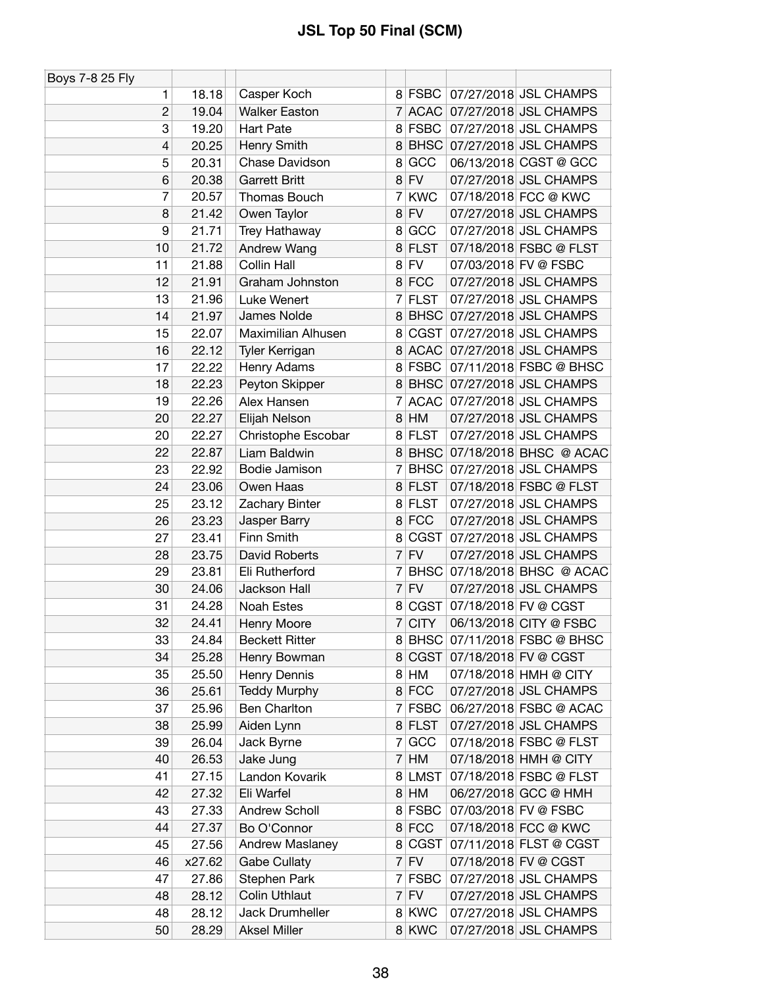| Boys 7-8 25 Fly          |        |                       |                |             |                             |
|--------------------------|--------|-----------------------|----------------|-------------|-----------------------------|
| 1                        | 18.18  | Casper Koch           |                | 8 FSBC      | 07/27/2018 JSL CHAMPS       |
| $\overline{c}$           | 19.04  | <b>Walker Easton</b>  | 7 <sup>1</sup> |             | ACAC 07/27/2018 JSL CHAMPS  |
| 3                        | 19.20  | <b>Hart Pate</b>      | 8 <sup>1</sup> | <b>FSBC</b> | 07/27/2018 JSL CHAMPS       |
| $\overline{\mathcal{L}}$ | 20.25  | Henry Smith           | 8              |             | BHSC 07/27/2018 JSL CHAMPS  |
| 5                        | 20.31  | Chase Davidson        | 8              | GCC         | 06/13/2018 CGST @ GCC       |
| 6                        | 20.38  | <b>Garrett Britt</b>  | 8              | <b>FV</b>   | 07/27/2018 JSL CHAMPS       |
| 7                        | 20.57  | Thomas Bouch          | 7              | <b>KWC</b>  | 07/18/2018 FCC @ KWC        |
| 8                        | 21.42  | Owen Taylor           | 8 <sup>1</sup> | <b>FV</b>   | 07/27/2018 JSL CHAMPS       |
| 9                        | 21.71  | Trey Hathaway         | 8              | GCC         | 07/27/2018 JSL CHAMPS       |
| 10                       | 21.72  | Andrew Wang           | 8              | <b>FLST</b> | 07/18/2018 FSBC @ FLST      |
| 11                       | 21.88  | Collin Hall           | 8 <sup>1</sup> | <b>FV</b>   | 07/03/2018 FV @ FSBC        |
| 12                       | 21.91  | Graham Johnston       | 8 <sup>1</sup> | <b>FCC</b>  | 07/27/2018 JSL CHAMPS       |
| 13                       | 21.96  | Luke Wenert           | 7              | <b>FLST</b> | 07/27/2018 JSL CHAMPS       |
| 14                       | 21.97  | James Nolde           | 8              | <b>BHSC</b> | 07/27/2018 JSL CHAMPS       |
| 15                       | 22.07  | Maximilian Alhusen    | 8              | CGST        | 07/27/2018 JSL CHAMPS       |
| 16                       | 22.12  | Tyler Kerrigan        | 8              | ACAC        | 07/27/2018 JSL CHAMPS       |
| 17                       | 22.22  | Henry Adams           | 8 <sup>1</sup> | FSBC        | 07/11/2018 FSBC @ BHSC      |
| 18                       | 22.23  | Peyton Skipper        | 8              |             | BHSC 07/27/2018 JSL CHAMPS  |
| 19                       | 22.26  | Alex Hansen           | 7              | ACAC        | 07/27/2018 JSL CHAMPS       |
| 20                       | 22.27  | Elijah Nelson         | 8 <sup>1</sup> | HM          | 07/27/2018 JSL CHAMPS       |
| 20                       | 22.27  | Christophe Escobar    | 8              | <b>FLST</b> | 07/27/2018 JSL CHAMPS       |
| 22                       | 22.87  | Liam Baldwin          | 8              |             | BHSC 07/18/2018 BHSC @ ACAC |
| 23                       | 22.92  | Bodie Jamison         | 7              | <b>BHSC</b> | 07/27/2018 JSL CHAMPS       |
| 24                       | 23.06  | Owen Haas             |                | 8 FLST      | 07/18/2018 FSBC @ FLST      |
| 25                       | 23.12  | Zachary Binter        | 8              | <b>FLST</b> | 07/27/2018 JSL CHAMPS       |
| 26                       | 23.23  | Jasper Barry          | 8 <sup>1</sup> | <b>FCC</b>  | 07/27/2018 JSL CHAMPS       |
| 27                       | 23.41  | Finn Smith            | 8              | <b>CGST</b> | 07/27/2018 JSL CHAMPS       |
| 28                       | 23.75  | David Roberts         | $\overline{7}$ | <b>FV</b>   | 07/27/2018 JSL CHAMPS       |
| 29                       | 23.81  | Eli Rutherford        | 7              | <b>BHSC</b> | 07/18/2018 BHSC @ ACAC      |
| 30                       | 24.06  | Jackson Hall          |                | $7$ FV      | 07/27/2018 JSL CHAMPS       |
| 31                       | 24.28  | Noah Estes            | 8 <sup>1</sup> |             | CGST 07/18/2018 FV @ CGST   |
| 32                       | 24.41  | Henry Moore           | 7 <sup>1</sup> | <b>CITY</b> | 06/13/2018 CITY @ FSBC      |
| 33                       | 24.84  | <b>Beckett Ritter</b> | 8              |             | BHSC 07/11/2018 FSBC @ BHSC |
| 34                       | 25.28  | Henry Bowman          | 8 <sup>1</sup> | CGST        | 07/18/2018 FV @ CGST        |
| 35                       | 25.50  | Henry Dennis          | 8 <sup>1</sup> | HM          | 07/18/2018 HMH @ CITY       |
| 36                       | 25.61  | <b>Teddy Murphy</b>   | 8 <sup>1</sup> | <b>FCC</b>  | 07/27/2018 JSL CHAMPS       |
| 37                       | 25.96  | <b>Ben Charlton</b>   | $7\vert$       | <b>FSBC</b> | 06/27/2018 FSBC @ ACAC      |
| 38                       | 25.99  | Aiden Lynn            |                | 8 FLST      | 07/27/2018 JSL CHAMPS       |
| 39                       | 26.04  | Jack Byrne            | 7 <sup>1</sup> | GCC         | 07/18/2018 FSBC @ FLST      |
| 40                       | 26.53  | Jake Jung             | 7 <sup>1</sup> | HM          | 07/18/2018 HMH @ CITY       |
| 41                       | 27.15  | Landon Kovarik        | 8              | <b>LMST</b> | 07/18/2018 FSBC @ FLST      |
| 42                       | 27.32  | Eli Warfel            | 8 <sup>1</sup> | HM          | 06/27/2018 GCC @ HMH        |
| 43                       | 27.33  | Andrew Scholl         | 8              | <b>FSBC</b> | 07/03/2018 FV @ FSBC        |
| 44                       | 27.37  | Bo O'Connor           |                | 8 FCC       | 07/18/2018 FCC @ KWC        |
| 45                       | 27.56  | Andrew Maslaney       | 8              | CGST        | 07/11/2018 FLST @ CGST      |
| 46                       | x27.62 | <b>Gabe Cullaty</b>   | 7 <sup>1</sup> | <b>FV</b>   | 07/18/2018 FV @ CGST        |
| 47                       | 27.86  | Stephen Park          | 7 <sup>1</sup> | <b>FSBC</b> | 07/27/2018 JSL CHAMPS       |
| 48                       | 28.12  | <b>Colin Uthlaut</b>  |                | $7$ FV      | 07/27/2018 JSL CHAMPS       |
| 48                       | 28.12  | Jack Drumheller       |                | 8 KWC       | 07/27/2018 JSL CHAMPS       |
| 50                       | 28.29  | <b>Aksel Miller</b>   |                | 8 KWC       | 07/27/2018 JSL CHAMPS       |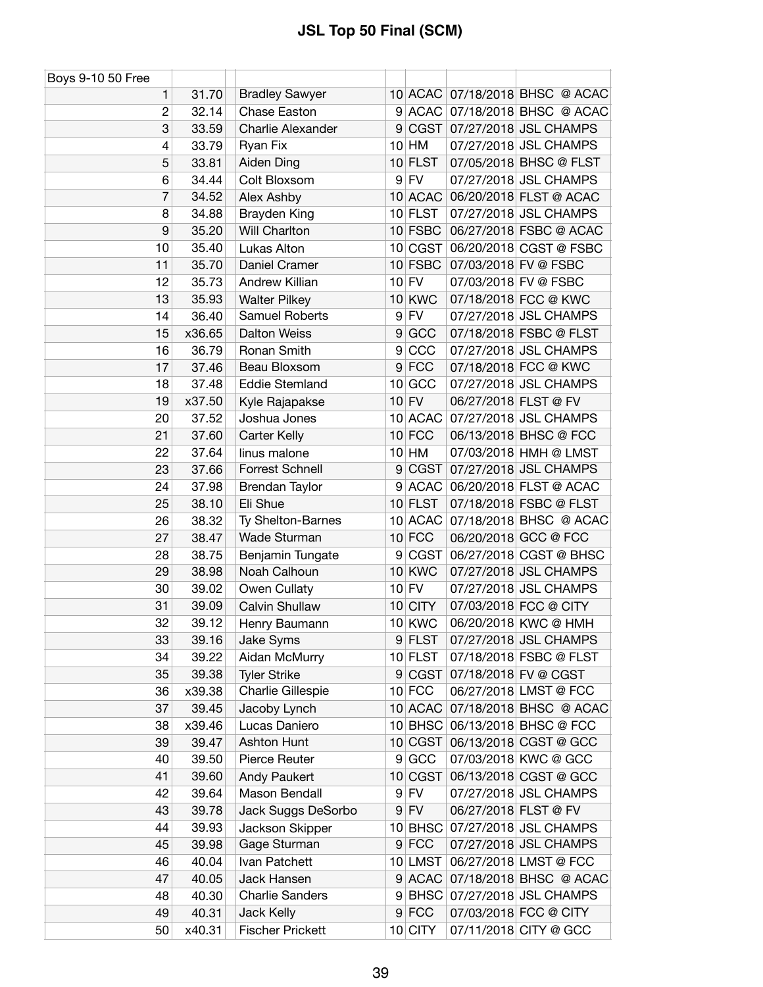| Boys 9-10 50 Free |        |                          |                |               |                                |
|-------------------|--------|--------------------------|----------------|---------------|--------------------------------|
| 1                 | 31.70  | <b>Bradley Sawyer</b>    |                |               | 10 ACAC 07/18/2018 BHSC @ ACAC |
| $\overline{c}$    | 32.14  | Chase Easton             | 9              |               | ACAC 07/18/2018 BHSC @ ACAC    |
| 3                 | 33.59  | <b>Charlie Alexander</b> | 9 <sup>°</sup> |               | CGST 07/27/2018 JSL CHAMPS     |
| 4                 | 33.79  | Ryan Fix                 |                | $10$ HM       | 07/27/2018 JSL CHAMPS          |
| 5                 | 33.81  | Aiden Ding               |                | $10$ FLST     | 07/05/2018 BHSC @ FLST         |
| 6                 | 34.44  | Colt Bloxsom             | 9 <sup>°</sup> | FV            | 07/27/2018 JSL CHAMPS          |
| 7                 | 34.52  | Alex Ashby               |                | 10 ACAC       | 06/20/2018 FLST @ ACAC         |
| 8                 | 34.88  | Brayden King             |                | $10$ FLST     | 07/27/2018 JSL CHAMPS          |
| 9                 | 35.20  | Will Charlton            |                | 10 FSBC       | 06/27/2018 FSBC @ ACAC         |
| 10                | 35.40  | Lukas Alton              |                |               | 10 CGST 06/20/2018 CGST @ FSBC |
| 11                | 35.70  | Daniel Cramer            |                | $10$ FSBC     | 07/03/2018 FV @ FSBC           |
| 12                | 35.73  | Andrew Killian           |                | $10$ FV       | 07/03/2018 FV @ FSBC           |
| 13                | 35.93  | <b>Walter Pilkey</b>     |                | <b>10 KWC</b> | 07/18/2018 FCC @ KWC           |
| 14                | 36.40  | Samuel Roberts           |                | $9$ FV        | 07/27/2018 JSL CHAMPS          |
| 15                | x36.65 | <b>Dalton Weiss</b>      | 9 <sup>°</sup> | GCC           | 07/18/2018 FSBC @ FLST         |
| 16                | 36.79  | Ronan Smith              | 9              | CCC           | 07/27/2018 JSL CHAMPS          |
| 17                | 37.46  | Beau Bloxsom             |                | $9$ FCC       | 07/18/2018 FCC @ KWC           |
| 18                | 37.48  | <b>Eddie Stemland</b>    |                | $10$ GCC      | 07/27/2018 JSL CHAMPS          |
| 19                | x37.50 | Kyle Rajapakse           |                | $10$ FV       | 06/27/2018 FLST @ FV           |
| 20                | 37.52  | Joshua Jones             |                | 10 ACAC       | 07/27/2018 JSL CHAMPS          |
| 21                | 37.60  | Carter Kelly             |                | $10$ FCC      | 06/13/2018 BHSC @ FCC          |
| 22                | 37.64  | linus malone             |                | $10$ HM       | 07/03/2018 HMH @ LMST          |
| 23                | 37.66  | Forrest Schnell          | 9 <sup>°</sup> | CGST          | 07/27/2018 JSL CHAMPS          |
| 24                | 37.98  | Brendan Taylor           |                |               | 9 ACAC 06/20/2018 FLST @ ACAC  |
| 25                | 38.10  | Eli Shue                 |                | $10$ FLST     | 07/18/2018 FSBC @ FLST         |
| 26                | 38.32  | Ty Shelton-Barnes        |                | 10 ACAC       | 07/18/2018 BHSC @ ACAC         |
| 27                | 38.47  | Wade Sturman             |                | $10$ FCC      | 06/20/2018 GCC @ FCC           |
| 28                | 38.75  | Benjamin Tungate         | 9              |               | CGST 06/27/2018 CGST @ BHSC    |
| 29                | 38.98  | Noah Calhoun             |                | <b>10 KWC</b> | 07/27/2018 JSL CHAMPS          |
| 30                | 39.02  | Owen Cullaty             |                | $10$ FV       | 07/27/2018 JSL CHAMPS          |
| 31                | 39.09  | Calvin Shullaw           |                | 10 CITY       | 07/03/2018 FCC @ CITY          |
| 32                | 39.12  | Henry Baumann            |                | <b>10 KWC</b> | 06/20/2018 KWC @ HMH           |
| 33                | 39.16  | Jake Syms                |                | 9 FLST        | 07/27/2018 JSL CHAMPS          |
| 34                | 39.22  | Aidan McMurry            |                | $10$ FLST     | 07/18/2018 FSBC @ FLST         |
| 35                | 39.38  | <b>Tyler Strike</b>      |                |               | 9 CGST 07/18/2018 FV @ CGST    |
| 36                | x39.38 | Charlie Gillespie        |                | $10$ FCC      | 06/27/2018 LMST @ FCC          |
| 37                | 39.45  | Jacoby Lynch             |                | 10 ACAC       | 07/18/2018 BHSC @ ACAC         |
| 38                | x39.46 | Lucas Daniero            |                | $10$ BHSC     | 06/13/2018 BHSC @ FCC          |
| 39                | 39.47  | Ashton Hunt              |                |               | 10 CGST 06/13/2018 CGST @ GCC  |
| 40                | 39.50  | Pierce Reuter            |                | 9 GCC         | 07/03/2018 KWC @ GCC           |
| 41                | 39.60  | Andy Paukert             |                | 10 CGST       | 06/13/2018 CGST @ GCC          |
| 42                | 39.64  | Mason Bendall            |                | $9$ FV        | 07/27/2018 JSL CHAMPS          |
| 43                | 39.78  | Jack Suggs DeSorbo       |                | $9$ FV        | 06/27/2018 FLST @ FV           |
| 44                | 39.93  | Jackson Skipper          |                | 10 BHSC       | 07/27/2018 JSL CHAMPS          |
| 45                | 39.98  | Gage Sturman             |                | $9$ FCC       | 07/27/2018 JSL CHAMPS          |
| 46                | 40.04  | Ivan Patchett            |                | 10 LMST       | 06/27/2018 LMST @ FCC          |
| 47                | 40.05  | Jack Hansen              |                | 9 ACAC        | 07/18/2018 BHSC @ ACAC         |
| 48                | 40.30  | <b>Charlie Sanders</b>   |                | $9$ BHSC      | 07/27/2018 JSL CHAMPS          |
| 49                | 40.31  | Jack Kelly               |                | $9$ FCC       | 07/03/2018 FCC @ CITY          |
| 50                | x40.31 | <b>Fischer Prickett</b>  |                | 10 CITY       | 07/11/2018 CITY @ GCC          |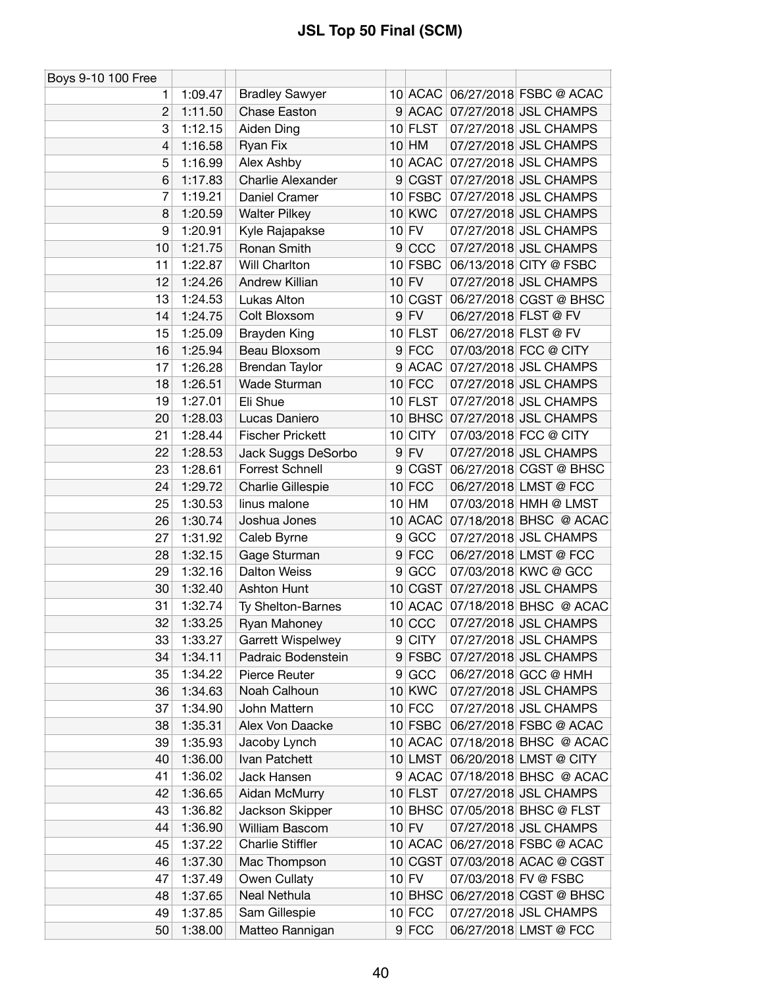| Boys 9-10 100 Free |         |                          |   |               |                                |
|--------------------|---------|--------------------------|---|---------------|--------------------------------|
| 1.                 | 1:09.47 | <b>Bradley Sawyer</b>    |   |               | 10 ACAC 06/27/2018 FSBC @ ACAC |
| $\mathbf{2}$       | 1:11.50 | Chase Easton             |   |               | 9 ACAC 07/27/2018 JSL CHAMPS   |
| 3                  | 1:12.15 | Aiden Ding               |   | 10 FLST       | 07/27/2018 JSL CHAMPS          |
| 4                  | 1:16.58 | Ryan Fix                 |   | $10$ HM       | 07/27/2018 JSL CHAMPS          |
| 5                  | 1:16.99 | Alex Ashby               |   | 10 ACAC       | 07/27/2018 JSL CHAMPS          |
| 6                  | 1:17.83 | Charlie Alexander        |   |               | 9 CGST 07/27/2018 JSL CHAMPS   |
| 7                  | 1:19.21 | Daniel Cramer            |   | 10 FSBC       | 07/27/2018 JSL CHAMPS          |
| 8                  | 1:20.59 | <b>Walter Pilkey</b>     |   | <b>10 KWC</b> | 07/27/2018 JSL CHAMPS          |
| 9                  | 1:20.91 | Kyle Rajapakse           |   | $10$ FV       | 07/27/2018 JSL CHAMPS          |
| 10                 | 1:21.75 | Ronan Smith              |   | 9 CCC         | 07/27/2018 JSL CHAMPS          |
| 11                 | 1:22.87 | Will Charlton            |   | 10 FSBC       | 06/13/2018 CITY @ FSBC         |
| 12                 | 1:24.26 | Andrew Killian           |   | $10$ FV       | 07/27/2018 JSL CHAMPS          |
| 13                 | 1:24.53 | Lukas Alton              |   | 10 CGST       | 06/27/2018 CGST @ BHSC         |
| 14                 | 1:24.75 | Colt Bloxsom             |   | $9$ FV        | 06/27/2018 FLST @ FV           |
| 15                 | 1:25.09 | Brayden King             |   | 10 FLST       | 06/27/2018 FLST @ FV           |
| 16                 | 1:25.94 | Beau Bloxsom             |   | $9$ FCC       | 07/03/2018 FCC @ CITY          |
| 17                 | 1:26.28 | <b>Brendan Taylor</b>    |   |               | 9 ACAC 07/27/2018 JSL CHAMPS   |
| 18                 | 1:26.51 | Wade Sturman             |   | $10$ FCC      | 07/27/2018 JSL CHAMPS          |
| 19                 | 1:27.01 | Eli Shue                 |   | $10$ FLST     | 07/27/2018 JSL CHAMPS          |
| 20                 | 1:28.03 | Lucas Daniero            |   |               | 10 BHSC 07/27/2018 JSL CHAMPS  |
| 21                 | 1:28.44 | <b>Fischer Prickett</b>  |   | 10 CITY       | 07/03/2018 FCC @ CITY          |
| 22                 | 1:28.53 | Jack Suggs DeSorbo       |   | $9$ FV        | 07/27/2018 JSL CHAMPS          |
| 23                 | 1:28.61 | <b>Forrest Schnell</b>   |   | 9 CGST        | 06/27/2018 CGST @ BHSC         |
| 24                 | 1:29.72 | Charlie Gillespie        |   | $10$ FCC      | 06/27/2018 LMST @ FCC          |
| 25                 | 1:30.53 | linus malone             |   | $10$ HM       | 07/03/2018 HMH @ LMST          |
| 26                 | 1:30.74 | Joshua Jones             |   | 10 ACAC       | 07/18/2018 BHSC @ ACAC         |
| 27                 | 1:31.92 | Caleb Byrne              | 9 | GCC           | 07/27/2018 JSL CHAMPS          |
| 28                 | 1:32.15 | Gage Sturman             |   | $9$ FCC       | 06/27/2018 LMST @ FCC          |
| 29                 | 1:32.16 | <b>Dalton Weiss</b>      |   | 9 GCC         | 07/03/2018 KWC @ GCC           |
| 30                 | 1:32.40 | Ashton Hunt              |   | 10 CGST       | 07/27/2018 JSL CHAMPS          |
| 31                 | 1:32.74 | Ty Shelton-Barnes        |   | 10 ACAC       | 07/18/2018 BHSC @ ACAC         |
| 32                 | 1:33.25 | Ryan Mahoney             |   | $10$ CCC      | 07/27/2018 JSL CHAMPS          |
| 33                 | 1:33.27 | <b>Garrett Wispelwey</b> |   | 9 CITY        | 07/27/2018 JSL CHAMPS          |
| 34                 | 1:34.11 | Padraic Bodenstein       |   | 9 FSBC        | 07/27/2018 JSL CHAMPS          |
| 35                 | 1:34.22 | Pierce Reuter            |   | 9 GCC         | 06/27/2018 GCC @ HMH           |
| 36                 | 1:34.63 | Noah Calhoun             |   | 10 KWC        | 07/27/2018 JSL CHAMPS          |
| 37                 | 1:34.90 | John Mattern             |   | $10$ FCC      | 07/27/2018 JSL CHAMPS          |
| 38                 | 1:35.31 | Alex Von Daacke          |   | $10$ FSBC     | 06/27/2018 FSBC @ ACAC         |
| 39                 | 1:35.93 | Jacoby Lynch             |   | 10 ACAC       | 07/18/2018 BHSC @ ACAC         |
| 40                 | 1:36.00 | Ivan Patchett            |   | 10 LMST       | 06/20/2018 LMST @ CITY         |
| 41                 | 1:36.02 | Jack Hansen              |   | $9$ ACAC      | 07/18/2018 BHSC @ ACAC         |
| 42                 | 1:36.65 | Aidan McMurry            |   | $10$ FLST     | 07/27/2018 JSL CHAMPS          |
| 43                 | 1:36.82 | Jackson Skipper          |   | $10$ BHSC     | 07/05/2018 BHSC @ FLST         |
| 44                 | 1:36.90 | William Bascom           |   | $10$ FV       | 07/27/2018 JSL CHAMPS          |
| 45                 | 1:37.22 | <b>Charlie Stiffler</b>  |   | 10 ACAC       | 06/27/2018 FSBC @ ACAC         |
| 46                 | 1:37.30 | Mac Thompson             |   | 10 CGST       | 07/03/2018 ACAC @ CGST         |
| 47                 | 1:37.49 | Owen Cullaty             |   | $10$ FV       | 07/03/2018 FV @ FSBC           |
| 48                 | 1:37.65 | Neal Nethula             |   | $10$ BHSC     | 06/27/2018 CGST @ BHSC         |
| 49                 | 1:37.85 | Sam Gillespie            |   | $10$ FCC      | 07/27/2018 JSL CHAMPS          |
| 50                 | 1:38.00 | Matteo Rannigan          |   | $9$ FCC       | 06/27/2018 LMST @ FCC          |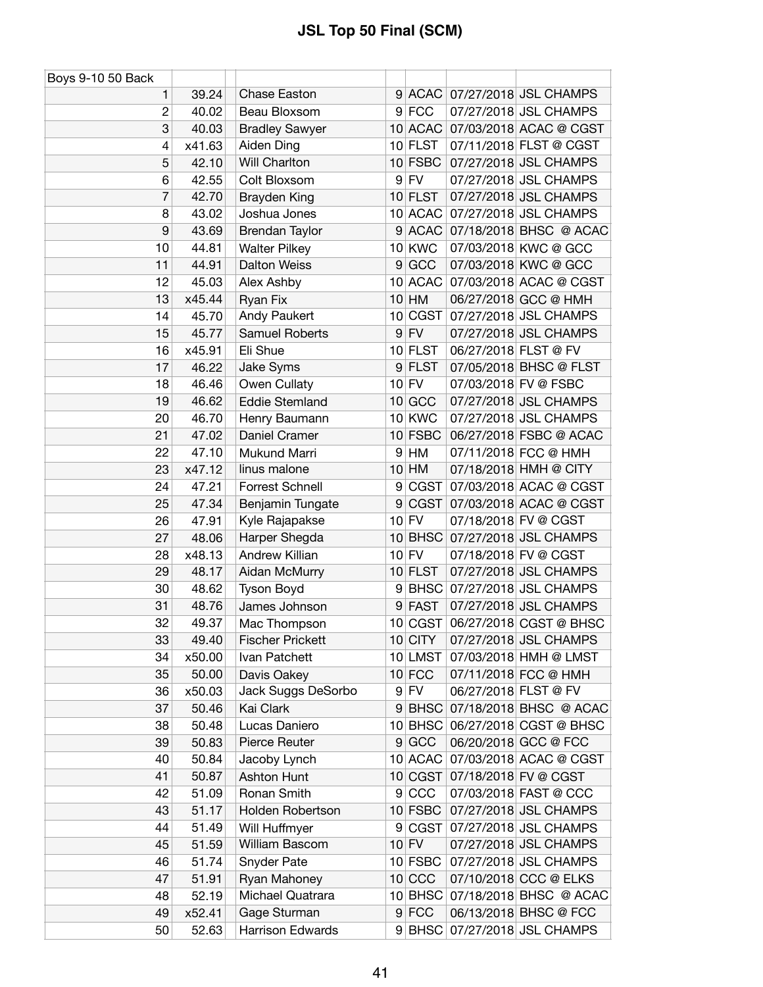| Boys 9-10 50 Back |        |                         |                 |             |                      |                              |
|-------------------|--------|-------------------------|-----------------|-------------|----------------------|------------------------------|
| 1                 | 39.24  | Chase Easton            | 9               |             |                      | ACAC 07/27/2018 JSL CHAMPS   |
| $\overline{c}$    | 40.02  | Beau Bloxsom            |                 | $9$ FCC     |                      | 07/27/2018 JSL CHAMPS        |
| 3                 | 40.03  | <b>Bradley Sawyer</b>   |                 | $10$ ACAC   |                      | 07/03/2018 ACAC @ CGST       |
| 4                 | x41.63 | Aiden Ding              |                 | $10$ FLST   |                      | 07/11/2018 FLST @ CGST       |
| 5                 | 42.10  | Will Charlton           |                 | $10$ FSBC   |                      | 07/27/2018 JSL CHAMPS        |
| 6                 | 42.55  | Colt Bloxsom            | 9               | <b>FV</b>   |                      | 07/27/2018 JSL CHAMPS        |
| 7                 | 42.70  | <b>Brayden King</b>     | 10 <sup>1</sup> | <b>FLST</b> |                      | 07/27/2018 JSL CHAMPS        |
| 8                 | 43.02  | Joshua Jones            |                 | 10 ACAC     |                      | 07/27/2018 JSL CHAMPS        |
| 9                 | 43.69  | Brendan Taylor          |                 | 9 ACAC      |                      | 07/18/2018 BHSC @ ACAC       |
| 10                | 44.81  | <b>Walter Pilkey</b>    | 10 <sup>1</sup> | <b>KWC</b>  |                      | 07/03/2018 KWC @ GCC         |
| 11                | 44.91  | <b>Dalton Weiss</b>     | 9               | GCC         |                      | 07/03/2018 KWC @ GCC         |
| 12                | 45.03  | Alex Ashby              | 10 <sup>1</sup> | <b>ACAC</b> |                      | 07/03/2018 ACAC @ CGST       |
| 13                | x45.44 | Ryan Fix                | 10 <sup>1</sup> | HM          |                      | 06/27/2018 GCC @ HMH         |
| 14                | 45.70  | Andy Paukert            | 10 <sup>1</sup> |             |                      | CGST 07/27/2018 JSL CHAMPS   |
| 15                | 45.77  | <b>Samuel Roberts</b>   | 9 <sup>°</sup>  | <b>FV</b>   |                      | 07/27/2018 JSL CHAMPS        |
| 16                | x45.91 | Eli Shue                |                 | 10 FLST     | 06/27/2018 FLST @ FV |                              |
| 17                | 46.22  | Jake Syms               | 9 <sup>°</sup>  | <b>FLST</b> |                      | 07/05/2018 BHSC @ FLST       |
| 18                | 46.46  | Owen Cullaty            |                 | $10$ FV     |                      | 07/03/2018 FV @ FSBC         |
| 19                | 46.62  | <b>Eddie Stemland</b>   | 10 <sup>1</sup> | GCC         |                      | 07/27/2018 JSL CHAMPS        |
| 20                | 46.70  | Henry Baumann           |                 | 10 KWC      |                      | 07/27/2018 JSL CHAMPS        |
| 21                | 47.02  | Daniel Cramer           |                 | $10$ FSBC   |                      | 06/27/2018 FSBC @ ACAC       |
| 22                | 47.10  | Mukund Marri            | 9               | HM          |                      | 07/11/2018 FCC @ HMH         |
| 23                | x47.12 | linus malone            | 10 <sup>1</sup> | HM          |                      | 07/18/2018 HMH @ CITY        |
| 24                | 47.21  | Forrest Schnell         | 9               | CGST        |                      | 07/03/2018 ACAC @ CGST       |
| 25                | 47.34  | Benjamin Tungate        | 9               | CGST        |                      | 07/03/2018 ACAC @ CGST       |
| 26                | 47.91  | Kyle Rajapakse          |                 | $10$ FV     |                      | 07/18/2018 FV @ CGST         |
| 27                | 48.06  | Harper Shegda           | 10 <sup>1</sup> | <b>BHSC</b> |                      | 07/27/2018 JSL CHAMPS        |
| 28                | x48.13 | <b>Andrew Killian</b>   | 10 <sup>1</sup> | <b>FV</b>   |                      | 07/18/2018 FV @ CGST         |
| 29                | 48.17  | Aidan McMurry           |                 | 10 FLST     |                      | 07/27/2018 JSL CHAMPS        |
| 30                | 48.62  | Tyson Boyd              | $\overline{9}$  | <b>BHSC</b> |                      | 07/27/2018 JSL CHAMPS        |
| 31                | 48.76  | James Johnson           | 9               | <b>FAST</b> |                      | 07/27/2018 JSL CHAMPS        |
| 32                | 49.37  | Mac Thompson            |                 | 10 CGST     |                      | 06/27/2018 CGST @ BHSC       |
| 33                | 49.40  | <b>Fischer Prickett</b> |                 | $10$ CITY   |                      | 07/27/2018 JSL CHAMPS        |
| 34                | x50.00 | Ivan Patchett           |                 | 10 LMST     |                      | 07/03/2018 HMH @ LMST        |
| 35                | 50.00  | Davis Oakey             |                 | $10$ FCC    |                      | 07/11/2018 FCC @ HMH         |
| 36                | x50.03 | Jack Suggs DeSorbo      | 9 <sup>1</sup>  | <b>FV</b>   | 06/27/2018 FLST @ FV |                              |
| 37                | 50.46  | Kai Clark               | 9 <sup>°</sup>  | <b>BHSC</b> |                      | 07/18/2018 BHSC @ ACAC       |
| 38                | 50.48  | Lucas Daniero           | 10 <sup>1</sup> | <b>BHSC</b> |                      | 06/27/2018 CGST @ BHSC       |
| 39                | 50.83  | Pierce Reuter           |                 | 9 GCC       |                      | 06/20/2018 GCC @ FCC         |
| 40                | 50.84  | Jacoby Lynch            |                 | 10 ACAC     |                      | 07/03/2018 ACAC @ CGST       |
| 41                | 50.87  | Ashton Hunt             |                 | 10 CGST     |                      | 07/18/2018 FV @ CGST         |
| 42                | 51.09  | Ronan Smith             |                 | 9 CCC       |                      | 07/03/2018 FAST @ CCC        |
| 43                | 51.17  | Holden Robertson        |                 | $10$ FSBC   |                      | 07/27/2018 JSL CHAMPS        |
| 44                | 51.49  | Will Huffmyer           | 9               | CGST        |                      | 07/27/2018 JSL CHAMPS        |
| 45                | 51.59  | William Bascom          |                 | $10$ FV     |                      | 07/27/2018 JSL CHAMPS        |
| 46                | 51.74  | Snyder Pate             |                 | $10$ FSBC   |                      | 07/27/2018 JSL CHAMPS        |
| 47                | 51.91  | Ryan Mahoney            |                 | $10$ CCC    |                      | 07/10/2018 CCC @ ELKS        |
| 48                | 52.19  | Michael Quatrara        |                 | $10$ BHSC   |                      | 07/18/2018 BHSC @ ACAC       |
| 49                | x52.41 | Gage Sturman            |                 | $9$ FCC     |                      | 06/13/2018 BHSC @ FCC        |
| 50                | 52.63  | <b>Harrison Edwards</b> |                 |             |                      | 9 BHSC 07/27/2018 JSL CHAMPS |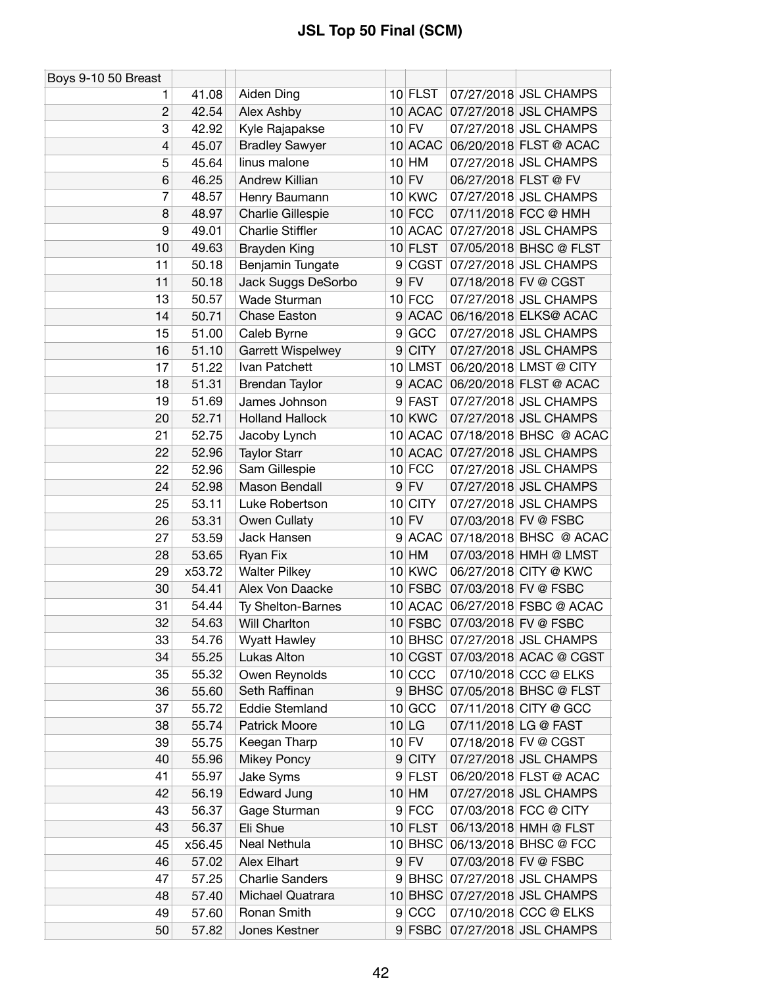| Boys 9-10 50 Breast |        |                         |                 |               |                               |
|---------------------|--------|-------------------------|-----------------|---------------|-------------------------------|
| 1.                  | 41.08  | Aiden Ding              |                 | $10$ FLST     | 07/27/2018 JSL CHAMPS         |
| $\overline{c}$      | 42.54  | Alex Ashby              |                 |               | 10 ACAC 07/27/2018 JSL CHAMPS |
| 3                   | 42.92  | Kyle Rajapakse          |                 | $10$ FV       | 07/27/2018 JSL CHAMPS         |
| 4                   | 45.07  | <b>Bradley Sawyer</b>   |                 | 10 ACAC       | 06/20/2018 FLST @ ACAC        |
| 5                   | 45.64  | linus malone            |                 | $10$ HM       | 07/27/2018 JSL CHAMPS         |
| 6                   | 46.25  | Andrew Killian          |                 | $10$ FV       | 06/27/2018 FLST @ FV          |
| 7                   | 48.57  | Henry Baumann           |                 | <b>10 KWC</b> | 07/27/2018 JSL CHAMPS         |
| 8                   | 48.97  | Charlie Gillespie       |                 | $10$ FCC      | 07/11/2018 FCC @ HMH          |
| 9                   | 49.01  | <b>Charlie Stiffler</b> |                 | 10 ACAC       | 07/27/2018 JSL CHAMPS         |
| 10                  | 49.63  | <b>Brayden King</b>     |                 | $10$ FLST     | 07/05/2018 BHSC @ FLST        |
| 11                  | 50.18  | Benjamin Tungate        | 9               | <b>CGST</b>   | 07/27/2018 JSL CHAMPS         |
| 11                  | 50.18  | Jack Suggs DeSorbo      |                 | $9$ FV        | 07/18/2018 FV @ CGST          |
| 13                  | 50.57  | Wade Sturman            |                 | $10$ FCC      | 07/27/2018 JSL CHAMPS         |
| 14                  | 50.71  | Chase Easton            |                 | $9$ ACAC      | 06/16/2018 ELKS@ ACAC         |
| 15                  | 51.00  | Caleb Byrne             | 9               | GCC           | 07/27/2018 JSL CHAMPS         |
| 16                  | 51.10  | Garrett Wispelwey       | 9               | <b>CITY</b>   | 07/27/2018 JSL CHAMPS         |
| 17                  | 51.22  | Ivan Patchett           |                 | 10 LMST       | 06/20/2018 LMST @ CITY        |
| 18                  | 51.31  | Brendan Taylor          | 9               | <b>ACAC</b>   | 06/20/2018 FLST @ ACAC        |
| 19                  | 51.69  | James Johnson           | 9               | <b>FAST</b>   | 07/27/2018 JSL CHAMPS         |
| 20                  | 52.71  | <b>Holland Hallock</b>  |                 | <b>10 KWC</b> | 07/27/2018 JSL CHAMPS         |
| 21                  | 52.75  | Jacoby Lynch            |                 | 10 ACAC       | 07/18/2018 BHSC @ ACAC        |
| 22                  | 52.96  | <b>Taylor Starr</b>     |                 | 10 ACAC       | 07/27/2018 JSL CHAMPS         |
| 22                  | 52.96  | Sam Gillespie           |                 | $10$ FCC      | 07/27/2018 JSL CHAMPS         |
| 24                  | 52.98  | Mason Bendall           |                 | $9$ FV        | 07/27/2018 JSL CHAMPS         |
| 25                  | 53.11  | Luke Robertson          | 10 <sup>1</sup> | <b>CITY</b>   | 07/27/2018 JSL CHAMPS         |
| 26                  | 53.31  | Owen Cullaty            |                 | $10$ FV       | 07/03/2018 FV @ FSBC          |
| 27                  | 53.59  | Jack Hansen             | 9               | <b>ACAC</b>   | 07/18/2018 BHSC @ ACAC        |
| 28                  | 53.65  | Ryan Fix                |                 | $10$ HM       | 07/03/2018 HMH @ LMST         |
| 29                  | x53.72 | <b>Walter Pilkey</b>    |                 | <b>10 KWC</b> | 06/27/2018 CITY @ KWC         |
| 30                  | 54.41  | Alex Von Daacke         |                 | $10$ FSBC     | 07/03/2018 FV @ FSBC          |
| 31                  | 54.44  | Ty Shelton-Barnes       |                 | 10 ACAC       | 06/27/2018 FSBC @ ACAC        |
| 32                  | 54.63  | Will Charlton           |                 | 10 FSBC       | 07/03/2018 FV @ FSBC          |
| 33                  | 54.76  | <b>Wyatt Hawley</b>     |                 |               | 10 BHSC 07/27/2018 JSL CHAMPS |
| 34                  | 55.25  | Lukas Alton             |                 | 10 CGST       | 07/03/2018 ACAC @ CGST        |
| 35                  | 55.32  | Owen Reynolds           |                 | $10$ CCC      | 07/10/2018 CCC @ ELKS         |
| 36                  | 55.60  | Seth Raffinan           |                 | $9$ BHSC      | 07/05/2018 BHSC @ FLST        |
| 37                  | 55.72  | <b>Eddie Stemland</b>   |                 | 10 GCC        | 07/11/2018 CITY @ GCC         |
| 38                  | 55.74  | Patrick Moore           |                 | $10$ LG       | 07/11/2018 LG @ FAST          |
| 39                  | 55.75  | Keegan Tharp            |                 | $10$ FV       | 07/18/2018 FV @ CGST          |
| 40                  | 55.96  | <b>Mikey Poncy</b>      |                 | 9 CITY        | 07/27/2018 JSL CHAMPS         |
| 41                  | 55.97  | Jake Syms               |                 | 9 FLST        | 06/20/2018 FLST @ ACAC        |
| 42                  | 56.19  | <b>Edward Jung</b>      |                 | $10$ HM       | 07/27/2018 JSL CHAMPS         |
| 43                  | 56.37  | Gage Sturman            |                 | $9$ FCC       | 07/03/2018 FCC @ CITY         |
| 43                  | 56.37  | Eli Shue                |                 | $10$ FLST     | 06/13/2018 HMH @ FLST         |
| 45                  | x56.45 | Neal Nethula            |                 | 10 BHSC       | 06/13/2018 BHSC @ FCC         |
| 46                  | 57.02  | Alex Elhart             |                 | $9$ FV        | 07/03/2018 FV @ FSBC          |
| 47                  | 57.25  | <b>Charlie Sanders</b>  | 9               | <b>BHSC</b>   | 07/27/2018 JSL CHAMPS         |
| 48                  | 57.40  | Michael Quatrara        |                 | $10$ BHSC     | 07/27/2018 JSL CHAMPS         |
| 49                  | 57.60  | Ronan Smith             |                 | 9 CCC         | 07/10/2018 CCC @ ELKS         |
| 50                  | 57.82  | Jones Kestner           |                 | $9$ FSBC      | 07/27/2018 JSL CHAMPS         |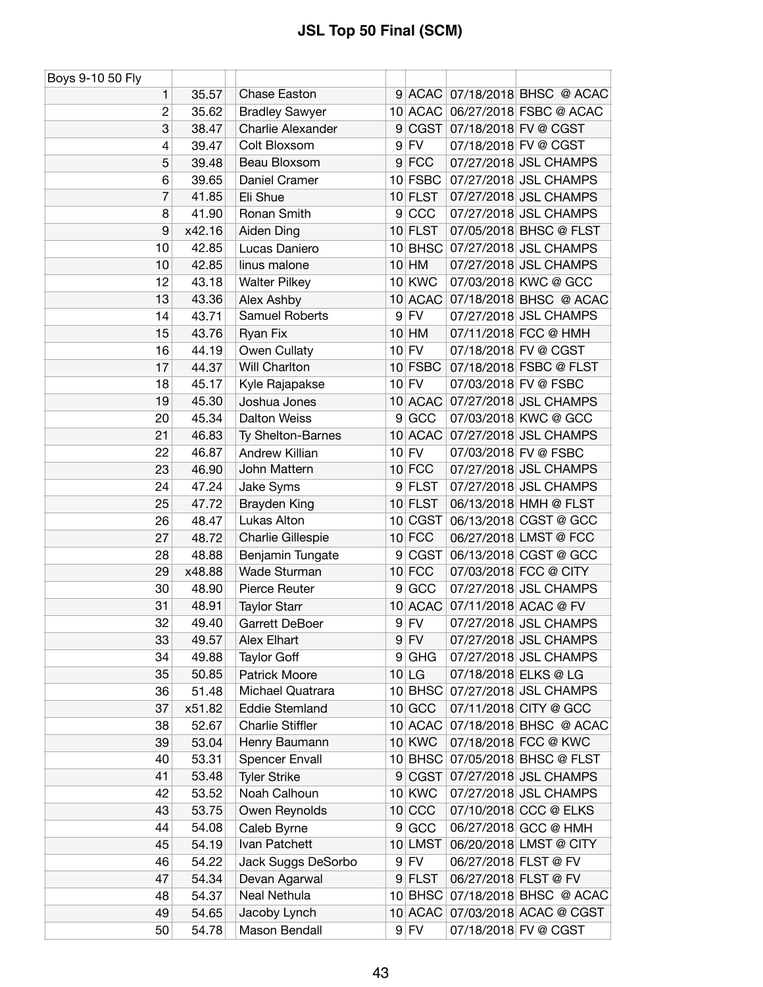| Boys 9-10 50 Fly |                |                               |                |                     |                                                |
|------------------|----------------|-------------------------------|----------------|---------------------|------------------------------------------------|
| 1                | 35.57          | <b>Chase Easton</b>           |                |                     | 9 ACAC 07/18/2018 BHSC @ ACAC                  |
| $\overline{c}$   | 35.62          | <b>Bradley Sawyer</b>         |                |                     | 10 ACAC 06/27/2018 FSBC @ ACAC                 |
| 3                | 38.47          | <b>Charlie Alexander</b>      | 9 <sup>°</sup> |                     | CGST 07/18/2018 FV @ CGST                      |
| 4                | 39.47          | Colt Bloxsom                  |                | $9$ FV              | 07/18/2018 FV @ CGST                           |
| 5                | 39.48          | Beau Bloxsom                  |                | $9$ FCC             | 07/27/2018 JSL CHAMPS                          |
| 6                | 39.65          | Daniel Cramer                 |                | 10 FSBC             | 07/27/2018 JSL CHAMPS                          |
| 7                | 41.85          | Eli Shue                      |                | 10 FLST             | 07/27/2018 JSL CHAMPS                          |
| 8                | 41.90          | Ronan Smith                   |                | 9 CCC               | 07/27/2018 JSL CHAMPS                          |
| 9                | x42.16         | Aiden Ding                    |                | $10$ FLST           | 07/05/2018 BHSC @ FLST                         |
| 10               | 42.85          | Lucas Daniero                 |                |                     | 10 BHSC 07/27/2018 JSL CHAMPS                  |
| 10               | 42.85          | linus malone                  |                | $10$ HM             | 07/27/2018 JSL CHAMPS                          |
| 12               | 43.18          | <b>Walter Pilkey</b>          |                | <b>10 KWC</b>       | 07/03/2018 KWC @ GCC                           |
| 13               | 43.36          | Alex Ashby                    |                |                     | 10 ACAC 07/18/2018 BHSC @ ACAC                 |
| 14               | 43.71          | <b>Samuel Roberts</b>         |                | $9$ FV              | 07/27/2018 JSL CHAMPS                          |
| 15               | 43.76          | Ryan Fix                      |                | $10$ HM             | 07/11/2018 FCC @ HMH                           |
| 16               | 44.19          | Owen Cullaty                  |                | $10$ FV             | 07/18/2018 FV @ CGST                           |
| 17               | 44.37          | Will Charlton                 |                | 10 FSBC             | 07/18/2018 FSBC @ FLST                         |
| 18               | 45.17          | Kyle Rajapakse                |                | $10$ FV             | 07/03/2018 FV @ FSBC                           |
| 19               | 45.30          | Joshua Jones                  |                | 10 ACAC             | 07/27/2018 JSL CHAMPS                          |
| 20               | 45.34          | <b>Dalton Weiss</b>           | 9              | GCC                 | 07/03/2018 KWC @ GCC                           |
| 21               | 46.83          | Ty Shelton-Barnes             |                |                     | 10 ACAC 07/27/2018 JSL CHAMPS                  |
| 22               | 46.87          | Andrew Killian                |                | $10$ FV             | 07/03/2018 FV @ FSBC                           |
| 23               | 46.90          | John Mattern                  |                | $10$ FCC            | 07/27/2018 JSL CHAMPS                          |
| 24               | 47.24          | Jake Syms                     |                | 9 FLST              | 07/27/2018 JSL CHAMPS                          |
| 25               | 47.72          | Brayden King                  |                | 10 FLST             | 06/13/2018 HMH @ FLST                          |
| 26               | 48.47          | Lukas Alton                   |                | 10 CGST             | 06/13/2018 CGST @ GCC                          |
| 27               | 48.72          | Charlie Gillespie             |                | $10$ FCC            | 06/27/2018 LMST @ FCC                          |
| 28               | 48.88          | Benjamin Tungate              | 9              |                     | CGST 06/13/2018 CGST @ GCC                     |
| 29               | x48.88         | Wade Sturman                  |                | $10$ FCC            | 07/03/2018 FCC @ CITY                          |
| 30               | 48.90          | Pierce Reuter                 |                | 9 GCC               | 07/27/2018 JSL CHAMPS                          |
| 31               | 48.91          | <b>Taylor Starr</b>           |                | 10 ACAC             | 07/11/2018 ACAC @ FV                           |
| 32               | 49.40          | Garrett DeBoer                |                | $9$ FV              | 07/27/2018 JSL CHAMPS                          |
| 33               | 49.57          | Alex Elhart                   |                | $9$ FV              | 07/27/2018 JSL CHAMPS                          |
| 34               | 49.88          | <b>Taylor Goff</b>            | 9              | GHG                 | 07/27/2018 JSL CHAMPS                          |
| 35               | 50.85          | Patrick Moore                 |                | $10$ LG             | 07/18/2018 ELKS @ LG                           |
| 36               | 51.48          | Michael Quatrara              |                | 10 BHSC             | 07/27/2018 JSL CHAMPS                          |
| 37               | x51.82         | <b>Eddie Stemland</b>         |                | $10$ GCC            | 07/11/2018 CITY @ GCC                          |
| 38               | 52.67          | <b>Charlie Stiffler</b>       |                | 10 ACAC             | 07/18/2018 BHSC @ ACAC                         |
| 39               | 53.04          | Henry Baumann                 |                | 10 KWC              | 07/18/2018 FCC @ KWC                           |
| 40               | 53.31          | <b>Spencer Envall</b>         |                | $10$ BHSC           | 07/05/2018 BHSC @ FLST                         |
| 41               | 53.48          | <b>Tyler Strike</b>           |                | 9 CGST              | 07/27/2018 JSL CHAMPS                          |
| 42               | 53.52          | Noah Calhoun                  |                | 10 KWC              | 07/27/2018 JSL CHAMPS                          |
| 43               |                |                               |                | $10$ CCC            |                                                |
| 44               | 53.75<br>54.08 | Owen Reynolds<br>Caleb Byrne  | $\overline{9}$ | GCC                 | 07/10/2018 CCC @ ELKS<br>06/27/2018 GCC @ HMH  |
|                  |                |                               |                | 10 LMST             |                                                |
| 45<br>46         | 54.19<br>54.22 | Ivan Patchett                 |                | $9$ FV              | 06/20/2018 LMST @ CITY<br>06/27/2018 FLST @ FV |
| 47               |                | Jack Suggs DeSorbo            |                |                     |                                                |
| 48               | 54.34          | Devan Agarwal<br>Neal Nethula |                | 9 FLST<br>$10$ BHSC | 06/27/2018 FLST @ FV<br>07/18/2018 BHSC @ ACAC |
|                  | 54.37          |                               |                |                     |                                                |
| 49               | 54.65          | Jacoby Lynch                  |                |                     | 10 ACAC 07/03/2018 ACAC @ CGST                 |
| 50               | 54.78          | Mason Bendall                 |                | $9$ FV              | 07/18/2018 FV @ CGST                           |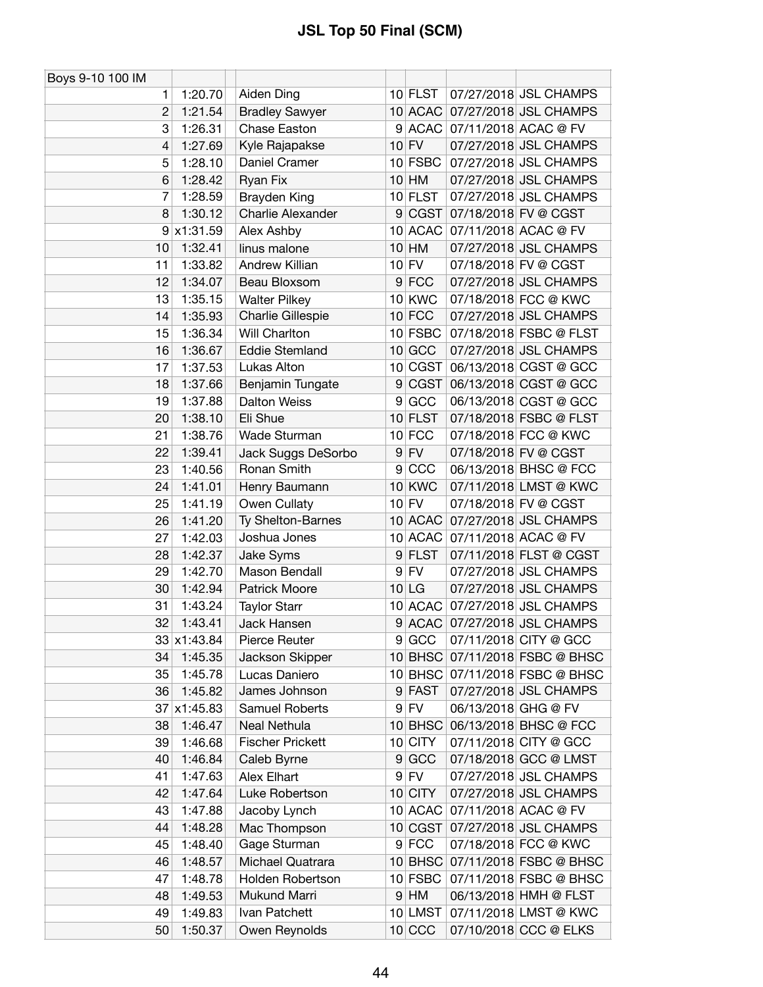| Boys 9-10 100 IM |                    |                          |   |               |                     |                                |
|------------------|--------------------|--------------------------|---|---------------|---------------------|--------------------------------|
| 1                | 1:20.70            | Aiden Ding               |   | $10$ FLST     |                     | 07/27/2018 JSL CHAMPS          |
| $\overline{2}$   | 1:21.54            | <b>Bradley Sawyer</b>    |   |               |                     | 10 ACAC 07/27/2018 JSL CHAMPS  |
| 3                | 1:26.31            | Chase Easton             |   |               |                     | 9 ACAC 07/11/2018 ACAC @ FV    |
| 4                | 1:27.69            | Kyle Rajapakse           |   | $10$ FV       |                     | 07/27/2018 JSL CHAMPS          |
| 5                | 1:28.10            | Daniel Cramer            |   | $10$ FSBC     |                     | 07/27/2018 JSL CHAMPS          |
| 6                | 1:28.42            | Ryan Fix                 |   | $10$ HM       |                     | 07/27/2018 JSL CHAMPS          |
| 7                | 1:28.59            | <b>Brayden King</b>      |   | $10$ FLST     |                     | 07/27/2018 JSL CHAMPS          |
| 8                | 1:30.12            | <b>Charlie Alexander</b> |   | 9 CGST        |                     | 07/18/2018 FV @ CGST           |
|                  | $9 \times 1:31.59$ | Alex Ashby               |   | 10 ACAC       |                     | 07/11/2018 ACAC @ FV           |
| 10               | 1:32.41            | linus malone             |   | $10$ HM       |                     | 07/27/2018 JSL CHAMPS          |
| 11               | 1:33.82            | Andrew Killian           |   | $10$ FV       |                     | 07/18/2018 FV @ CGST           |
| 12               | 1:34.07            | Beau Bloxsom             |   | $9$ FCC       |                     | 07/27/2018 JSL CHAMPS          |
| 13               | 1:35.15            | <b>Walter Pilkey</b>     |   | 10 KWC        |                     | 07/18/2018 FCC @ KWC           |
| 14               | 1:35.93            | Charlie Gillespie        |   | $10$ FCC      |                     | 07/27/2018 JSL CHAMPS          |
| 15               | 1:36.34            | Will Charlton            |   | 10 FSBC       |                     | 07/18/2018 FSBC @ FLST         |
| 16               | 1:36.67            | <b>Eddie Stemland</b>    |   | $10$ GCC      |                     | 07/27/2018 JSL CHAMPS          |
| 17               | 1:37.53            | Lukas Alton              |   | 10 CGST       |                     | 06/13/2018 CGST @ GCC          |
| 18               | 1:37.66            | Benjamin Tungate         | 9 | <b>CGST</b>   |                     | 06/13/2018 CGST @ GCC          |
| 19               | 1:37.88            | <b>Dalton Weiss</b>      | 9 | GCC           |                     | 06/13/2018 CGST @ GCC          |
| 20               | 1:38.10            | Eli Shue                 |   | 10 FLST       |                     | 07/18/2018 FSBC @ FLST         |
| 21               | 1:38.76            | Wade Sturman             |   | $10$ FCC      |                     | 07/18/2018 FCC @ KWC           |
| 22               | 1:39.41            | Jack Suggs DeSorbo       |   | $9$ FV        |                     | 07/18/2018 FV @ CGST           |
| 23               | 1:40.56            | Ronan Smith              |   | 9 CCC         |                     | 06/13/2018 BHSC @ FCC          |
| 24               | 1:41.01            | Henry Baumann            |   | <b>10 KWC</b> |                     | 07/11/2018 LMST @ KWC          |
| 25               | 1:41.19            | Owen Cullaty             |   | $10$ FV       |                     | 07/18/2018 FV @ CGST           |
| 26               | 1:41.20            | Ty Shelton-Barnes        |   | 10 ACAC       |                     | 07/27/2018 JSL CHAMPS          |
| 27               | 1:42.03            | Joshua Jones             |   | 10 ACAC       |                     | 07/11/2018 ACAC @ FV           |
| 28               | 1:42.37            | Jake Syms                |   | 9 FLST        |                     | 07/11/2018 FLST @ CGST         |
| 29               | 1:42.70            | Mason Bendall            |   | $9$ FV        |                     | 07/27/2018 JSL CHAMPS          |
| 30               | 1:42.94            | Patrick Moore            |   | $10$ LG       |                     | 07/27/2018 JSL CHAMPS          |
| 31               | 1:43.24            | <b>Taylor Starr</b>      |   |               |                     | 10 ACAC 07/27/2018 JSL CHAMPS  |
| 32               | 1:43.41            | Jack Hansen              |   |               |                     | 9 ACAC 07/27/2018 JSL CHAMPS   |
|                  | 33 x1:43.84        | Pierce Reuter            |   | 9 GCC         |                     | 07/11/2018 CITY @ GCC          |
| 34               | 1:45.35            | Jackson Skipper          |   | $10$ BHSC     |                     | 07/11/2018 FSBC @ BHSC         |
| 35               | 1:45.78            | Lucas Daniero            |   |               |                     | 10 BHSC 07/11/2018 FSBC @ BHSC |
| 36               | 1:45.82            | James Johnson            |   | 9 FAST        |                     | 07/27/2018 JSL CHAMPS          |
| 37               | x1:45.83           | Samuel Roberts           |   | $9$ FV        | 06/13/2018 GHG @ FV |                                |
| 38               | 1:46.47            | Neal Nethula             |   | $10$ BHSC     |                     | 06/13/2018 BHSC @ FCC          |
| 39               | 1:46.68            | <b>Fischer Prickett</b>  |   | 10 CITY       |                     | 07/11/2018 CITY @ GCC          |
| 40               | 1:46.84            | Caleb Byrne              |   | 9 GCC         |                     | 07/18/2018 GCC @ LMST          |
| 41               | 1:47.63            | Alex Elhart              |   | $9$ FV        |                     | 07/27/2018 JSL CHAMPS          |
| 42               | 1:47.64            | Luke Robertson           |   | 10 CITY       |                     | 07/27/2018 JSL CHAMPS          |
| 43               | 1:47.88            | Jacoby Lynch             |   | 10 ACAC       |                     | 07/11/2018 ACAC @ FV           |
| 44               | 1:48.28            | Mac Thompson             |   | 10 CGST       |                     | 07/27/2018 JSL CHAMPS          |
| 45               | 1:48.40            | Gage Sturman             |   | 9 FCC         |                     | 07/18/2018 FCC @ KWC           |
| 46               | 1:48.57            | Michael Quatrara         |   | $10$ BHSC     |                     | 07/11/2018 FSBC @ BHSC         |
| 47               | 1:48.78            | Holden Robertson         |   | 10 FSBC       |                     | 07/11/2018 FSBC @ BHSC         |
| 48               | 1:49.53            | Mukund Marri             |   | $9$ HM        |                     | 06/13/2018 HMH @ FLST          |
| 49               | 1:49.83            | Ivan Patchett            |   | 10 LMST       |                     | 07/11/2018 LMST @ KWC          |
| 50               | 1:50.37            | Owen Reynolds            |   | $10$ CCC      |                     | 07/10/2018 CCC @ ELKS          |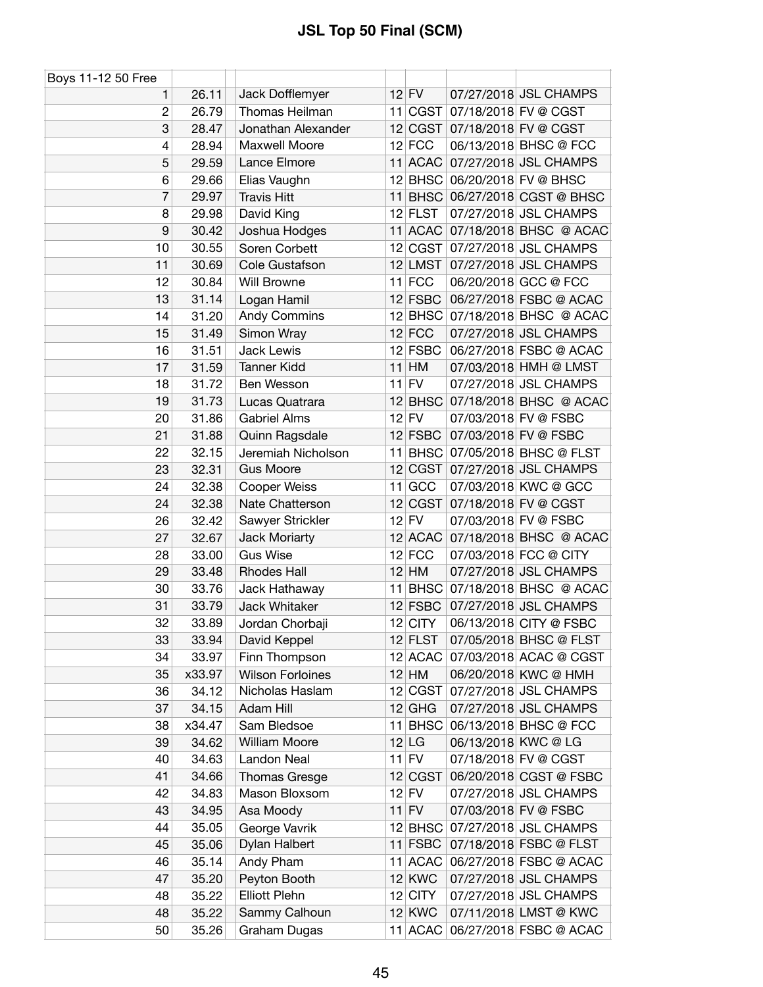| Boys 11-12 50 Free       |                |                               |    |             |                      |                                |
|--------------------------|----------------|-------------------------------|----|-------------|----------------------|--------------------------------|
| 1                        | 26.11          | Jack Dofflemyer               |    | $12$ FV     |                      | 07/27/2018 JSL CHAMPS          |
| $\overline{c}$           | 26.79          | Thomas Heilman                |    | 11 CGST     |                      | 07/18/2018 FV @ CGST           |
| 3                        | 28.47          | Jonathan Alexander            |    |             |                      | 12 CGST 07/18/2018 FV @ CGST   |
| $\overline{\mathcal{L}}$ | 28.94          | Maxwell Moore                 |    | $12$ FCC    |                      | 06/13/2018 BHSC @ FCC          |
| 5                        | 29.59          | Lance Elmore                  |    | 11 ACAC     |                      | 07/27/2018 JSL CHAMPS          |
| 6                        | 29.66          | Elias Vaughn                  |    |             |                      | 12 BHSC 06/20/2018 FV @ BHSC   |
| 7                        | 29.97          | <b>Travis Hitt</b>            |    |             |                      | 11 BHSC 06/27/2018 CGST @ BHSC |
| 8                        | 29.98          | David King                    |    | $12$ FLST   |                      | 07/27/2018 JSL CHAMPS          |
| 9                        | 30.42          | Joshua Hodges                 |    |             |                      | 11 ACAC 07/18/2018 BHSC @ ACAC |
| 10                       | 30.55          | Soren Corbett                 |    |             |                      | 12 CGST 07/27/2018 JSL CHAMPS  |
| 11                       | 30.69          | Cole Gustafson                |    | 12 LMST     |                      | 07/27/2018 JSL CHAMPS          |
| 12                       | 30.84          | Will Browne                   |    | $11$ FCC    |                      | 06/20/2018 GCC @ FCC           |
| 13                       | 31.14          | Logan Hamil                   |    | $12$ FSBC   |                      | 06/27/2018 FSBC @ ACAC         |
| 14                       | 31.20          | <b>Andy Commins</b>           |    |             |                      | 12 BHSC 07/18/2018 BHSC @ ACAC |
| 15                       | 31.49          | Simon Wray                    |    | $12$ FCC    |                      | 07/27/2018 JSL CHAMPS          |
| 16                       | 31.51          | <b>Jack Lewis</b>             |    | $12$ FSBC   |                      | 06/27/2018 FSBC @ ACAC         |
| 17                       | 31.59          | <b>Tanner Kidd</b>            |    | $11$ HM     |                      | 07/03/2018 HMH @ LMST          |
| 18                       | 31.72          | Ben Wesson                    |    | $11$ FV     |                      | 07/27/2018 JSL CHAMPS          |
| 19                       | 31.73          | Lucas Quatrara                |    |             |                      | 12 BHSC 07/18/2018 BHSC @ ACAC |
| 20                       | 31.86          | <b>Gabriel Alms</b>           |    | $12$ FV     |                      | 07/03/2018 FV @ FSBC           |
| 21                       | 31.88          | Quinn Ragsdale                |    | 12 FSBC     | 07/03/2018 FV @ FSBC |                                |
| 22                       | 32.15          | Jeremiah Nicholson            |    |             |                      | 11 BHSC 07/05/2018 BHSC @ FLST |
| 23                       | 32.31          | <b>Gus Moore</b>              |    | 12 CGST     |                      | 07/27/2018 JSL CHAMPS          |
| 24                       | 32.38          | Cooper Weiss                  |    | $11$ GCC    |                      | 07/03/2018 KWC @ GCC           |
| 24                       | 32.38          | Nate Chatterson               | 12 | <b>CGST</b> |                      | 07/18/2018 FV @ CGST           |
| 26                       | 32.42          | Sawyer Strickler              |    | $12$ FV     |                      | 07/03/2018 FV @ FSBC           |
| 27                       | 32.67          | Jack Moriarty                 |    |             |                      | 12 ACAC 07/18/2018 BHSC @ ACAC |
| 28                       | 33.00          | <b>Gus Wise</b>               |    | $12$ FCC    |                      | 07/03/2018 FCC @ CITY          |
| 29                       | 33.48          | <b>Rhodes Hall</b>            |    | $12$ HM     |                      | 07/27/2018 JSL CHAMPS          |
| 30                       | 33.76          | Jack Hathaway                 |    | $11$ BHSC   |                      | 07/18/2018 BHSC @ ACAC         |
| 31                       | 33.79          | Jack Whitaker                 |    | $12$ FSBC   |                      | 07/27/2018 JSL CHAMPS          |
| 32                       |                |                               |    | $12$ CITY   |                      | 06/13/2018 CITY @ FSBC         |
| 33                       | 33.89<br>33.94 | Jordan Chorbaji               |    | $12$ FLST   |                      | 07/05/2018 BHSC @ FLST         |
| 34                       |                | David Keppel<br>Finn Thompson |    |             |                      | 07/03/2018 ACAC @ CGST         |
|                          | 33.97          |                               |    | $12$ ACAC   |                      |                                |
| 35                       | x33.97         | <b>Wilson Forloines</b>       |    | $12$ HM     |                      | 06/20/2018 KWC @ HMH           |
| 36                       | 34.12          | Nicholas Haslam               |    | 12 CGST     |                      | 07/27/2018 JSL CHAMPS          |
| 37                       | 34.15          | Adam Hill                     |    | $12$ GHG    |                      | 07/27/2018 JSL CHAMPS          |
| 38                       | x34.47         | Sam Bledsoe                   |    | 11 BHSC     |                      | 06/13/2018 BHSC @ FCC          |
| 39                       | 34.62          | William Moore                 |    | $12$ LG     |                      | 06/13/2018 KWC @ LG            |
| 40                       | 34.63          | Landon Neal                   |    | $11$ FV     |                      | 07/18/2018 FV @ CGST           |
| 41                       | 34.66          | Thomas Gresge                 |    | 12 CGST     |                      | 06/20/2018 CGST @ FSBC         |
| 42                       | 34.83          | Mason Bloxsom                 |    | $12$ FV     |                      | 07/27/2018 JSL CHAMPS          |
| 43                       | 34.95          | Asa Moody                     |    | $11$ FV     |                      | 07/03/2018 FV @ FSBC           |
| 44                       | 35.05          | George Vavrik                 |    | $12$ BHSC   |                      | 07/27/2018 JSL CHAMPS          |
| 45                       | 35.06          | Dylan Halbert                 |    | 11 FSBC     |                      | 07/18/2018 FSBC @ FLST         |
| 46                       | 35.14          | Andy Pham                     |    |             |                      | 11 ACAC 06/27/2018 FSBC @ ACAC |
| 47                       | 35.20          | Peyton Booth                  |    | $12$ KWC    |                      | 07/27/2018 JSL CHAMPS          |
| 48                       | 35.22          | <b>Elliott Plehn</b>          |    | $12$ CITY   |                      | 07/27/2018 JSL CHAMPS          |
| 48                       | 35.22          | Sammy Calhoun                 |    | 12 KWC      |                      | 07/11/2018 LMST @ KWC          |
| 50                       | 35.26          | Graham Dugas                  |    | 11 ACAC     |                      | 06/27/2018 FSBC @ ACAC         |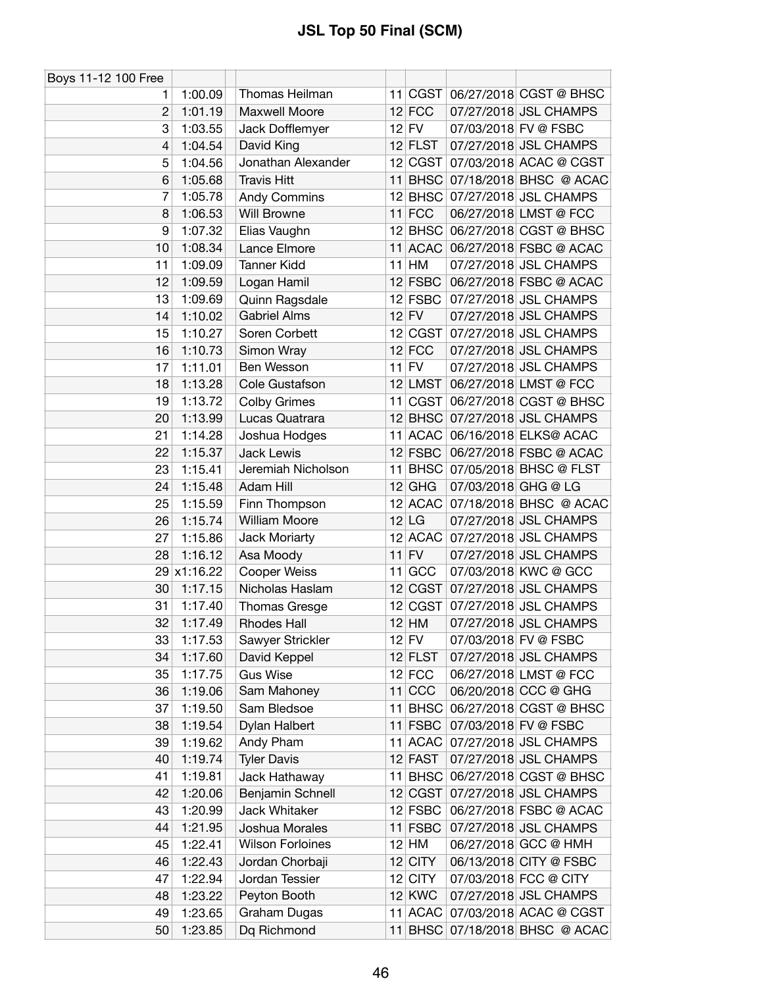| Boys 11-12 100 Free |             |                         |           |                     |                                |
|---------------------|-------------|-------------------------|-----------|---------------------|--------------------------------|
| 1.                  | 1:00.09     | Thomas Heilman          |           |                     | 11 CGST 06/27/2018 CGST @ BHSC |
| $\overline{2}$      | 1:01.19     | Maxwell Moore           | $12$ FCC  |                     | 07/27/2018 JSL CHAMPS          |
| 3                   | 1:03.55     | Jack Dofflemyer         | $12$ FV   |                     | 07/03/2018 FV @ FSBC           |
| 4                   | 1:04.54     | David King              | $12$ FLST |                     | 07/27/2018 JSL CHAMPS          |
| 5                   | 1:04.56     | Jonathan Alexander      | 12 CGST   |                     | 07/03/2018 ACAC @ CGST         |
| 6                   | 1:05.68     | <b>Travis Hitt</b>      |           |                     | 11 BHSC 07/18/2018 BHSC @ ACAC |
| 7                   | 1:05.78     | <b>Andy Commins</b>     |           |                     | 12 BHSC 07/27/2018 JSL CHAMPS  |
| 8                   | 1:06.53     | Will Browne             | $11$ FCC  |                     | 06/27/2018 LMST @ FCC          |
| 9                   | 1:07.32     | Elias Vaughn            |           |                     | 12 BHSC 06/27/2018 CGST @ BHSC |
| 10                  | 1:08.34     | Lance Elmore            |           |                     | 11 ACAC 06/27/2018 FSBC @ ACAC |
| 11                  | 1:09.09     | <b>Tanner Kidd</b>      | $11$ HM   |                     | 07/27/2018 JSL CHAMPS          |
| 12                  | 1:09.59     | Logan Hamil             | $12$ FSBC |                     | 06/27/2018 FSBC @ ACAC         |
| 13                  | 1:09.69     | Quinn Ragsdale          | $12$ FSBC |                     | 07/27/2018 JSL CHAMPS          |
| 14                  | 1:10.02     | <b>Gabriel Alms</b>     | $12$ FV   |                     | 07/27/2018 JSL CHAMPS          |
| 15                  | 1:10.27     | Soren Corbett           | 12 CGST   |                     | 07/27/2018 JSL CHAMPS          |
| 16                  | 1:10.73     | Simon Wray              | $12$ FCC  |                     | 07/27/2018 JSL CHAMPS          |
| 17                  | 1:11.01     | Ben Wesson              | $11$ FV   |                     | 07/27/2018 JSL CHAMPS          |
| 18                  | 1:13.28     | Cole Gustafson          | $12$ LMST |                     | 06/27/2018 LMST @ FCC          |
| 19                  | 1:13.72     | <b>Colby Grimes</b>     | 11 CGST   |                     | 06/27/2018 CGST @ BHSC         |
| 20                  | 1:13.99     | Lucas Quatrara          |           |                     | 12 BHSC 07/27/2018 JSL CHAMPS  |
| 21                  | 1:14.28     | Joshua Hodges           |           |                     | 11 ACAC 06/16/2018 ELKS@ ACAC  |
| 22                  | 1:15.37     | <b>Jack Lewis</b>       | $12$ FSBC |                     | 06/27/2018 FSBC @ ACAC         |
| 23                  | 1:15.41     | Jeremiah Nicholson      | $11$ BHSC |                     | 07/05/2018 BHSC @ FLST         |
| 24                  | 1:15.48     | Adam Hill               | $12$ GHG  | 07/03/2018 GHG @ LG |                                |
| 25                  | 1:15.59     | Finn Thompson           |           |                     | 12 ACAC 07/18/2018 BHSC @ ACAC |
| 26                  | 1:15.74     | William Moore           | $12$ LG   |                     | 07/27/2018 JSL CHAMPS          |
| 27                  | 1:15.86     | Jack Moriarty           | 12 ACAC   |                     | 07/27/2018 JSL CHAMPS          |
| 28                  | 1:16.12     | Asa Moody               | $11$ FV   |                     | 07/27/2018 JSL CHAMPS          |
|                     | 29 x1:16.22 | Cooper Weiss            | 11 GCC    |                     | 07/03/2018 KWC @ GCC           |
| 30                  | 1:17.15     | Nicholas Haslam         | 12 CGST   |                     | 07/27/2018 JSL CHAMPS          |
| 31                  | 1:17.40     | <b>Thomas Gresge</b>    | 12 CGST   |                     | 07/27/2018 JSL CHAMPS          |
| 32                  | 1:17.49     | <b>Rhodes Hall</b>      | $12$ HM   |                     | 07/27/2018 JSL CHAMPS          |
| 33                  | 1:17.53     | Sawyer Strickler        | $12$ FV   |                     | 07/03/2018 FV @ FSBC           |
| 34                  | 1:17.60     | David Keppel            | $12$ FLST |                     | 07/27/2018 JSL CHAMPS          |
| 35                  | 1:17.75     | <b>Gus Wise</b>         | $12$ FCC  |                     | 06/27/2018 LMST @ FCC          |
| 36                  | 1:19.06     | Sam Mahoney             | $11$ CCC  |                     | 06/20/2018 CCC @ GHG           |
| 37                  | 1:19.50     | Sam Bledsoe             | $11$ BHSC |                     | 06/27/2018 CGST @ BHSC         |
| 38                  | 1:19.54     | Dylan Halbert           | $11$ FSBC |                     | 07/03/2018 FV @ FSBC           |
| 39                  | 1:19.62     | Andy Pham               | 11 ACAC   |                     | 07/27/2018 JSL CHAMPS          |
| 40                  | 1:19.74     | <b>Tyler Davis</b>      | 12 FAST   |                     | 07/27/2018 JSL CHAMPS          |
| 41                  | 1:19.81     | Jack Hathaway           | $11$ BHSC |                     | 06/27/2018 CGST @ BHSC         |
| 42                  | 1:20.06     | Benjamin Schnell        | 12 CGST   |                     | 07/27/2018 JSL CHAMPS          |
| 43                  | 1:20.99     | Jack Whitaker           | $12$ FSBC |                     | 06/27/2018 FSBC @ ACAC         |
| 44                  | 1:21.95     | Joshua Morales          | 11 FSBC   |                     | 07/27/2018 JSL CHAMPS          |
| 45                  | 1:22.41     | <b>Wilson Forloines</b> | $12$ HM   |                     | 06/27/2018 GCC @ HMH           |
| 46                  | 1:22.43     | Jordan Chorbaji         | $12$ CITY |                     | 06/13/2018 CITY @ FSBC         |
| 47                  | 1:22.94     | Jordan Tessier          | $12$ CITY |                     | 07/03/2018 FCC @ CITY          |
| 48                  | 1:23.22     | Peyton Booth            | $12$ KWC  |                     | 07/27/2018 JSL CHAMPS          |
| 49                  | 1:23.65     | Graham Dugas            | 11 ACAC   |                     | 07/03/2018 ACAC @ CGST         |
| 50                  | 1:23.85     | Dq Richmond             | $11$ BHSC |                     | 07/18/2018 BHSC @ ACAC         |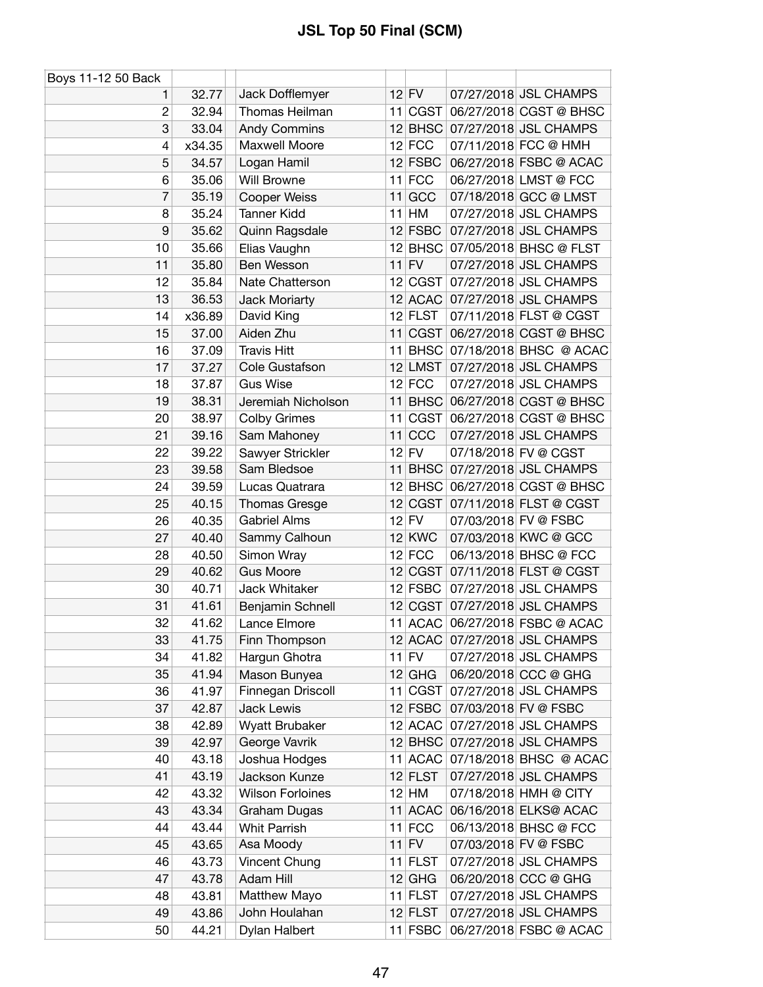| Boys 11-12 50 Back |        |                         |               |                                |
|--------------------|--------|-------------------------|---------------|--------------------------------|
| 1.                 | 32.77  | Jack Dofflemyer         | $12$ FV       | 07/27/2018 JSL CHAMPS          |
| $\overline{c}$     | 32.94  | Thomas Heilman          | 11 CGST       | 06/27/2018 CGST @ BHSC         |
| 3                  | 33.04  | <b>Andy Commins</b>     | $12$ BHSC     | 07/27/2018 JSL CHAMPS          |
| 4                  | x34.35 | Maxwell Moore           | $12$ FCC      | 07/11/2018 FCC @ HMH           |
| 5                  | 34.57  | Logan Hamil             | $12$ FSBC     | 06/27/2018 FSBC @ ACAC         |
| 6                  | 35.06  | <b>Will Browne</b>      | $11$ FCC      | 06/27/2018 LMST @ FCC          |
| 7                  | 35.19  | <b>Cooper Weiss</b>     | $11$ GCC      | 07/18/2018 GCC @ LMST          |
| 8                  | 35.24  | <b>Tanner Kidd</b>      | $11$ HM       | 07/27/2018 JSL CHAMPS          |
| 9                  | 35.62  | Quinn Ragsdale          | $12$ FSBC     | 07/27/2018 JSL CHAMPS          |
| 10                 | 35.66  | Elias Vaughn            |               | 12 BHSC 07/05/2018 BHSC @ FLST |
| 11                 | 35.80  | Ben Wesson              | $11$ FV       | 07/27/2018 JSL CHAMPS          |
| 12                 | 35.84  | Nate Chatterson         | 12 CGST       | 07/27/2018 JSL CHAMPS          |
| 13                 | 36.53  | Jack Moriarty           |               | 12 ACAC 07/27/2018 JSL CHAMPS  |
| 14                 | x36.89 | David King              | $12$ FLST     | 07/11/2018 FLST @ CGST         |
| 15                 | 37.00  | Aiden Zhu               | 11 CGST       | 06/27/2018 CGST @ BHSC         |
| 16                 | 37.09  | <b>Travis Hitt</b>      | 11 BHSC       | 07/18/2018 BHSC @ ACAC         |
| 17                 | 37.27  | Cole Gustafson          | $12$ LMST     | 07/27/2018 JSL CHAMPS          |
| 18                 | 37.87  | <b>Gus Wise</b>         | $12$ FCC      | 07/27/2018 JSL CHAMPS          |
| 19                 | 38.31  | Jeremiah Nicholson      | $11$ BHSC     | 06/27/2018 CGST @ BHSC         |
| 20                 | 38.97  | <b>Colby Grimes</b>     | 11 CGST       | 06/27/2018 CGST @ BHSC         |
| 21                 | 39.16  | Sam Mahoney             | 11 CCC        | 07/27/2018 JSL CHAMPS          |
| 22                 | 39.22  | Sawyer Strickler        | $12$ FV       | 07/18/2018 FV @ CGST           |
| 23                 | 39.58  | Sam Bledsoe             | $11$ BHSC     | 07/27/2018 JSL CHAMPS          |
| 24                 | 39.59  | Lucas Quatrara          |               | 12 BHSC 06/27/2018 CGST @ BHSC |
| 25                 | 40.15  | Thomas Gresge           | 12 CGST       | 07/11/2018 FLST @ CGST         |
| 26                 | 40.35  | <b>Gabriel Alms</b>     | $12$ FV       | 07/03/2018 FV @ FSBC           |
| 27                 | 40.40  | Sammy Calhoun           | <b>12 KWC</b> | 07/03/2018 KWC @ GCC           |
| 28                 | 40.50  | Simon Wray              | $12$ FCC      | 06/13/2018 BHSC @ FCC          |
| 29                 | 40.62  | <b>Gus Moore</b>        | 12 CGST       | 07/11/2018 FLST @ CGST         |
| 30                 | 40.71  | Jack Whitaker           | 12 FSBC       | 07/27/2018 JSL CHAMPS          |
| 31                 | 41.61  | Benjamin Schnell        | 12 CGST       | 07/27/2018 JSL CHAMPS          |
| 32                 | 41.62  | Lance Elmore            | 11 ACAC       | 06/27/2018 FSBC @ ACAC         |
| 33                 | 41.75  | Finn Thompson           |               | 12 ACAC 07/27/2018 JSL CHAMPS  |
| 34                 | 41.82  | Hargun Ghotra           | $11$ FV       | 07/27/2018 JSL CHAMPS          |
| 35                 | 41.94  | Mason Bunyea            | $12$ GHG      | 06/20/2018 CCC @ GHG           |
| 36                 | 41.97  | Finnegan Driscoll       | 11 CGST       | 07/27/2018 JSL CHAMPS          |
| 37                 | 42.87  | Jack Lewis              | $12$ FSBC     | 07/03/2018 FV @ FSBC           |
| 38                 | 42.89  | Wyatt Brubaker          | $12$ ACAC     | 07/27/2018 JSL CHAMPS          |
| 39                 | 42.97  | George Vavrik           | $12$ BHSC     | 07/27/2018 JSL CHAMPS          |
| 40                 | 43.18  | Joshua Hodges           | 11 ACAC       | 07/18/2018 BHSC @ ACAC         |
| 41                 | 43.19  | Jackson Kunze           | $12$ FLST     | 07/27/2018 JSL CHAMPS          |
| 42                 | 43.32  | <b>Wilson Forloines</b> | $12$ HM       | 07/18/2018 HMH @ CITY          |
| 43                 | 43.34  | Graham Dugas            | 11 ACAC       | 06/16/2018 ELKS@ ACAC          |
| 44                 | 43.44  | <b>Whit Parrish</b>     | $11$ FCC      | 06/13/2018 BHSC @ FCC          |
| 45                 | 43.65  | Asa Moody               | $11$ FV       | 07/03/2018 FV @ FSBC           |
| 46                 | 43.73  | Vincent Chung           | 11 FLST       | 07/27/2018 JSL CHAMPS          |
| 47                 | 43.78  | Adam Hill               | $12$ GHG      | 06/20/2018 CCC @ GHG           |
| 48                 | 43.81  | Matthew Mayo            | $11$ FLST     | 07/27/2018 JSL CHAMPS          |
| 49                 | 43.86  | John Houlahan           | $12$ FLST     | 07/27/2018 JSL CHAMPS          |
| 50                 | 44.21  | Dylan Halbert           | 11 FSBC       | 06/27/2018 FSBC @ ACAC         |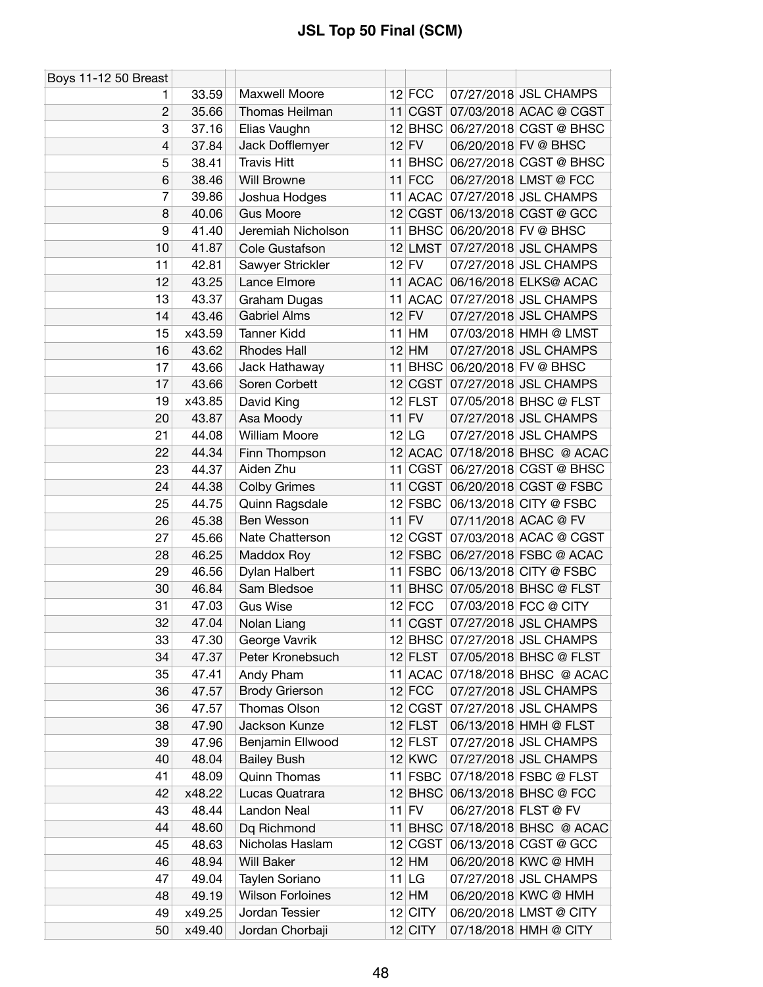| Boys 11-12 50 Breast |        |                         |    |               |                      |                                |
|----------------------|--------|-------------------------|----|---------------|----------------------|--------------------------------|
| 1                    | 33.59  | Maxwell Moore           |    | $12$ FCC      |                      | 07/27/2018 JSL CHAMPS          |
| $\overline{c}$       | 35.66  | Thomas Heilman          |    |               |                      | 11 CGST 07/03/2018 ACAC @ CGST |
| 3                    | 37.16  | Elias Vaughn            |    |               |                      | 12 BHSC 06/27/2018 CGST @ BHSC |
| 4                    | 37.84  | Jack Dofflemyer         |    | $12$ FV       |                      | 06/20/2018 FV @ BHSC           |
| 5                    | 38.41  | <b>Travis Hitt</b>      |    | 11 BHSC       |                      | 06/27/2018 CGST @ BHSC         |
| 6                    | 38.46  | Will Browne             |    | $11$ FCC      |                      | 06/27/2018 LMST @ FCC          |
| 7                    | 39.86  | Joshua Hodges           |    | 11 ACAC       |                      | 07/27/2018 JSL CHAMPS          |
| 8                    | 40.06  | <b>Gus Moore</b>        |    |               |                      | 12 CGST 06/13/2018 CGST @ GCC  |
| 9                    | 41.40  | Jeremiah Nicholson      |    |               |                      | 11 BHSC 06/20/2018 FV @ BHSC   |
| 10                   | 41.87  | Cole Gustafson          |    |               |                      | 12 LMST 07/27/2018 JSL CHAMPS  |
| 11                   | 42.81  | Sawyer Strickler        |    | $12$ FV       |                      | 07/27/2018 JSL CHAMPS          |
| 12                   | 43.25  | Lance Elmore            |    | 11 ACAC       |                      | 06/16/2018 ELKS@ ACAC          |
| 13                   | 43.37  | Graham Dugas            | 11 |               |                      | ACAC 07/27/2018 JSL CHAMPS     |
| 14                   | 43.46  | <b>Gabriel Alms</b>     |    | $12$ FV       |                      | 07/27/2018 JSL CHAMPS          |
| 15                   | x43.59 | <b>Tanner Kidd</b>      |    | $11$ HM       |                      | 07/03/2018 HMH @ LMST          |
| 16                   | 43.62  | <b>Rhodes Hall</b>      |    | $12$ HM       |                      | 07/27/2018 JSL CHAMPS          |
| 17                   | 43.66  | Jack Hathaway           |    |               |                      | 11 BHSC 06/20/2018 FV @ BHSC   |
| 17                   | 43.66  | Soren Corbett           |    | 12 CGST       |                      | 07/27/2018 JSL CHAMPS          |
| 19                   | x43.85 | David King              |    | $12$ FLST     |                      | 07/05/2018 BHSC @ FLST         |
| 20                   | 43.87  | Asa Moody               |    | $11$ FV       |                      | 07/27/2018 JSL CHAMPS          |
| 21                   | 44.08  | <b>William Moore</b>    |    | $12$ LG       |                      | 07/27/2018 JSL CHAMPS          |
| 22                   | 44.34  | Finn Thompson           |    | 12 ACAC       |                      | 07/18/2018 BHSC @ ACAC         |
| 23                   | 44.37  | Aiden Zhu               |    | 11 CGST       |                      | 06/27/2018 CGST @ BHSC         |
| 24                   | 44.38  | <b>Colby Grimes</b>     |    |               |                      | 11 CGST 06/20/2018 CGST @ FSBC |
| 25                   | 44.75  | Quinn Ragsdale          |    | 12 FSBC       |                      | 06/13/2018 CITY @ FSBC         |
| 26                   | 45.38  | Ben Wesson              |    | $11$ FV       |                      | 07/11/2018 ACAC @ FV           |
| 27                   | 45.66  | Nate Chatterson         |    | 12 CGST       |                      | 07/03/2018 ACAC @ CGST         |
| 28                   | 46.25  | Maddox Roy              |    | $12$ FSBC     |                      | 06/27/2018 FSBC @ ACAC         |
| 29                   | 46.56  | Dylan Halbert           |    | $11$ FSBC     |                      | 06/13/2018 CITY @ FSBC         |
| 30                   | 46.84  | Sam Bledsoe             |    |               |                      | 11 BHSC 07/05/2018 BHSC @ FLST |
| 31                   | 47.03  | <b>Gus Wise</b>         |    | $12$ FCC      |                      | 07/03/2018 FCC @ CITY          |
| 32                   | 47.04  | Nolan Liang             |    |               |                      | 11 CGST 07/27/2018 JSL CHAMPS  |
| 33                   | 47.30  | George Vavrik           |    |               |                      | 12 BHSC 07/27/2018 JSL CHAMPS  |
| 34                   | 47.37  | Peter Kronebsuch        |    | $12$ FLST     |                      | 07/05/2018 BHSC @ FLST         |
| 35                   | 47.41  | Andy Pham               |    |               |                      | 11 ACAC 07/18/2018 BHSC @ ACAC |
| 36                   | 47.57  | <b>Brody Grierson</b>   |    | $12$ FCC      |                      | 07/27/2018 JSL CHAMPS          |
| 36                   | 47.57  | Thomas Olson            |    | 12 CGST       |                      | 07/27/2018 JSL CHAMPS          |
| 38                   | 47.90  | Jackson Kunze           |    | $12$ FLST     |                      | 06/13/2018 HMH @ FLST          |
| 39                   | 47.96  | Benjamin Ellwood        |    | $12$ FLST     |                      | 07/27/2018 JSL CHAMPS          |
| 40                   | 48.04  | <b>Bailey Bush</b>      |    | <b>12 KWC</b> |                      | 07/27/2018 JSL CHAMPS          |
| 41                   | 48.09  | <b>Quinn Thomas</b>     |    | 11 FSBC       |                      | 07/18/2018 FSBC @ FLST         |
| 42                   | x48.22 | Lucas Quatrara          |    |               |                      | 12 BHSC 06/13/2018 BHSC @ FCC  |
| 43                   | 48.44  | Landon Neal             |    | $11$ FV       | 06/27/2018 FLST @ FV |                                |
| 44                   | 48.60  | Dq Richmond             |    | $11$ BHSC     |                      | 07/18/2018 BHSC @ ACAC         |
| 45                   | 48.63  | Nicholas Haslam         |    | 12 CGST       |                      | 06/13/2018 CGST @ GCC          |
| 46                   | 48.94  | <b>Will Baker</b>       |    | $12$ HM       |                      | 06/20/2018 KWC @ HMH           |
| 47                   | 49.04  | Taylen Soriano          |    | $11$ LG       |                      | 07/27/2018 JSL CHAMPS          |
| 48                   | 49.19  | <b>Wilson Forloines</b> |    | $12$ HM       |                      | 06/20/2018 KWC @ HMH           |
| 49                   | x49.25 | Jordan Tessier          |    | $12$ CITY     |                      | 06/20/2018 LMST @ CITY         |
| 50                   | x49.40 | Jordan Chorbaji         |    | $12$ CITY     |                      | 07/18/2018 HMH @ CITY          |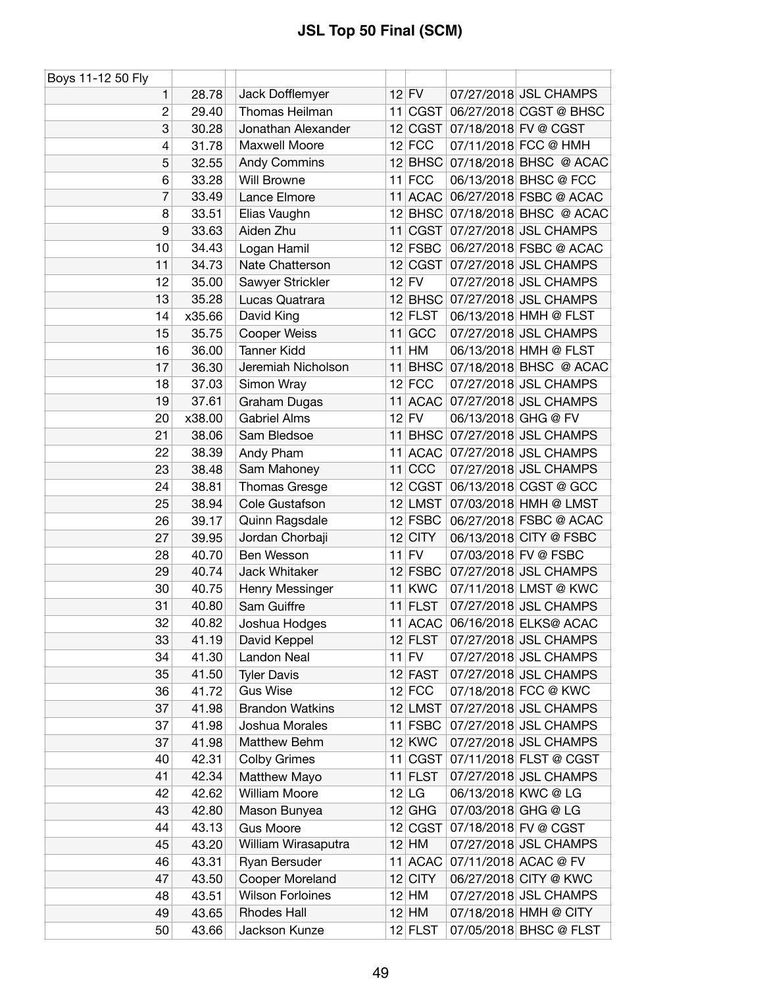| Boys 11-12 50 Fly |                |                                       |    |                     |                     |                                                |
|-------------------|----------------|---------------------------------------|----|---------------------|---------------------|------------------------------------------------|
| 1                 | 28.78          | Jack Dofflemyer                       |    | $12$ FV             |                     | 07/27/2018 JSL CHAMPS                          |
| $\overline{c}$    | 29.40          | Thomas Heilman                        |    | 11 CGST             |                     | 06/27/2018 CGST @ BHSC                         |
| 3                 | 30.28          | Jonathan Alexander                    |    |                     |                     | 12 CGST 07/18/2018 FV @ CGST                   |
| 4                 | 31.78          | Maxwell Moore                         |    | $12$ FCC            |                     | 07/11/2018 FCC @ HMH                           |
| 5                 | 32.55          | Andy Commins                          |    |                     |                     | 12 BHSC 07/18/2018 BHSC @ ACAC                 |
| 6                 | 33.28          | <b>Will Browne</b>                    |    | $11$ FCC            |                     | 06/13/2018 BHSC @ FCC                          |
| 7                 | 33.49          | Lance Elmore                          |    | 11 ACAC             |                     | 06/27/2018 FSBC @ ACAC                         |
| 8                 | 33.51          | Elias Vaughn                          |    |                     |                     | 12 BHSC 07/18/2018 BHSC @ ACAC                 |
| 9                 | 33.63          | Aiden Zhu                             |    |                     |                     | 11 CGST 07/27/2018 JSL CHAMPS                  |
| 10                | 34.43          | Logan Hamil                           |    | $12$ FSBC           |                     | 06/27/2018 FSBC @ ACAC                         |
| 11                | 34.73          | Nate Chatterson                       |    | 12 CGST             |                     | 07/27/2018 JSL CHAMPS                          |
| 12                | 35.00          | Sawyer Strickler                      |    | $12$ FV             |                     | 07/27/2018 JSL CHAMPS                          |
| 13                | 35.28          | Lucas Quatrara                        |    |                     |                     | 12 BHSC 07/27/2018 JSL CHAMPS                  |
| 14                | x35.66         | David King                            |    | $12$ FLST           |                     | 06/13/2018 HMH @ FLST                          |
| 15                | 35.75          | <b>Cooper Weiss</b>                   |    | 11 GCC              |                     | 07/27/2018 JSL CHAMPS                          |
| 16                | 36.00          | <b>Tanner Kidd</b>                    | 11 | HM                  |                     | 06/13/2018 HMH @ FLST                          |
| 17                | 36.30          | Jeremiah Nicholson                    |    |                     |                     | 11 BHSC 07/18/2018 BHSC @ ACAC                 |
| 18                | 37.03          | Simon Wray                            |    | $12$ FCC            |                     | 07/27/2018 JSL CHAMPS                          |
| 19                | 37.61          | Graham Dugas                          |    |                     |                     | 11 ACAC 07/27/2018 JSL CHAMPS                  |
| 20                | x38.00         | <b>Gabriel Alms</b>                   |    | $12$ FV             | 06/13/2018 GHG @ FV |                                                |
| 21                | 38.06          | Sam Bledsoe                           |    |                     |                     | 11 BHSC 07/27/2018 JSL CHAMPS                  |
| 22                | 38.39          | Andy Pham                             |    | 11 ACAC             |                     | 07/27/2018 JSL CHAMPS                          |
| 23                | 38.48          | Sam Mahoney                           |    | $11$ CCC            |                     | 07/27/2018 JSL CHAMPS                          |
| 24                | 38.81          | Thomas Gresge                         |    | 12 CGST             |                     | 06/13/2018 CGST @ GCC                          |
| 25                | 38.94          | Cole Gustafson                        |    | 12 LMST             |                     | 07/03/2018 HMH @ LMST                          |
| 26                | 39.17          | Quinn Ragsdale                        |    | $12$ FSBC           |                     | 06/27/2018 FSBC @ ACAC                         |
| 27                | 39.95          | Jordan Chorbaji                       |    | $12$ CITY           |                     | 06/13/2018 CITY @ FSBC                         |
| 28                | 40.70          | Ben Wesson                            |    | $11$ FV             |                     | 07/03/2018 FV @ FSBC                           |
| 29                | 40.74          | Jack Whitaker                         |    | $12$ FSBC           |                     | 07/27/2018 JSL CHAMPS                          |
| 30                | 40.75          | Henry Messinger                       |    | 11 KWC              |                     | 07/11/2018 LMST @ KWC                          |
| 31                | 40.80          | Sam Guiffre                           |    | $11$ FLST           |                     | 07/27/2018 JSL CHAMPS                          |
| 32                | 40.82          |                                       |    | $11$ ACAC           |                     |                                                |
| 33                | 41.19          | Joshua Hodges                         |    | $12$ FLST           |                     | 06/16/2018 ELKS@ ACAC<br>07/27/2018 JSL CHAMPS |
| 34                | 41.30          | David Keppel<br>Landon Neal           |    | $11$ FV             |                     | 07/27/2018 JSL CHAMPS                          |
| 35                |                |                                       |    |                     |                     | 07/27/2018 JSL CHAMPS                          |
|                   | 41.50          | <b>Tyler Davis</b><br><b>Gus Wise</b> |    | 12 FAST<br>$12$ FCC |                     | 07/18/2018 FCC @ KWC                           |
| 36<br>37          | 41.72          | <b>Brandon Watkins</b>                |    | 12 LMST             |                     | 07/27/2018 JSL CHAMPS                          |
|                   | 41.98          |                                       |    |                     |                     |                                                |
| 37<br>37          | 41.98<br>41.98 | Joshua Morales<br>Matthew Behm        |    | 11 FSBC<br>$12$ KWC |                     | 07/27/2018 JSL CHAMPS<br>07/27/2018 JSL CHAMPS |
|                   |                |                                       |    |                     |                     | 07/11/2018 FLST @ CGST                         |
| 40                | 42.31          | <b>Colby Grimes</b>                   |    | 11 CGST             |                     |                                                |
| 41                | 42.34          | Matthew Mayo                          |    | 11 FLST             |                     | 07/27/2018 JSL CHAMPS                          |
| 42                | 42.62          | <b>William Moore</b>                  |    | $12$ LG             | 06/13/2018 KWC @ LG |                                                |
| 43                | 42.80          | Mason Bunyea                          |    | $12$ GHG            | 07/03/2018 GHG @ LG |                                                |
| 44                | 43.13          | <b>Gus Moore</b>                      |    | 12 CGST             |                     | 07/18/2018 FV @ CGST                           |
| 45                | 43.20          | William Wirasaputra                   |    | $12$ HM             |                     | 07/27/2018 JSL CHAMPS                          |
| 46                | 43.31          | Ryan Bersuder                         |    | 11 ACAC             |                     | 07/11/2018 ACAC @ FV                           |
| 47                | 43.50          | Cooper Moreland                       |    | $12$ CITY           |                     | 06/27/2018 CITY @ KWC                          |
| 48                | 43.51          | <b>Wilson Forloines</b>               |    | 12 HM               |                     | 07/27/2018 JSL CHAMPS                          |
| 49                | 43.65          | <b>Rhodes Hall</b>                    |    | $12$ HM             |                     | 07/18/2018 HMH @ CITY                          |
| 50                | 43.66          | Jackson Kunze                         |    | 12 FLST             |                     | 07/05/2018 BHSC @ FLST                         |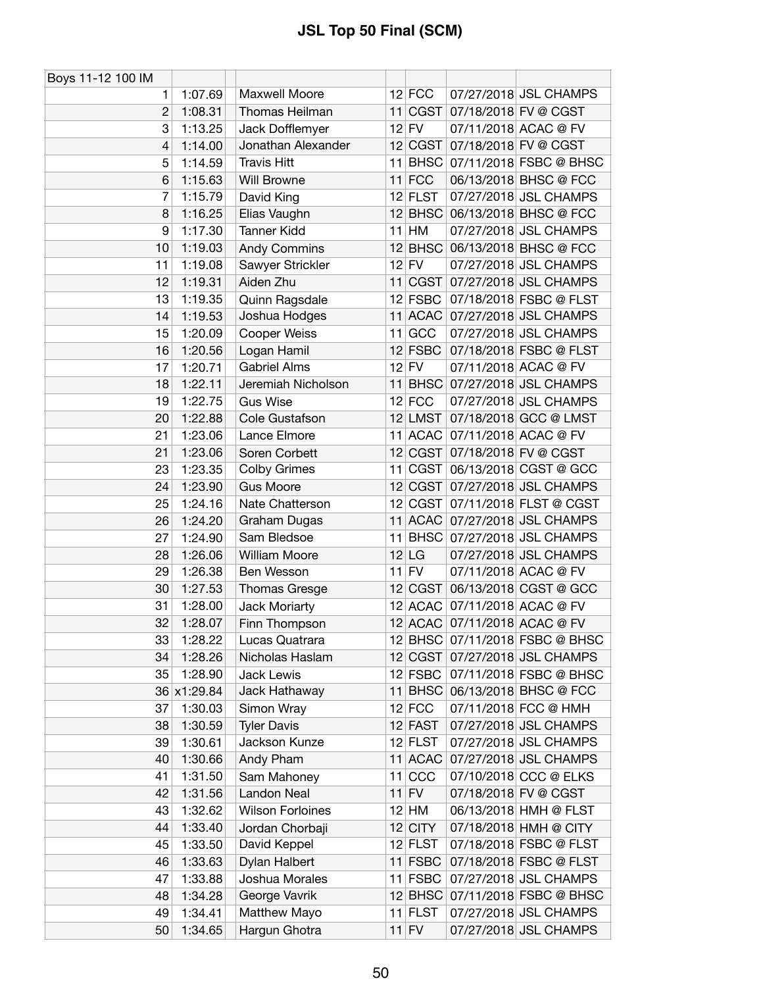| Boys 11-12 100 IM |             |                         |           |                                |
|-------------------|-------------|-------------------------|-----------|--------------------------------|
| 1.                | 1:07.69     | Maxwell Moore           | $12$ FCC  | 07/27/2018 JSL CHAMPS          |
| $\overline{2}$    | 1:08.31     | Thomas Heilman          | 11 CGST   | 07/18/2018 FV @ CGST           |
| 3                 | 1:13.25     | Jack Dofflemyer         | $12$ FV   | 07/11/2018 ACAC @ FV           |
| $\overline{4}$    | 1:14.00     | Jonathan Alexander      | 12 CGST   | 07/18/2018 FV @ CGST           |
| 5                 | 1:14.59     | <b>Travis Hitt</b>      | 11 BHSC   | 07/11/2018 FSBC @ BHSC         |
| 6                 | 1:15.63     | Will Browne             | $11$ FCC  | 06/13/2018 BHSC @ FCC          |
| 7                 | 1:15.79     | David King              | $12$ FLST | 07/27/2018 JSL CHAMPS          |
| 8                 | 1:16.25     | Elias Vaughn            |           | 12 BHSC 06/13/2018 BHSC @ FCC  |
| 9                 | 1:17.30     | <b>Tanner Kidd</b>      | $11$ HM   | 07/27/2018 JSL CHAMPS          |
| 10                | 1:19.03     | <b>Andy Commins</b>     |           | 12 BHSC 06/13/2018 BHSC @ FCC  |
| 11                | 1:19.08     | Sawyer Strickler        | $12$ FV   | 07/27/2018 JSL CHAMPS          |
| 12                | 1:19.31     | Aiden Zhu               | 11 CGST   | 07/27/2018 JSL CHAMPS          |
| 13                | 1:19.35     | Quinn Ragsdale          | $12$ FSBC | 07/18/2018 FSBC @ FLST         |
| 14                | 1:19.53     | Joshua Hodges           |           | 11 ACAC 07/27/2018 JSL CHAMPS  |
| 15                | 1:20.09     | Cooper Weiss            | 11 GCC    | 07/27/2018 JSL CHAMPS          |
| 16                | 1:20.56     | Logan Hamil             | $12$ FSBC | 07/18/2018 FSBC @ FLST         |
| 17                | 1:20.71     | <b>Gabriel Alms</b>     | $12$ FV   | 07/11/2018 ACAC @ FV           |
| 18                | 1:22.11     | Jeremiah Nicholson      |           | 11 BHSC 07/27/2018 JSL CHAMPS  |
| 19                | 1:22.75     | <b>Gus Wise</b>         | $12$ FCC  | 07/27/2018 JSL CHAMPS          |
| 20                | 1:22.88     | Cole Gustafson          | $12$ LMST | 07/18/2018 GCC @ LMST          |
| 21                | 1:23.06     | Lance Elmore            |           | 11 ACAC 07/11/2018 ACAC @ FV   |
| 21                | 1:23.06     | Soren Corbett           |           | 12 CGST 07/18/2018 FV @ CGST   |
| 23                | 1:23.35     | <b>Colby Grimes</b>     | 11 CGST   | 06/13/2018 CGST @ GCC          |
| 24                | 1:23.90     | <b>Gus Moore</b>        |           | 12 CGST 07/27/2018 JSL CHAMPS  |
| 25                | 1:24.16     | Nate Chatterson         | 12 CGST   | 07/11/2018 FLST @ CGST         |
| 26                | 1:24.20     | Graham Dugas            |           | 11 ACAC 07/27/2018 JSL CHAMPS  |
| 27                | 1:24.90     | Sam Bledsoe             |           | 11 BHSC 07/27/2018 JSL CHAMPS  |
| 28                | 1:26.06     | <b>William Moore</b>    | $12$ LG   | 07/27/2018 JSL CHAMPS          |
| 29                | 1:26.38     | Ben Wesson              | $11$ FV   | 07/11/2018 ACAC @ FV           |
| 30                | 1:27.53     | <b>Thomas Gresge</b>    | 12 CGST   | 06/13/2018 CGST @ GCC          |
| 31                | 1:28.00     | Jack Moriarty           |           | 12 ACAC 07/11/2018 ACAC @ FV   |
| 32                | 1:28.07     | Finn Thompson           |           | 12 ACAC 07/11/2018 ACAC @ FV   |
| 33                | 1:28.22     | Lucas Quatrara          |           | 12 BHSC 07/11/2018 FSBC @ BHSC |
| 34                | 1:28.26     | Nicholas Haslam         | 12 CGST   | 07/27/2018 JSL CHAMPS          |
| 35                | 1:28.90     | <b>Jack Lewis</b>       | $12$ FSBC | 07/11/2018 FSBC @ BHSC         |
|                   | 36 x1:29.84 | Jack Hathaway           |           | 11 BHSC 06/13/2018 BHSC @ FCC  |
| 37                | 1:30.03     | Simon Wray              | $12$ FCC  | 07/11/2018 FCC @ HMH           |
| 38                | 1:30.59     | <b>Tyler Davis</b>      | 12 FAST   | 07/27/2018 JSL CHAMPS          |
| 39                | 1:30.61     | Jackson Kunze           | $12$ FLST | 07/27/2018 JSL CHAMPS          |
| 40                | 1:30.66     | Andy Pham               | 11 ACAC   | 07/27/2018 JSL CHAMPS          |
| 41                | 1:31.50     | Sam Mahoney             | $11$ CCC  | 07/10/2018 CCC @ ELKS          |
| 42                | 1:31.56     | Landon Neal             | $11$ FV   | 07/18/2018 FV @ CGST           |
| 43                | 1:32.62     | <b>Wilson Forloines</b> | $12$ HM   | 06/13/2018 HMH @ FLST          |
| 44                | 1:33.40     | Jordan Chorbaji         | $12$ CITY | 07/18/2018 HMH @ CITY          |
| 45                | 1:33.50     | David Keppel            | $12$ FLST | 07/18/2018 FSBC @ FLST         |
| 46                | 1:33.63     | Dylan Halbert           | $11$ FSBC | 07/18/2018 FSBC @ FLST         |
| 47                | 1:33.88     | Joshua Morales          | $11$ FSBC | 07/27/2018 JSL CHAMPS          |
| 48                | 1:34.28     | George Vavrik           | $12$ BHSC | 07/11/2018 FSBC @ BHSC         |
| 49                | 1:34.41     | Matthew Mayo            | $11$ FLST | 07/27/2018 JSL CHAMPS          |
| 50                | 1:34.65     | Hargun Ghotra           | $11$ FV   | 07/27/2018 JSL CHAMPS          |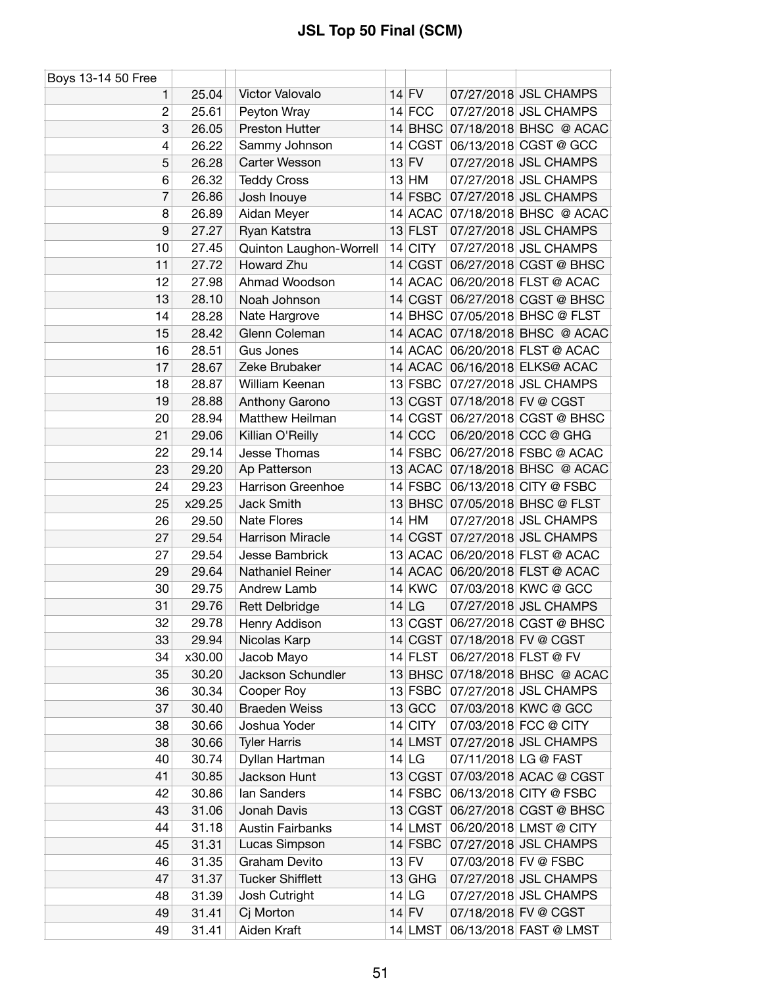| Boys 13-14 50 Free |        |                         |               |                                |
|--------------------|--------|-------------------------|---------------|--------------------------------|
| 1                  | 25.04  | Victor Valovalo         | $14$ FV       | 07/27/2018 JSL CHAMPS          |
| $\overline{c}$     | 25.61  | Peyton Wray             | $14$ FCC      | 07/27/2018 JSL CHAMPS          |
| 3                  | 26.05  | Preston Hutter          |               | 14 BHSC 07/18/2018 BHSC @ ACAC |
| 4                  | 26.22  | Sammy Johnson           | 14 CGST       | 06/13/2018 CGST @ GCC          |
| 5                  | 26.28  | Carter Wesson           | $13$ FV       | 07/27/2018 JSL CHAMPS          |
| 6                  | 26.32  | <b>Teddy Cross</b>      | $13$ HM       | 07/27/2018 JSL CHAMPS          |
| 7                  | 26.86  | Josh Inouye             | 14 FSBC       | 07/27/2018 JSL CHAMPS          |
| 8                  | 26.89  | Aidan Meyer             |               | 14 ACAC 07/18/2018 BHSC @ ACAC |
| 9                  | 27.27  | Ryan Katstra            | $13$ FLST     | 07/27/2018 JSL CHAMPS          |
| 10                 | 27.45  | Quinton Laughon-Worrell | 14 CITY       | 07/27/2018 JSL CHAMPS          |
| 11                 | 27.72  | Howard Zhu              | 14 CGST       | 06/27/2018 CGST @ BHSC         |
| 12                 | 27.98  | Ahmad Woodson           | 14 ACAC       | 06/20/2018 FLST @ ACAC         |
| 13                 | 28.10  | Noah Johnson            | 14 CGST       | 06/27/2018 CGST @ BHSC         |
| 14                 | 28.28  | Nate Hargrove           |               | 14 BHSC 07/05/2018 BHSC @ FLST |
| 15                 | 28.42  | Glenn Coleman           |               | 14 ACAC 07/18/2018 BHSC @ ACAC |
| 16                 | 28.51  | <b>Gus Jones</b>        | 14 ACAC       | 06/20/2018 FLST @ ACAC         |
| 17                 | 28.67  | Zeke Brubaker           |               | 14 ACAC 06/16/2018 ELKS@ ACAC  |
| 18                 | 28.87  | William Keenan          | 13 FSBC       | 07/27/2018 JSL CHAMPS          |
| 19                 | 28.88  | Anthony Garono          | 13 CGST       | 07/18/2018 FV @ CGST           |
| 20                 | 28.94  | Matthew Heilman         | 14 CGST       | 06/27/2018 CGST @ BHSC         |
| 21                 | 29.06  | Killian O'Reilly        | $14$ CCC      | 06/20/2018 CCC @ GHG           |
| 22                 | 29.14  | Jesse Thomas            | 14 FSBC       | 06/27/2018 FSBC @ ACAC         |
| 23                 | 29.20  | Ap Patterson            | $13$ ACAC     | 07/18/2018 BHSC @ ACAC         |
| 24                 | 29.23  | Harrison Greenhoe       | $14$ FSBC     | 06/13/2018 CITY @ FSBC         |
| 25                 | x29.25 | <b>Jack Smith</b>       |               | 13 BHSC 07/05/2018 BHSC @ FLST |
| 26                 | 29.50  | <b>Nate Flores</b>      | $14$ HM       | 07/27/2018 JSL CHAMPS          |
| 27                 | 29.54  | <b>Harrison Miracle</b> | 14 CGST       | 07/27/2018 JSL CHAMPS          |
| 27                 | 29.54  | Jesse Bambrick          |               | 13 ACAC 06/20/2018 FLST @ ACAC |
| 29                 | 29.64  | Nathaniel Reiner        |               | 14 ACAC 06/20/2018 FLST @ ACAC |
| 30                 | 29.75  | Andrew Lamb             | <b>14 KWC</b> | 07/03/2018 KWC @ GCC           |
| 31                 | 29.76  | <b>Rett Delbridge</b>   | $14$ LG       | 07/27/2018 JSL CHAMPS          |
| 32                 | 29.78  | Henry Addison           |               | 13 CGST 06/27/2018 CGST @ BHSC |
| 33                 | 29.94  | Nicolas Karp            |               | 14 CGST 07/18/2018 FV @ CGST   |
| 34                 | x30.00 | Jacob Mayo              | 14 FLST       | 06/27/2018 FLST @ FV           |
| 35                 | 30.20  | Jackson Schundler       |               | 13 BHSC 07/18/2018 BHSC @ ACAC |
| 36                 | 30.34  | Cooper Roy              | $13$ FSBC     | 07/27/2018 JSL CHAMPS          |
| 37                 | 30.40  | <b>Braeden Weiss</b>    | 13 GCC        | 07/03/2018 KWC @ GCC           |
| 38                 | 30.66  | Joshua Yoder            | 14 CITY       | 07/03/2018 FCC @ CITY          |
| 38                 | 30.66  | <b>Tyler Harris</b>     | $14$ LMST     | 07/27/2018 JSL CHAMPS          |
| 40                 | 30.74  | Dyllan Hartman          | $14$ LG       | 07/11/2018 LG @ FAST           |
| 41                 | 30.85  | Jackson Hunt            | 13 CGST       | 07/03/2018 ACAC @ CGST         |
| 42                 | 30.86  | lan Sanders             | $14$ FSBC     | 06/13/2018 CITY @ FSBC         |
| 43                 | 31.06  | Jonah Davis             | 13 CGST       | 06/27/2018 CGST @ BHSC         |
| 44                 | 31.18  | <b>Austin Fairbanks</b> | 14 LMST       | 06/20/2018 LMST @ CITY         |
| 45                 | 31.31  | Lucas Simpson           | $14$ FSBC     | 07/27/2018 JSL CHAMPS          |
| 46                 | 31.35  | Graham Devito           | $13$ FV       | 07/03/2018 FV @ FSBC           |
| 47                 | 31.37  | <b>Tucker Shifflett</b> | $13$ GHG      | 07/27/2018 JSL CHAMPS          |
| 48                 | 31.39  | Josh Cutright           | 14 LG         | 07/27/2018 JSL CHAMPS          |
| 49                 | 31.41  | Cj Morton               | $14$ FV       | 07/18/2018 FV @ CGST           |
| 49                 | 31.41  | Aiden Kraft             | 14 LMST       | 06/13/2018 FAST @ LMST         |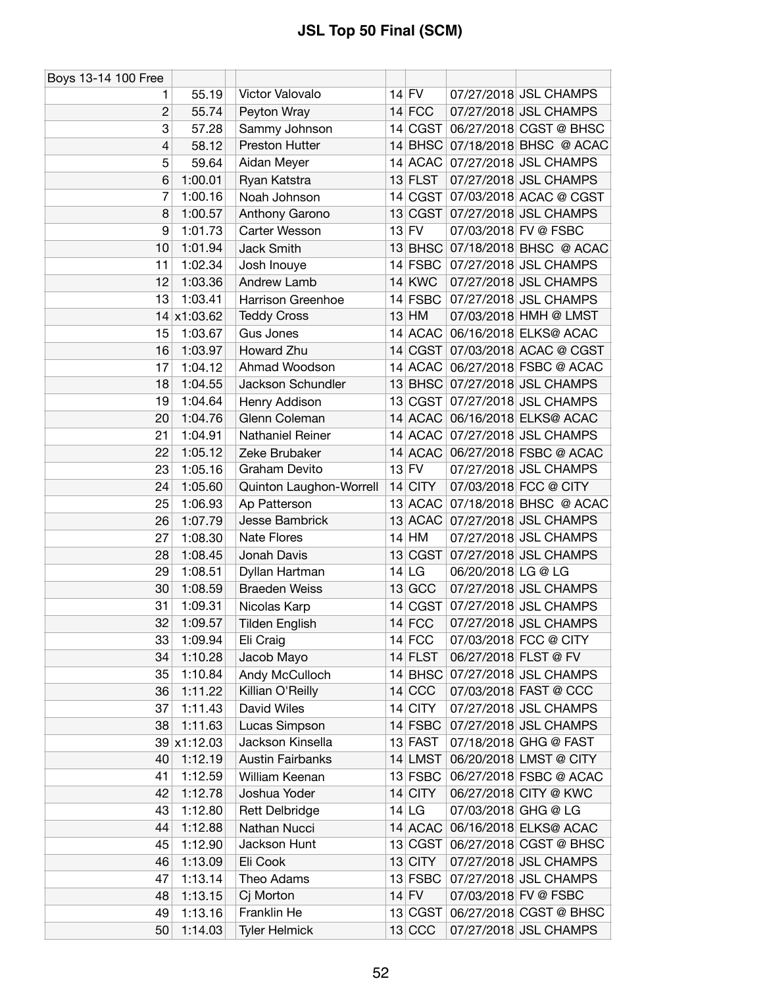| Boys 13-14 100 Free      |             |                                |                  |                     |                                |
|--------------------------|-------------|--------------------------------|------------------|---------------------|--------------------------------|
| 1.                       | 55.19       | Victor Valovalo                | 14 FV            |                     | 07/27/2018 JSL CHAMPS          |
| $\overline{2}$           | 55.74       | Peyton Wray                    | $14$ FCC         |                     | 07/27/2018 JSL CHAMPS          |
| 3                        | 57.28       | Sammy Johnson                  | 14 CGST          |                     | 06/27/2018 CGST @ BHSC         |
| $\overline{\mathcal{L}}$ | 58.12       | Preston Hutter                 |                  |                     | 14 BHSC 07/18/2018 BHSC @ ACAC |
| 5                        | 59.64       | Aidan Meyer                    | 14 ACAC          |                     | 07/27/2018 JSL CHAMPS          |
| 6                        | 1:00.01     | Ryan Katstra                   | 13 FLST          |                     | 07/27/2018 JSL CHAMPS          |
| 7                        | 1:00.16     | Noah Johnson                   | 14 CGST          |                     | 07/03/2018 ACAC @ CGST         |
| 8                        | 1:00.57     | Anthony Garono                 | 13 CGST          |                     | 07/27/2018 JSL CHAMPS          |
| 9                        | 1:01.73     | Carter Wesson                  | $13$ FV          |                     | 07/03/2018 FV @ FSBC           |
| 10                       | 1:01.94     | <b>Jack Smith</b>              | $13$ BHSC        |                     | 07/18/2018 BHSC @ ACAC         |
| 11                       | 1:02.34     | Josh Inouye                    | $14$ FSBC        |                     | 07/27/2018 JSL CHAMPS          |
| 12                       | 1:03.36     | Andrew Lamb                    | $14$ KWC         |                     | 07/27/2018 JSL CHAMPS          |
| 13                       | 1:03.41     | Harrison Greenhoe              | 14 FSBC          |                     | 07/27/2018 JSL CHAMPS          |
| 14                       | x1:03.62    | <b>Teddy Cross</b>             | $13$ HM          |                     | 07/03/2018 HMH @ LMST          |
| 15                       | 1:03.67     | Gus Jones                      | 14 ACAC          |                     | 06/16/2018 ELKS@ ACAC          |
| 16                       | 1:03.97     | Howard Zhu                     |                  |                     | 14 CGST 07/03/2018 ACAC @ CGST |
| 17                       | 1:04.12     | Ahmad Woodson                  | 14 ACAC          |                     | 06/27/2018 FSBC @ ACAC         |
| 18                       | 1:04.55     | Jackson Schundler              | $13$ BHSC        |                     | 07/27/2018 JSL CHAMPS          |
| 19                       | 1:04.64     | Henry Addison                  | 13 CGST          |                     | 07/27/2018 JSL CHAMPS          |
| 20                       | 1:04.76     | Glenn Coleman                  |                  |                     | 14 ACAC 06/16/2018 ELKS@ ACAC  |
| 21                       | 1:04.91     | Nathaniel Reiner               |                  |                     | 14 ACAC 07/27/2018 JSL CHAMPS  |
| 22                       | 1:05.12     | Zeke Brubaker                  | 14 ACAC          |                     | 06/27/2018 FSBC @ ACAC         |
| 23                       | 1:05.16     | Graham Devito                  | $13$ FV          |                     | 07/27/2018 JSL CHAMPS          |
| 24                       | 1:05.60     |                                | $14$ CITY        |                     | 07/03/2018 FCC @ CITY          |
|                          |             | Quinton Laughon-Worrell        |                  |                     |                                |
| 25                       | 1:06.93     | Ap Patterson<br>Jesse Bambrick | 13 ACAC          |                     | 07/18/2018 BHSC @ ACAC         |
| 26<br>27                 | 1:07.79     |                                | 13 ACAC<br>14 HM |                     | 07/27/2018 JSL CHAMPS          |
|                          | 1:08.30     | <b>Nate Flores</b>             |                  |                     | 07/27/2018 JSL CHAMPS          |
| 28                       | 1:08.45     | Jonah Davis                    | 13 CGST          |                     | 07/27/2018 JSL CHAMPS          |
| 29                       | 1:08.51     | Dyllan Hartman                 | $14$ LG          | 06/20/2018 LG @ LG  |                                |
| 30                       | 1:08.59     | <b>Braeden Weiss</b>           | $13$ GCC         |                     | 07/27/2018 JSL CHAMPS          |
| 31                       | 1:09.31     | Nicolas Karp                   | 14 CGST          |                     | 07/27/2018 JSL CHAMPS          |
| 32                       | 1:09.57     | <b>Tilden English</b>          | $14$ FCC         |                     | 07/27/2018 JSL CHAMPS          |
| 33                       | 1:09.94     | Eli Craig                      | $14$ FCC         |                     | 07/03/2018 FCC @ CITY          |
| 34                       | 1:10.28     | Jacob Mayo                     | 14 FLST          |                     | 06/27/2018 FLST @ FV           |
| 35                       | 1:10.84     | Andy McCulloch                 |                  |                     | 14 BHSC 07/27/2018 JSL CHAMPS  |
| 36                       | 1:11.22     | Killian O'Reilly               | $14$ CCC         |                     | 07/03/2018 FAST @ CCC          |
| 37                       | 1:11.43     | David Wiles                    | 14 CITY          |                     | 07/27/2018 JSL CHAMPS          |
| 38                       | 1:11.63     | Lucas Simpson                  | $14$ FSBC        |                     | 07/27/2018 JSL CHAMPS          |
|                          | 39 x1:12.03 | Jackson Kinsella               | 13 FAST          |                     | 07/18/2018 GHG @ FAST          |
| 40                       | 1:12.19     | <b>Austin Fairbanks</b>        | 14 LMST          |                     | 06/20/2018 LMST @ CITY         |
| 41                       | 1:12.59     | William Keenan                 | $13$ FSBC        |                     | 06/27/2018 FSBC @ ACAC         |
| 42                       | 1:12.78     | Joshua Yoder                   | $14$ CITY        |                     | 06/27/2018 CITY @ KWC          |
| 43                       | 1:12.80     | <b>Rett Delbridge</b>          | $14$ LG          | 07/03/2018 GHG @ LG |                                |
| 44                       | 1:12.88     | Nathan Nucci                   | 14 ACAC          |                     | 06/16/2018 ELKS@ ACAC          |
| 45                       | 1:12.90     | Jackson Hunt                   | 13 CGST          |                     | 06/27/2018 CGST @ BHSC         |
| 46                       | 1:13.09     | Eli Cook                       | $13$ CITY        |                     | 07/27/2018 JSL CHAMPS          |
| 47                       | 1:13.14     | Theo Adams                     | 13 FSBC          |                     | 07/27/2018 JSL CHAMPS          |
| 48                       | 1:13.15     | Cj Morton                      | $14$ FV          |                     | 07/03/2018 FV @ FSBC           |
| 49                       | 1:13.16     | Franklin He                    | 13 CGST          |                     | 06/27/2018 CGST @ BHSC         |
| 50                       | 1:14.03     | <b>Tyler Helmick</b>           | $13$ CCC         |                     | 07/27/2018 JSL CHAMPS          |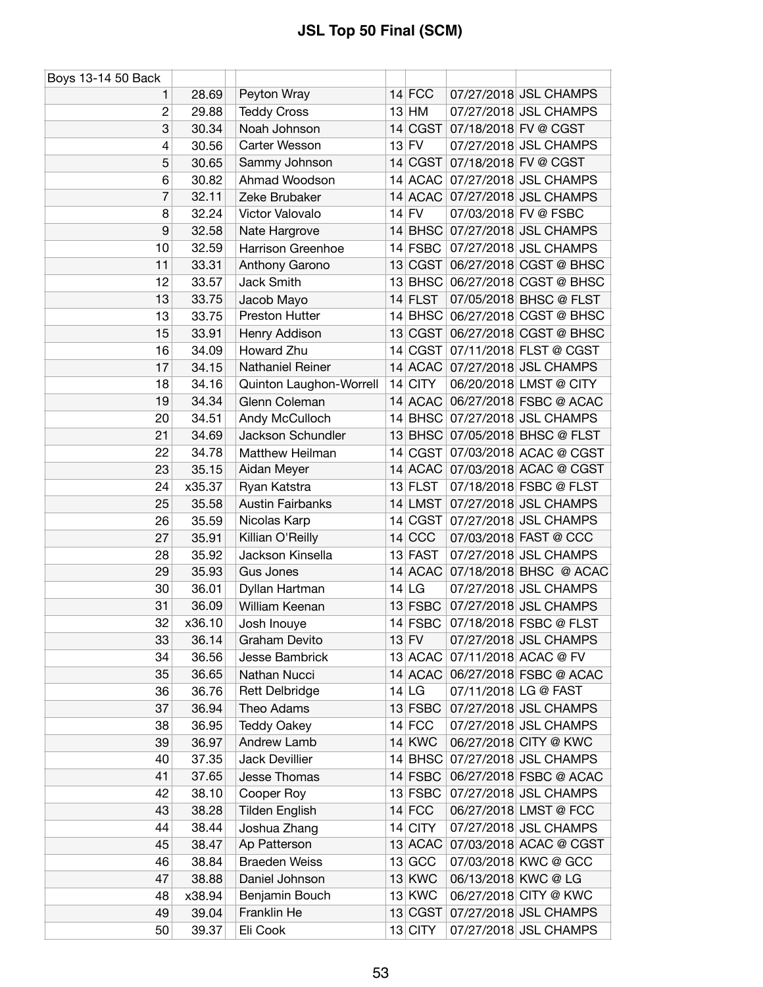| Boys 13-14 50 Back |        |                         |               |                                |
|--------------------|--------|-------------------------|---------------|--------------------------------|
| 1                  | 28.69  | Peyton Wray             | $14$ FCC      | 07/27/2018 JSL CHAMPS          |
| $\overline{c}$     | 29.88  | <b>Teddy Cross</b>      | $13$ HM       | 07/27/2018 JSL CHAMPS          |
| 3                  | 30.34  | Noah Johnson            | 14 CGST       | 07/18/2018 FV @ CGST           |
| 4                  | 30.56  | Carter Wesson           | $13$ FV       | 07/27/2018 JSL CHAMPS          |
| 5                  | 30.65  | Sammy Johnson           | 14 CGST       | 07/18/2018 FV @ CGST           |
| 6                  | 30.82  | Ahmad Woodson           | 14 ACAC       | 07/27/2018 JSL CHAMPS          |
| 7                  | 32.11  | Zeke Brubaker           |               | 14 ACAC 07/27/2018 JSL CHAMPS  |
| 8                  | 32.24  | Victor Valovalo         | $14$ FV       | 07/03/2018 FV @ FSBC           |
| 9                  | 32.58  | Nate Hargrove           | $14$ BHSC     | 07/27/2018 JSL CHAMPS          |
| 10                 | 32.59  | Harrison Greenhoe       | $14$ FSBC     | 07/27/2018 JSL CHAMPS          |
| 11                 | 33.31  | Anthony Garono          | 13 CGST       | 06/27/2018 CGST @ BHSC         |
| 12                 | 33.57  | Jack Smith              | $13$ BHSC     | 06/27/2018 CGST @ BHSC         |
| 13                 | 33.75  | Jacob Mayo              | $14$ FLST     | 07/05/2018 BHSC @ FLST         |
| 13                 | 33.75  | Preston Hutter          |               | 14 BHSC 06/27/2018 CGST @ BHSC |
| 15                 | 33.91  | Henry Addison           | 13 CGST       | 06/27/2018 CGST @ BHSC         |
| 16                 | 34.09  | <b>Howard Zhu</b>       | 14 CGST       | 07/11/2018 FLST @ CGST         |
| 17                 | 34.15  | Nathaniel Reiner        |               | 14 ACAC 07/27/2018 JSL CHAMPS  |
| 18                 | 34.16  | Quinton Laughon-Worrell | 14 CITY       | 06/20/2018 LMST @ CITY         |
| 19                 | 34.34  | Glenn Coleman           | 14 ACAC       | 06/27/2018 FSBC @ ACAC         |
| 20                 | 34.51  | Andy McCulloch          | $14$ BHSC     | 07/27/2018 JSL CHAMPS          |
| 21                 | 34.69  | Jackson Schundler       |               | 13 BHSC 07/05/2018 BHSC @ FLST |
| 22                 | 34.78  | Matthew Heilman         |               | 14 CGST 07/03/2018 ACAC @ CGST |
| 23                 | 35.15  | Aidan Meyer             |               | 14 ACAC 07/03/2018 ACAC @ CGST |
| 24                 | x35.37 | Ryan Katstra            | $13$ FLST     | 07/18/2018 FSBC @ FLST         |
| 25                 | 35.58  | <b>Austin Fairbanks</b> | $14$ LMST     | 07/27/2018 JSL CHAMPS          |
| 26                 | 35.59  | Nicolas Karp            | 14 CGST       | 07/27/2018 JSL CHAMPS          |
| 27                 | 35.91  | Killian O'Reilly        | $14$ CCC      | 07/03/2018 FAST @ CCC          |
| 28                 | 35.92  | Jackson Kinsella        | 13 FAST       | 07/27/2018 JSL CHAMPS          |
| 29                 | 35.93  | Gus Jones               | $14$ ACAC     | 07/18/2018 BHSC @ ACAC         |
| 30                 | 36.01  | Dyllan Hartman          | $14$ LG       | 07/27/2018 JSL CHAMPS          |
| 31                 | 36.09  | William Keenan          | $13$ FSBC     | 07/27/2018 JSL CHAMPS          |
| 32                 | x36.10 | Josh Inouye             | 14 FSBC       | 07/18/2018 FSBC @ FLST         |
| 33                 | 36.14  | Graham Devito           | $13$ FV       | 07/27/2018 JSL CHAMPS          |
| 34                 | 36.56  | Jesse Bambrick          | 13 ACAC       | 07/11/2018 ACAC @ FV           |
| 35                 | 36.65  | Nathan Nucci            |               | 14 ACAC 06/27/2018 FSBC @ ACAC |
| 36                 | 36.76  | <b>Rett Delbridge</b>   | 14 LG         | 07/11/2018 LG @ FAST           |
| 37                 | 36.94  | Theo Adams              | $13$ FSBC     | 07/27/2018 JSL CHAMPS          |
| 38                 | 36.95  | <b>Teddy Oakey</b>      | $14$ FCC      | 07/27/2018 JSL CHAMPS          |
| 39                 | 36.97  | Andrew Lamb             | <b>14 KWC</b> | 06/27/2018 CITY @ KWC          |
| 40                 | 37.35  | <b>Jack Devillier</b>   | $14$ BHSC     | 07/27/2018 JSL CHAMPS          |
| 41                 | 37.65  | Jesse Thomas            | 14 FSBC       | 06/27/2018 FSBC @ ACAC         |
| 42                 | 38.10  | Cooper Roy              | $13$ FSBC     | 07/27/2018 JSL CHAMPS          |
| 43                 | 38.28  | <b>Tilden English</b>   | $14$ FCC      | 06/27/2018 LMST @ FCC          |
| 44                 | 38.44  | Joshua Zhang            | $14$ CITY     | 07/27/2018 JSL CHAMPS          |
| 45                 | 38.47  | Ap Patterson            | $13$ ACAC     | 07/03/2018 ACAC @ CGST         |
| 46                 | 38.84  | <b>Braeden Weiss</b>    | 13 GCC        | 07/03/2018 KWC @ GCC           |
| 47                 | 38.88  | Daniel Johnson          | <b>13 KWC</b> | 06/13/2018 KWC @ LG            |
| 48                 | x38.94 | Benjamin Bouch          | <b>13 KWC</b> | 06/27/2018 CITY @ KWC          |
| 49                 | 39.04  | Franklin He             | 13 CGST       | 07/27/2018 JSL CHAMPS          |
| 50                 | 39.37  | Eli Cook                | 13 CITY       | 07/27/2018 JSL CHAMPS          |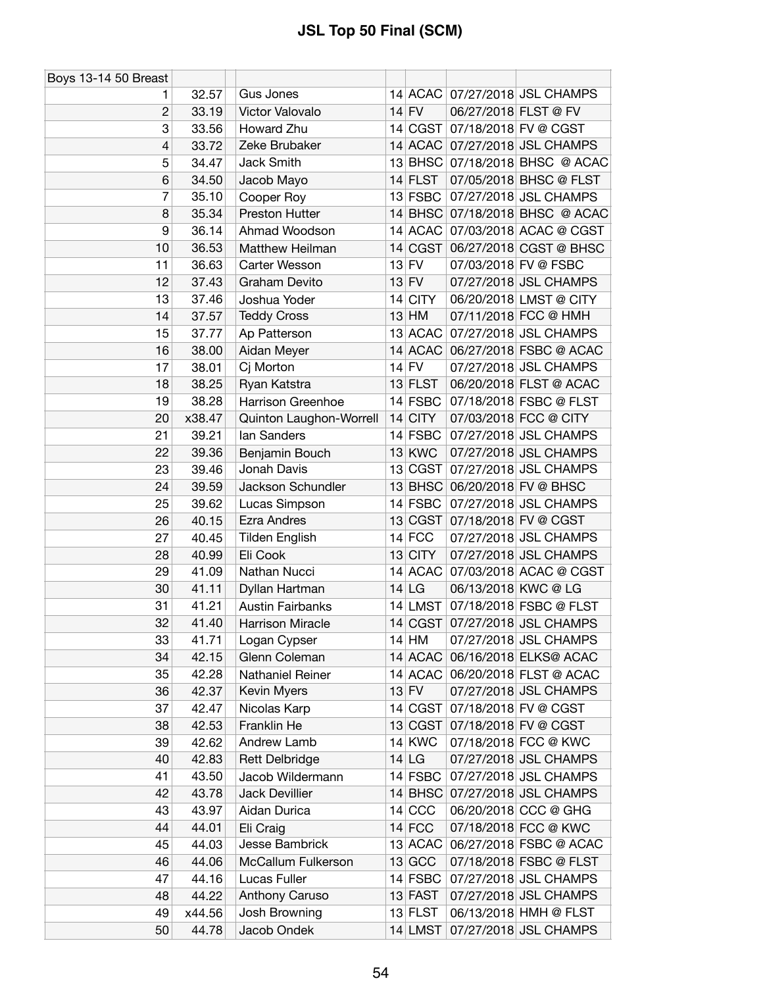| Boys 13-14 50 Breast |        |                         |               |                      |                                |
|----------------------|--------|-------------------------|---------------|----------------------|--------------------------------|
| 1.                   | 32.57  | Gus Jones               |               |                      | 14 ACAC 07/27/2018 JSL CHAMPS  |
| $\overline{2}$       | 33.19  | Victor Valovalo         | $14$ FV       | 06/27/2018 FLST @ FV |                                |
| 3                    | 33.56  | Howard Zhu              | 14 CGST       |                      | 07/18/2018 FV @ CGST           |
| 4                    | 33.72  | Zeke Brubaker           | $14$ ACAC     |                      | 07/27/2018 JSL CHAMPS          |
| 5                    | 34.47  | Jack Smith              | $13$ BHSC     |                      | 07/18/2018 BHSC @ ACAC         |
| 6                    | 34.50  | Jacob Mayo              | $14$ FLST     |                      | 07/05/2018 BHSC @ FLST         |
| 7                    | 35.10  | Cooper Roy              | $13$ FSBC     |                      | 07/27/2018 JSL CHAMPS          |
| 8                    | 35.34  | Preston Hutter          |               |                      | 14 BHSC 07/18/2018 BHSC @ ACAC |
| 9                    | 36.14  | Ahmad Woodson           | $14$ ACAC     |                      | 07/03/2018 ACAC @ CGST         |
| 10                   | 36.53  | Matthew Heilman         |               |                      | 14 CGST 06/27/2018 CGST @ BHSC |
| 11                   | 36.63  | Carter Wesson           | $13$ FV       |                      | 07/03/2018 FV @ FSBC           |
| 12                   | 37.43  | Graham Devito           | $13$ FV       |                      | 07/27/2018 JSL CHAMPS          |
| 13                   | 37.46  | Joshua Yoder            | 14 CITY       |                      | 06/20/2018 LMST @ CITY         |
| 14                   | 37.57  | <b>Teddy Cross</b>      | $13$ HM       |                      | 07/11/2018 FCC @ HMH           |
| 15                   | 37.77  | Ap Patterson            | 13 ACAC       |                      | 07/27/2018 JSL CHAMPS          |
| 16                   | 38.00  | Aidan Meyer             | 14 ACAC       |                      | 06/27/2018 FSBC @ ACAC         |
| 17                   | 38.01  | Cj Morton               | $14$ FV       |                      | 07/27/2018 JSL CHAMPS          |
| 18                   | 38.25  | Ryan Katstra            | $13$ FLST     |                      | 06/20/2018 FLST @ ACAC         |
| 19                   | 38.28  | Harrison Greenhoe       | 14 FSBC       |                      | 07/18/2018 FSBC @ FLST         |
| 20                   | x38.47 | Quinton Laughon-Worrell | $14$ CITY     |                      | 07/03/2018 FCC @ CITY          |
| 21                   | 39.21  | lan Sanders             | $14$ FSBC     |                      | 07/27/2018 JSL CHAMPS          |
| 22                   | 39.36  | Benjamin Bouch          | <b>13 KWC</b> |                      | 07/27/2018 JSL CHAMPS          |
| 23                   | 39.46  | Jonah Davis             | 13 CGST       |                      | 07/27/2018 JSL CHAMPS          |
| 24                   | 39.59  | Jackson Schundler       |               |                      | 13 BHSC 06/20/2018 FV @ BHSC   |
| 25                   | 39.62  | Lucas Simpson           | $14$ FSBC     |                      | 07/27/2018 JSL CHAMPS          |
| 26                   | 40.15  | Ezra Andres             | 13 CGST       |                      | 07/18/2018 FV @ CGST           |
| 27                   | 40.45  | <b>Tilden English</b>   | $14$ FCC      |                      | 07/27/2018 JSL CHAMPS          |
| 28                   | 40.99  | Eli Cook                | 13 CITY       |                      | 07/27/2018 JSL CHAMPS          |
| 29                   | 41.09  | Nathan Nucci            | 14 ACAC       |                      | 07/03/2018 ACAC @ CGST         |
| 30                   | 41.11  | Dyllan Hartman          | $14$ LG       |                      | 06/13/2018 KWC @ LG            |
| 31                   | 41.21  | <b>Austin Fairbanks</b> | $14$ LMST     |                      | 07/18/2018 FSBC @ FLST         |
| 32                   | 41.40  | <b>Harrison Miracle</b> |               |                      | 14 CGST 07/27/2018 JSL CHAMPS  |
| 33                   | 41.71  | Logan Cypser            | $14$ HM       |                      | 07/27/2018 JSL CHAMPS          |
| 34                   | 42.15  | Glenn Coleman           | 14 ACAC       |                      | 06/16/2018 ELKS@ ACAC          |
| 35                   | 42.28  | Nathaniel Reiner        |               |                      | 14 ACAC 06/20/2018 FLST @ ACAC |
| 36                   | 42.37  | Kevin Myers             | $13$ FV       |                      | 07/27/2018 JSL CHAMPS          |
| 37                   | 42.47  | Nicolas Karp            | 14 CGST       |                      | 07/18/2018 FV @ CGST           |
| 38                   | 42.53  | <b>Franklin He</b>      | 13 CGST       |                      | 07/18/2018 FV @ CGST           |
| 39                   | 42.62  | Andrew Lamb             | <b>14 KWC</b> |                      | 07/18/2018 FCC @ KWC           |
| 40                   | 42.83  | <b>Rett Delbridge</b>   | $14$ LG       |                      | 07/27/2018 JSL CHAMPS          |
| 41                   | 43.50  | Jacob Wildermann        | 14 FSBC       |                      | 07/27/2018 JSL CHAMPS          |
| 42                   | 43.78  | Jack Devillier          |               |                      | 14 BHSC 07/27/2018 JSL CHAMPS  |
| 43                   | 43.97  | Aidan Durica            | $14$ CCC      |                      | 06/20/2018 CCC @ GHG           |
| 44                   | 44.01  | Eli Craig               | $14$ FCC      |                      | 07/18/2018 FCC @ KWC           |
| 45                   | 44.03  | Jesse Bambrick          | 13 ACAC       |                      | 06/27/2018 FSBC @ ACAC         |
| 46                   | 44.06  | McCallum Fulkerson      | $13$ GCC      |                      | 07/18/2018 FSBC @ FLST         |
| 47                   | 44.16  | Lucas Fuller            | 14 FSBC       |                      | 07/27/2018 JSL CHAMPS          |
| 48                   | 44.22  | Anthony Caruso          | $13$ FAST     |                      | 07/27/2018 JSL CHAMPS          |
| 49                   | x44.56 | Josh Browning           | $13$ FLST     |                      | 06/13/2018 HMH @ FLST          |
| 50                   | 44.78  | Jacob Ondek             | $14$ LMST     |                      | 07/27/2018 JSL CHAMPS          |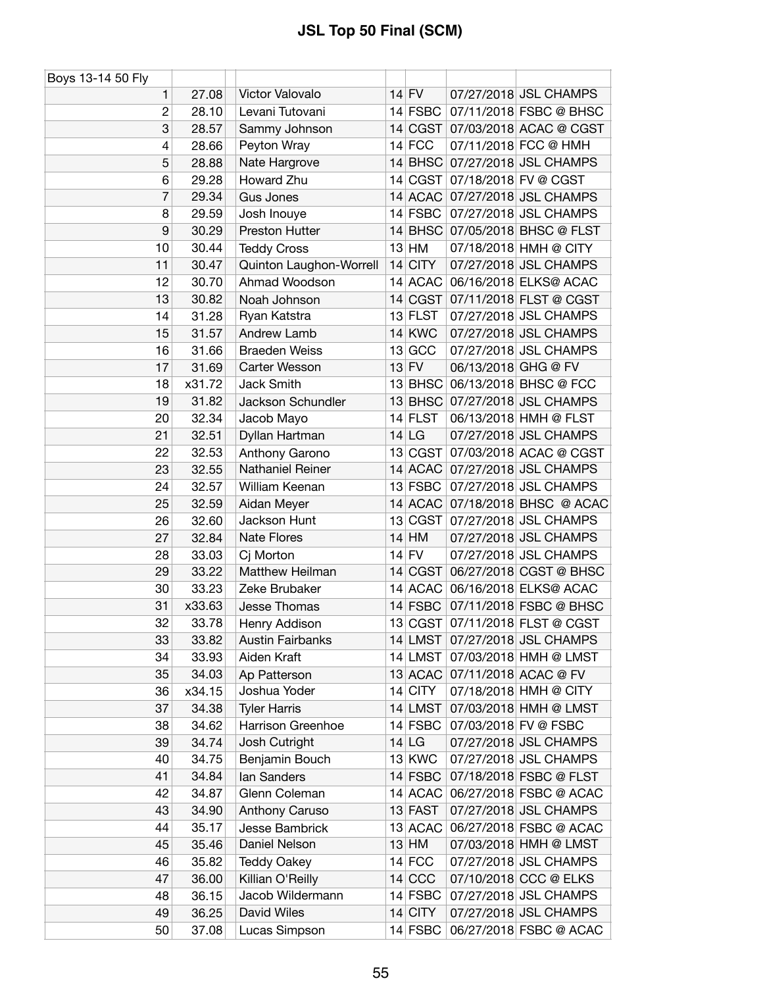| Boys 13-14 50 Fly |        |                         |           |                     |                                |
|-------------------|--------|-------------------------|-----------|---------------------|--------------------------------|
| 1                 | 27.08  | Victor Valovalo         | $14$ FV   |                     | 07/27/2018 JSL CHAMPS          |
| $\overline{2}$    | 28.10  | Levani Tutovani         | 14 FSBC   |                     | 07/11/2018 FSBC @ BHSC         |
| 3                 | 28.57  | Sammy Johnson           |           |                     | 14 CGST 07/03/2018 ACAC @ CGST |
| 4                 | 28.66  | Peyton Wray             | $14$ FCC  |                     | 07/11/2018 FCC @ HMH           |
| 5                 | 28.88  | Nate Hargrove           | $14$ BHSC |                     | 07/27/2018 JSL CHAMPS          |
| 6                 | 29.28  | Howard Zhu              |           |                     | 14 CGST 07/18/2018 FV @ CGST   |
| 7                 | 29.34  | <b>Gus Jones</b>        |           |                     | 14 ACAC 07/27/2018 JSL CHAMPS  |
| 8                 | 29.59  | Josh Inouye             | 14 FSBC   |                     | 07/27/2018 JSL CHAMPS          |
| 9                 | 30.29  | Preston Hutter          |           |                     | 14 BHSC 07/05/2018 BHSC @ FLST |
| 10                | 30.44  | <b>Teddy Cross</b>      | $13$ HM   |                     | 07/18/2018 HMH @ CITY          |
| 11                | 30.47  | Quinton Laughon-Worrell | $14$ CITY |                     | 07/27/2018 JSL CHAMPS          |
| 12                | 30.70  | Ahmad Woodson           | 14 ACAC   |                     | 06/16/2018 ELKS@ ACAC          |
| 13                | 30.82  | Noah Johnson            |           |                     | 14 CGST 07/11/2018 FLST @ CGST |
| 14                | 31.28  | Ryan Katstra            | 13 FLST   |                     | 07/27/2018 JSL CHAMPS          |
| 15                | 31.57  | Andrew Lamb             | 14 KWC    |                     | 07/27/2018 JSL CHAMPS          |
| 16                | 31.66  | <b>Braeden Weiss</b>    | $13$ GCC  |                     | 07/27/2018 JSL CHAMPS          |
| 17                | 31.69  | Carter Wesson           | $13$ FV   | 06/13/2018 GHG @ FV |                                |
| 18                | x31.72 | Jack Smith              |           |                     | 13 BHSC 06/13/2018 BHSC @ FCC  |
| 19                | 31.82  | Jackson Schundler       | $13$ BHSC |                     | 07/27/2018 JSL CHAMPS          |
| 20                | 32.34  | Jacob Mayo              | $14$ FLST |                     | 06/13/2018 HMH @ FLST          |
| 21                | 32.51  | Dyllan Hartman          | $14$ LG   |                     | 07/27/2018 JSL CHAMPS          |
| 22                | 32.53  | Anthony Garono          |           |                     | 13 CGST 07/03/2018 ACAC @ CGST |
| 23                | 32.55  | Nathaniel Reiner        |           |                     | 14 ACAC 07/27/2018 JSL CHAMPS  |
| 24                | 32.57  | William Keenan          |           |                     | 13 FSBC 07/27/2018 JSL CHAMPS  |
| 25                | 32.59  | Aidan Meyer             |           |                     | 14 ACAC 07/18/2018 BHSC @ ACAC |
| 26                | 32.60  | Jackson Hunt            |           |                     | 13 CGST 07/27/2018 JSL CHAMPS  |
| 27                | 32.84  | <b>Nate Flores</b>      | $14$ HM   |                     | 07/27/2018 JSL CHAMPS          |
| 28                | 33.03  | Cj Morton               | $14$ FV   |                     | 07/27/2018 JSL CHAMPS          |
| 29                | 33.22  | Matthew Heilman         | 14 CGST   |                     | 06/27/2018 CGST @ BHSC         |
| 30                | 33.23  | Zeke Brubaker           | $14$ ACAC |                     | 06/16/2018 ELKS@ ACAC          |
| 31                | x33.63 | Jesse Thomas            | $14$ FSBC |                     | 07/11/2018 FSBC @ BHSC         |
| 32                | 33.78  | Henry Addison           |           |                     | 13 CGST 07/11/2018 FLST @ CGST |
| 33                | 33.82  | <b>Austin Fairbanks</b> |           |                     | 14 LMST 07/27/2018 JSL CHAMPS  |
| 34                | 33.93  | Aiden Kraft             |           |                     | 14 LMST 07/03/2018 HMH @ LMST  |
| 35                | 34.03  | Ap Patterson            |           |                     | 13 ACAC 07/11/2018 ACAC @ FV   |
| 36                | x34.15 | Joshua Yoder            | 14 CITY   |                     | 07/18/2018 HMH @ CITY          |
| 37                | 34.38  | <b>Tyler Harris</b>     | 14 LMST   |                     | 07/03/2018 HMH @ LMST          |
| 38                | 34.62  | Harrison Greenhoe       | 14 FSBC   |                     | 07/03/2018 FV @ FSBC           |
| 39                | 34.74  | Josh Cutright           | $14$ LG   |                     | 07/27/2018 JSL CHAMPS          |
| 40                | 34.75  | Benjamin Bouch          | 13 KWC    |                     | 07/27/2018 JSL CHAMPS          |
| 41                | 34.84  | lan Sanders             | $14$ FSBC |                     | 07/18/2018 FSBC @ FLST         |
| 42                | 34.87  | Glenn Coleman           |           |                     | 14 ACAC 06/27/2018 FSBC @ ACAC |
| 43                | 34.90  | Anthony Caruso          | 13 FAST   |                     | 07/27/2018 JSL CHAMPS          |
| 44                | 35.17  | Jesse Bambrick          | 13 ACAC   |                     | 06/27/2018 FSBC @ ACAC         |
| 45                | 35.46  | Daniel Nelson           | $13$ HM   |                     | 07/03/2018 HMH @ LMST          |
| 46                | 35.82  | <b>Teddy Oakey</b>      | $14$ FCC  |                     | 07/27/2018 JSL CHAMPS          |
| 47                | 36.00  | Killian O'Reilly        | $14$ CCC  |                     | 07/10/2018 CCC @ ELKS          |
| 48                | 36.15  | Jacob Wildermann        | 14 FSBC   |                     | 07/27/2018 JSL CHAMPS          |
| 49                | 36.25  | David Wiles             | 14 CITY   |                     | 07/27/2018 JSL CHAMPS          |
| 50                | 37.08  | Lucas Simpson           | $14$ FSBC |                     | 06/27/2018 FSBC @ ACAC         |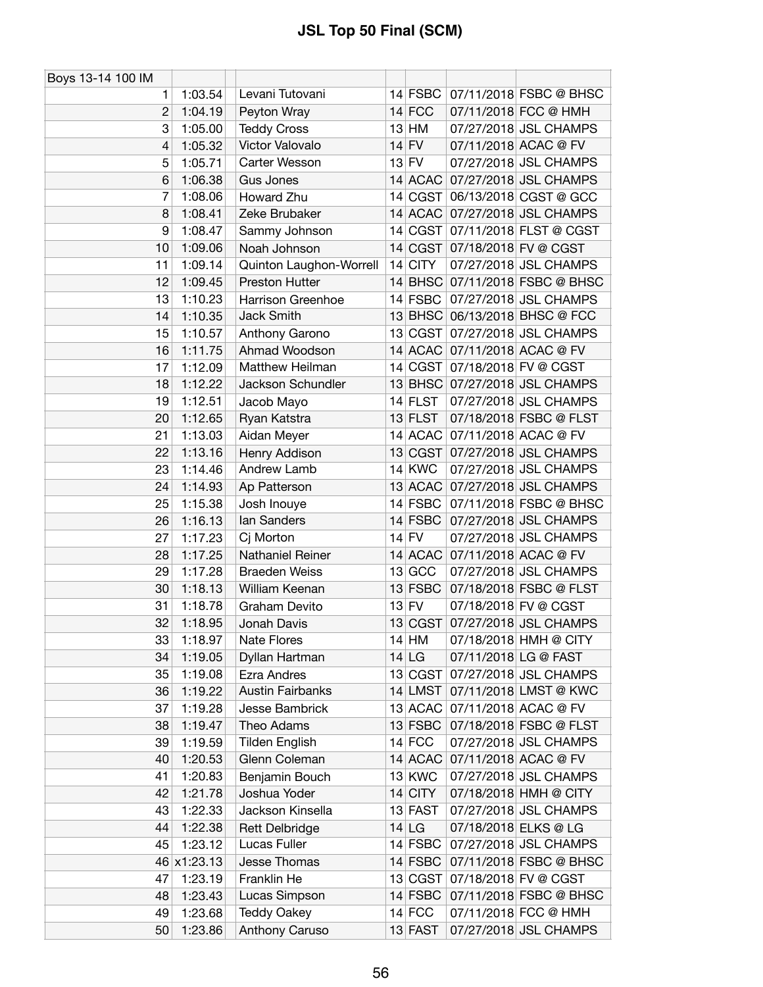| Boys 13-14 100 IM |             |                         |           |                               |
|-------------------|-------------|-------------------------|-----------|-------------------------------|
| 1.                | 1:03.54     | Levani Tutovani         | 14 $FSBC$ | 07/11/2018 FSBC @ BHSC        |
| $\overline{2}$    | 1:04.19     | Peyton Wray             | $14$ FCC  | 07/11/2018 FCC @ HMH          |
| 3                 | 1:05.00     | <b>Teddy Cross</b>      | $13$ HM   | 07/27/2018 JSL CHAMPS         |
| 4                 | 1:05.32     | Victor Valovalo         | $14$ FV   | 07/11/2018 ACAC @ FV          |
| 5                 | 1:05.71     | Carter Wesson           | $13$ FV   | 07/27/2018 JSL CHAMPS         |
| 6                 | 1:06.38     | Gus Jones               |           | 14 ACAC 07/27/2018 JSL CHAMPS |
| 7                 | 1:08.06     | Howard Zhu              | 14 CGST   | 06/13/2018 CGST @ GCC         |
| 8                 | 1:08.41     | Zeke Brubaker           |           | 14 ACAC 07/27/2018 JSL CHAMPS |
| 9                 | 1:08.47     | Sammy Johnson           | 14 CGST   | 07/11/2018 FLST @ CGST        |
| 10                | 1:09.06     | Noah Johnson            |           | 14 CGST 07/18/2018 FV @ CGST  |
| 11                | 1:09.14     | Quinton Laughon-Worrell | $14$ CITY | 07/27/2018 JSL CHAMPS         |
| 12                | 1:09.45     | Preston Hutter          | $14$ BHSC | 07/11/2018 FSBC @ BHSC        |
| 13                | 1:10.23     | Harrison Greenhoe       | $14$ FSBC | 07/27/2018 JSL CHAMPS         |
| 14                | 1:10.35     | Jack Smith              |           | 13 BHSC 06/13/2018 BHSC @ FCC |
| 15                | 1:10.57     | Anthony Garono          | 13 CGST   | 07/27/2018 JSL CHAMPS         |
| 16                | 1:11.75     | Ahmad Woodson           |           | 14 ACAC 07/11/2018 ACAC @ FV  |
| 17                | 1:12.09     | Matthew Heilman         |           | 14 CGST 07/18/2018 FV @ CGST  |
| 18                | 1:12.22     | Jackson Schundler       |           | 13 BHSC 07/27/2018 JSL CHAMPS |
| 19                | 1:12.51     | Jacob Mayo              | 14 FLST   | 07/27/2018 JSL CHAMPS         |
| 20                | 1:12.65     | Ryan Katstra            | 13 FLST   | 07/18/2018 FSBC @ FLST        |
| 21                | 1:13.03     | Aidan Meyer             |           | 14 ACAC 07/11/2018 ACAC @ FV  |
| 22                | 1:13.16     | Henry Addison           |           | 13 CGST 07/27/2018 JSL CHAMPS |
| 23                | 1:14.46     | Andrew Lamb             | $14$ KWC  | 07/27/2018 JSL CHAMPS         |
| 24                | 1:14.93     |                         |           | 13 ACAC 07/27/2018 JSL CHAMPS |
|                   |             | Ap Patterson            |           |                               |
| 25                | 1:15.38     | Josh Inouye             | $14$ FSBC | 07/11/2018 FSBC @ BHSC        |
| 26                | 1:16.13     | lan Sanders             | $14$ FSBC | 07/27/2018 JSL CHAMPS         |
| 27                | 1:17.23     | Cj Morton               | $14$ FV   | 07/27/2018 JSL CHAMPS         |
| 28                | 1:17.25     | Nathaniel Reiner        | $13$ GCC  | 14 ACAC 07/11/2018 ACAC @ FV  |
| 29                | 1:17.28     | <b>Braeden Weiss</b>    |           | 07/27/2018 JSL CHAMPS         |
| 30                | 1:18.13     | William Keenan          | $13$ FSBC | 07/18/2018 FSBC @ FLST        |
| 31                | 1:18.78     | Graham Devito           | $13$ FV   | 07/18/2018 FV @ CGST          |
| 32                | 1:18.95     | Jonah Davis             |           | 13 CGST 07/27/2018 JSL CHAMPS |
| 33                | 1:18.97     | <b>Nate Flores</b>      | $14$ HM   | 07/18/2018 HMH @ CITY         |
| 34                | 1:19.05     | Dyllan Hartman          | 14 LG     | 07/11/2018 LG @ FAST          |
| 35                | 1:19.08     | Ezra Andres             | 13 CGST   | 07/27/2018 JSL CHAMPS         |
| 36                | 1:19.22     | <b>Austin Fairbanks</b> | $14$ LMST | 07/11/2018 LMST @ KWC         |
| 37                | 1:19.28     | Jesse Bambrick          | 13 ACAC   | 07/11/2018 ACAC @ FV          |
| 38                | 1:19.47     | Theo Adams              | $13$ FSBC | 07/18/2018 FSBC @ FLST        |
| 39                | 1:19.59     | <b>Tilden English</b>   | $14$ FCC  | 07/27/2018 JSL CHAMPS         |
| 40                | 1:20.53     | Glenn Coleman           | 14 ACAC   | 07/11/2018 ACAC @ FV          |
| 41                | 1:20.83     | Benjamin Bouch          | 13 KWC    | 07/27/2018 JSL CHAMPS         |
| 42                | 1:21.78     | Joshua Yoder            | $14$ CITY | 07/18/2018 HMH @ CITY         |
| 43                | 1:22.33     | Jackson Kinsella        | 13 FAST   | 07/27/2018 JSL CHAMPS         |
| 44                | 1:22.38     | <b>Rett Delbridge</b>   | 14 LG     | 07/18/2018 ELKS @ LG          |
| 45                | 1:23.12     | Lucas Fuller            | $14$ FSBC | 07/27/2018 JSL CHAMPS         |
|                   | 46 x1:23.13 | Jesse Thomas            | $14$ FSBC | 07/11/2018 FSBC @ BHSC        |
| 47                | 1:23.19     | Franklin He             | 13 CGST   | 07/18/2018 FV @ CGST          |
| 48                | 1:23.43     | Lucas Simpson           | $14$ FSBC | 07/11/2018 FSBC @ BHSC        |
| 49                | 1:23.68     | <b>Teddy Oakey</b>      | $14$ FCC  | 07/11/2018 FCC @ HMH          |
| 50                | 1:23.86     | Anthony Caruso          | $13$ FAST | 07/27/2018 JSL CHAMPS         |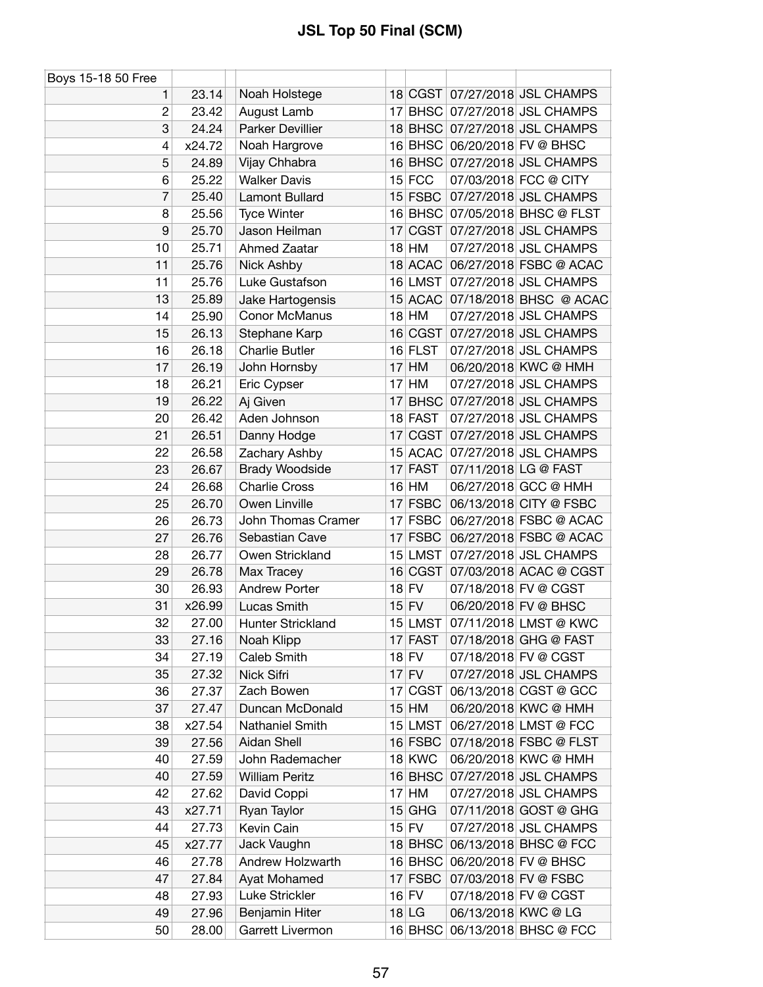| Boys 15-18 50 Free |        |                       |               |                                |
|--------------------|--------|-----------------------|---------------|--------------------------------|
| 1.                 | 23.14  | Noah Holstege         |               | 18 CGST 07/27/2018 JSL CHAMPS  |
| $\overline{c}$     | 23.42  | August Lamb           |               | 17 BHSC 07/27/2018 JSL CHAMPS  |
| 3                  | 24.24  | Parker Devillier      |               | 18 BHSC 07/27/2018 JSL CHAMPS  |
| 4                  | x24.72 | Noah Hargrove         |               | 16 BHSC 06/20/2018 FV @ BHSC   |
| 5                  | 24.89  | Vijay Chhabra         | $16$ BHSC     | 07/27/2018 JSL CHAMPS          |
| 6                  | 25.22  | <b>Walker Davis</b>   | $15$ FCC      | 07/03/2018 FCC @ CITY          |
| 7                  | 25.40  | Lamont Bullard        | $15$ FSBC     | 07/27/2018 JSL CHAMPS          |
| 8                  | 25.56  | <b>Tyce Winter</b>    |               | 16 BHSC 07/05/2018 BHSC @ FLST |
| 9                  | 25.70  | Jason Heilman         | 17 CGST       | 07/27/2018 JSL CHAMPS          |
| 10                 | 25.71  | Ahmed Zaatar          | 18 HM         | 07/27/2018 JSL CHAMPS          |
| 11                 | 25.76  | Nick Ashby            | 18 ACAC       | 06/27/2018 FSBC @ ACAC         |
| 11                 | 25.76  | Luke Gustafson        | 16 LMST       | 07/27/2018 JSL CHAMPS          |
| 13                 | 25.89  | Jake Hartogensis      |               | 15 ACAC 07/18/2018 BHSC @ ACAC |
| 14                 | 25.90  | Conor McManus         | $18$ HM       | 07/27/2018 JSL CHAMPS          |
| 15                 | 26.13  | Stephane Karp         | 16 CGST       | 07/27/2018 JSL CHAMPS          |
| 16                 | 26.18  | <b>Charlie Butler</b> | 16 FLST       | 07/27/2018 JSL CHAMPS          |
| 17                 | 26.19  | John Hornsby          | $17$ HM       | 06/20/2018 KWC @ HMH           |
| 18                 | 26.21  | Eric Cypser           | $17$ HM       | 07/27/2018 JSL CHAMPS          |
| 19                 | 26.22  | Aj Given              | $17$ BHSC     | 07/27/2018 JSL CHAMPS          |
| 20                 | 26.42  | Aden Johnson          | 18 FAST       | 07/27/2018 JSL CHAMPS          |
| 21                 | 26.51  | Danny Hodge           | 17 CGST       | 07/27/2018 JSL CHAMPS          |
| 22                 | 26.58  | Zachary Ashby         | 15 ACAC       | 07/27/2018 JSL CHAMPS          |
| 23                 | 26.67  | Brady Woodside        | 17 FAST       | 07/11/2018 LG @ FAST           |
| 24                 | 26.68  | <b>Charlie Cross</b>  | $16$ HM       | 06/27/2018 GCC @ HMH           |
| 25                 | 26.70  | Owen Linville         | 17 FSBC       | 06/13/2018 CITY @ FSBC         |
| 26                 | 26.73  | John Thomas Cramer    | $17$ FSBC     | 06/27/2018 FSBC @ ACAC         |
| 27                 | 26.76  | Sebastian Cave        | $17$ FSBC     | 06/27/2018 FSBC @ ACAC         |
| 28                 | 26.77  | Owen Strickland       | 15 LMST       | 07/27/2018 JSL CHAMPS          |
| 29                 | 26.78  | Max Tracey            | 16 CGST       | 07/03/2018 ACAC @ CGST         |
| 30                 | 26.93  | <b>Andrew Porter</b>  | $18$ FV       | 07/18/2018 FV @ CGST           |
| 31                 | x26.99 | Lucas Smith           | $15$ FV       | 06/20/2018 FV @ BHSC           |
| 32                 | 27.00  | Hunter Strickland     | 15 LMST       | 07/11/2018 LMST @ KWC          |
| 33                 | 27.16  | Noah Klipp            | 17 FAST       | 07/18/2018 GHG @ FAST          |
| 34                 | 27.19  | Caleb Smith           | $18$ FV       | 07/18/2018 FV @ CGST           |
| 35                 | 27.32  | Nick Sifri            | $17$ FV       | 07/27/2018 JSL CHAMPS          |
| 36                 | 27.37  | Zach Bowen            | 17 CGST       | 06/13/2018 CGST @ GCC          |
| 37                 | 27.47  | Duncan McDonald       | $15$ HM       | 06/20/2018 KWC @ HMH           |
| 38                 | x27.54 | Nathaniel Smith       | 15 LMST       | 06/27/2018 LMST @ FCC          |
| 39                 | 27.56  | Aidan Shell           | $16$ FSBC     | 07/18/2018 FSBC @ FLST         |
| 40                 | 27.59  | John Rademacher       | <b>18 KWC</b> | 06/20/2018 KWC @ HMH           |
| 40                 | 27.59  | <b>William Peritz</b> | 16 BHSC       | 07/27/2018 JSL CHAMPS          |
| 42                 | 27.62  | David Coppi           | $17$ HM       | 07/27/2018 JSL CHAMPS          |
| 43                 | x27.71 | Ryan Taylor           | $15$ GHG      | 07/11/2018 GOST @ GHG          |
| 44                 | 27.73  | Kevin Cain            | $15$ FV       | 07/27/2018 JSL CHAMPS          |
| 45                 | x27.77 | Jack Vaughn           | $18$ BHSC     | 06/13/2018 BHSC @ FCC          |
| 46                 | 27.78  | Andrew Holzwarth      |               | 16 BHSC 06/20/2018 FV @ BHSC   |
| 47                 | 27.84  | Ayat Mohamed          | 17 FSBC       | 07/03/2018 FV @ FSBC           |
| 48                 | 27.93  | Luke Strickler        | $16$ FV       | 07/18/2018 FV @ CGST           |
| 49                 | 27.96  | Benjamin Hiter        | $18$ LG       | 06/13/2018 KWC @ LG            |
| 50                 | 28.00  | Garrett Livermon      |               | 16 BHSC 06/13/2018 BHSC @ FCC  |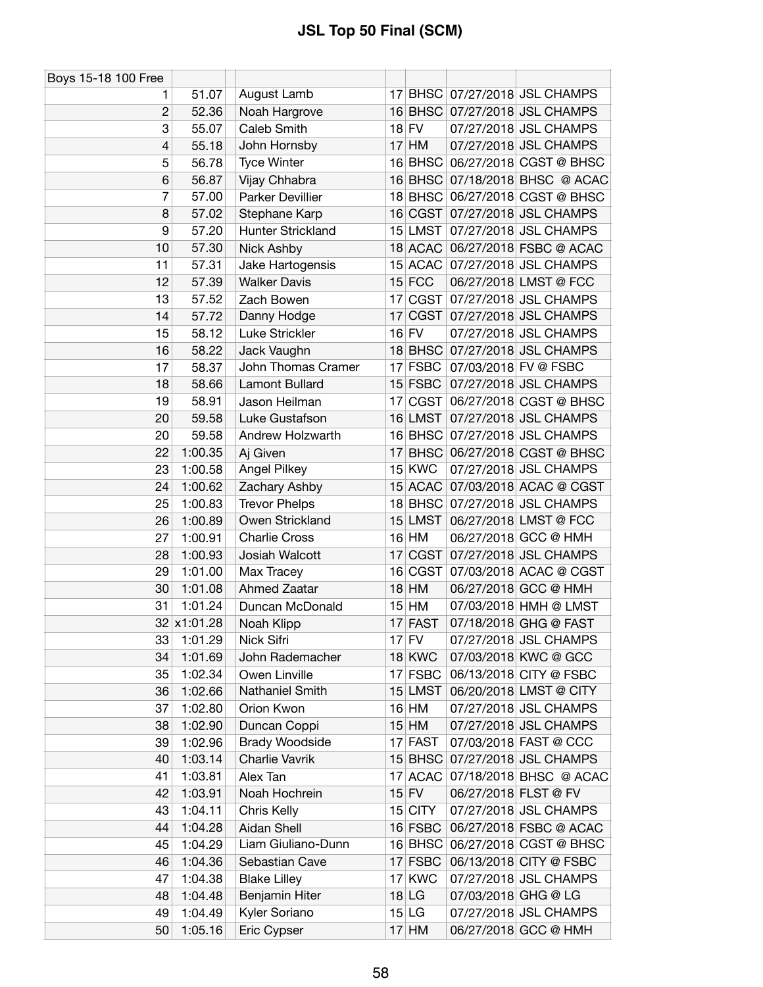| Boys 15-18 100 Free |             |                          |                 |               |                      |                                |
|---------------------|-------------|--------------------------|-----------------|---------------|----------------------|--------------------------------|
| 1                   | 51.07       | August Lamb              |                 |               |                      | 17 BHSC 07/27/2018 JSL CHAMPS  |
| $\overline{c}$      | 52.36       | Noah Hargrove            |                 |               |                      | 16 BHSC 07/27/2018 JSL CHAMPS  |
| 3                   | 55.07       | Caleb Smith              |                 | $18$ FV       |                      | 07/27/2018 JSL CHAMPS          |
| 4                   | 55.18       | John Hornsby             |                 | $17$ HM       |                      | 07/27/2018 JSL CHAMPS          |
| 5                   | 56.78       | <b>Tyce Winter</b>       |                 | $16$ BHSC     |                      | 06/27/2018 CGST @ BHSC         |
| 6                   | 56.87       | Vijay Chhabra            |                 |               |                      | 16 BHSC 07/18/2018 BHSC @ ACAC |
| 7                   | 57.00       | Parker Devillier         |                 |               |                      | 18 BHSC 06/27/2018 CGST @ BHSC |
| 8                   | 57.02       | Stephane Karp            |                 |               |                      | 16 CGST 07/27/2018 JSL CHAMPS  |
| 9                   | 57.20       | <b>Hunter Strickland</b> |                 | 15 LMST       |                      | 07/27/2018 JSL CHAMPS          |
| 10                  | 57.30       | Nick Ashby               |                 |               |                      | 18 ACAC 06/27/2018 FSBC @ ACAC |
| 11                  | 57.31       | Jake Hartogensis         |                 | 15 ACAC       |                      | 07/27/2018 JSL CHAMPS          |
| 12                  | 57.39       | <b>Walker Davis</b>      |                 | $15$ FCC      |                      | 06/27/2018 LMST @ FCC          |
| 13                  | 57.52       | Zach Bowen               | 17              | CGST          |                      | 07/27/2018 JSL CHAMPS          |
| 14                  | 57.72       | Danny Hodge              | 17              |               |                      | CGST 07/27/2018 JSL CHAMPS     |
| 15                  | 58.12       | Luke Strickler           |                 | $16$ FV       |                      | 07/27/2018 JSL CHAMPS          |
| 16                  | 58.22       | Jack Vaughn              |                 |               |                      | 18 BHSC 07/27/2018 JSL CHAMPS  |
| 17                  | 58.37       | John Thomas Cramer       |                 | $17$ FSBC     | 07/03/2018 FV @ FSBC |                                |
| 18                  | 58.66       | Lamont Bullard           |                 | 15 FSBC       |                      | 07/27/2018 JSL CHAMPS          |
| 19                  | 58.91       | Jason Heilman            | 17 <sup>1</sup> | CGST          |                      | 06/27/2018 CGST @ BHSC         |
| 20                  | 59.58       | Luke Gustafson           |                 | 16 LMST       |                      | 07/27/2018 JSL CHAMPS          |
| 20                  | 59.58       | Andrew Holzwarth         |                 |               |                      | 16 BHSC 07/27/2018 JSL CHAMPS  |
| 22                  | 1:00.35     | Aj Given                 |                 |               |                      | 17 BHSC 06/27/2018 CGST @ BHSC |
| 23                  | 1:00.58     | <b>Angel Pilkey</b>      |                 | <b>15 KWC</b> |                      | 07/27/2018 JSL CHAMPS          |
| 24                  | 1:00.62     | Zachary Ashby            |                 |               |                      | 15 ACAC 07/03/2018 ACAC @ CGST |
| 25                  | 1:00.83     | <b>Trevor Phelps</b>     |                 |               |                      | 18 BHSC 07/27/2018 JSL CHAMPS  |
| 26                  | 1:00.89     | Owen Strickland          |                 | 15 LMST       |                      | 06/27/2018 LMST @ FCC          |
| 27                  | 1:00.91     | <b>Charlie Cross</b>     |                 | $16$ HM       |                      | 06/27/2018 GCC @ HMH           |
| 28                  | 1:00.93     | Josiah Walcott           | 17              |               |                      | CGST 07/27/2018 JSL CHAMPS     |
| 29                  | 1:01.00     | Max Tracey               |                 | 16 CGST       |                      | 07/03/2018 ACAC @ CGST         |
| 30                  | 1:01.08     | Ahmed Zaatar             |                 | $18$ HM       |                      | 06/27/2018 GCC @ HMH           |
| 31                  | 1:01.24     | Duncan McDonald          |                 | $15$ HM       |                      | 07/03/2018 HMH @ LMST          |
|                     | 32 x1:01.28 | Noah Klipp               |                 | 17 FAST       |                      | 07/18/2018 GHG @ FAST          |
| 33                  | 1:01.29     | Nick Sifri               |                 | 17 FV         |                      | 07/27/2018 JSL CHAMPS          |
| 34                  | 1:01.69     | John Rademacher          |                 | <b>18 KWC</b> |                      | 07/03/2018 KWC @ GCC           |
| 35                  | 1:02.34     | Owen Linville            |                 | 17 FSBC       |                      | 06/13/2018 CITY @ FSBC         |
| 36                  | 1:02.66     | Nathaniel Smith          |                 | 15 LMST       |                      | 06/20/2018 LMST @ CITY         |
| 37                  | 1:02.80     | Orion Kwon               |                 | $16$ HM       |                      | 07/27/2018 JSL CHAMPS          |
| 38                  | 1:02.90     | Duncan Coppi             |                 | $15$ HM       |                      | 07/27/2018 JSL CHAMPS          |
| 39                  | 1:02.96     | <b>Brady Woodside</b>    |                 | 17 FAST       |                      | 07/03/2018 FAST @ CCC          |
| 40                  | 1:03.14     | Charlie Vavrik           |                 |               |                      | 15 BHSC 07/27/2018 JSL CHAMPS  |
| 41                  | 1:03.81     | Alex Tan                 |                 | 17 ACAC       |                      | 07/18/2018 BHSC @ ACAC         |
| 42                  | 1:03.91     | Noah Hochrein            |                 | $15$ FV       | 06/27/2018 FLST @ FV |                                |
| 43                  | 1:04.11     | Chris Kelly              |                 | 15 CITY       |                      | 07/27/2018 JSL CHAMPS          |
| 44                  | 1:04.28     | Aidan Shell              |                 | 16 FSBC       |                      | 06/27/2018 FSBC @ ACAC         |
| 45                  | 1:04.29     | Liam Giuliano-Dunn       |                 | $16$ BHSC     |                      | 06/27/2018 CGST @ BHSC         |
| 46                  | 1:04.36     | Sebastian Cave           |                 | 17 FSBC       |                      | 06/13/2018 CITY @ FSBC         |
| 47                  | 1:04.38     | <b>Blake Lilley</b>      |                 | 17 KWC        |                      | 07/27/2018 JSL CHAMPS          |
| 48                  | 1:04.48     | Benjamin Hiter           |                 | $18$ LG       | 07/03/2018 GHG @ LG  |                                |
| 49                  | 1:04.49     | Kyler Soriano            |                 | $15$ LG       |                      | 07/27/2018 JSL CHAMPS          |
| 50                  | 1:05.16     | Eric Cypser              |                 | $17$ HM       |                      | 06/27/2018 GCC @ HMH           |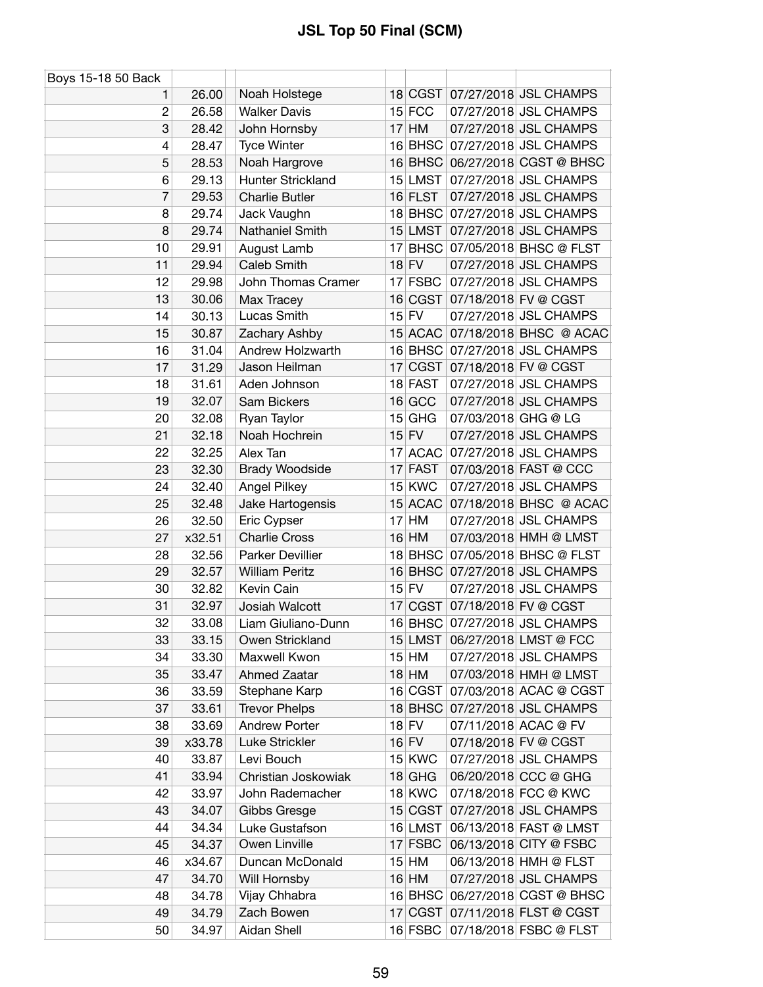| Boys 15-18 50 Back |        |                       |    |               |                     |                                |
|--------------------|--------|-----------------------|----|---------------|---------------------|--------------------------------|
| 1.                 | 26.00  | Noah Holstege         |    |               |                     | 18 CGST 07/27/2018 JSL CHAMPS  |
| $\overline{c}$     | 26.58  | <b>Walker Davis</b>   |    | $15$ FCC      |                     | 07/27/2018 JSL CHAMPS          |
| 3                  | 28.42  | John Hornsby          |    | $17$ HM       |                     | 07/27/2018 JSL CHAMPS          |
| 4                  | 28.47  | <b>Tyce Winter</b>    |    | $16$ BHSC     |                     | 07/27/2018 JSL CHAMPS          |
| 5                  | 28.53  | Noah Hargrove         |    | $16$ BHSC     |                     | 06/27/2018 CGST @ BHSC         |
| 6                  | 29.13  | Hunter Strickland     |    | $15$ LMST     |                     | 07/27/2018 JSL CHAMPS          |
| 7                  | 29.53  | <b>Charlie Butler</b> |    | 16 FLST       |                     | 07/27/2018 JSL CHAMPS          |
| 8                  | 29.74  | Jack Vaughn           |    |               |                     | 18 BHSC 07/27/2018 JSL CHAMPS  |
| 8                  | 29.74  | Nathaniel Smith       |    | $15$ LMST     |                     | 07/27/2018 JSL CHAMPS          |
| 10                 | 29.91  | August Lamb           |    |               |                     | 17 BHSC 07/05/2018 BHSC @ FLST |
| 11                 | 29.94  | Caleb Smith           |    | $18$ FV       |                     | 07/27/2018 JSL CHAMPS          |
| 12                 | 29.98  | John Thomas Cramer    |    | 17 FSBC       |                     | 07/27/2018 JSL CHAMPS          |
| 13                 | 30.06  | Max Tracey            |    | 16 CGST       |                     | 07/18/2018 FV @ CGST           |
| 14                 | 30.13  | Lucas Smith           |    | $15$ FV       |                     | 07/27/2018 JSL CHAMPS          |
| 15                 | 30.87  | Zachary Ashby         |    | 15 ACAC       |                     | 07/18/2018 BHSC @ ACAC         |
| 16                 | 31.04  | Andrew Holzwarth      |    | 16 BHSC       |                     | 07/27/2018 JSL CHAMPS          |
| 17                 | 31.29  | Jason Heilman         |    |               |                     | 17 CGST 07/18/2018 FV @ CGST   |
| 18                 | 31.61  | Aden Johnson          |    | 18 FAST       |                     | 07/27/2018 JSL CHAMPS          |
| 19                 | 32.07  | Sam Bickers           |    | 16 GCC        |                     | 07/27/2018 JSL CHAMPS          |
| 20                 | 32.08  | Ryan Taylor           | 15 | GHG           | 07/03/2018 GHG @ LG |                                |
| 21                 | 32.18  | Noah Hochrein         |    | $15$ FV       |                     | 07/27/2018 JSL CHAMPS          |
| 22                 | 32.25  | Alex Tan              |    | 17 ACAC       |                     | 07/27/2018 JSL CHAMPS          |
| 23                 | 32.30  | Brady Woodside        |    | 17 FAST       |                     | 07/03/2018 FAST @ CCC          |
| 24                 | 32.40  | Angel Pilkey          |    | $15$ KWC      |                     | 07/27/2018 JSL CHAMPS          |
| 25                 | 32.48  | Jake Hartogensis      |    | 15 ACAC       |                     | 07/18/2018 BHSC @ ACAC         |
| 26                 | 32.50  | Eric Cypser           |    | $17$ HM       |                     | 07/27/2018 JSL CHAMPS          |
| 27                 | x32.51 | <b>Charlie Cross</b>  |    | 16 HM         |                     | 07/03/2018 HMH @ LMST          |
| 28                 | 32.56  | Parker Devillier      |    |               |                     | 18 BHSC 07/05/2018 BHSC @ FLST |
| 29                 | 32.57  | <b>William Peritz</b> |    |               |                     | 16 BHSC 07/27/2018 JSL CHAMPS  |
| 30                 | 32.82  | Kevin Cain            |    | $15$ FV       |                     | 07/27/2018 JSL CHAMPS          |
| 31                 | 32.97  | Josiah Walcott        |    |               |                     | 17 CGST 07/18/2018 FV @ CGST   |
| 32                 | 33.08  | Liam Giuliano-Dunn    |    |               |                     | 16 BHSC 07/27/2018 JSL CHAMPS  |
| 33                 | 33.15  | Owen Strickland       |    | $15$ LMST     |                     | 06/27/2018 LMST @ FCC          |
| 34                 | 33.30  | Maxwell Kwon          |    | $15$ HM       |                     | 07/27/2018 JSL CHAMPS          |
| 35                 | 33.47  | Ahmed Zaatar          |    | $18$ HM       |                     | 07/03/2018 HMH @ LMST          |
| 36                 | 33.59  | Stephane Karp         |    | 16 CGST       |                     | 07/03/2018 ACAC @ CGST         |
| 37                 | 33.61  | <b>Trevor Phelps</b>  |    | $18$ BHSC     |                     | 07/27/2018 JSL CHAMPS          |
| 38                 | 33.69  | <b>Andrew Porter</b>  |    | $18$ FV       |                     | 07/11/2018 ACAC @ FV           |
| 39                 | x33.78 | Luke Strickler        |    | $16$ FV       |                     | 07/18/2018 FV @ CGST           |
| 40                 | 33.87  | Levi Bouch            |    | $15$ KWC      |                     | 07/27/2018 JSL CHAMPS          |
| 41                 | 33.94  | Christian Joskowiak   |    | $18$ GHG      |                     | 06/20/2018 CCC @ GHG           |
| 42                 | 33.97  | John Rademacher       |    | <b>18 KWC</b> |                     | 07/18/2018 FCC @ KWC           |
| 43                 | 34.07  | Gibbs Gresge          |    | 15 CGST       |                     | 07/27/2018 JSL CHAMPS          |
| 44                 | 34.34  | Luke Gustafson        |    | 16 LMST       |                     | 06/13/2018 FAST @ LMST         |
| 45                 | 34.37  | Owen Linville         |    | $17$ FSBC     |                     | 06/13/2018 CITY @ FSBC         |
| 46                 | x34.67 | Duncan McDonald       |    | $15$ HM       |                     | 06/13/2018 HMH @ FLST          |
| 47                 | 34.70  | Will Hornsby          |    | $16$ HM       |                     | 07/27/2018 JSL CHAMPS          |
| 48                 | 34.78  | Vijay Chhabra         |    | $16$ BHSC     |                     | 06/27/2018 CGST @ BHSC         |
| 49                 | 34.79  | Zach Bowen            |    |               |                     | 17 CGST 07/11/2018 FLST @ CGST |
| 50                 | 34.97  | Aidan Shell           |    | $16$ FSBC     |                     | 07/18/2018 FSBC @ FLST         |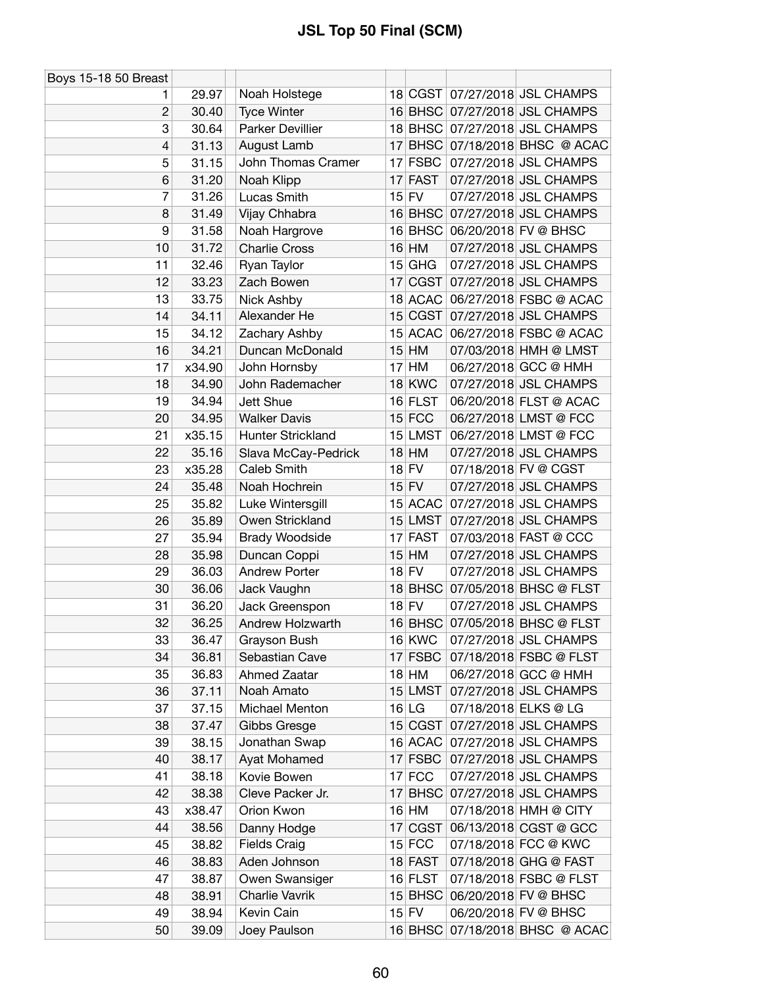| Boys 15-18 50 Breast |        |                         |    |               |                                |
|----------------------|--------|-------------------------|----|---------------|--------------------------------|
| 1                    | 29.97  | Noah Holstege           |    |               | 18 CGST 07/27/2018 JSL CHAMPS  |
| $\overline{2}$       | 30.40  | <b>Tyce Winter</b>      |    |               | 16 BHSC 07/27/2018 JSL CHAMPS  |
| 3                    | 30.64  | Parker Devillier        |    |               | 18 BHSC 07/27/2018 JSL CHAMPS  |
| 4                    | 31.13  | August Lamb             |    |               | 17 BHSC 07/18/2018 BHSC @ ACAC |
| 5                    | 31.15  | John Thomas Cramer      |    | 17 FSBC       | 07/27/2018 JSL CHAMPS          |
| 6                    | 31.20  | Noah Klipp              | 17 | <b>FAST</b>   | 07/27/2018 JSL CHAMPS          |
| 7                    | 31.26  | Lucas Smith             |    | $15$ FV       | 07/27/2018 JSL CHAMPS          |
| 8                    | 31.49  | Vijay Chhabra           |    | $16$ BHSC     | 07/27/2018 JSL CHAMPS          |
| 9                    | 31.58  | Noah Hargrove           |    |               | 16 BHSC 06/20/2018 FV @ BHSC   |
| 10                   | 31.72  | <b>Charlie Cross</b>    |    | $16$ HM       | 07/27/2018 JSL CHAMPS          |
| 11                   | 32.46  | Ryan Taylor             | 15 | GHG           | 07/27/2018 JSL CHAMPS          |
| 12                   | 33.23  | Zach Bowen              | 17 | <b>CGST</b>   | 07/27/2018 JSL CHAMPS          |
| 13                   | 33.75  | Nick Ashby              |    | 18 ACAC       | 06/27/2018 FSBC @ ACAC         |
| 14                   | 34.11  | Alexander He            |    | 15 CGST       | 07/27/2018 JSL CHAMPS          |
| 15                   | 34.12  | Zachary Ashby           |    | 15 ACAC       | 06/27/2018 FSBC @ ACAC         |
| 16                   | 34.21  | Duncan McDonald         |    | $15$ HM       | 07/03/2018 HMH @ LMST          |
| 17                   | x34.90 | John Hornsby            |    | $17$ HM       | 06/27/2018 GCC @ HMH           |
| 18                   | 34.90  | John Rademacher         |    | 18 KWC        | 07/27/2018 JSL CHAMPS          |
| 19                   | 34.94  | Jett Shue               |    | 16 FLST       | 06/20/2018 FLST @ ACAC         |
| 20                   | 34.95  | <b>Walker Davis</b>     |    | $15$ FCC      | 06/27/2018 LMST @ FCC          |
| 21                   | x35.15 | Hunter Strickland       |    | 15 LMST       | 06/27/2018 LMST @ FCC          |
| 22                   | 35.16  | Slava McCay-Pedrick     |    | $18$ HM       | 07/27/2018 JSL CHAMPS          |
| 23                   | x35.28 | Caleb Smith             |    | $18$ FV       | 07/18/2018 FV @ CGST           |
| 24                   | 35.48  | Noah Hochrein           |    | $15$ FV       | 07/27/2018 JSL CHAMPS          |
| 25                   | 35.82  | Luke Wintersgill        |    | 15 ACAC       | 07/27/2018 JSL CHAMPS          |
| 26                   | 35.89  | Owen Strickland         |    | 15 LMST       | 07/27/2018 JSL CHAMPS          |
| 27                   | 35.94  | <b>Brady Woodside</b>   |    | 17 FAST       | 07/03/2018 FAST @ CCC          |
| 28                   | 35.98  | Duncan Coppi            |    | $15$ HM       | 07/27/2018 JSL CHAMPS          |
| 29                   | 36.03  | <b>Andrew Porter</b>    |    | $18$ FV       | 07/27/2018 JSL CHAMPS          |
| 30                   | 36.06  | Jack Vaughn             |    | $18$ BHSC     | 07/05/2018 BHSC @ FLST         |
| 31                   | 36.20  | Jack Greenspon          |    | $18$ FV       | 07/27/2018 JSL CHAMPS          |
| 32                   | 36.25  | <b>Andrew Holzwarth</b> |    | 16 BHSC       | 07/05/2018 BHSC @ FLST         |
| 33                   | 36.47  | Grayson Bush            |    | <b>16 KWC</b> | 07/27/2018 JSL CHAMPS          |
| 34                   | 36.81  | Sebastian Cave          |    | $17$ FSBC     | 07/18/2018 FSBC @ FLST         |
| 35                   | 36.83  | Ahmed Zaatar            |    | $18$ HM       | 06/27/2018 GCC @ HMH           |
| 36                   | 37.11  | Noah Amato              |    | 15 LMST       | 07/27/2018 JSL CHAMPS          |
| 37                   | 37.15  | Michael Menton          |    | 16 LG         | 07/18/2018 ELKS @ LG           |
| 38                   | 37.47  | Gibbs Gresge            |    | 15 CGST       | 07/27/2018 JSL CHAMPS          |
| 39                   | 38.15  | Jonathan Swap           |    | 16 ACAC       | 07/27/2018 JSL CHAMPS          |
| 40                   | 38.17  | Ayat Mohamed            |    | $17$ FSBC     | 07/27/2018 JSL CHAMPS          |
| 41                   | 38.18  | Kovie Bowen             |    | $17$ FCC      | 07/27/2018 JSL CHAMPS          |
| 42                   | 38.38  | Cleve Packer Jr.        |    |               | 17 BHSC 07/27/2018 JSL CHAMPS  |
| 43                   | x38.47 | Orion Kwon              |    | $16$ HM       | 07/18/2018 HMH @ CITY          |
| 44                   | 38.56  | Danny Hodge             | 17 | <b>CGST</b>   | 06/13/2018 CGST @ GCC          |
| 45                   | 38.82  | <b>Fields Craig</b>     |    | $15$ FCC      | 07/18/2018 FCC @ KWC           |
| 46                   | 38.83  | Aden Johnson            |    | 18 FAST       | 07/18/2018 GHG @ FAST          |
| 47                   | 38.87  | Owen Swansiger          |    | 16 FLST       | 07/18/2018 FSBC @ FLST         |
| 48                   | 38.91  | Charlie Vavrik          |    | $15$ BHSC     | 06/20/2018 FV @ BHSC           |
| 49                   | 38.94  | Kevin Cain              |    | $15$ FV       | 06/20/2018 FV @ BHSC           |
| 50                   | 39.09  | Joey Paulson            |    |               | 16 BHSC 07/18/2018 BHSC @ ACAC |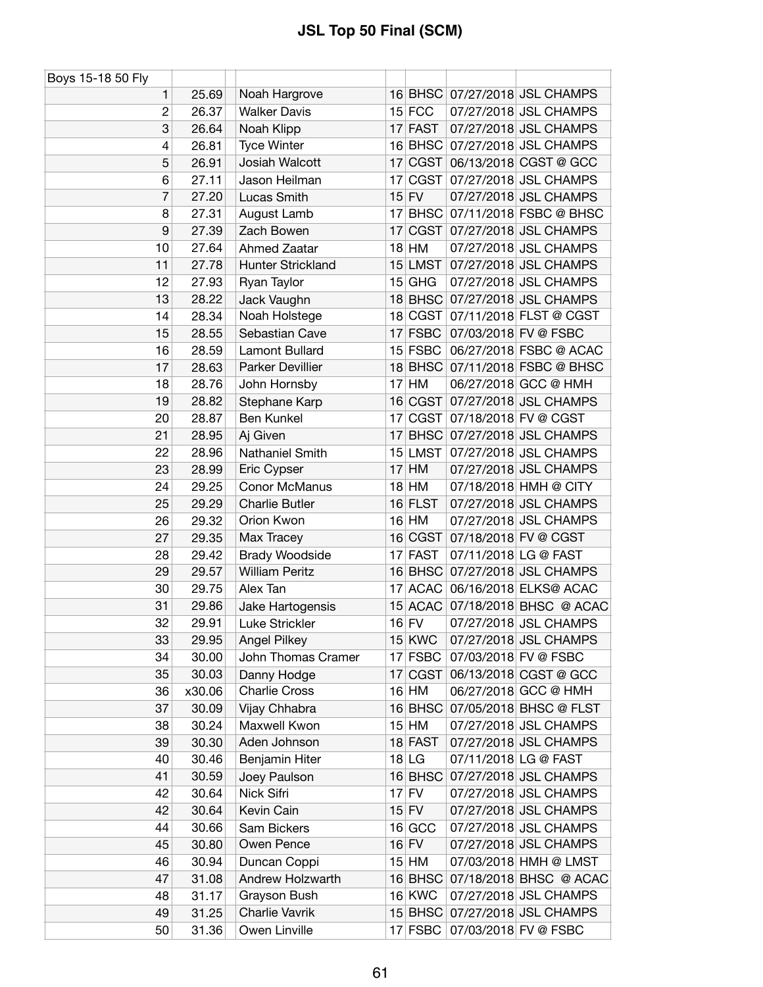| Boys 15-18 50 Fly |        |                       |    |               |                                |
|-------------------|--------|-----------------------|----|---------------|--------------------------------|
| 1                 | 25.69  | Noah Hargrove         |    |               | 16 BHSC 07/27/2018 JSL CHAMPS  |
| $\overline{c}$    | 26.37  | <b>Walker Davis</b>   |    | $15$ FCC      | 07/27/2018 JSL CHAMPS          |
| 3                 | 26.64  | Noah Klipp            |    | 17 FAST       | 07/27/2018 JSL CHAMPS          |
| 4                 | 26.81  | <b>Tyce Winter</b>    |    |               | 16 BHSC 07/27/2018 JSL CHAMPS  |
| 5                 | 26.91  | Josiah Walcott        |    | 17 CGST       | 06/13/2018 CGST @ GCC          |
| 6                 | 27.11  | Jason Heilman         | 17 | CGST          | 07/27/2018 JSL CHAMPS          |
| 7                 | 27.20  | Lucas Smith           |    | $15$ FV       | 07/27/2018 JSL CHAMPS          |
| 8                 | 27.31  | August Lamb           |    | 17 BHSC       | 07/11/2018 FSBC @ BHSC         |
| 9                 | 27.39  | Zach Bowen            |    | 17 CGST       | 07/27/2018 JSL CHAMPS          |
| 10                | 27.64  | <b>Ahmed Zaatar</b>   |    | $18$ HM       | 07/27/2018 JSL CHAMPS          |
| 11                | 27.78  | Hunter Strickland     |    | $15$ LMST     | 07/27/2018 JSL CHAMPS          |
| 12                | 27.93  | Ryan Taylor           |    | $15$ GHG      | 07/27/2018 JSL CHAMPS          |
| 13                | 28.22  | Jack Vaughn           |    |               | 18 BHSC 07/27/2018 JSL CHAMPS  |
| 14                | 28.34  | Noah Holstege         |    | 18 CGST       | 07/11/2018 FLST @ CGST         |
| 15                | 28.55  | Sebastian Cave        |    | $17$ FSBC     | 07/03/2018 FV @ FSBC           |
| 16                | 28.59  | Lamont Bullard        |    | 15 FSBC       | 06/27/2018 FSBC @ ACAC         |
| 17                | 28.63  | Parker Devillier      |    |               | 18 BHSC 07/11/2018 FSBC @ BHSC |
| 18                | 28.76  | John Hornsby          |    | $17$ HM       | 06/27/2018 GCC @ HMH           |
| 19                | 28.82  | Stephane Karp         |    | 16 CGST       | 07/27/2018 JSL CHAMPS          |
| 20                | 28.87  | Ben Kunkel            |    | 17 CGST       | 07/18/2018 FV @ CGST           |
| 21                | 28.95  | Aj Given              |    |               | 17 BHSC 07/27/2018 JSL CHAMPS  |
| 22                | 28.96  | Nathaniel Smith       |    | $15$ LMST     | 07/27/2018 JSL CHAMPS          |
| 23                | 28.99  | Eric Cypser           |    | $17$ HM       | 07/27/2018 JSL CHAMPS          |
| 24                | 29.25  | <b>Conor McManus</b>  |    | $18$ HM       | 07/18/2018 HMH @ CITY          |
| 25                | 29.29  | <b>Charlie Butler</b> |    | 16 FLST       | 07/27/2018 JSL CHAMPS          |
| 26                | 29.32  | Orion Kwon            |    | 16 HM         | 07/27/2018 JSL CHAMPS          |
| 27                | 29.35  | Max Tracey            |    | 16 CGST       | 07/18/2018 FV @ CGST           |
| 28                | 29.42  | Brady Woodside        |    | 17 FAST       | 07/11/2018 LG @ FAST           |
| 29                | 29.57  | <b>William Peritz</b> |    |               | 16 BHSC 07/27/2018 JSL CHAMPS  |
| 30                | 29.75  | Alex Tan              |    | 17 ACAC       | 06/16/2018 ELKS@ ACAC          |
| 31                | 29.86  | Jake Hartogensis      |    | 15 ACAC       | 07/18/2018 BHSC @ ACAC         |
| 32                | 29.91  | Luke Strickler        |    | $16$ FV       | 07/27/2018 JSL CHAMPS          |
| 33                | 29.95  | <b>Angel Pilkey</b>   |    | <b>15 KWC</b> | 07/27/2018 JSL CHAMPS          |
| 34                | 30.00  | John Thomas Cramer    |    | 17 FSBC       | 07/03/2018 FV @ FSBC           |
| 35                | 30.03  | Danny Hodge           |    |               | 17 CGST 06/13/2018 CGST @ GCC  |
| 36                | x30.06 | <b>Charlie Cross</b>  |    | $16$ HM       | 06/27/2018 GCC @ HMH           |
| 37                | 30.09  | Vijay Chhabra         |    | 16 BHSC       | 07/05/2018 BHSC @ FLST         |
| 38                | 30.24  | Maxwell Kwon          |    | $15$ HM       | 07/27/2018 JSL CHAMPS          |
| 39                | 30.30  | Aden Johnson          |    | $18$ FAST     | 07/27/2018 JSL CHAMPS          |
| 40                | 30.46  | Benjamin Hiter        |    | $18$ LG       | 07/11/2018 LG @ FAST           |
| 41                | 30.59  | Joey Paulson          |    | 16 BHSC       | 07/27/2018 JSL CHAMPS          |
| 42                | 30.64  | Nick Sifri            |    | $17$ FV       | 07/27/2018 JSL CHAMPS          |
| 42                | 30.64  | Kevin Cain            |    | $15$ FV       | 07/27/2018 JSL CHAMPS          |
| 44                | 30.66  | Sam Bickers           |    | $16$ GCC      | 07/27/2018 JSL CHAMPS          |
| 45                | 30.80  | Owen Pence            |    | $16$ FV       | 07/27/2018 JSL CHAMPS          |
| 46                | 30.94  | Duncan Coppi          |    | 15 HM         | 07/03/2018 HMH @ LMST          |
| 47                | 31.08  | Andrew Holzwarth      |    |               | 16 BHSC 07/18/2018 BHSC @ ACAC |
| 48                | 31.17  | Grayson Bush          |    | $16$ KWC      | 07/27/2018 JSL CHAMPS          |
| 49                | 31.25  | Charlie Vavrik        |    |               | 15 BHSC 07/27/2018 JSL CHAMPS  |
| 50                | 31.36  | Owen Linville         |    | $17$ FSBC     | 07/03/2018 FV @ FSBC           |
|                   |        |                       |    |               |                                |